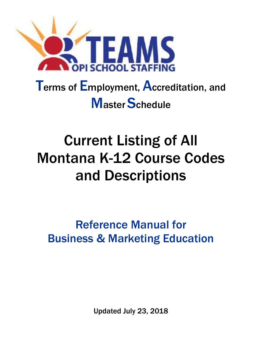

# Terms of Employment, Accreditation, and **Master Schedule**

# Current Listing of All Montana K-12 Course Codes and Descriptions

Reference Manual for Business & Marketing Education

Updated July 23, 2018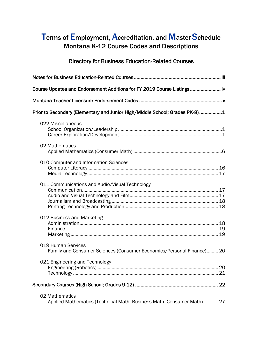## Terms of Employment, Accreditation, and Master Schedule Montana K-12 Course Codes and Descriptions

### Directory for Business Education-Related Courses

| Course Updates and Endorsement Additions for FY 2019 Course Listings                        |
|---------------------------------------------------------------------------------------------|
|                                                                                             |
| Prior to Secondary (Elementary and Junior High/Middle School; Grades PK-8)1                 |
| 022 Miscellaneous                                                                           |
| 02 Mathematics                                                                              |
| 010 Computer and Information Sciences                                                       |
| 011 Communications and Audio/Visual Technology                                              |
| 012 Business and Marketing                                                                  |
| 019 Human Services<br>Family and Consumer Sciences (Consumer Economics/Personal Finance) 20 |
| 021 Engineering and Technology                                                              |
|                                                                                             |
| 02 Mathematics<br>Applied Mathematics (Technical Math, Business Math, Consumer Math)  27    |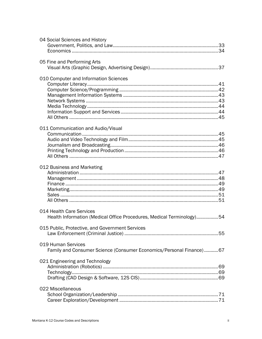| 04 Social Sciences and History                                        |  |
|-----------------------------------------------------------------------|--|
|                                                                       |  |
|                                                                       |  |
|                                                                       |  |
| 05 Fine and Performing Arts                                           |  |
|                                                                       |  |
|                                                                       |  |
| 010 Computer and Information Sciences                                 |  |
|                                                                       |  |
|                                                                       |  |
|                                                                       |  |
|                                                                       |  |
|                                                                       |  |
|                                                                       |  |
|                                                                       |  |
|                                                                       |  |
|                                                                       |  |
| 011 Communication and Audio/Visual                                    |  |
|                                                                       |  |
|                                                                       |  |
|                                                                       |  |
|                                                                       |  |
|                                                                       |  |
|                                                                       |  |
| 012 Business and Marketing                                            |  |
|                                                                       |  |
|                                                                       |  |
|                                                                       |  |
|                                                                       |  |
|                                                                       |  |
|                                                                       |  |
|                                                                       |  |
| 014 Health Care Services                                              |  |
| Health Information (Medical Office Procedures, Medical Terminology)54 |  |
|                                                                       |  |
| 015 Public, Protective, and Government Services                       |  |
|                                                                       |  |
|                                                                       |  |
| 019 Human Services                                                    |  |
| Family and Consumer Science (Consumer Economics/Personal Finance)67   |  |
|                                                                       |  |
| 021 Engineering and Technology                                        |  |
|                                                                       |  |
|                                                                       |  |
|                                                                       |  |
|                                                                       |  |
| 022 Miscellaneous                                                     |  |
|                                                                       |  |
|                                                                       |  |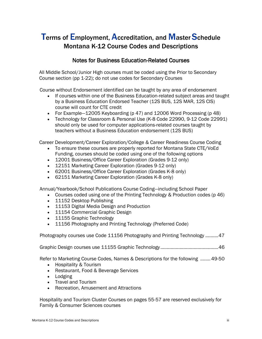# Terms of Employment, Accreditation, and Master Schedule Montana K-12 Course Codes and Descriptions

### Notes for Business Education-Related Courses

All Middle School/Junior High courses must be coded using the Prior to Secondary Course section (pp 1-22); do not use codes for Secondary Courses

Course without Endorsement identified can be taught by any area of endorsement

- If courses within one of the Business Education-related subject areas and taught by a Business Education Endorsed Teacher (12S BUS, 12S MAR, 12S CIS) course will count for CTE credit
- For Example–12005 Keyboarding (p 47) and 12006 Word Processing (p 48)
- Technology for Classroom & Personal Use (K-8 Code 22990, 9-12 Code 22991) should only be used for computer applications-related courses taught by teachers without a Business Education endorsement (12S BUS)

Career Development/Career Exploration/College & Career Readiness Course Coding

- To ensure these courses are properly reported for Montana State CTE/VoEd
- Funding, courses should be coded using one of the following options • 12001 Business/Office Career Exploration (Grades 9-12 only)
- 12151 Marketing Career Exploration (Grades 9-12 only)
- 62001 Business/Office Career Exploration (Grades K-8 only)
- 62151 Marketing Career Exploration (Grades K-8 only)

Annual/Yearbook/School Publications Course Coding—including School Paper

- Courses coded using one of the Printing Technology & Production codes (p 46)
- 11152 Desktop Publishing
- 11153 Digital Media Design and Production
- 11154 Commercial Graphic Design
- 11155 Graphic Technology
- 11156 Photography and Printing Technology (Preferred Code)

Photography courses use Code 11156 Photography and Printing Technology ..........47

Graphic Design courses use 11155 Graphic Technology .............................................46

Refer to Marketing Course Codes, Names & Descriptions for the following ........49-50

- Hospitality & Tourism
- Restaurant, Food & Beverage Services
- Lodging
- Travel and Tourism
- Recreation, Amusement and Attractions

Hospitality and Tourism Cluster Courses on pages 55-57 are reserved exclusively for Family & Consumer Sciences courses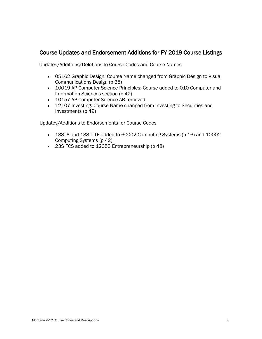### Course Updates and Endorsement Additions for FY 2019 Course Listings

Updates/Additions/Deletions to Course Codes and Course Names

- 05162 Graphic Design: Course Name changed from Graphic Design to Visual Communications Design (p 38)
- 10019 AP Computer Science Principles: Course added to 010 Computer and Information Sciences section (p 42)
- 10157 AP Computer Science AB removed
- 12107 Investing: Course Name changed from Investing to Securities and Investments (p 49)

Updates/Additions to Endorsements for Course Codes

- 13S IA and 13S ITTE added to 60002 Computing Systems (p 16) and 10002 Computing Systems (p 42)
- 23S FCS added to 12053 Entrepreneurship (p 48)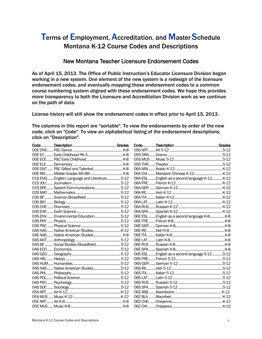## Terms of Employment, Accreditation, and Master Schedule Montana K-12 Course Codes and Descriptions

### New Montana Teacher Licensure Endorsement Codes

As of April 15, 2013. The Office of Public Instruction's Educator Licensure Division began working in a new system. One element of the new system is a redesign of the licensure endorsement codes, and eventually mapping those endorsement codes to a common course numbering system aligned with these endorsement codes. We hope this provides more transparency to both the Licensure and Accreditation Division work as we continue on the path of data.

License history will still show the endorsement codes in effect prior to April 15, 2013.

The columns in this report are "sortable". To view the endorsements by order of the new code, click on "Code". To view an alphabetical listing of the endorsement descriptions, click on "Description".

|                                              |  | 06A CHI  Mandarin Chinese K-12  K-12             |  |
|----------------------------------------------|--|--------------------------------------------------|--|
| 01S ENG English, Language and Literature5-12 |  | 06A ESL  English as a second language K-12  K-12 |  |
|                                              |  |                                                  |  |
| 01S SPE Speech Communications5-12            |  |                                                  |  |
|                                              |  |                                                  |  |
|                                              |  |                                                  |  |
|                                              |  |                                                  |  |
|                                              |  |                                                  |  |
|                                              |  |                                                  |  |
| 03S ENV  Environmental Education5-12         |  | 06E ESL  English as a second language K-8  K-8   |  |
|                                              |  |                                                  |  |
|                                              |  |                                                  |  |
|                                              |  |                                                  |  |
|                                              |  |                                                  |  |
|                                              |  |                                                  |  |
| 04S BF Social Studies (Broadfield)5-12       |  |                                                  |  |
|                                              |  |                                                  |  |
|                                              |  | 06S ESL  English as a second language 5-12 5-12  |  |
|                                              |  |                                                  |  |
|                                              |  |                                                  |  |
| 04S NAS  Native American Studies5-12         |  |                                                  |  |
|                                              |  |                                                  |  |
|                                              |  |                                                  |  |
|                                              |  |                                                  |  |
|                                              |  |                                                  |  |
|                                              |  |                                                  |  |
|                                              |  |                                                  |  |
|                                              |  |                                                  |  |
|                                              |  |                                                  |  |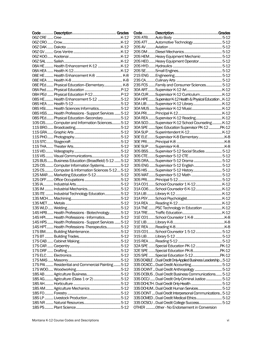| 08E HE Health Enhancement K-8  K-8                   |  |
|------------------------------------------------------|--|
|                                                      |  |
| 08E PEd Physical Education-Elementary K-8            |  |
|                                                      |  |
| O8H PEd  Physical Education P-12 P-12                |  |
| 08S HE Health Enhancement 5-12 5-12                  |  |
|                                                      |  |
| 08S HSI Health Sciences Informatics5-12              |  |
| 08S HSS  Health Professions - Support Services  5-12 |  |
| 08S PEd Physical Education-Secondary5-12             |  |
| 10S CIS Computer and Information Sciences 5-12       |  |
|                                                      |  |
|                                                      |  |
|                                                      |  |
|                                                      |  |
|                                                      |  |
|                                                      |  |
|                                                      |  |
|                                                      |  |
| 12S BUS  Business Education (Broadfield) 5-12  5-12  |  |
| 12S CIS Computer Information Systems5-12             |  |
| 12S CS Computer & Information Sciences 5-12 5-12     |  |
| 12S MAR  Marketing Education 5-12 5-12               |  |
|                                                      |  |
|                                                      |  |
|                                                      |  |
| 13S ITE  Industrial Technology Education5-12         |  |
|                                                      |  |
|                                                      |  |
|                                                      |  |
|                                                      |  |
| 14S HPB Health Professions - Biotechnology5-12       |  |
| 14S HPI Health Professions - Informatics5-12         |  |
| 14S HPS  Health Professions - Support Services  5-12 |  |
| 14S HPT Health Professions - Therapeutics 5-12       |  |
|                                                      |  |
|                                                      |  |
|                                                      |  |
|                                                      |  |
|                                                      |  |
|                                                      |  |
|                                                      |  |
| 17S PAI  Residential and Commercial Painting  5-12   |  |
|                                                      |  |
|                                                      |  |
|                                                      |  |
| 18S AG Agriculture (Class 1 or 2)5-12                |  |
|                                                      |  |
|                                                      |  |
|                                                      |  |
|                                                      |  |
|                                                      |  |
|                                                      |  |

| 20S HEMHeavy Equipment Mechanic 5-12                           |  |
|----------------------------------------------------------------|--|
| 20S HEOHeavy Equipment Operator 5-12                           |  |
|                                                                |  |
|                                                                |  |
|                                                                |  |
|                                                                |  |
|                                                                |  |
| 23S FCS Family and Consumer Sciences  5-12                     |  |
|                                                                |  |
| 30A CURSupervisor K-12 Curriculum K-12                         |  |
| 30A HPE Supervisor K-12 Health & Physical Education  K-12      |  |
|                                                                |  |
|                                                                |  |
|                                                                |  |
| 30A REA Supervisor K-12 Reading K-12                           |  |
| 30A SCOSupervisor K-12 School Counseling K-12                  |  |
|                                                                |  |
| 30A SPE Spec Education Supervisor PK-12 PK-12                  |  |
|                                                                |  |
|                                                                |  |
|                                                                |  |
|                                                                |  |
| 30S BSSSupervisor 5-12 Social Studies 5-12                     |  |
|                                                                |  |
|                                                                |  |
|                                                                |  |
|                                                                |  |
|                                                                |  |
|                                                                |  |
| 31A CO1School Counselor 1 K-12K-12                             |  |
|                                                                |  |
|                                                                |  |
|                                                                |  |
|                                                                |  |
|                                                                |  |
| 31A TNE PSC Technology in Education  K-12                      |  |
|                                                                |  |
|                                                                |  |
|                                                                |  |
|                                                                |  |
|                                                                |  |
|                                                                |  |
|                                                                |  |
| 32A SPE Special Education PK-12 PK-12                          |  |
|                                                                |  |
|                                                                |  |
|                                                                |  |
| 33S DCABLE  Dual Credit Only-Applied Business Leadership  5-12 |  |
|                                                                |  |
| 33S DCANT Dual Credit Anthropology  5-12                       |  |
| 33S DCBUS  Dual Credit Business Communications 5-12            |  |
| 33S DCCJ  Dual Credit Only-Criminal Justice  5-12              |  |
|                                                                |  |
| 33S DCHUM Dual Credit Human Services 5-12                      |  |
| 33S DCINT  Dual Credit Interpersonal Communications 5-12       |  |
| 33S DCMED Dual Credit Medical Ethics 5-12                      |  |
| 33S DCSCU  Dual Credit College Success 5-12                    |  |
|                                                                |  |
| OTHER Other - No Endorsement in Conversion                     |  |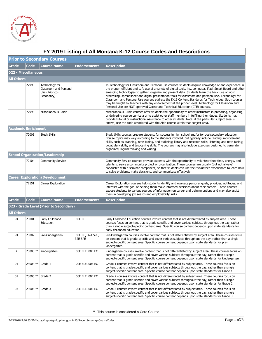

|                   | FY 2019 Listing of All Montana K-12 Course Codes and Descriptions |                                                                          |                             |                                                                                                                                                                                                                                                                                                                                                                                                                                                                                                                                                                                                                                                                                                                             |  |  |  |
|-------------------|-------------------------------------------------------------------|--------------------------------------------------------------------------|-----------------------------|-----------------------------------------------------------------------------------------------------------------------------------------------------------------------------------------------------------------------------------------------------------------------------------------------------------------------------------------------------------------------------------------------------------------------------------------------------------------------------------------------------------------------------------------------------------------------------------------------------------------------------------------------------------------------------------------------------------------------------|--|--|--|
|                   | <b>Prior to Secondary Courses</b>                                 |                                                                          |                             |                                                                                                                                                                                                                                                                                                                                                                                                                                                                                                                                                                                                                                                                                                                             |  |  |  |
| Grade             | Code                                                              | <b>Course Name</b>                                                       | <b>Endorsements</b>         | <b>Description</b>                                                                                                                                                                                                                                                                                                                                                                                                                                                                                                                                                                                                                                                                                                          |  |  |  |
|                   | 022 - Miscellaneous                                               |                                                                          |                             |                                                                                                                                                                                                                                                                                                                                                                                                                                                                                                                                                                                                                                                                                                                             |  |  |  |
| <b>All Others</b> |                                                                   |                                                                          |                             |                                                                                                                                                                                                                                                                                                                                                                                                                                                                                                                                                                                                                                                                                                                             |  |  |  |
|                   | 22990                                                             | Technology for<br>Classroom and Personal<br>Use (Prior-to-<br>Secondary) |                             | In Technology for Classroom and Personal Use courses students acquire knowledge of and experience in<br>the proper, efficient and safe use of a variety of digital tools, i.e., computer, iPad, Smart Board and other<br>emerging technologies to gather, organize and present data. Students learn the basic use of word<br>processing, spreadsheet and digital presentation tools for classroom and personal use. Technology for<br>Classroom and Personal Use courses address the K-12 Content Standards for Technology. Such courses<br>may be taught by teachers with any endorsement at the proper level. Technology for Classroom and<br>Personal Use are NOT approved Career and Technical Education (CTE) courses. |  |  |  |
|                   | 72995                                                             | Miscellaneous-Aide                                                       |                             | Miscellaneous—Aide courses offer students the opportunity to assist instructors in preparing, organizing,<br>or delivering course curricula or to assist other staff members in fulfilling their duties. Students may<br>provide tutorial or instructional assistance to other students. Note: if the particular subject area is<br>known, use the code associated with the Aide course within that subject area.                                                                                                                                                                                                                                                                                                           |  |  |  |
|                   | <b>Academic Enrichment</b>                                        |                                                                          |                             |                                                                                                                                                                                                                                                                                                                                                                                                                                                                                                                                                                                                                                                                                                                             |  |  |  |
|                   | 72003                                                             | <b>Study Skills</b>                                                      |                             | Study Skills courses prepare students for success in high school and/or for postsecondary education.<br>Course topics may vary according to the students involved, but typically include reading improvement<br>skills, such as scanning, note-taking, and outlining; library and research skills; listening and note-taking;<br>vocabulary skills; and test-taking skills. The courses may also include exercises designed to generate<br>organized, logical thinking and writing.                                                                                                                                                                                                                                         |  |  |  |
|                   |                                                                   | <b>School Organization/Leadership</b>                                    |                             |                                                                                                                                                                                                                                                                                                                                                                                                                                                                                                                                                                                                                                                                                                                             |  |  |  |
|                   | 72104                                                             | <b>Community Service</b>                                                 |                             | Community Service courses provide students with the opportunity to volunteer their time, energy, and<br>talents to serve a community project or organization. These courses are usually (but not always)<br>conducted with a seminar component, so that students can use their volunteer experiences to learn how<br>to solve problems, make decisions, and communicate effectively.                                                                                                                                                                                                                                                                                                                                        |  |  |  |
|                   |                                                                   | <b>Career Exploration/Development</b>                                    |                             |                                                                                                                                                                                                                                                                                                                                                                                                                                                                                                                                                                                                                                                                                                                             |  |  |  |
|                   | 72151                                                             | Career Exploration                                                       |                             | Career Exploration courses help students identify and evaluate personal goals, priorities, aptitudes, and<br>interests with the goal of helping them make informed decisions about their careers. These courses<br>expose students to various sources of information on career and training options and may also assist<br>them in developing job search and employability skills.                                                                                                                                                                                                                                                                                                                                          |  |  |  |
| <b>Grade</b>      | <b>Code</b>                                                       | <b>Course Name</b>                                                       | <b>Endorsements</b>         | <b>Description</b>                                                                                                                                                                                                                                                                                                                                                                                                                                                                                                                                                                                                                                                                                                          |  |  |  |
|                   |                                                                   | 023 - Grade Level (Prior to Secondary)                                   |                             |                                                                                                                                                                                                                                                                                                                                                                                                                                                                                                                                                                                                                                                                                                                             |  |  |  |
| <b>All Others</b> |                                                                   |                                                                          |                             |                                                                                                                                                                                                                                                                                                                                                                                                                                                                                                                                                                                                                                                                                                                             |  |  |  |
| PК                | 23001                                                             | Early Childhood<br>Education                                             | 00E EC                      | Early Childhood Education courses involve content that is not differentiated by subject area. These<br>courses focus on content that is grade-specific and cover various subjects throughout the day, rather<br>than a single subject-specific content area. Specific course content depends upon state standards for<br>early childhood education.                                                                                                                                                                                                                                                                                                                                                                         |  |  |  |
| PК                | 23002                                                             | Pre-kindergarten                                                         | 00E EC, 32A SPE,<br>32E SPE | Pre-kindergarten courses involve content that is not differentiated by subject area. These courses focus<br>on content that is grade-specific and cover various subjects throughout the day, rather than a single<br>subject-specific content area. Specific course content depends upon state standards for pre-<br>kindergarten.                                                                                                                                                                                                                                                                                                                                                                                          |  |  |  |
| Κ                 | 23003 **                                                          | Kindergarten                                                             | 00E ELE, 00E EC             | Kindergarten courses involve content that is not differentiated by subject area. These courses focus on<br>content that is grade-specific and cover various subjects throughout the day, rather than a single<br>subject-specific content area. Specific course content depends upon state standards for kindergarten.                                                                                                                                                                                                                                                                                                                                                                                                      |  |  |  |
| 01                | 23004 ** Grade 1                                                  |                                                                          | 00E ELE, 00E EC             | Grade 1 courses involve content that is not differentiated by subject area. These courses focus on<br>content that is grade-specific and cover various subjects throughout the day, rather than a single<br>subject-specific content area. Specific course content depends upon state standards for Grade 1.                                                                                                                                                                                                                                                                                                                                                                                                                |  |  |  |
| 02                | 23005 ** Grade 2                                                  |                                                                          | 00E ELE, 00E EC             | Grade 2 courses involve content that is not differentiated by subject area. These courses focus on<br>content that is grade-specific and cover various subjects throughout the day, rather than a single<br>subject-specific content area. Specific course content depends upon state standards for Grade 2.                                                                                                                                                                                                                                                                                                                                                                                                                |  |  |  |
| 03                | 23006 ** Grade 3                                                  |                                                                          | 00E ELE, 00E EC             | Grade 3 courses involve content that is not differentiated by subject area. These courses focus on<br>content that is grade-specific and cover various subjects throughout the day, rather than a single<br>subject-specific content area. Specific course content depends upon state standards for Grade 3.                                                                                                                                                                                                                                                                                                                                                                                                                |  |  |  |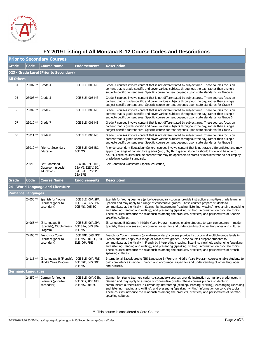

|                   | FY 2019 Listing of All Montana K-12 Course Codes and Descriptions |                                                        |                                                                        |                                                                                                                                                                                                                                                                                                                                                                                                                                                                                                                                                                            |  |  |  |  |
|-------------------|-------------------------------------------------------------------|--------------------------------------------------------|------------------------------------------------------------------------|----------------------------------------------------------------------------------------------------------------------------------------------------------------------------------------------------------------------------------------------------------------------------------------------------------------------------------------------------------------------------------------------------------------------------------------------------------------------------------------------------------------------------------------------------------------------------|--|--|--|--|
|                   | <b>Prior to Secondary Courses</b>                                 |                                                        |                                                                        |                                                                                                                                                                                                                                                                                                                                                                                                                                                                                                                                                                            |  |  |  |  |
| <b>Grade</b>      | <b>Code</b>                                                       | <b>Course Name</b>                                     | <b>Endorsements</b>                                                    | <b>Description</b>                                                                                                                                                                                                                                                                                                                                                                                                                                                                                                                                                         |  |  |  |  |
|                   | 023 - Grade Level (Prior to Secondary)                            |                                                        |                                                                        |                                                                                                                                                                                                                                                                                                                                                                                                                                                                                                                                                                            |  |  |  |  |
| <b>All Others</b> |                                                                   |                                                        |                                                                        |                                                                                                                                                                                                                                                                                                                                                                                                                                                                                                                                                                            |  |  |  |  |
| 04                | 23007 ** Grade 4                                                  |                                                        | 00E ELE, 00E MS                                                        | Grade 4 courses involve content that is not differentiated by subject area. These courses focus on<br>content that is grade-specific and cover various subjects throughout the day, rather than a single<br>subject-specific content area. Specific course content depends upon state standards for Grade 4.                                                                                                                                                                                                                                                               |  |  |  |  |
| 05                | 23008 ** Grade 5                                                  |                                                        | 00E ELE, 00E MS                                                        | Grade 5 courses involve content that is not differentiated by subject area. These courses focus on<br>content that is grade-specific and cover various subjects throughout the day, rather than a single<br>subject-specific content area. Specific course content depends upon state standards for Grade 5.                                                                                                                                                                                                                                                               |  |  |  |  |
| 06                | 23009 ** Grade 6                                                  |                                                        | 00E ELE, 00E MS                                                        | Grade 6 courses involve content that is not differentiated by subject area. These courses focus on<br>content that is grade-specific and cover various subjects throughout the day, rather than a single<br>subject-specific content area. Specific course content depends upon state standards for Grade 6.                                                                                                                                                                                                                                                               |  |  |  |  |
| 07                | 23010 ** Grade 7                                                  |                                                        | 00E ELE, 00E MS                                                        | Grade 7 courses involve content that is not differentiated by subject area. These courses focus on<br>content that is grade-specific and cover various subjects throughout the day, rather than a single<br>subject-specific content area. Specific course content depends upon state standards for Grade 7.                                                                                                                                                                                                                                                               |  |  |  |  |
| 08                | 23011 ** Grade 8                                                  |                                                        | 00E ELE, 00E MS                                                        | Grade 8 courses involve content that is not differentiated by subject area. These courses focus on<br>content that is grade-specific and cover various subjects throughout the day, rather than a single<br>subject-specific content area. Specific course content depends upon state standards for Grade 8.                                                                                                                                                                                                                                                               |  |  |  |  |
|                   | 23012 **                                                          | Prior-to-Secondary<br>Education                        | OOE ELE, OOE EC,<br>00E MS                                             | Prior-to-secondary Education--General courses involve content that is not grade differentiated and may<br>apply to a range of consecutive grades (e.g., "by third grade, students should know and be able to<br>do"). These courses include content that may be applicable to states or localities that do not employ<br>grade-level content standards.                                                                                                                                                                                                                    |  |  |  |  |
|                   | 23040                                                             | Self-Contained<br>Classroom (special<br>education)     | 32A HI, 32E HIEC,<br>32A VI, 32E VIEC,<br>32E SPE, 32S SPE,<br>32A SPE | Self-Contained Classroom (special education)                                                                                                                                                                                                                                                                                                                                                                                                                                                                                                                               |  |  |  |  |
| <b>Grade</b>      | <b>Code</b>                                                       | <b>Course Name</b>                                     | <b>Endorsements</b>                                                    | <b>Description</b>                                                                                                                                                                                                                                                                                                                                                                                                                                                                                                                                                         |  |  |  |  |
|                   |                                                                   | 24 - World Language and Literature                     |                                                                        |                                                                                                                                                                                                                                                                                                                                                                                                                                                                                                                                                                            |  |  |  |  |
|                   | <b>Romance Languages</b>                                          |                                                        |                                                                        |                                                                                                                                                                                                                                                                                                                                                                                                                                                                                                                                                                            |  |  |  |  |
|                   | 24050 **                                                          | Spanish for Young<br>Learners (prior-to-<br>secondary) | OOE ELE, O6A SPA,<br>06E SPA, 06S SPA,<br>00E MS, 00E EC               | Spanish for Young Learners (prior-to-secondary) courses provide instruction at multiple grade levels in<br>Spanish and may apply to a range of consecutive grades. These courses prepare students to<br>communicate authentically in Spanish by interpreting (reading, listening, viewing), exchanging (speaking<br>and listening; reading and writing), and presenting (speaking, writing) information on concrete topics.<br>These courses introduce the relationships among the products, practices, and perspectives of Spanish-<br>speaking cultures.                 |  |  |  |  |
|                   | 24066 **                                                          | IB Language B<br>(Spanish), Middle Years<br>Program    | 00E ELE, 06A SPA,<br>06E SPA, 06S SPA,<br>00E MS                       | IB Language B (Spanish), Middle Years Program courses enable students to gain competence in modern<br>Spanish; these courses also encourage respect for and understanding of other languages and cultures.                                                                                                                                                                                                                                                                                                                                                                 |  |  |  |  |
|                   | 24100 **                                                          | French for Young<br>Learners (prior-to-<br>secondary)  | 06E FRE, 06S FRE,<br>ELE, 06A FRE                                      | French for Young Learners (prior-to-secondary) courses provide instruction at multiple grade levels in<br>00E MS, 00E EC, 00E French and may apply to a range of consecutive grades. These courses prepare students to<br>communicate authentically in French by interpreting (reading, listening, viewing), exchanging (speaking<br>and listening; reading and writing), and presenting (speaking, writing) information on concrete topics.<br>These courses introduce the relationships among the products, practices, and perspectives of French-<br>speaking cultures. |  |  |  |  |
|                   | 24116 **                                                          | IB Language B (French),<br>Middle Years Program        | 00E ELE, 06A FRE,<br>06E FRE, 06S FRE,<br>00E MS                       | International Baccalaureate (IB) Language B (French), Middle Years Program courses enable students to<br>gain competence in modern French and encourage respect for and understanding of other languages<br>and cultures.                                                                                                                                                                                                                                                                                                                                                  |  |  |  |  |
|                   | <b>Germanic Languages</b>                                         |                                                        |                                                                        |                                                                                                                                                                                                                                                                                                                                                                                                                                                                                                                                                                            |  |  |  |  |
|                   | 24250 **                                                          | German for Young<br>Learners (prior-to-<br>secondary)  | 00E ELE, 06A GER,<br>06E GER, 06S GER,<br>00E MS, 00E EC               | German for Young Learners (prior-to-secondary) courses provide instruction at multiple grade levels in<br>German and may apply to a range of consecutive grades. These courses prepare students to<br>communicate authentically in German by interpreting (reading, listening, viewing), exchanging (speaking<br>and listening; reading and writing), and presenting (speaking, writing) information on concrete topics.<br>These courses introduce the relationships among the products, practices, and perspectives of German-<br>speaking cultures.                     |  |  |  |  |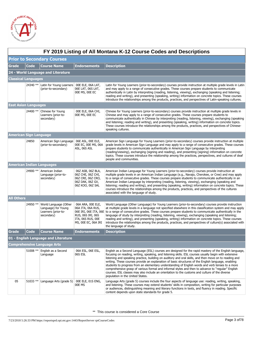

|                               | FY 2019 Listing of All Montana K-12 Course Codes and Descriptions |                                                                                   |                                                                                                         |                                                                                                                                                                                                                                                                                                                                                                                                                                                                                                                                                                                                                                                                                                                                                                                   |  |  |
|-------------------------------|-------------------------------------------------------------------|-----------------------------------------------------------------------------------|---------------------------------------------------------------------------------------------------------|-----------------------------------------------------------------------------------------------------------------------------------------------------------------------------------------------------------------------------------------------------------------------------------------------------------------------------------------------------------------------------------------------------------------------------------------------------------------------------------------------------------------------------------------------------------------------------------------------------------------------------------------------------------------------------------------------------------------------------------------------------------------------------------|--|--|
|                               |                                                                   | <b>Prior to Secondary Courses</b>                                                 |                                                                                                         |                                                                                                                                                                                                                                                                                                                                                                                                                                                                                                                                                                                                                                                                                                                                                                                   |  |  |
| <b>Grade</b>                  | Code                                                              | <b>Course Name</b>                                                                | <b>Endorsements</b>                                                                                     | <b>Description</b>                                                                                                                                                                                                                                                                                                                                                                                                                                                                                                                                                                                                                                                                                                                                                                |  |  |
|                               |                                                                   | 24 - World Language and Literature                                                |                                                                                                         |                                                                                                                                                                                                                                                                                                                                                                                                                                                                                                                                                                                                                                                                                                                                                                                   |  |  |
| <b>Classical Languages</b>    |                                                                   |                                                                                   |                                                                                                         |                                                                                                                                                                                                                                                                                                                                                                                                                                                                                                                                                                                                                                                                                                                                                                                   |  |  |
|                               | 24340 **                                                          | Latin for Young Learners<br>(prior-to-secondary)                                  | OOE ELE, O6A LAT,<br>06E LAT, 06S LAT,<br>00E MS, 00E EC                                                | Latin for Young Learners (prior-to-secondary) courses provide instruction at multiple grade levels in Latin<br>and may apply to a range of consecutive grades. These courses prepare students to communicate<br>authentically in Latin by interpreting (reading, listening, viewing), exchanging (speaking and listening;<br>reading and writing), and presenting (speaking, writing) information on concrete topics. These courses<br>introduce the relationships among the products, practices, and perspectives of Latin-speaking cultures.                                                                                                                                                                                                                                    |  |  |
| <b>East Asian Languages</b>   |                                                                   |                                                                                   |                                                                                                         |                                                                                                                                                                                                                                                                                                                                                                                                                                                                                                                                                                                                                                                                                                                                                                                   |  |  |
|                               | 24400 **                                                          | Chinese for Young<br>Learners (prior-to-<br>secondary)                            | 00E ELE, 06A CHI,<br>00E MS, 00E EC                                                                     | Chinese for Young Learners (prior-to-secondary) courses provide instruction at multiple grade levels in<br>Chinese and may apply to a range of consecutive grades. These courses prepare students to<br>communicate authentically in Chinese by interpreting (reading, listening, viewing), exchanging (speaking<br>and listening; reading and writing), and presenting (speaking, writing) information on concrete topics.<br>These courses introduce the relationships among the products, practices, and perspectives of Chinese-<br>speaking cultures.                                                                                                                                                                                                                        |  |  |
| <b>American Sign Language</b> |                                                                   |                                                                                   |                                                                                                         |                                                                                                                                                                                                                                                                                                                                                                                                                                                                                                                                                                                                                                                                                                                                                                                   |  |  |
|                               | 24850                                                             | American Sign Language<br>(prior-to-secondary)                                    | 06E ASL, 00E ELE,<br>00E EC, 00E MS, 06A<br>ASL, 06S ASL                                                | American Sign Language for Young Learners (prior-to-secondary) courses provide instruction at multiple<br>grade levels in American Sign Language and may apply to a range of consecutive grades. These courses<br>prepare students to communicate authentically in American Sign Language by interpreting<br>(reading/viewing), exchanging (signing and reading), and presenting (signing) information on concrete<br>topics. These courses introduce the relationship among the practices, perspectives, and cultures of deaf<br>people and communities.                                                                                                                                                                                                                         |  |  |
|                               |                                                                   | American Indian Languages                                                         |                                                                                                         |                                                                                                                                                                                                                                                                                                                                                                                                                                                                                                                                                                                                                                                                                                                                                                                   |  |  |
|                               | 24900 **                                                          | American Indian<br>Language (prior-to-<br>secondary)                              | 06Z ASB, 06Z BLA,<br>06Z CHE, 06Z CHI,<br>06Z CRE, 06Z CRO,<br>06Z DAK, 06Z GV,<br>06Z KOO, 06Z SAL     | American Indian Language for Young Learners (prior-to-secondary) courses provide instruction at<br>multiple grade levels in an American Indian Language (e.g., Navajo, Cherokee, or Cree) and may apply<br>to a range of consecutive grades. These courses prepare students to communicate authentically in an<br>American Indian Language by interpreting (reading, listening, viewing), exchanging (speaking and<br>listening; reading and writing), and presenting (speaking, writing) information on concrete topics. These<br>courses introduce the relationships among the products, practices, and perspectives of the cultures<br>associated with the language of study.                                                                                                  |  |  |
| <b>All Others</b>             |                                                                   |                                                                                   |                                                                                                         |                                                                                                                                                                                                                                                                                                                                                                                                                                                                                                                                                                                                                                                                                                                                                                                   |  |  |
|                               | 24950 **                                                          | World Language (Other<br>Language) for Young<br>Learners (prior-to-<br>secondary) | 06A ARA, OOE ELE,<br>06A ITA, 06A RUS,<br>RUS, 06S IRI, 06S<br>ITA, 06S RUS, 00E<br>MS, OOE EC, O6A IRI | World Language (Other Language) for Young Learners (prior-to-secondary) courses provide instruction<br>at multiple grade levels in a language not specified elsewhere in this classification system and may apply<br>06E IRI, 06E ITA, 06E to a range of consecutive grades. These courses prepare students to communicate authentically in the<br>language of study by interpreting (reading, listening, viewing), exchanging (speaking and listening;<br>reading and writing), and presenting (speaking, writing) information on concrete topics. These courses<br>introduce the relationships among the products, practices, and perspectives of culture(s) associated with<br>the language of study.                                                                          |  |  |
| Grade                         | <b>Code</b>                                                       | <b>Course Name</b>                                                                | <b>Endorsements</b>                                                                                     | <b>Description</b>                                                                                                                                                                                                                                                                                                                                                                                                                                                                                                                                                                                                                                                                                                                                                                |  |  |
|                               |                                                                   | 01 - English Language and Literature                                              |                                                                                                         |                                                                                                                                                                                                                                                                                                                                                                                                                                                                                                                                                                                                                                                                                                                                                                                   |  |  |
|                               |                                                                   | <b>Comprehensive Language Arts</b>                                                |                                                                                                         |                                                                                                                                                                                                                                                                                                                                                                                                                                                                                                                                                                                                                                                                                                                                                                                   |  |  |
|                               | 51008 **                                                          | English as a Second<br>Language                                                   | 06A ESL, 06E ESL,<br>06S ESL                                                                            | English as a Second Language (ESL) courses are designed for the rapid mastery of the English language,<br>focusing on reading, writing, speaking, and listening skills. ESL courses usually begin with extensive<br>listening and speaking practice, building on auditory and oral skills, and then move on to reading and<br>writing. These courses provide an explanation of basic structures of the English language, enabling<br>students to progress from an elementary understanding of English words and verb tenses to a more<br>comprehensive grasp of various formal and informal styles and then to advance to "regular" English<br>courses. ESL classes may also include an orientation to the customs and culture of the diverse<br>population in the United States. |  |  |
| 05                            | 51033 **                                                          | Language Arts (grade 5)                                                           | 00E ELE, 01S ENG,<br>00E MS                                                                             | Language Arts (grade 5) courses include the four aspects of language use: reading, writing, speaking,<br>and listening. These courses may extend students' skills in composition, writing for particular purposes<br>or audiences, distinguishing meaning and literary functions in texts, and fluency in reading. Specific<br>content depends upon state standards for grade 5.                                                                                                                                                                                                                                                                                                                                                                                                  |  |  |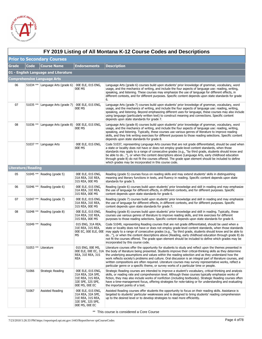

|       | FY 2019 Listing of All Montana K-12 Course Codes and Descriptions |                                      |                                                                                                    |                                                                                                                                                                                                                                                                                                                                                                                                                                                                                                                                                                                                                                                                   |  |  |
|-------|-------------------------------------------------------------------|--------------------------------------|----------------------------------------------------------------------------------------------------|-------------------------------------------------------------------------------------------------------------------------------------------------------------------------------------------------------------------------------------------------------------------------------------------------------------------------------------------------------------------------------------------------------------------------------------------------------------------------------------------------------------------------------------------------------------------------------------------------------------------------------------------------------------------|--|--|
|       |                                                                   | <b>Prior to Secondary Courses</b>    |                                                                                                    |                                                                                                                                                                                                                                                                                                                                                                                                                                                                                                                                                                                                                                                                   |  |  |
| Grade | <b>Code</b>                                                       | <b>Course Name</b>                   | <b>Endorsements</b>                                                                                | <b>Description</b>                                                                                                                                                                                                                                                                                                                                                                                                                                                                                                                                                                                                                                                |  |  |
|       |                                                                   | 01 - English Language and Literature |                                                                                                    |                                                                                                                                                                                                                                                                                                                                                                                                                                                                                                                                                                                                                                                                   |  |  |
|       |                                                                   | <b>Comprehensive Language Arts</b>   |                                                                                                    |                                                                                                                                                                                                                                                                                                                                                                                                                                                                                                                                                                                                                                                                   |  |  |
| 06    |                                                                   | 51034 ** Language Arts (grade 6)     | 00E ELE, 01S ENG,<br>00E MS                                                                        | Language Arts (grade 6) courses build upon students' prior knowledge of grammar, vocabulary, word<br>usage, and the mechanics of writing, and include the four aspects of language use: reading, writing,<br>speaking, and listening. These courses may emphasize the use of language for different effects, in<br>different contexts, and for different purposes. Specific content depends upon state standards for grade<br>6.                                                                                                                                                                                                                                  |  |  |
| 07    |                                                                   | 51035 ** Language Arts (grade 7)     | 00E ELE, 01S ENG,<br>00E MS                                                                        | Language Arts (grade 7) courses build upon students' prior knowledge of grammar, vocabulary, word<br>usage, and the mechanics of writing, and include the four aspects of language use: reading, writing,<br>speaking, and listening. Beyond emphasizing different uses for language, these courses may also include<br>using language (particularly written text) to construct meaning and connections. Specific content<br>depends upon state standards for grade 7.                                                                                                                                                                                            |  |  |
| 08    |                                                                   | 51036 ** Language Arts (grade 8)     | 00E ELE, 01S ENG,<br>00E MS                                                                        | Language Arts (grade 8) courses build upon students' prior knowledge of grammar, vocabulary, word<br>usage, and the mechanics of writing, and include the four aspects of language use: reading, writing,<br>speaking, and listening. Typically, these courses use various genres of literature to improve reading<br>skills, and they link writing exercises for different purposes to those reading selections. Specific content<br>depends upon state standards for grade 8.                                                                                                                                                                                   |  |  |
|       |                                                                   | 51037 ** Language Arts               | 00E ELE, 01S ENG,<br>00E MS                                                                        | Code 51037, representing Language Arts courses that are not grade differentiated, should be used when<br>a state or locality does not have or does not employ grade-level content standards, when those<br>standards may apply to a range of consecutive grades (e.g., "by third grade, students should know and<br>be able to do"), or when the content descriptions above (Language Arts, early childhood education<br>through grade 8) do not fit the courses offered. The grade span element should be included to define<br>which grades may be incorporated in this course code.                                                                            |  |  |
|       | <b>Literature/Reading</b>                                         |                                      |                                                                                                    |                                                                                                                                                                                                                                                                                                                                                                                                                                                                                                                                                                                                                                                                   |  |  |
| 05    |                                                                   | 51045 ** Reading (grade 5)           | 00E ELE, 01S ENG,<br>31A REA, 31E REA,<br>31S REA, 00E MS                                          | Reading (grade 5) courses focus on reading skills and may extend students' skills in distinguishing<br>meaning and literary functions in texts, and fluency in reading. Specific content depends upon state<br>standards for grade 5.                                                                                                                                                                                                                                                                                                                                                                                                                             |  |  |
| 06    |                                                                   | 51046 ** Reading (grade 6)           | 00E ELE, 01S ENG,<br>31A REA, 31E REA,<br>31S REA, 00E MS                                          | Reading (grade 6) courses build upon students' prior knowledge and skill in reading and may emphasize<br>the use of language for different effects, in different contexts, and for different purposes. Specific<br>content depends upon state standards for grade 6.                                                                                                                                                                                                                                                                                                                                                                                              |  |  |
| 07    |                                                                   | 51047 ** Reading (grade 7)           | 00E ELE, 01S ENG,<br>31A REA, 31E REA,<br>31S REA, 00E MS                                          | Reading (grade 7) courses build upon students' prior knowledge and skill in reading and may emphasize<br>the use of language for different effects, in different contexts, and for different purposes. Specific<br>content depends upon state standards for grade 7.                                                                                                                                                                                                                                                                                                                                                                                              |  |  |
| 08    |                                                                   | 51048 ** Reading (grade 8)           | 00E ELE, 01S ENG,<br>31A REA, 31E REA,<br>31S REA, 00E MS                                          | Reading (grade 8) courses build upon students' prior knowledge and skill in reading. Typically, these<br>courses use various genres of literature to improve reading skills, and link exercises for different<br>purposes to those reading selections. Specific content depends upon state standards for grade 8.                                                                                                                                                                                                                                                                                                                                                 |  |  |
|       | 51049 ** Reading                                                  |                                      | 01S ENG, 31A REA,<br>31E REA, 31S REA,<br>MS                                                       | Code 51049, representing Reading courses that are not grade differentiated, should be used when a<br>state or locality does not have or does not employ grade-level content standards, when those standards<br>00E EC, 00E ELE, 00E may apply to a range of consecutive grades (e.g., "by third grade, students should know and be able to<br>do"), or when the content descriptions above (Reading, early childhood education through grade 8) do<br>not fit the courses offered. The grade span element should be included to define which grades may be<br>incorporated by this course code.                                                                   |  |  |
|       |                                                                   | 51053 ** Literature                  | 01S ENG, 00E MS,<br>REA, 31E REA, 31S<br>REA                                                       | Literature courses offer the opportunity for students to study and reflect upon the themes presented in<br>00E ELE, 00E EC, 31A the body of literature being presented. Students improve their critical-thinking skills as they determine<br>the underlying assumptions and values within the reading selection and as they understand how the<br>work reflects society's problems and culture. Oral discussion is an integral part of literature courses, and<br>written compositions are often required. Literature courses may survey representative works, reflect a<br>particular genre or a specific theme, or survey works of a particular time or people. |  |  |
|       | 51066                                                             | Strategic Reading                    | 00E ELE, 01S ENG,<br>31A REA, 32A SPE,<br>31E REA, 31S REA,<br>32E SPE, 32S SPE,<br>00E MS, 00E EC | Strategic Reading courses are intended to improve a student's vocabulary, critical-thinking and analysis<br>skills, or reading rate and comprehension level. Although these courses typically emphasize works of<br>fiction, they may also include works of nonfiction (including textbooks). Strategic Reading courses often<br>have a time-management focus, offering strategies for note-taking or for understanding and evaluating<br>the important points of a text.                                                                                                                                                                                         |  |  |
|       | 51067                                                             | Assisted Reading                     | 00E ELE, 01S ENG,<br>31A REA, 32A SPE,<br>31E REA, 31S REA,<br>32E SPE, 32S SPE,<br>00E MS, 00E EC | Assisted Reading courses offer students the opportunity to focus on their reading skills. Assistance is<br>targeted to students' particular weaknesses and is designed to bring students' reading comprehension<br>up to the desired level or to develop strategies to read more efficiently.                                                                                                                                                                                                                                                                                                                                                                     |  |  |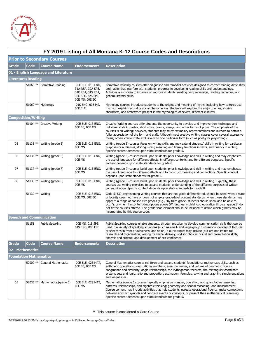

|                                      | FY 2019 Listing of All Montana K-12 Course Codes and Descriptions |                                 |                                                                                                    |                                                                                                                                                                                                                                                                                                                                                                                                                                                                                                                                                                            |  |  |  |  |
|--------------------------------------|-------------------------------------------------------------------|---------------------------------|----------------------------------------------------------------------------------------------------|----------------------------------------------------------------------------------------------------------------------------------------------------------------------------------------------------------------------------------------------------------------------------------------------------------------------------------------------------------------------------------------------------------------------------------------------------------------------------------------------------------------------------------------------------------------------------|--|--|--|--|
| <b>Prior to Secondary Courses</b>    |                                                                   |                                 |                                                                                                    |                                                                                                                                                                                                                                                                                                                                                                                                                                                                                                                                                                            |  |  |  |  |
| <b>Grade</b>                         | <b>Code</b>                                                       | <b>Course Name</b>              | <b>Endorsements</b>                                                                                | <b>Description</b>                                                                                                                                                                                                                                                                                                                                                                                                                                                                                                                                                         |  |  |  |  |
| 01 - English Language and Literature |                                                                   |                                 |                                                                                                    |                                                                                                                                                                                                                                                                                                                                                                                                                                                                                                                                                                            |  |  |  |  |
|                                      | <b>Literature/Reading</b>                                         |                                 |                                                                                                    |                                                                                                                                                                                                                                                                                                                                                                                                                                                                                                                                                                            |  |  |  |  |
|                                      |                                                                   | 51068 ** Corrective Reading     | 00E ELE, 01S ENG,<br>31A REA, 32A SPE,<br>31E REA, 31S REA,<br>32E SPE, 32S SPE,<br>00E MS, 00E EC | Corrective Reading courses offer diagnostic and remedial activities designed to correct reading difficulties<br>and habits that interfere with students' progress in developing reading skills and understandings.<br>Activities are chosen to increase or improve students' reading comprehension, reading technique, and<br>general literacy skills.                                                                                                                                                                                                                     |  |  |  |  |
|                                      |                                                                   | 51069 ** Mythology              | 01S ENG, 00E MS,<br>00E ELE                                                                        | Mythology courses introduce students to the origins and meaning of myths, including how cultures use<br>myths to explain natural or social phenomenon. Students will explore the major themes, stories,<br>characters, and archetypes present in the mythologies of several different cultures.                                                                                                                                                                                                                                                                            |  |  |  |  |
|                                      | <b>Composition/Writing</b>                                        |                                 |                                                                                                    |                                                                                                                                                                                                                                                                                                                                                                                                                                                                                                                                                                            |  |  |  |  |
|                                      |                                                                   | 51104 ** Creative Writing       | 00E ELE, 01S ENG,<br>00E EC, 00E MS                                                                | Creative Writing courses offer students the opportunity to develop and improve their technique and<br>individual style in poetry, short story, drama, essays, and other forms of prose. The emphasis of the<br>courses is on writing; however, students may study exemplary representations and authors to obtain a<br>fuller appreciation of the form and craft. Although most creative writing classes cover several expressive<br>forms, others concentrate exclusively on one particular form (such as poetry or playwriting).                                         |  |  |  |  |
| 05                                   |                                                                   | 51135 ** Writing (grade 5)      | 00E ELE, 01S ENG,<br>00E MS                                                                        | Writing (grade 5) courses focus on writing skills and may extend students' skills in writing for particular<br>purposes or audiences, distinguishing meaning and literary functions in texts, and fluency in writing.<br>Specific content depends upon state standards for grade 5.                                                                                                                                                                                                                                                                                        |  |  |  |  |
| 06                                   |                                                                   | 51136 ** Writing (grade 6)      | 00E ELE, 01S ENG,<br>00E MS                                                                        | Writing (grade 6) courses build upon students' prior knowledge and skill in writing and may emphasize<br>the use of language for different effects, in different contexts, and for different purposes. Specific<br>content depends upon state standards for grade 6.                                                                                                                                                                                                                                                                                                       |  |  |  |  |
| 07                                   |                                                                   | 51137 ** Writing (grade 7)      | 00E ELE, 01S ENG,<br>00E MS                                                                        | Writing (grade 7) courses build upon students' prior knowledge and skill in writing and may emphasize<br>the use of language for different effects and to construct meaning and connections. Specific content<br>depends upon state standards for grade 7.                                                                                                                                                                                                                                                                                                                 |  |  |  |  |
| 08                                   |                                                                   | 51138 ** Writing (grade 8)      | 00E ELE, 01S ENG,<br>00E MS                                                                        | Writing (grade 8) courses build upon students' prior knowledge and skill in writing. Typically, these<br>courses use writing exercises to expand students' understanding of the different purposes of written<br>communication. Specific content depends upon state standards for grade 8.                                                                                                                                                                                                                                                                                 |  |  |  |  |
|                                      | 51139 ** Writing                                                  |                                 | 00E ELE, 01S ENG,<br>00E MS, 00E EC                                                                | Code 51139, representing Writing courses that are not grade differentiated, should be used when a state<br>or locality does not have or does not employ grade-level content standards, when those standards may<br>apply to a range of consecutive grades (e.g., "by third grade, students should know and be able to<br>do"), or when the content descriptions above (Writing, early childhood education through grade 8) do<br>not fit the courses offered. The grade span element should be included to define which grades may be<br>incorporated by this course code. |  |  |  |  |
|                                      |                                                                   | <b>Speech and Communication</b> |                                                                                                    |                                                                                                                                                                                                                                                                                                                                                                                                                                                                                                                                                                            |  |  |  |  |
|                                      | 51151                                                             | <b>Public Speaking</b>          | 00E MS, 01S SPE,<br>01S ENG, OOE ELE                                                               | Public Speaking courses enable students, through practice, to develop communication skills that can be<br>used in a variety of speaking situations (such as small- and large-group discussions, delivery of lectures<br>or speeches in front of audiences, and so on). Course topics may include (but are not limited to)<br>research and organization, writing for verbal delivery, stylistic choices, visual and presentation skills,<br>analysis and critique, and development of self-confidence.                                                                      |  |  |  |  |
| Grade                                | Code                                                              | <b>Course Name</b>              | Endorsements                                                                                       | <b>Description</b>                                                                                                                                                                                                                                                                                                                                                                                                                                                                                                                                                         |  |  |  |  |
|                                      | 02 - Mathematics                                                  |                                 |                                                                                                    |                                                                                                                                                                                                                                                                                                                                                                                                                                                                                                                                                                            |  |  |  |  |
|                                      | Foundation Mathematics                                            |                                 |                                                                                                    |                                                                                                                                                                                                                                                                                                                                                                                                                                                                                                                                                                            |  |  |  |  |
|                                      |                                                                   | 52002 ** General Mathematics    | 00E ELE, 02S MAT,<br>00E EC, 00E MS                                                                | General Mathematics courses reinforce and expand students' foundational mathematic skills, such as<br>arithmetic operations using rational numbers; area, perimeter, and volume of geometric figures,<br>congruence and similarity, angle relationships, the Pythagorean theorem, the rectangular coordinate<br>system, sets and logic, ratio and proportion, estimation, formulas, solving and graphing simple equations<br>and inequalities.                                                                                                                             |  |  |  |  |
| 05                                   | 52035 **                                                          | Mathematics (grade 5)           | 00E ELE, 02S MAT,<br>00E MS                                                                        | Mathematics (grade 5) courses typically emphasize number, operation, and quantitative reasoning;<br>patterns, relationships, and algebraic thinking; geometry and spatial reasoning; and measurement.<br>Course content may include activities that help students increase operational fluency, make connections<br>between abstract symbols and concrete events or concepts, or present their mathematical reasoning.<br>Specific content depends upon state standards for grade 5.                                                                                       |  |  |  |  |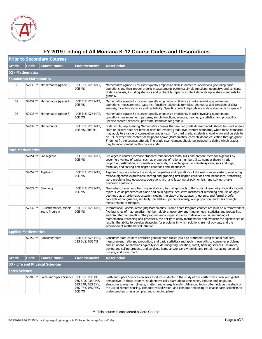

|                               | FY 2019 Listing of All Montana K-12 Course Codes and Descriptions |                                          |                                                                       |                                                                                                                                                                                                                                                                                                                                                                                                                                                                                                                                                                                    |  |
|-------------------------------|-------------------------------------------------------------------|------------------------------------------|-----------------------------------------------------------------------|------------------------------------------------------------------------------------------------------------------------------------------------------------------------------------------------------------------------------------------------------------------------------------------------------------------------------------------------------------------------------------------------------------------------------------------------------------------------------------------------------------------------------------------------------------------------------------|--|
|                               |                                                                   | <b>Prior to Secondary Courses</b>        |                                                                       |                                                                                                                                                                                                                                                                                                                                                                                                                                                                                                                                                                                    |  |
| <b>Grade</b>                  | <b>Code</b>                                                       | <b>Course Name</b>                       | <b>Endorsements</b>                                                   | <b>Description</b>                                                                                                                                                                                                                                                                                                                                                                                                                                                                                                                                                                 |  |
| 02 - Mathematics              |                                                                   |                                          |                                                                       |                                                                                                                                                                                                                                                                                                                                                                                                                                                                                                                                                                                    |  |
| <b>Foundation Mathematics</b> |                                                                   |                                          |                                                                       |                                                                                                                                                                                                                                                                                                                                                                                                                                                                                                                                                                                    |  |
| 06                            |                                                                   | 52036 ** Mathematics (grade 6)           | 00E ELE, 02S MAT,<br>00E MS                                           | Mathematics (grade 6) courses typically emphasize skills in numerical operations (including basic<br>operations and their proper order); measurement; patterns; simple functions; geometry; and concepts<br>of data analysis, including statistics and probability. Specific content depends upon state standards for<br>grade 6.                                                                                                                                                                                                                                                  |  |
| 07                            |                                                                   | 52037 **   Mathematics (grade 7)         | 00E ELE, 02S MAT,<br>00E MS                                           | Mathematics (grade 7) courses typically emphasize proficiency in skills involving numbers and<br>operations; measurement; patterns; functions; algebraic formulas; geometry; and concepts of data<br>analysis, including statistics and probability. Specific content depends upon state standards for grade 7.                                                                                                                                                                                                                                                                    |  |
| 08                            | 52038 **                                                          | Mathematics (grade 8)                    | 00E ELE, 02S MAT,<br>00E MS                                           | Mathematics (grade 8) courses typically emphasize proficiency in skills involving numbers and<br>operations, measurement, patterns, simple functions, algebra, geometry, statistics, and probability.<br>Specific content depends upon state standards for grade 8.                                                                                                                                                                                                                                                                                                                |  |
|                               | 52039 **                                                          | Mathematics                              | 00E ELE, 02S MAT,<br>00E MS, 00E EC                                   | Code 52039, representing Mathematics courses that are not grade differentiated, should be used when a<br>state or locality does not have or does not employ grade-level content standards, when those standards<br>may apply to a range of consecutive grades (e.g., "by third grade, students should know and be able to<br>do"), or when the content descriptions above (Mathematics, early childhood education through grade<br>8) do not fit the courses offered. The grade span element should be included to define which grades<br>may be incorporated by this course code. |  |
| <b>Pure Mathematics</b>       |                                                                   |                                          |                                                                       |                                                                                                                                                                                                                                                                                                                                                                                                                                                                                                                                                                                    |  |
|                               |                                                                   | 52051 ** Pre-Algebra                     | 00E ELE, 02S MAT,<br>00E MS                                           | Pre-Algebra courses increase students' foundational math skills and prepare them for Algebra I by<br>covering a variety of topics, such as properties of rational numbers (i.e., number theory), ratio,<br>proportion, estimation, exponents and radicals, the rectangular coordinate system, sets and logic,<br>formulas, and solving first-degree equations and inequalities.                                                                                                                                                                                                    |  |
|                               |                                                                   | 52052 ** Algebra I                       | 00E ELE, 02S MAT,<br>00E MS                                           | Algebra I courses include the study of properties and operations of the real number system; evaluating<br>rational algebraic expressions; solving and graphing first degree equations and inequalities; translating<br>word problems into equations; operations with and factoring of polynomials; and solving simple<br>quadratic equations.                                                                                                                                                                                                                                      |  |
|                               |                                                                   | 52072 ** Geometry                        | 00E ELE, 02S MAT,<br>00E MS                                           | Geometry courses, emphasizing an abstract, formal approach to the study of geometry, typically include<br>topics such as properties of plane and solid figures; deductive methods of reasoning and use of logic;<br>geometry as an axiomatic system including the study of postulates, theorems, and formal proofs;<br>concepts of congruence, similarity, parallelism, perpendicularity, and proportion; and rules of angle<br>measurement in triangles.                                                                                                                          |  |
|                               | 52132 **                                                          | IB Mathematics, Middle<br>Years Program  | 00E ELE, 02S MAT,<br>00E MS                                           | International Baccalaureate (IB) Mathematics, Middle Years Program courses are built on a framework of<br>five branches of mathematics: number, algebra, geometry and trigonometry, statistics and probability,<br>and discrete mathematics. The program encourages students to develop an understanding of<br>mathematical reasoning and processes, the ability to apply mathematics and evaluate the significance of<br>results, the ability to develop strategies for problems in which solutions are not obvious, and the<br>acquisition of mathematical intuition.            |  |
| <b>Applied Mathematics</b>    |                                                                   |                                          |                                                                       |                                                                                                                                                                                                                                                                                                                                                                                                                                                                                                                                                                                    |  |
|                               |                                                                   | 52157 ** Consumer Math                   | 00E ELE, 02S MAT,<br>12S BUS, 00E MS                                  | Consumer Math courses reinforce general math topics (such as arithmetic using rational numbers,<br>measurement, ratio and proportion, and basic statistics) and apply these skills to consumer problems<br>and situations. Applications typically include budgeting, taxation, credit, banking services, insurance,<br>buying and selling products and services, home and/or car ownership and rental, managing personal<br>income, and investment.                                                                                                                                |  |
| Grade                         | <b>Code</b>                                                       | <b>Course Name</b>                       | <b>Endorsements</b>                                                   | <b>Description</b>                                                                                                                                                                                                                                                                                                                                                                                                                                                                                                                                                                 |  |
|                               |                                                                   | 03 - Life and Physical Sciences          |                                                                       |                                                                                                                                                                                                                                                                                                                                                                                                                                                                                                                                                                                    |  |
| Earth Science                 |                                                                   |                                          |                                                                       |                                                                                                                                                                                                                                                                                                                                                                                                                                                                                                                                                                                    |  |
|                               | 53008 **                                                          | Earth and Space Science 00E ELE, 03S BF, | 03S BIO, 03S CHE,<br>03S EAR, 03S ENV,<br>03S PHY, 03S PSC,<br>00E MS | Earth and Space Science courses introduce students to the study of the earth from a local and global<br>perspective. In these courses, students typically learn about time zones, latitude and longitude,<br>atmosphere, weather, climate, matter, and energy transfer. Advanced topics often include the study of<br>the use of remote sensing, computer visualization, and computer modeling to enable earth scientists to<br>understand earth as a complex and changing planet.                                                                                                 |  |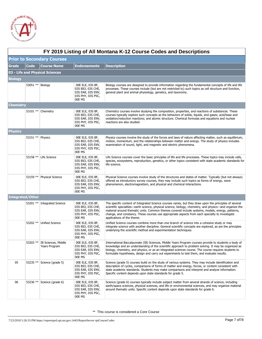

|                | FY 2019 Listing of All Montana K-12 Course Codes and Descriptions |                                               |                                                                                           |                                                                                                                                                                                                                                                                                                                                                                                                                                                          |  |  |
|----------------|-------------------------------------------------------------------|-----------------------------------------------|-------------------------------------------------------------------------------------------|----------------------------------------------------------------------------------------------------------------------------------------------------------------------------------------------------------------------------------------------------------------------------------------------------------------------------------------------------------------------------------------------------------------------------------------------------------|--|--|
|                |                                                                   | <b>Prior to Secondary Courses</b>             |                                                                                           |                                                                                                                                                                                                                                                                                                                                                                                                                                                          |  |  |
| Grade          | Code                                                              | <b>Course Name</b>                            | <b>Endorsements</b>                                                                       | <b>Description</b>                                                                                                                                                                                                                                                                                                                                                                                                                                       |  |  |
|                |                                                                   | 03 - Life and Physical Sciences               |                                                                                           |                                                                                                                                                                                                                                                                                                                                                                                                                                                          |  |  |
| <b>Biology</b> |                                                                   |                                               |                                                                                           |                                                                                                                                                                                                                                                                                                                                                                                                                                                          |  |  |
|                | 53051 ** Biology                                                  |                                               | 00E ELE, 03S BF,<br>03S BIO, 03S CHE,<br>03S EAR, 03S ENV,<br>03S PHY, 03S PSC,<br>00E MS | Biology courses are designed to provide information regarding the fundamental concepts of life and life<br>processes. These courses include (but are not restricted to) such topics as cell structure and function,<br>general plant and animal physiology, genetics, and taxonomy.                                                                                                                                                                      |  |  |
| Chemistry      |                                                                   |                                               |                                                                                           |                                                                                                                                                                                                                                                                                                                                                                                                                                                          |  |  |
|                |                                                                   | 53101 ** Chemistry                            | 00E ELE, 03S BF,<br>03S BIO, 03S CHE,<br>03S EAR, 03S ENV,<br>03S PHY, 03S PSC,<br>00E MS | Chemistry courses involve studying the composition, properties, and reactions of substances. These<br>courses typically explore such concepts as the behaviors of solids, liquids, and gases; acid/base and<br>oxidation/reduction reactions; and atomic structure. Chemical formulas and equations and nuclear<br>reactions are also studied.                                                                                                           |  |  |
| <b>Physics</b> |                                                                   |                                               |                                                                                           |                                                                                                                                                                                                                                                                                                                                                                                                                                                          |  |  |
|                | 53151 ** Physics                                                  |                                               | 00E ELE, 03S BF,<br>03S BIO, 03S CHE,<br>03S EAR, 03S ENV,<br>03S PHY, 03S PSC,<br>00E MS | Physics courses involve the study of the forces and laws of nature affecting matter, such as equilibrium,<br>motion, momentum, and the relationships between matter and energy. The study of physics includes<br>examination of sound, light, and magnetic and electric phenomena.                                                                                                                                                                       |  |  |
|                |                                                                   | 53158 ** Life Science                         | 00E ELE, 03S BF,<br>03S BIO, 03S CHE,<br>03S EAR, 03S ENV,<br>03S PHY, 03S PSC,<br>00E MS | Life Science courses cover the basic principles of life and life processes. These topics may include cells,<br>species, ecosystems, reproduction, genetics, or other topics consistent with state academic standards for<br>life science.                                                                                                                                                                                                                |  |  |
|                | 53159 **                                                          | <b>Physical Science</b>                       | 00E ELE, 03S BF,<br>03S BIO, 03S CHE,<br>03S EAR, 03S ENV,<br>03S PHY, 03S PSC,<br>00E MS | Physical Science courses involve study of the structures and states of matter. Typically (but not always)<br>offered as introductory survey courses, they may include such topics as forms of energy, wave<br>phenomenon, electromagnetism, and physical and chemical interactions.                                                                                                                                                                      |  |  |
|                | <b>Integrated/Other</b>                                           |                                               |                                                                                           |                                                                                                                                                                                                                                                                                                                                                                                                                                                          |  |  |
|                |                                                                   | 53201 ** Integrated Science                   | 00E ELE, 03S BF,<br>03S BIO, 03S CHE,<br>03S EAR, 03S ENV,<br>03S PHY, 03S PSC,<br>00E MS | The specific content of Integrated Science courses varies, but they draw upon the principles of several<br>scientific specialties—earth science, physical science, biology, chemistry, and physics—and organize the<br>material around thematic units. Common themes covered include systems, models, energy, patterns,<br>change, and constancy. These courses use appropriate aspects from each specialty to investigate<br>applications of the theme. |  |  |
|                | 53202 **                                                          | <b>Unified Science</b>                        | 00E ELE, 03S BF,<br>03S BIO, 03S CHE,<br>03S EAR, 03S ENV,<br>03S PHY, 03S PSC,<br>00E MS | Unified Science courses combine more than one branch of science into a cohesive study or may<br>integrate science with another discipline. General scientific concepts are explored, as are the principles<br>underlying the scientific method and experimentation techniques.                                                                                                                                                                           |  |  |
|                |                                                                   | 53203 ** IB Sciences, Middle<br>Years Program | 00E ELE, 03S BF,<br>03S BIO, 03S CHE,<br>03S EAR, 03S ENV,<br>03S PHY, 03S PSC,<br>00E MS | International Baccalaureate (IB) Sciences, Middle Years Program courses provide to students a body of<br>knowledge and an understanding of the scientific approach to problem solving. It may be organized as<br>biology, chemistry, and physics, or as an integrated sciences course. The course requires students to<br>formulate hypotheses, design and carry out experiments to test them, and evaluate results.                                     |  |  |
| 05             | 53235 **                                                          | Science (grade 5)                             | 00E ELE, 03S BF,<br>03S BIO, 03S CHE,<br>03S EAR, 03S ENV,<br>03S PHY, 03S PSC,<br>00E MS | Science (grade 5) courses build on the study of various systems. They may include identification and<br>description of cycles, comparisons of forms of matter and energy, forces, or content consistent with<br>state academic standards. Students may make comparisons and interpret and analyze information.<br>Specific content depends upon state standards for grade 5.                                                                             |  |  |
| 06             |                                                                   | 53236 ** Science (grade 6)                    | 00E ELE, 03S BF,<br>03S BIO, 03S CHE,<br>03S EAR, 03S ENV,<br>03S PHY, 03S PSC,<br>00E MS | Science (grade 6) courses typically include subject matter from several strands of science, including<br>earth/space sciences, physical sciences, and life or environmental sciences, and may organize material<br>around thematic units. Specific content depends upon state standards for grade 6.                                                                                                                                                     |  |  |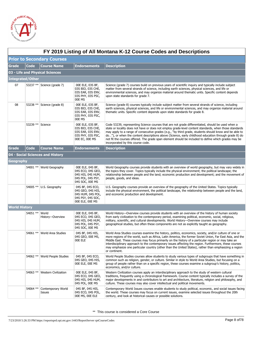

|                                   | FY 2019 Listing of All Montana K-12 Course Codes and Descriptions |                                  |                                                                                                    |                                                                                                                                                                                                                                                                                                                                                                                                                                                                                                                                                                            |  |  |
|-----------------------------------|-------------------------------------------------------------------|----------------------------------|----------------------------------------------------------------------------------------------------|----------------------------------------------------------------------------------------------------------------------------------------------------------------------------------------------------------------------------------------------------------------------------------------------------------------------------------------------------------------------------------------------------------------------------------------------------------------------------------------------------------------------------------------------------------------------------|--|--|
| <b>Prior to Secondary Courses</b> |                                                                   |                                  |                                                                                                    |                                                                                                                                                                                                                                                                                                                                                                                                                                                                                                                                                                            |  |  |
| Grade                             | <b>Code</b>                                                       | <b>Course Name</b>               | <b>Endorsements</b>                                                                                | <b>Description</b>                                                                                                                                                                                                                                                                                                                                                                                                                                                                                                                                                         |  |  |
|                                   |                                                                   | 03 - Life and Physical Sciences  |                                                                                                    |                                                                                                                                                                                                                                                                                                                                                                                                                                                                                                                                                                            |  |  |
|                                   | <b>Integrated/Other</b>                                           |                                  |                                                                                                    |                                                                                                                                                                                                                                                                                                                                                                                                                                                                                                                                                                            |  |  |
| 07                                |                                                                   | 53237 ** Science (grade 7)       | 00E ELE, 03S BF,<br>03S BIO, 03S CHE,<br>03S EAR, 03S ENV,<br>03S PHY, 03S PSC,<br>00E MS          | Science (grade 7) courses build on previous years of scientific inquiry and typically include subject<br>matter from several strands of science, including earth sciences, physical sciences, and life or<br>environmental sciences, and may organize material around thematic units. Specific content depends<br>upon state standards for grade 7.                                                                                                                                                                                                                        |  |  |
| 08                                |                                                                   | 53238 $**$ Science (grade 8)     | 00E ELE, 03S BF,<br>03S BIO, 03S CHE,<br>03S EAR, 03S ENV,<br>03S PHY, 03S PSC,<br>00E MS          | Science (grade 8) courses typically include subject matter from several strands of science, including<br>earth sciences, physical sciences, and life or environmental sciences, and may organize material around<br>thematic units. Specific content depends upon state standards for grade 8.                                                                                                                                                                                                                                                                             |  |  |
|                                   | 53239 ** Science                                                  |                                  | 00E ELE, 03S BF,<br>03S BIO, 03S CHE,<br>03S EAR, 03S ENV,<br>03S PHY, 03S PSC,<br>00E EC, 00E MS  | Code 53239, representing Science courses that are not grade differentiated, should be used when a<br>state or locality does not have or does not employ grade-level content standards, when those standards<br>may apply to a range of consecutive grades (e.g., "by third grade, students should know and be able to<br>do"), or when the content descriptions above (Science, early childhood education through grade 8) do<br>not fit the courses offered. The grade span element should be included to define which grades may be<br>incorporated by this course code. |  |  |
| Grade                             | <b>Code</b>                                                       | <b>Course Name</b>               | <b>Endorsements</b>                                                                                | <b>Description</b>                                                                                                                                                                                                                                                                                                                                                                                                                                                                                                                                                         |  |  |
|                                   |                                                                   | 04 - Social Sciences and History |                                                                                                    |                                                                                                                                                                                                                                                                                                                                                                                                                                                                                                                                                                            |  |  |
| Geography                         |                                                                   |                                  |                                                                                                    |                                                                                                                                                                                                                                                                                                                                                                                                                                                                                                                                                                            |  |  |
|                                   | 54001 **                                                          | World Geography                  | 00E ELE, 04S BF,<br>04S ECO, 04S GEO,<br>04S HIS, 04S HUM,<br>04S POL, 04S PSY,<br>04S SOC, 00E MS | World Geography courses provide students with an overview of world geography, but may vary widely in<br>the topics they cover. Topics typically include the physical environment; the political landscape; the<br>relationship between people and the land; economic production and development; and the movement of<br>people, goods, and ideas.                                                                                                                                                                                                                          |  |  |
|                                   |                                                                   | 54005 ** U.S. Geography          | 04S BF, 04S ECO,<br>04S GEO, 04S HIS,<br>04S HUM, 04S POL,<br>04S PSY, 04S SOC,<br>00E ELE, 00E MS | U.S. Geography courses provide an overview of the geography of the United States. Topics typically<br>include the physical environment, the political landscape, the relationship between people and the land,<br>and economic production and development.                                                                                                                                                                                                                                                                                                                 |  |  |
| <b>World History</b>              |                                                                   |                                  |                                                                                                    |                                                                                                                                                                                                                                                                                                                                                                                                                                                                                                                                                                            |  |  |
|                                   | 54051 **                                                          | World<br>History-Overview        | 00E ELE, 04S BF,<br>04S ECO, 04S GEO,<br>04S HIS, 04S HUM,<br>04S POL, 04S PSY,<br>04S SOC, 00E MS | World History—Overview courses provide students with an overview of the history of human society<br>from early civilization to the contemporary period, examining political, economic, social, religious,<br>military, scientific, and cultural developments. World History-Overview courses may include<br>geographical studies, but often these components are not as explicitly taught as geography.                                                                                                                                                                    |  |  |
|                                   | 54061 **                                                          | <b>World Area Studies</b>        | 04S BF, 04S HIS,<br>04S GEO, 00E MS,<br>00E ELE                                                    | World Area Studies courses examine the history, politics, economics, society, and/or culture of one or<br>more regions of the world, such as Africa, Latin America, the former Soviet Union, Far East Asia, and the<br>Middle East. These courses may focus primarily on the history of a particular region or may take an<br>interdisciplinary approach to the contemporary issues affecting the region. Furthermore, these courses<br>may emphasize one particular country (other than the United States), rather than emphasizing a region<br>or continent.             |  |  |
|                                   | 54062 **                                                          | World People Studies             | 04S BF, 04S ECO,<br>04S GEO, 04S HIS,<br>00E ELE, 00E MS                                           | World People Studies courses allow students to study various types of subgroups that have something in<br>common such as religion, gender, or culture. Similar in style to World Area Studies, but focusing on a<br>group of people rather than on a specific region, these courses examine a subgroup's history, politics,<br>economics, and/or culture.                                                                                                                                                                                                                  |  |  |
|                                   | 54063 **                                                          | <b>Western Civilization</b>      | 00E ELE, 04S BF,<br>04S ECO, 04S GEO,<br>04S HIS, 04S HUM,<br>04S POL, 00E MS                      | Western Civilization courses apply an interdisciplinary approach to the study of western cultural<br>traditions, frequently using a chronological framework. Course content typically includes a survey of the<br>major developments in and contributors to art and architecture, literature, religion and philosophy, and<br>culture. These courses may also cover intellectual and political movements.                                                                                                                                                                  |  |  |
|                                   | 54064 **                                                          | Contemporary World<br>Issues     | 04S BF, 04S HIS,<br>04S ECO, 04S POL,<br>00E MS, 00E ELE                                           | Contemporary World Issues courses enable students to study political, economic, and social issues facing<br>the world. These courses may focus on current issues, examine selected issues throughout the 20th<br>century, and look at historical causes or possible solutions.                                                                                                                                                                                                                                                                                             |  |  |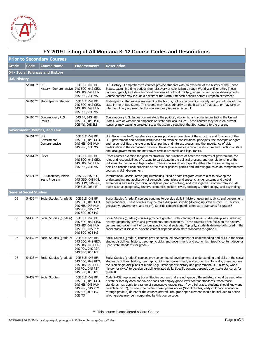

 $\Gamma$ 

|                     | FY 2019 Listing of All Montana K-12 Course Codes and Descriptions |                                                 |                                                                                                               |                                                                                                                                                                                                                                                                                                                                                                                                                                                                                                                                                                                          |  |  |  |
|---------------------|-------------------------------------------------------------------|-------------------------------------------------|---------------------------------------------------------------------------------------------------------------|------------------------------------------------------------------------------------------------------------------------------------------------------------------------------------------------------------------------------------------------------------------------------------------------------------------------------------------------------------------------------------------------------------------------------------------------------------------------------------------------------------------------------------------------------------------------------------------|--|--|--|
|                     | <b>Prior to Secondary Courses</b>                                 |                                                 |                                                                                                               |                                                                                                                                                                                                                                                                                                                                                                                                                                                                                                                                                                                          |  |  |  |
| <b>Grade</b>        | <b>Code</b>                                                       | <b>Course Name</b>                              | <b>Endorsements</b>                                                                                           | <b>Description</b>                                                                                                                                                                                                                                                                                                                                                                                                                                                                                                                                                                       |  |  |  |
|                     |                                                                   | 04 - Social Sciences and History                |                                                                                                               |                                                                                                                                                                                                                                                                                                                                                                                                                                                                                                                                                                                          |  |  |  |
| <b>U.S. History</b> |                                                                   |                                                 |                                                                                                               |                                                                                                                                                                                                                                                                                                                                                                                                                                                                                                                                                                                          |  |  |  |
|                     | 54101 **                                                          | U.S.<br>History-Comprehensive 04S ECO, 04S GEO, | 00E ELE, 04S BF,<br>04S HIS, 04S HUM,<br>04S POL, 00E MS                                                      | U.S. History—Comprehensive courses provide students with an overview of the history of the United<br>States, examining time periods from discovery or colonialism through World War II or after. These<br>courses typically include a historical overview of political, military, scientific, and social developments.<br>Course content may include a history of the North American peoples before European settlement.                                                                                                                                                                 |  |  |  |
|                     | 54105 **                                                          | <b>State-Specific Studies</b>                   | 00E ELE, 04S BF,<br>04S ECO, 04S GEO,<br>04S HIS, 04S HUM,<br>04S POL, 00E MS                                 | State-Specific Studies courses examine the history, politics, economics, society, and/or cultures of one<br>state in the United States. This course may focus primarily on the history of that state or may take an<br>interdisciplinary approach to the contemporary issues affecting it.                                                                                                                                                                                                                                                                                               |  |  |  |
|                     | 54106 **                                                          | Contemporary U.S.<br>Issues                     | 04S BF, 04S HIS,<br>04S ECO, 04S POL,<br>00E MS, 00E ELE                                                      | Contemporary U.S. Issues courses study the political, economic, and social issues facing the United<br>States, with or without an emphasis on state and local issues. These courses may focus on current<br>issues or may examine selected issues that span throughout the 20th century to the present.                                                                                                                                                                                                                                                                                  |  |  |  |
|                     |                                                                   | Government, Politics, and Law                   |                                                                                                               |                                                                                                                                                                                                                                                                                                                                                                                                                                                                                                                                                                                          |  |  |  |
|                     | 54151 **                                                          | U.S.<br>Government-<br>Comprehensive            | 00E ELE, 04S BF,<br>04S ECO, 04S GEO,<br>04S HIS, 04S HUM,<br>04S POL, 00E MS                                 | U.S. Government—Comprehensive courses provide an overview of the structure and functions of the<br>U.S. government and political institutions and examine constitutional principles, the concepts of rights<br>and responsibilities, the role of political parties and interest groups, and the importance of civic<br>participation in the democratic process. These courses may examine the structure and function of state<br>and local governments and may cover certain economic and legal topics.                                                                                  |  |  |  |
|                     | 54161 **                                                          | <b>Civics</b>                                   | 00E ELE, 04S BF,<br>04S ECO, 04S GEO,<br>04S HIS, 04S HUM,<br>04S POL, 00E MS                                 | Civics courses examine the general structure and functions of American systems of government, the<br>roles and responsibilities of citizens to participate in the political process, and the relationship of the<br>individual to the law and legal system. These courses do not typically delve into the same degree of<br>detail on constitutional principles or the role of political parties and interest groups as do comprehensive<br>courses in U.S. Government.                                                                                                                  |  |  |  |
|                     | 54171 **                                                          | IB Humanities, Middle<br>Years Program          | 04S BF, 04S ECO,<br>04S GEO, 04S HIS,<br>04S HUM, 04S POL,<br>00E ELE, 00E MS                                 | International Baccalaureate (IB) Humanities, Middle Years Program courses aim to develop the<br>understanding and application of concepts (time, place and space, change, systems and global<br>awareness) and skills (technical, analytical, problem solving, and investigative). Content may include<br>topics such as geography, history, economics, politics, civics, sociology, anthropology, and psychology.                                                                                                                                                                       |  |  |  |
|                     | <b>General Social Studies</b>                                     |                                                 |                                                                                                               |                                                                                                                                                                                                                                                                                                                                                                                                                                                                                                                                                                                          |  |  |  |
| 05                  |                                                                   | 54435 ** Social Studies (grade 5)               | 00E ELE, 04S BF,<br>04S ECO, 04S GEO,<br>04S HIS, 04S HUM,<br>04S POL, 04S PSY,<br>04S SOC, 00E MS            | Social Studies (grade 5) courses continue to develop skills in history, geography, civics and government,<br>and economics. These courses may be more discipline-specific (dividing up state history, U.S. history,<br>geography, government, and so on). Specific content depends upon state standards for grade 5.                                                                                                                                                                                                                                                                     |  |  |  |
| 06                  |                                                                   | 54436 ** Social Studies (grade 6)               | 00E ELE, 04S BF,<br>04S ECO, 04S GEO,<br>04S HIS, 04S HUM,<br>04S POL, 04S PSY,<br>04S SOC, 00E MS            | Social Studies (grade 6) courses provide a greater understanding of social studies disciplines, including<br>history, geography, civics and government, and economics. These courses often focus on the history,<br>culture, and government of various specific world societies. Typically, students develop skills used in the<br>social studies disciplines. Specific content depends upon state standards for grade 6.                                                                                                                                                                |  |  |  |
| 07                  |                                                                   | 54437 ** Social Studies (grade 7)               | 00E ELE, 04S BF,<br>04S ECO, 04S GEO,<br>04S HIS, 04S HUM,<br>04S POL, 04S PSY,<br>04S SOC, 00E MS            | Social Studies (grade 7) courses provide continued development of understanding and skills in the social<br>studies disciplines: history, geography, civics and government, and economics. Specific content depends<br>upon state standards for grade 7.                                                                                                                                                                                                                                                                                                                                 |  |  |  |
| 08                  |                                                                   | 54438 ** Social Studies (grade 8)               | 00E ELE, 04S BF,<br>04S ECO, 04S GEO,<br>04S HIS, 04S HUM,<br>04S POL, 04S PSY,<br>04S SOC, 00E MS            | Social Studies (grade 8) courses provide continued development of understanding and skills in the social<br>studies disciplines: history, geography, civics and government, and economics. Typically, these courses<br>focus on single disciplines at a time (e.g., state-specific history and government, U.S. history, world<br>history, or civics) to develop discipline-related skills. Specific content depends upon state standards for<br>grade 8.                                                                                                                                |  |  |  |
|                     | 54439 **                                                          | Social Studies                                  | 00E ELE, 04S BF,<br>04S ECO, 04S GEO,<br>04S HIS, 04S HUM,<br>04S POL, 04S PSY,<br>04S SOC, 00E EC,<br>00E MS | Code 54439, representing Social Studies courses that are not grade differentiated, should be used when<br>a state or locality does not have or does not employ grade-level content standards, when those<br>standards may apply to a range of consecutive grades (e.g., "by third grade, students should know and<br>be able to do"), or when the content descriptions above (Social Studies, early childhood education<br>through grade 8) do not fit the courses offered. The grade span element should be included to define<br>which grades may be incorporated by this course code. |  |  |  |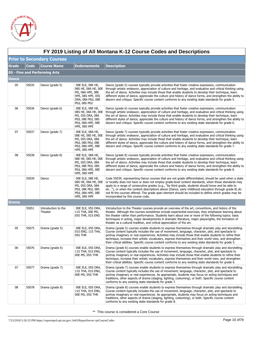

|              | FY 2019 Listing of All Montana K-12 Course Codes and Descriptions |                                |                                                                                                                       |                                                                                                                                                                                                                                                                                                                                                                                                                                                                                                                                                                        |  |  |  |
|--------------|-------------------------------------------------------------------|--------------------------------|-----------------------------------------------------------------------------------------------------------------------|------------------------------------------------------------------------------------------------------------------------------------------------------------------------------------------------------------------------------------------------------------------------------------------------------------------------------------------------------------------------------------------------------------------------------------------------------------------------------------------------------------------------------------------------------------------------|--|--|--|
|              | <b>Prior to Secondary Courses</b>                                 |                                |                                                                                                                       |                                                                                                                                                                                                                                                                                                                                                                                                                                                                                                                                                                        |  |  |  |
| <b>Grade</b> | Code                                                              | <b>Course Name</b>             | <b>Endorsements</b>                                                                                                   | <b>Description</b>                                                                                                                                                                                                                                                                                                                                                                                                                                                                                                                                                     |  |  |  |
|              | 05 - Fine and Performing Arts                                     |                                |                                                                                                                       |                                                                                                                                                                                                                                                                                                                                                                                                                                                                                                                                                                        |  |  |  |
| Dance        |                                                                   |                                |                                                                                                                       |                                                                                                                                                                                                                                                                                                                                                                                                                                                                                                                                                                        |  |  |  |
| 05           | 55035                                                             | Dance (grade 5)                | 00E ELE, 08E HE,<br>08S HE, 08A HE, 00E<br>MS, 08A HPE, 08E<br>HPE, 08S HPE, 05S<br>DRA, 08A PEd, 08E<br>PEd, 08S PEd | Dance (grade 5) courses typically provide activities that foster creative expression, communication<br>through artistic endeavor, appreciation of culture and heritage, and evaluative and critical thinking using<br>the art of dance. Activities may include those that enable students to develop their technique, learn<br>different styles of dance, appreciate the culture and history of dance forms, and strengthen the ability to<br>discern and critique. Specific course content conforms to any existing state standards for grade 5.                      |  |  |  |
| 06           | 55036                                                             | Dance (grade 6)                | 00E ELE, 08E HE,<br>08S HE, 08A HE, 00E<br>MS, 05S DRA, 08A<br>PEd, 08E PEd, 08S<br>PEd, 08A HPE, 08E<br>HPE, 08S HPE | Dance (grade 6) courses typically provide activities that foster creative expression, communication<br>through artistic endeavor, appreciation of culture and heritage, and evaluative and critical thinking using<br>the art of dance. Activities may include those that enable students to develop their technique, learn<br>different styles of dance, appreciate the culture and history of dance forms, and strengthen the ability to<br>discern and critique. Specific course content conforms to any existing state standards for grade 6.                      |  |  |  |
| 07           | 55037                                                             | Dance (grade 7)                | OOE ELE, O8A HE,<br>08E HE, 08S HE, 00E<br>MS, 05S DRA, 08A<br>PEd, 08S PEd, 08E<br>PEd, 08A HPE, 08E<br>HPE, 08S HPE | Dance (grade 7) courses typically provide activities that foster creative expression, communication<br>through artistic endeavor, appreciation of culture and heritage, and evaluative and critical thinking using<br>the art of dance. Activities may include those that enable students to develop their technique, learn<br>different styles of dance, appreciate the culture and history of dance forms, and strengthen the ability to<br>discern and critique. Specific course content conforms to any existing state standards for grade 7.                      |  |  |  |
| 08           | 55038                                                             | Dance (grade 8)                | 00E ELE, 08A HE,<br>08E HE, 08S HE, 00E<br>MS, 05S DRA, 08A<br>PEd, 08E PEd, 08S<br>PEd, 08A HPE, 08E<br>HPE, 08S HPE | Dance (grade 8) courses typically provide activities that foster creative expression, communication<br>through artistic endeavor, appreciation of culture and heritage, and evaluative and critical thinking using<br>the art of dance. Activities may include those that enable students to develop their technique, learn<br>different styles of dance, appreciate the culture and history of dance forms, and strengthen the ability to<br>discern and critique. Specific course content conforms to any existing state standards for grade 8.                      |  |  |  |
|              | 55039                                                             | Dance                          | 00E ELE, 08E HE,<br>08S HE, 08A HE, 00E<br>MS, 05S DRA, 08A<br>PEd, 08E PEd, 08S<br>PEd, 08A HPE, 08E<br>HPE, 08S HPE | Code 55039, representing Dance courses that are not grade differentiated, should be used when a state<br>or locality does not have or does not employ grade-level content standards, when those standards may<br>apply to a range of consecutive grades (e.g., "by third grade, students should know and be able to<br>do"), or when the content descriptions above (Dance, early childhood education through grade 8) do<br>not fit the courses offered. The grade span element should be included to define which grades may be<br>incorporated by this course code. |  |  |  |
| Drama        |                                                                   |                                |                                                                                                                       |                                                                                                                                                                                                                                                                                                                                                                                                                                                                                                                                                                        |  |  |  |
|              | 55051                                                             | Introduction to the<br>Theater | 00E ELE, 05S DRA,<br>11S THA, 00E MS,<br>05S THR, 01S ENG                                                             | Introduction to the Theater courses provide an overview of the art, conventions, and history of the<br>theater. Although the courses sometimes include experiential exercises, they emphasize learning about<br>the theater rather than performance. Students learn about one or more of the following topics: basic<br>techniques in acting, major developments in dramatic literature, major playwrights, the formation of<br>theater as a cultural tradition, and critical appreciation of the art.                                                                 |  |  |  |
| 05           | 55075                                                             | Drama (grade 5)                | 00E ELE, 05S DRA,<br>01S ENG, 11S THA,<br>05S THR                                                                     | Drama (grade 5) courses enable students to express themselves through dramatic play and storytelling.<br>Course content typically includes the use of movement, language, character, plot, and spectacle to<br>portray imaginary or real experiences. Activities may include those that enable students to refine their<br>technique, increase their artistic vocabulary, express themselves and their world view, and strengthen<br>their critical abilities. Specific course content conforms to any existing state standards for grade 5.                           |  |  |  |
| 06           | 55076                                                             | Drama (grade 6)                | 00E ELE, 05S DRA,<br>11S THA, 01S ENG,<br>00E MS, 05S THR                                                             | Drama (grade 6) courses enable students to express themselves through dramatic play and storytelling.<br>Course content typically includes the use of movement, language, character, plot, and spectacle to<br>portray imaginary or real experiences. Activities may include those that enable students to refine their<br>technique, increase their artistic vocabulary, express themselves and their world view, and strengthen<br>their critical abilities. Specific course content conforms to any existing state standards for grade 6.                           |  |  |  |
| 07           | 55077                                                             | Drama (grade 7)                | 00E ELE, 05S DRA,<br>11S THA, 01S ENG,<br>00E MS, 05S THR                                                             | Drama (grade 7) courses enable students to express themselves through dramatic play and storytelling.<br>Course content typically includes the use of movement, language, character, plot, and spectacle to<br>portray imaginary or real experiences. As appropriate, students may focus on acting techniques and<br>traditions, other aspects of drama (staging, lighting, costuming), or both. Specific course content<br>conforms to any existing state standards for grade 7.                                                                                      |  |  |  |
| 08           | 55078                                                             | Drama (grade 8)                | 00E ELE, 05S DRA,<br>11S THA, 01S ENG,<br>00E MS, 05S THR                                                             | Drama (grade 8) courses enable students to express themselves through dramatic play and storytelling.<br>Course content typically includes the use of movement, language, character, plot, and spectacle to<br>portray imaginary or real experiences. As appropriate, students may focus on acting techniques and<br>traditions, other aspects of drama (staging, lighting, costuming), or both. Specific course content<br>conforms to any existing state standards for grade 8.                                                                                      |  |  |  |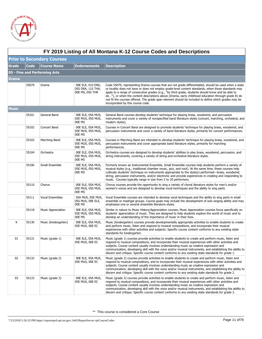

 $\Gamma$ 

| FY 2019 Listing of All Montana K-12 Course Codes and Descriptions |             |                                   |                                                           |                                                                                                                                                                                                                                                                                                                                                                                                                                                                                                                                                                        |  |
|-------------------------------------------------------------------|-------------|-----------------------------------|-----------------------------------------------------------|------------------------------------------------------------------------------------------------------------------------------------------------------------------------------------------------------------------------------------------------------------------------------------------------------------------------------------------------------------------------------------------------------------------------------------------------------------------------------------------------------------------------------------------------------------------------|--|
|                                                                   |             | <b>Prior to Secondary Courses</b> |                                                           |                                                                                                                                                                                                                                                                                                                                                                                                                                                                                                                                                                        |  |
| <b>Grade</b>                                                      | <b>Code</b> | <b>Course Name</b>                | <b>Endorsements</b>                                       | <b>Description</b>                                                                                                                                                                                                                                                                                                                                                                                                                                                                                                                                                     |  |
|                                                                   |             | 05 - Fine and Performing Arts     |                                                           |                                                                                                                                                                                                                                                                                                                                                                                                                                                                                                                                                                        |  |
| <b>Drama</b>                                                      |             |                                   |                                                           |                                                                                                                                                                                                                                                                                                                                                                                                                                                                                                                                                                        |  |
|                                                                   | 55079       | Drama                             | 00E ELE, 01S ENG,<br>05S DRA, 11S THA,<br>00E MS, 05S THR | Code 55079, representing Drama courses that are not grade differentiated, should be used when a state<br>or locality does not have or does not employ grade-level content standards, when those standards may<br>apply to a range of consecutive grades (e.g., "by third grade, students should know and be able to<br>do"), or when the content descriptions above (Drama, early childhood education through grade 8) do<br>not fit the courses offered. The grade span element should be included to define which grades may be<br>incorporated by this course code. |  |
| <b>Music</b>                                                      |             |                                   |                                                           |                                                                                                                                                                                                                                                                                                                                                                                                                                                                                                                                                                        |  |
|                                                                   | 55101       | General Band                      | 00E ELE, 05A MUS,<br>05E MUS, 05S MUS,<br>00E MS          | General Band courses develop students' technique for playing brass, woodwind, and percussion<br>instruments and cover a variety of nonspecified band literature styles (concert, marching, orchestral, and<br>modern styles).                                                                                                                                                                                                                                                                                                                                          |  |
|                                                                   | 55102       | Concert Band                      | 00E ELE, 05A MUS,<br>05E MUS, 05S MUS,<br>00E MS          | Courses in Concert Band are designed to promote students' technique for playing brass, woodwind, and<br>percussion instruments and cover a variety of band literature styles, primarily for concert performances.                                                                                                                                                                                                                                                                                                                                                      |  |
|                                                                   | 55103       | Marching Band                     | 00E ELE, 05A MUS,<br>05E MUS, 05S MUS,<br>00E MS          | Courses in Marching Band are intended to develop students' technique for playing brass, woodwind, and<br>percussion instruments and cover appropriate band literature styles, primarily for marching<br>performances.                                                                                                                                                                                                                                                                                                                                                  |  |
|                                                                   | 55104       | Orchestra                         | 00E ELE, 05A MUS,<br>05E MUS, 05S MUS,<br>00E MS          | Orchestra courses are designed to develop students' abilities to play brass, woodwind, percussion, and<br>string instruments, covering a variety of string and orchestral literature styles.                                                                                                                                                                                                                                                                                                                                                                           |  |
|                                                                   | 55106       | Small Ensemble                    | 00E ELE, 05A MUS,<br>05E MUS, 05S MUS,<br>00E MS          | Formerly known as Instrumental Ensemble, Small Ensemble courses help students perform a variety of<br>musical styles (e.g., traditional chamber music, jazz, and rock). At the same time, these courses help<br>cultivate students' technique on instruments appropriate to the style(s) performed—brass, woodwind,<br>string, percussion instruments, and/or electronic and provide experiences in creating and responding to<br>music. Courses typically range in size from 2 to 20 performers.                                                                      |  |
|                                                                   | 55110       | Chorus                            | 00E ELE, 05A MUS,<br>05E MUS, 05S MUS,<br>00E MS          | Chorus courses provide the opportunity to sing a variety of choral literature styles for men's and/or<br>women's voices and are designed to develop vocal techniques and the ability to sing parts.                                                                                                                                                                                                                                                                                                                                                                    |  |
|                                                                   | 55111       | <b>Vocal Ensembles</b>            | 05A MUS, 05E MUS,<br>05S MUS, OOE ELE,<br>00E MS          | Vocal Ensemble courses are intended to develop vocal techniques and the ability to sing parts in small<br>ensemble or madrigal groups. Course goals may include the development of solo singing ability and may<br>emphasize one or several ensemble literature styles.                                                                                                                                                                                                                                                                                                |  |
|                                                                   | 55118       | <b>Music Appreciation</b>         | 00E ELE, 05A MUS,<br>05E MUS, 05S MUS,<br>00E MS          | Similar in nature to Music History/Appreciation courses, Music Appreciation courses focus specifically on<br>students' appreciation of music. They are designed to help students explore the world of music and to<br>develop an understanding of the importance of music in their lives.                                                                                                                                                                                                                                                                              |  |
| К                                                                 | 55130       | Music (kindergarten)              | 00E ELE, 05A MUS,<br>05E MUS, 00E EC                      | Music (kindergarten) courses provide developmentally appropriate activities to enable students to create<br>and perform music, listen and respond to musical compositions, and incorporate their musical<br>experiences with other activities and subjects. Specific course content conforms to any existing state<br>standards for kindergarten.                                                                                                                                                                                                                      |  |
| 01                                                                | 55131       | Music (grade 1)                   | OOE ELE, 05A MUS,<br>05E MUS, OOE EC                      | Music (grade 1) courses provide activities to enable students to create and perform music, listen and<br>respond to musical compositions, and incorporate their musical experiences with other activities and<br>subjects. Course content usually involves understanding music as creative expression and<br>communication, developing skill with the voice and/or musical instruments, and establishing the ability to<br>discern and critique. Specific course content conforms to any existing state standards for grade 1.                                         |  |
| 02                                                                | 55132       | Music (grade 2)                   | 00E ELE, 05A MUS,<br>05E MUS, 00E EC                      | Music (grade 2) courses provide activities to enable students to create and perform music, listen and<br>respond to musical compositions, and to incorporate their musical experiences with other activities and<br>subjects. Course content usually involves understanding music as creative expression and<br>communication, developing skill with the voice and/or musical instruments, and establishing the ability to<br>discern and critique. Specific course content conforms to any existing state standards for grade 2.                                      |  |
| 03                                                                | 55133       | Music (grade 3)                   | 00E ELE, 05A MUS,<br>05E MUS, 00E EC                      | Music (grade 3) courses provide activities to enable students to create and perform music, listen and<br>respond to musical compositions, and incorporate their musical experiences with other activities and<br>subjects. Course content usually involves understanding music as creative expression and<br>communication, developing skill with the voice and/or musical instruments, and establishing the ability to<br>discern and critique. Specific course content conforms to any existing state standards for grade 3.                                         |  |

#### **FY 2019 Listing of All Montana K-12 Course Codes and Descriptions**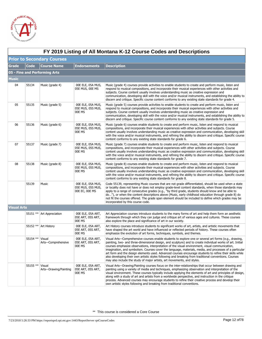

|                    | FY 2019 Listing of All Montana K-12 Course Codes and Descriptions |                                 |                                                          |                                                                                                                                                                                                                                                                                                                                                                                                                                                                                                                                                                                                                                                                                                                                   |  |  |  |
|--------------------|-------------------------------------------------------------------|---------------------------------|----------------------------------------------------------|-----------------------------------------------------------------------------------------------------------------------------------------------------------------------------------------------------------------------------------------------------------------------------------------------------------------------------------------------------------------------------------------------------------------------------------------------------------------------------------------------------------------------------------------------------------------------------------------------------------------------------------------------------------------------------------------------------------------------------------|--|--|--|
|                    | <b>Prior to Secondary Courses</b>                                 |                                 |                                                          |                                                                                                                                                                                                                                                                                                                                                                                                                                                                                                                                                                                                                                                                                                                                   |  |  |  |
| <b>Grade</b>       | Code                                                              | <b>Course Name</b>              | <b>Endorsements</b>                                      | <b>Description</b>                                                                                                                                                                                                                                                                                                                                                                                                                                                                                                                                                                                                                                                                                                                |  |  |  |
|                    |                                                                   | 05 - Fine and Performing Arts   |                                                          |                                                                                                                                                                                                                                                                                                                                                                                                                                                                                                                                                                                                                                                                                                                                   |  |  |  |
| Music              |                                                                   |                                 |                                                          |                                                                                                                                                                                                                                                                                                                                                                                                                                                                                                                                                                                                                                                                                                                                   |  |  |  |
| 04                 | 55134                                                             | Music (grade 4)                 | 00E ELE, 05A MUS,<br>05E MUS, 00E MS                     | Music (grade 4) courses provide activities to enable students to create and perform music, listen and<br>respond to musical compositions, and incorporate their musical experiences with other activities and<br>subjects. Course content usually involves understanding music as creative expression and<br>communication, developing skill with the voice and/or musical instruments, and establishing the ability to<br>discern and critique. Specific course content conforms to any existing state standards for grade 4.                                                                                                                                                                                                    |  |  |  |
| 05                 | 55135                                                             | Music (grade 5)                 | 00E ELE, 05A MUS,<br>05E MUS, 05S MUS,<br>00E MS         | Music (grade 5) courses provide activities to enable students to create and perform music, listen and<br>respond to musical compositions, and incorporate their musical experiences with other activities and<br>subjects. Course content usually involves understanding music as creative expression and<br>communication, developing skill with the voice and/or musical instruments, and establishing the ability to<br>discern and critique. Specific course content conforms to any existing state standards for grade 5.                                                                                                                                                                                                    |  |  |  |
| 06                 | 55136                                                             | Music (grade 6)                 | 00E ELE, 05A MUS,<br>05E MUS, 05S MUS,<br>00E MS         | Music (grade 6) courses enable students to create and perform music, listen and respond to musical<br>compositions, and incorporate their musical experiences with other activities and subjects. Course<br>content usually involves understanding music as creative expression and communication, developing skill<br>with the voice and/or musical instruments, and refining the ability to discern and critique. Specific course<br>content conforms to any existing state standards for grade 6.                                                                                                                                                                                                                              |  |  |  |
| 07                 | 55137                                                             | Music (grade 7)                 | 00E ELE, 05A MUS,<br>05E MUS, 05S MUS,<br>00E MS         | Music (grade 7) courses enable students to create and perform music, listen and respond to musical<br>compositions, and incorporate their musical experiences with other activities and subjects. Course<br>content usually involves understanding music as creative expression and communication, developing skill<br>with the voice and/or musical instruments, and refining the ability to discern and critique. Specific course<br>content conforms to any existing state standards for grade 7.                                                                                                                                                                                                                              |  |  |  |
| 08                 | 55138                                                             | Music (grade 8)                 | 00E ELE, 05A MUS,<br>05E MUS, 05S MUS,<br>00E MS         | Music (grade 8) courses enable students to create and perform music, listen and respond to musical<br>compositions, and incorporate their musical experiences with other activities and subjects. Course<br>content usually involves understanding music as creative expression and communication, developing skill<br>with the voice and/or musical instruments, and refining the ability to discern and critique. Specific course<br>content conforms to any existing state standards for grade 8.                                                                                                                                                                                                                              |  |  |  |
|                    | 55139                                                             | Music                           | 00E ELE, 05A MUS,<br>05E MUS, 05S MUS,<br>00E EC, 00E MS | Code 55139, representing Music courses that are not grade differentiated, should be used when a state<br>or locality does not have or does not employ grade-level content standards, when those standards may<br>apply to a range of consecutive grades (e.g., "by third grade, students should know and be able to<br>do"), or when the content descriptions above (Music, early childhood education through grade 8) do<br>not fit the courses offered. The grade span element should be included to define which grades may be<br>incorporated by this course code.                                                                                                                                                            |  |  |  |
| <b>Visual Arts</b> |                                                                   |                                 |                                                          |                                                                                                                                                                                                                                                                                                                                                                                                                                                                                                                                                                                                                                                                                                                                   |  |  |  |
|                    |                                                                   | 55151 ** Art Appreciation       | OOE ELE, 05A ART,<br>05E ART, 05S ART,<br>00E MS         | Art Appreciation courses introduce students to the many forms of art and help them form an aesthetic<br>framework through which they can judge and critique art of various ages and cultures. These courses<br>also explore the place and significance of art in our society.                                                                                                                                                                                                                                                                                                                                                                                                                                                     |  |  |  |
|                    |                                                                   | 55152 ** Art History            | OOE ELE, 05A ART,<br>05E ART, 05S ART,<br>00E MS         | Art History courses introduce students to significant works of art, artists, and artistic movements that<br>have shaped the art world and have influenced or reflected periods of history. These courses often<br>emphasize the evolution of art forms, techniques, symbols, and themes.                                                                                                                                                                                                                                                                                                                                                                                                                                          |  |  |  |
|                    | 55154 ** Visual                                                   | Arts-Comprehensive              | OOE ELE, 05A ART,<br>05E ART, 05S ART,<br>00E MS         | Visual Arts—Comprehensive courses enable students to explore one or several art forms (e.g., drawing,<br>painting, two- and three-dimensional design, and sculpture) and to create individual works of art. Initial<br>courses emphasize observations, interpretation of the visual environment, visual communication,<br>imagination, and symbolism. Courses cover the language, materials, media, and processes of a particular<br>art form and the design elements used. Advanced courses encourage students to refine their skills while<br>also developing their own artistic styles following and breaking from traditional conventions. Courses<br>may also include the study of major artists, art movements, and styles. |  |  |  |
|                    | 55155 **                                                          | Visual<br>Arts-Drawing/Painting | 00E ELE, 05A ART,<br>05E ART, 05S ART,<br>00E MS         | Visual Arts—Drawing/Painting courses focus on the inter-relationships that occur between drawing and<br>painting using a variety of media and techniques, emphasizing observation and interpretation of the<br>visual environment. These courses typically include applying the elements of art and principles of design,<br>along with a study of art and artists from a worldwide perspective, and instruction in the critique<br>process. Advanced courses may encourage students to refine their creative process and develop their<br>own artistic styles following and breaking from traditional conventions.                                                                                                               |  |  |  |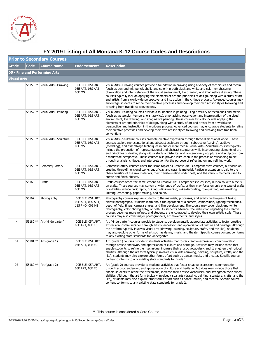

|              | FY 2019 Listing of All Montana K-12 Course Codes and Descriptions |                                  |                                                           |                                                                                                                                                                                                                                                                                                                                                                                                                                                                                                                                                                                                                                                                                                                                               |  |  |  |
|--------------|-------------------------------------------------------------------|----------------------------------|-----------------------------------------------------------|-----------------------------------------------------------------------------------------------------------------------------------------------------------------------------------------------------------------------------------------------------------------------------------------------------------------------------------------------------------------------------------------------------------------------------------------------------------------------------------------------------------------------------------------------------------------------------------------------------------------------------------------------------------------------------------------------------------------------------------------------|--|--|--|
|              | <b>Prior to Secondary Courses</b>                                 |                                  |                                                           |                                                                                                                                                                                                                                                                                                                                                                                                                                                                                                                                                                                                                                                                                                                                               |  |  |  |
| <b>Grade</b> | Code                                                              | <b>Course Name</b>               | <b>Endorsements</b>                                       | <b>Description</b>                                                                                                                                                                                                                                                                                                                                                                                                                                                                                                                                                                                                                                                                                                                            |  |  |  |
|              |                                                                   | 05 - Fine and Performing Arts    |                                                           |                                                                                                                                                                                                                                                                                                                                                                                                                                                                                                                                                                                                                                                                                                                                               |  |  |  |
| Visual Arts  |                                                                   |                                  |                                                           |                                                                                                                                                                                                                                                                                                                                                                                                                                                                                                                                                                                                                                                                                                                                               |  |  |  |
|              |                                                                   | 55156 **   Visual Arts-Drawing   | 00E ELE, 05A ART,<br>05E ART, 05S ART,<br>00E MS          | Visual Arts—Drawing courses provide a foundation in drawing using a variety of techniques and media<br>(such as pen-and-ink, pencil, chalk, and so on) in both black and white and color, emphasizing<br>observation and interpretation of the visual environment, life drawing, and imaginative drawing. These<br>courses typically include applying the elements of art and principles of design, along with a study of art<br>and artists from a worldwide perspective, and instruction in the critique process. Advanced courses may<br>encourage students to refine their creative processes and develop their own artistic styles following and<br>breaking from traditional conventions.                                               |  |  |  |
|              |                                                                   | 55157 **   Visual Arts--Painting | 00E ELE, 05A ART,<br>05E ART, 05S ART,<br>00E MS          | Visual Arts—Painting courses provide a foundation in painting using a variety of techniques and media<br>(such as watercolor, tempera, oils, acrylics), emphasizing observation and interpretation of the visual<br>environment, life drawing, and imaginative painting. These courses typically include applying the<br>elements of art and principles of design, along with a study of art and artists from a worldwide<br>perspective, and instruction in the critique process. Advanced courses may encourage students to refine<br>their creative processes and develop their own artistic styles following and breaking from traditional<br>conventions.                                                                                |  |  |  |
|              | 55158 **                                                          | Visual Arts-Sculpture            | OOE ELE, 05A ART,<br>05E ART, 05S ART,<br>00E MS          | Visual Arts—Sculpture courses promote creative expression through three-dimensional works. These<br>courses explore representational and abstract sculpture through subtractive (carving), additive<br>(modeling), and assemblage techniques in one or more media. Visual Arts-Sculpture courses typically<br>include the production of representational and abstract sculptures while incorporating elements of art<br>and principles of design, along with a study of historical and contemporary sculpture and sculptors from<br>a worldwide perspective. These courses also provide instruction in the process of responding to art<br>through analysis, critique, and interpretation for the purpose of reflecting on and refining work. |  |  |  |
|              |                                                                   | 55159 **   Ceramics/Pottery      | 00E ELE, 05A ART,<br>05E ART, 05S ART,<br>00E MS          | Ceramics/Pottery courses cover the same topics as Creative Art—Comprehensive courses, but focus on<br>creating three-dimensional works out of clay and ceramic material. Particular attention is paid to the<br>characteristics of the raw materials, their transformation under heat, and the various methods used to<br>create and finish objects.                                                                                                                                                                                                                                                                                                                                                                                          |  |  |  |
|              | 55165                                                             | Crafts                           | OOE ELE, 05A ART,<br>05E ART, 05S ART,<br>00E MS          | Crafts courses teach the same lessons as Creative Art-Comprehensive courses, but do so with a focus<br>on crafts. These courses may survey a wide range of crafts, or they may focus on only one type of craft;<br>possibilities include calligraphy, quilting, silk-screening, cake-decorating, tole-painting, maskmaking,<br>knitting, crocheting, paper-making, and so on.                                                                                                                                                                                                                                                                                                                                                                 |  |  |  |
|              | 55167                                                             | Photography                      | OOE ELE, 05A ART,<br>05E ART, 05S ART,<br>11S PHO, OOE MS | Photography courses expose students to the materials, processes, and artistic techniques of taking<br>artistic photographs. Students learn about the operation of a camera, composition, lighting techniques,<br>depth of field, filters, camera angles, and film development. The course may cover black-and-white<br>photography, color photography, or both. As students advance, the instruction regarding the creative<br>process becomes more refined, and students are encouraged to develop their own artistic style. These<br>courses may also cover major photographers, art movements, and styles.                                                                                                                                 |  |  |  |
| К            |                                                                   | 55180 ** Art (kindergarten)      | OOE ELE, 05A ART,<br>05E ART, OOE EC                      | Art (kindergarten) courses provide to students developmentally appropriate activities to foster creative<br>expression, communication through artistic endeavor, and appreciation of culture and heritage. Although<br>the art form typically involves visual arts (drawing, painting, sculpture, crafts, and the like), students<br>may also explore other forms of art such as dance, music, and theater. Specific course content conforms<br>to any existing state standards for kindergarten.                                                                                                                                                                                                                                             |  |  |  |
| 01           |                                                                   | 55181 ** Art (grade 1)           | 00E ELE, 05A ART,<br>05E ART, OOE EC                      | Art (grade 1) courses provide to students activities that foster creative expression, communication<br>through artistic endeavor, and appreciation of culture and heritage. Activities may include those that<br>enable students to refine their technique, increase their artistic vocabulary, and strengthen their critical<br>abilities. Although the art form typically involves visual arts (drawing, painting, sculpture, crafts, and the<br>like), students may also explore other forms of art such as dance, music, and theater. Specific course<br>content conforms to any existing state standards for grade 1.                                                                                                                    |  |  |  |
| 02           |                                                                   | 55182 ** Art (grade 2)           | OOE ELE, 05A ART,<br>05E ART, 00E EC                      | Art (grade 2) courses provide to students activities that foster creative expression, communication<br>through artistic endeavor, and appreciation of culture and heritage. Activities may include those that<br>enable students to refine their technique, increase their artistic vocabulary, and strengthen their critical<br>abilities. Although the art form typically involves visual arts (drawing, painting, sculpture, crafts, and the<br>like), students may also explore other forms of art such as dance, music, and theater. Specific course<br>content conforms to any existing state standards for grade 2.                                                                                                                    |  |  |  |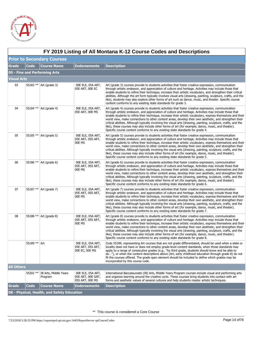

|                    | FY 2019 Listing of All Montana K-12 Course Codes and Descriptions |                                  |                                                           |                                                                                                                                                                                                                                                                                                                                                                                                                                                                                                                                                                                                                                                                                                                                                  |  |  |  |
|--------------------|-------------------------------------------------------------------|----------------------------------|-----------------------------------------------------------|--------------------------------------------------------------------------------------------------------------------------------------------------------------------------------------------------------------------------------------------------------------------------------------------------------------------------------------------------------------------------------------------------------------------------------------------------------------------------------------------------------------------------------------------------------------------------------------------------------------------------------------------------------------------------------------------------------------------------------------------------|--|--|--|
|                    | <b>Prior to Secondary Courses</b>                                 |                                  |                                                           |                                                                                                                                                                                                                                                                                                                                                                                                                                                                                                                                                                                                                                                                                                                                                  |  |  |  |
| <b>Grade</b>       | <b>Code</b>                                                       | <b>Course Name</b>               | <b>Endorsements</b>                                       | <b>Description</b>                                                                                                                                                                                                                                                                                                                                                                                                                                                                                                                                                                                                                                                                                                                               |  |  |  |
|                    |                                                                   | 05 - Fine and Performing Arts    |                                                           |                                                                                                                                                                                                                                                                                                                                                                                                                                                                                                                                                                                                                                                                                                                                                  |  |  |  |
| <b>Visual Arts</b> |                                                                   |                                  |                                                           |                                                                                                                                                                                                                                                                                                                                                                                                                                                                                                                                                                                                                                                                                                                                                  |  |  |  |
| 03                 |                                                                   | 55183 ** Art (grade 3)           | OOE ELE, 05A ART,<br>05E ART, OOE EC                      | Art (grade 3) courses provide to students activities that foster creative expression, communication<br>through artistic endeavor, and appreciation of culture and heritage. Activities may include those that<br>enable students to refine their technique, increase their artistic vocabulary, and strengthen their critical<br>abilities. Although the art form typically involves visual arts (drawing, painting, sculpture, crafts, and the<br>like), students may also explore other forms of art such as dance, music, and theater. Specific course<br>content conforms to any existing state standards for grade 3.                                                                                                                       |  |  |  |
| 04                 |                                                                   | 55184 ** Art (grade 4)           | OOE ELE, 05A ART,<br>05E ART, OOE MS                      | Art (grade 4) courses provide to students activities that foster creative expression, communication<br>through artistic endeavor, and appreciation of culture and heritage. Activities may include those that<br>enable students to refine their technique, increase their artistic vocabulary, express themselves and their<br>world view, make connections to other content areas, develop their own aesthetic, and strengthen their<br>critical abilities. Although typically involving the visual arts (drawing, painting, sculpture, crafts, and the<br>like), these courses may also include other forms of art (for example, dance, music, and theater).<br>Specific course content conforms to any existing state standards for grade 4. |  |  |  |
| 05                 |                                                                   | 55185 ** Art (grade 5)           | 00E ELE, 05A ART,<br>05E ART, 05S ART,<br>00E MS          | Art (grade 5) courses provide to students activities that foster creative expression, communication<br>through artistic endeavor, and appreciation of culture and heritage. Activities may include those that<br>enable students to refine their technique, increase their artistic vocabulary, express themselves and their<br>world view, make connections to other content areas, develop their own aesthetic, and strengthen their<br>critical abilities. Although typically involving the visual arts (drawing, painting, sculpture, crafts, and the<br>like), these courses may also include other forms of art (for example, dance, music, and theater).<br>Specific course content conforms to any existing state standards for grade 5. |  |  |  |
| 06                 |                                                                   | 55186 ** Art (grade 6)           | OOE ELE, 05A ART,<br>05E ART, 05S ART,<br>00E MS          | Art (grade 6) courses provide to students activities that foster creative expression, communication<br>through artistic endeavor, and appreciation of culture and heritage. Activities may include those that<br>enable students to refine their technique, increase their artistic vocabulary, express themselves and their<br>world view, make connections to other content areas, develop their own aesthetic, and strengthen their<br>critical abilities. Although typically involving the visual arts (drawing, painting, sculpture, crafts, and the<br>like), these courses may also include other forms of art (for example, dance, music, and theater).<br>Specific course content conforms to any existing state standards for grade 6. |  |  |  |
| 07                 |                                                                   | 55187 ** Art (grade 7)           | 00E ELE, 05A ART,<br>05E ART, 05S ART,<br>00E MS          | Art (grade 7) courses provide to students activities that foster creative expression, communication<br>through artistic endeavor, and appreciation of culture and heritage. Activities may include those that<br>enable students to refine their technique, increase their artistic vocabulary, express themselves and their<br>world view, make connections to other content areas, develop their own aesthetic, and strengthen their<br>critical abilities. Although typically involving the visual arts (drawing, painting, sculpture, crafts, and the<br>like), these courses may also include other forms of art (for example, dance, music, and theater).<br>Specific course content conforms to any existing state standards for grade 7. |  |  |  |
| 08                 |                                                                   | 55188 ** Art (grade 8)           | OOE ELE, 05A ART,<br>05E ART, 05S ART,<br>00E MS          | Art (grade 8) courses provide to students activities that foster creative expression, communication<br>through artistic endeavor, and appreciation of culture and heritage. Activities may include those that<br>enable students to refine their technique, increase their artistic vocabulary, express themselves and their<br>world view, make connections to other content areas, develop their own aesthetic, and strengthen their<br>critical abilities. Although typically involving the visual arts (drawing, painting, sculpture, crafts, and the<br>like), these courses may also include other forms of art (for example, dance, music, and theater).<br>Specific course content conforms to any existing state standards for grade 8. |  |  |  |
|                    | 55189 ** Art                                                      |                                  | 00E ELE, 05A ART,<br>05E ART, 05S ART,<br>00E EC, 00E MS  | Code 55189, representing Art courses that are not grade differentiated, should be used when a state or<br>locality does not have or does not employ grade-level content standards, when those standards may<br>apply to a range of consecutive grades (e.g., "by third grade, students should know and be able to<br>do"), or when the content descriptions above (Art, early childhood education through grade 8) do not<br>fit the courses offered. The grade span element should be included to define which grades may be<br>incorporated by this course code.                                                                                                                                                                               |  |  |  |
| <b>All Others</b>  |                                                                   |                                  |                                                           |                                                                                                                                                                                                                                                                                                                                                                                                                                                                                                                                                                                                                                                                                                                                                  |  |  |  |
|                    | 55202 **                                                          | IB Arts, Middle Years<br>Program | 00E ELE, 05A ART,<br>05E ART, OOE GNT,<br>05S ART, OOE MS | International Baccalaureate (IB) Arts, Middle Years Program courses include visual and performing arts<br>and organize learning around the creative cycle. These courses bring students into contact with art<br>forms and aesthetic values of several cultures and help students master artistic techniques.                                                                                                                                                                                                                                                                                                                                                                                                                                    |  |  |  |
| <b>Grade</b>       | <b>Code</b>                                                       | <b>Course Name</b>               | <b>Endorsements</b>                                       | <b>Description</b>                                                                                                                                                                                                                                                                                                                                                                                                                                                                                                                                                                                                                                                                                                                               |  |  |  |
|                    | 08 - Physical, Health, and Safety Education                       |                                  |                                                           |                                                                                                                                                                                                                                                                                                                                                                                                                                                                                                                                                                                                                                                                                                                                                  |  |  |  |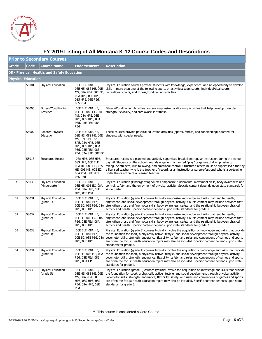

 $\Gamma$ 

|                           | FY 2019 Listing of All Montana K-12 Course Codes and Descriptions |                                      |                                                                                                                                                           |                                                                                                                                                                                                                                                                                                                                                                                                                                                                                                 |  |  |  |
|---------------------------|-------------------------------------------------------------------|--------------------------------------|-----------------------------------------------------------------------------------------------------------------------------------------------------------|-------------------------------------------------------------------------------------------------------------------------------------------------------------------------------------------------------------------------------------------------------------------------------------------------------------------------------------------------------------------------------------------------------------------------------------------------------------------------------------------------|--|--|--|
|                           | <b>Prior to Secondary Courses</b>                                 |                                      |                                                                                                                                                           |                                                                                                                                                                                                                                                                                                                                                                                                                                                                                                 |  |  |  |
| <b>Grade</b>              | <b>Code</b>                                                       | <b>Course Name</b>                   | <b>Endorsements</b>                                                                                                                                       | <b>Description</b>                                                                                                                                                                                                                                                                                                                                                                                                                                                                              |  |  |  |
|                           | 08 - Physical, Health, and Safety Education                       |                                      |                                                                                                                                                           |                                                                                                                                                                                                                                                                                                                                                                                                                                                                                                 |  |  |  |
| <b>Physical Education</b> |                                                                   |                                      |                                                                                                                                                           |                                                                                                                                                                                                                                                                                                                                                                                                                                                                                                 |  |  |  |
|                           | 58001                                                             | Physical Education                   | 00E ELE, 08A HE,<br>08E HE, 08S HE, 00E<br>MS, 08A PEd, 00E EC,<br>08A HPE, 08E HPE,<br>08S HPE, 08E PEd,<br>08S PEd                                      | Physical Education courses provide students with knowledge, experience, and an opportunity to develop<br>skills in more than one of the following sports or activities: team sports, individual/dual sports,<br>recreational sports, and fitness/conditioning activities.                                                                                                                                                                                                                       |  |  |  |
|                           | 58005                                                             | Fitness/Conditioning<br>Activities   | 00E ELE, 08A HE,<br>08E HE, 08S HE, 00E<br>MS, 08A HPE, 08E<br><b>HPE, 08S HPE, 08A</b><br>PEd, 08E PEd, 08S<br>PEd                                       | Fitness/Conditioning Activities courses emphasize conditioning activities that help develop muscular<br>strength, flexibility, and cardiovascular fitness.                                                                                                                                                                                                                                                                                                                                      |  |  |  |
|                           | 58007                                                             | <b>Adapted Physical</b><br>Education | 00E ELE, 08A HE,<br>08E HE, 08S HE, 00E<br>MS, 32E SPE, 32S<br>SPE, 08A HPE, 08E<br><b>HPE, 08S HPE, 08A</b><br>PEd, 08E PEd, 08S<br>PEd, 32A SPE, 00E EC | These courses provide physical education activities (sports, fitness, and conditioning) adapted for<br>students with special needs.                                                                                                                                                                                                                                                                                                                                                             |  |  |  |
|                           | 58018                                                             | <b>Structured Recess</b>             | 08A HPE, 08E HPE,<br>08S HPE, OOE ELE,<br>08A HE, 08E HE, 08S<br>HE, 00E MS, 00E EC,<br>08A PEd, 08E PEd,<br>08S PEd                                      | Structured recess is a planned and actively supervised break from regular instruction during the school<br>day. All Students on the school grounds engage in organized "play" or games that emphasize turn<br>taking, helpfulness, rule following, and emotional control. Structured recess must be supervised either by<br>a licensed teacher who is the teacher of record, or an instructional paraprofessional who is a co-teacher<br>under the direction of a licensed teacher.             |  |  |  |
| К                         | 58030                                                             | Physical Education<br>(kindergarten) | 00E ELE, 08A HE,<br>08E HE, 00E EC, 08A<br>PEd, 08A HPE, 08E<br>HPE, 08E PEd                                                                              | Physical Education (kindergarten) courses emphasize fundamental movement skills, body awareness and<br>control, safety, and the enjoyment of physical activity. Specific content depends upon state standards for<br>kindergarten.                                                                                                                                                                                                                                                              |  |  |  |
| 01                        | 58031                                                             | Physical Education<br>(grade 1)      | 00E ELE, 08A HE,<br>08E HE, 08A PEd,<br>HPE, 08E HPE                                                                                                      | Physical Education (grade 1) courses typically emphasize knowledge and skills that lead to health,<br>enjoyment, and social development through physical activity. Course content may include activities that<br>00E EC, 08E PEd, 08A strengthen gross and fine motor skills, body awareness, safety, and the relationship between physical<br>activity and health. Specific content depends upon state standards for grade 1.                                                                  |  |  |  |
| 02                        | 58032                                                             | Physical Education<br>(grade 2)      | 00E ELE, 08A HE,<br>08E HE, 00E EC, 08A<br>PEd, 08E PEd, 08A<br>HPE, 08E HPE                                                                              | Physical Education (grade 2) courses typically emphasize knowledge and skills that lead to health,<br>enjoyment, and social development through physical activity. Course content may include activities that<br>strengthen gross and fine motor skills, body awareness, safety, and the relationship between physical<br>activity and health. Specific content depends upon state standards for grade 2.                                                                                       |  |  |  |
| 03                        | 58033                                                             | Physical Education<br>$(grade 3)$    | 00E ELE, 08A HE,<br>08E HE, 08A PEd,<br>HPE, 08E HPE                                                                                                      | Physical Education (grade 3) courses typically involve the acquisition of knowledge and skills that provide<br>the foundation for sport, a physically active lifestyle, and social development through physical activity.<br>00E EC, 08E PEd, 08A Locomotor skills, strength, endurance, flexibility, safety, and rules and conventions of games and sports<br>are often the focus; health education topics may also be included. Specific content depends upon state<br>standards for grade 3. |  |  |  |
| 04                        | 58034                                                             | Physical Education<br>(grade 4)      | 00E ELE, 08A HE,<br>08E HE, 00E MS, 08A<br>PEd, 08E PEd, 08E<br>HPE, 08A HPE                                                                              | Physical Education (grade 4) courses typically involve the acquisition of knowledge and skills that provide<br>the foundation for sport, a physically active lifestyle, and social development through physical activity.<br>Locomotor skills, strength, endurance, flexibility, safety, and rules and conventions of games and sports<br>are often the focus; health education topics may also be included. Specific content depends upon state<br>standards for grade 4.                      |  |  |  |
| 05                        | 58035                                                             | Physical Education<br>(grade 5)      | 00E ELE, 08A HE,<br>08E HE, 08S HE, 00E<br>MS, 08A PEd, 08E<br><b>HPE, 08S HPE, 08S</b><br>PEd, 08A HPE, 08E<br>PEd                                       | Physical Education (grade 5) courses typically involve the acquisition of knowledge and skills that provide<br>the foundation for sport, a physically active lifestyle, and social development through physical activity.<br>Locomotor skills, strength, endurance, flexibility, safety, and rules and conventions of games and sports<br>are often the focus; health education topics may also be included. Specific content depends upon state<br>standards for grade 5.                      |  |  |  |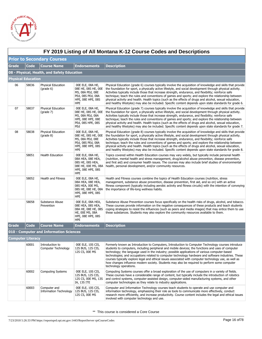

|              | FY 2019 Listing of All Montana K-12 Course Codes and Descriptions |                                               |                                                                                                                            |                                                                                                                                                                                                                                                                                                                                                                                                                                                                                                                                                                                                                                                                    |  |  |  |
|--------------|-------------------------------------------------------------------|-----------------------------------------------|----------------------------------------------------------------------------------------------------------------------------|--------------------------------------------------------------------------------------------------------------------------------------------------------------------------------------------------------------------------------------------------------------------------------------------------------------------------------------------------------------------------------------------------------------------------------------------------------------------------------------------------------------------------------------------------------------------------------------------------------------------------------------------------------------------|--|--|--|
|              | <b>Prior to Secondary Courses</b>                                 |                                               |                                                                                                                            |                                                                                                                                                                                                                                                                                                                                                                                                                                                                                                                                                                                                                                                                    |  |  |  |
| <b>Grade</b> | <b>Code</b>                                                       | <b>Course Name</b>                            | <b>Endorsements</b>                                                                                                        | <b>Description</b>                                                                                                                                                                                                                                                                                                                                                                                                                                                                                                                                                                                                                                                 |  |  |  |
|              | 08 - Physical, Health, and Safety Education                       |                                               |                                                                                                                            |                                                                                                                                                                                                                                                                                                                                                                                                                                                                                                                                                                                                                                                                    |  |  |  |
|              | <b>Physical Education</b>                                         |                                               |                                                                                                                            |                                                                                                                                                                                                                                                                                                                                                                                                                                                                                                                                                                                                                                                                    |  |  |  |
| 06           | 58036                                                             | Physical Education<br>$(grade 6)$             | 00E ELE, 08A HE,<br>08E HE, 08S HE, 00E<br>MS, 08A PEd, 08E<br>PEd, 08S PEd, 08A<br><b>HPE, 08E HPE, 08S</b><br><b>HPE</b> | Physical Education (grade 6) courses typically involve the acquisition of knowledge and skills that provide<br>the foundation for sport, a physically active lifestyle, and social development through physical activity.<br>Activities typically include those that increase strength, endurance, and flexibility; reinforce safe<br>technique; teach the rules and conventions of games and sports; and explore the relationship between<br>physical activity and health. Health topics (such as the effects of drugs and alcohol, sexual education,<br>and healthy lifestyles) may also be included. Specific content depends upon state standards for grade 6. |  |  |  |
| 07           | 58037                                                             | Physical Education<br>(grade 7)               | 00E ELE, 08A HE,<br>08E HE, 08S HE, 00E<br>MS, 08A PEd, 08A<br><b>HPE, 08E HPE, 08E</b><br>PEd, 08S HPE, 08S<br>PEd        | Physical Education (grade 7) courses typically involve the acquisition of knowledge and skills that provide<br>the foundation for sport, a physically active lifestyle, and social development through physical activity.<br>Activities typically include those that increase strength, endurance, and flexibility; reinforce safe<br>technique; teach the rules and conventions of games and sports; and explore the relationship between<br>physical activity and health. Health topics (such as the effects of drugs and alcohol, sexual education,<br>and healthy lifestyles) may also be included. Specific content depends upon state standards for grade 7. |  |  |  |
| 08           | 58038                                                             | Physical Education<br>$(grade 8)$             | 00E ELE, 08A HE,<br>08E HE, 08S HE, 00E<br>MS, 08A PEd, 08E<br>PEd, 08S PEd, 08A<br><b>HPE, 08E HPE, 08S</b><br><b>HPE</b> | Physical Education (grade 8) courses typically involve the acquisition of knowledge and skills that provide<br>the foundation for sport, a physically active lifestyle, and social development through physical activity.<br>Activities typically include those that increase strength, endurance, and flexibility; reinforce safe<br>technique; teach the rules and conventions of games and sports; and explore the relationship between<br>physical activity and health. Health topics (such as the effects of drugs and alcohol, sexual education,<br>and healthy lifestyles) may also be included. Specific content depends upon state standards for grade 8. |  |  |  |
|              | 58051                                                             | Health Education                              | 00E ELE, 08A HE,<br>08A HEA, 08E HEA,<br>08S HE, 08S HEA,<br>08E HE, 00E MS, 08A<br>HPE, 08E HPE, 08S<br><b>HPE</b>        | Topics covered within Health Education courses may vary widely, but typically include personal health<br>(nutrition, mental health and stress management, drug/alcohol abuse prevention, disease prevention,<br>and first aid) and consumer health issues. The courses may also include brief studies of environmental<br>health, personal development, and/or community resources.                                                                                                                                                                                                                                                                                |  |  |  |
|              | 58052                                                             | <b>Health and Fitness</b>                     | 00E ELE, 08A HE,<br>08A HEA, 08E HEA,<br>08S HEA, 00E MS,<br>08S HE, 08E HE, 08A<br><b>HPE, 08E HPE, 08S</b><br><b>HPE</b> | Health and Fitness courses combine the topics of Health Education courses (nutrition, stress<br>management, substance abuse prevention, disease prevention, first aid, and so on) with an active<br>fitness component (typically including aerobic activity and fitness circuits) with the intention of conveying<br>the importance of life-long wellness habits.                                                                                                                                                                                                                                                                                                  |  |  |  |
|              | 58058                                                             | Substance Abuse<br>Prevention                 | OOE ELE, O8A HEA,<br>08E HEA, 08S HEA,<br>08A HE, 08E HE, 08S<br>HE, 00E MS, 08A<br><b>HPE, 08E HPE, 08S</b><br><b>HPE</b> | Substance Abuse Prevention courses focus specifically on the health risks of drugs, alcohol, and tobacco.<br>These courses provide information on the negative consequences of these products and teach students<br>coping strategies to resist the influences (such as peers and media images) that may entice them to use<br>these substances. Students may also explore the community resources available to them.                                                                                                                                                                                                                                              |  |  |  |
| <b>Grade</b> | <b>Code</b>                                                       | <b>Course Name</b>                            | <b>Endorsements</b>                                                                                                        | <b>Description</b>                                                                                                                                                                                                                                                                                                                                                                                                                                                                                                                                                                                                                                                 |  |  |  |
|              |                                                                   | 010 - Computer and Information Sciences       |                                                                                                                            |                                                                                                                                                                                                                                                                                                                                                                                                                                                                                                                                                                                                                                                                    |  |  |  |
|              | <b>Computer Literacy</b>                                          |                                               |                                                                                                                            |                                                                                                                                                                                                                                                                                                                                                                                                                                                                                                                                                                                                                                                                    |  |  |  |
|              | 60001                                                             | Introduction to<br>Computer Technology        | 00E ELE, 10S CIS,<br>12S BUS, 12S CIS,<br>12S CS, 00E MS                                                                   | Formerly known as Introduction to Computers, Introduction to Computer Technology courses introduce<br>students to computers, including peripheral and mobile devices; the functions and uses of computer<br>technology; the language used in the industry; possible applications of various computer-based<br>technologies; and occupations related to computer technology hardware and software industries. These<br>courses typically explore legal and ethical issues associated with computer technology use, as well as<br>how changes influence modern society. Students may also be required to perform some computer<br>technology operations.             |  |  |  |
|              | 60002                                                             | <b>Computing Systems</b>                      | 00E ELE, 10S CIS,<br>12S BUS, 12S CIS,<br>12S CS, 00E MS, 13S<br>IA, 13S ITE                                               | Computing Systems courses offer a broad exploration of the use of computers in a variety of fields.<br>These courses have a considerable range of content, but typically include the introduction of robotics<br>and control systems, computer-assisted design, computer-aided manufacturing systems, and other<br>computer technologies as they relate to industry applications.                                                                                                                                                                                                                                                                                  |  |  |  |
|              | 60003                                                             | Computer and<br><b>Information Technology</b> | 00E ELE, 10S CIS,<br>12S BUS, 12S CIS,<br>12S CS, 00E MS                                                                   | Computer and Information Technology courses teach students to operate and use computer and<br>information technology, emphasizing their role as tools to communicate more effectively, conduct<br>research more efficiently, and increase productivity. Course content includes the legal and ethical issues<br>involved with computer technology and use.                                                                                                                                                                                                                                                                                                         |  |  |  |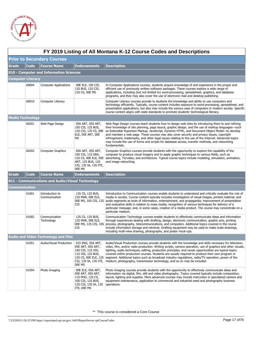

|                          | FY 2019 Listing of All Montana K-12 Course Codes and Descriptions |                                                  |                                                                                                                                             |                                                                                                                                                                                                                                                                                                                                                                                                                                                                                                                                                                                                                                         |  |  |  |
|--------------------------|-------------------------------------------------------------------|--------------------------------------------------|---------------------------------------------------------------------------------------------------------------------------------------------|-----------------------------------------------------------------------------------------------------------------------------------------------------------------------------------------------------------------------------------------------------------------------------------------------------------------------------------------------------------------------------------------------------------------------------------------------------------------------------------------------------------------------------------------------------------------------------------------------------------------------------------------|--|--|--|
|                          | <b>Prior to Secondary Courses</b>                                 |                                                  |                                                                                                                                             |                                                                                                                                                                                                                                                                                                                                                                                                                                                                                                                                                                                                                                         |  |  |  |
| <b>Grade</b>             | <b>Code</b>                                                       | <b>Course Name</b>                               | <b>Endorsements</b>                                                                                                                         | <b>Description</b>                                                                                                                                                                                                                                                                                                                                                                                                                                                                                                                                                                                                                      |  |  |  |
|                          | 010 - Computer and Information Sciences                           |                                                  |                                                                                                                                             |                                                                                                                                                                                                                                                                                                                                                                                                                                                                                                                                                                                                                                         |  |  |  |
| <b>Computer Literacy</b> |                                                                   |                                                  |                                                                                                                                             |                                                                                                                                                                                                                                                                                                                                                                                                                                                                                                                                                                                                                                         |  |  |  |
|                          | 60004                                                             | <b>Computer Applications</b>                     | 00E ELE, 10S CIS,<br>12S BUS, 12S CIS,<br>12S CS, 00E MS                                                                                    | In Computer Applications courses, students acquire knowledge of and experience in the proper and<br>efficient use of previously written software packages. These courses explore a wide range of<br>applications, including (but not limited to) word-processing, spreadsheet, graphics, and database<br>programs, and they may also cover the use of electronic mail and desktop publishing.                                                                                                                                                                                                                                           |  |  |  |
|                          | 60010                                                             | Computer Literacy                                |                                                                                                                                             | Computer Literacy courses provide to students the knowledge and ability to use computers and<br>technology efficiently. Typically, course content includes exposure to word-processing, spreadsheet, and<br>presentation applications, but also may include the various uses of computers in modern society. Specific<br>course content aligns with state standards to promote students' technological literacy.                                                                                                                                                                                                                        |  |  |  |
| <b>Media Technology</b>  |                                                                   |                                                  |                                                                                                                                             |                                                                                                                                                                                                                                                                                                                                                                                                                                                                                                                                                                                                                                         |  |  |  |
|                          | 60201                                                             | Web Page Design                                  | 05A ART, 05S ART,<br>10S CIS, 12S BUS,<br>12S CIS, 12S CS, 00E<br>ELE, 05E ART, 00E<br><b>MS</b>                                            | Web Page Design courses teach students how to design web sites by introducing them to and refining<br>their knowledge of site planning, page layout, graphic design, and the use of markup languages-such<br>as Extensible Hypertext Markup, JavaScript, Dynamic HTML, and Document Object Model—to develop<br>and maintain a web page. These courses may also cover security and privacy issues, copyright<br>infringement, trademarks, and other legal issues relating to the use of the Internet. Advanced topics<br>may include the use of forms and scripts for database access, transfer methods, and networking<br>fundamentals. |  |  |  |
|                          | 60202                                                             | <b>Computer Graphics</b>                         | 05A ART, 05S ART,<br>10S CIS, 11S GRA,<br>12S CS, 00E ELE, 05E<br>ART, 12S BUS, 12S<br>CIS, 13S IA, 13S ITE,<br>00E MS                      | Computer Graphics courses provide students with the opportunity to explore the capability of the<br>computer to produce visual imagery and to apply graphic techniques to various fields, such as<br>advertising, TV/video, and architecture. Typical course topics include modeling, simulation, animation,<br>and image retouching.                                                                                                                                                                                                                                                                                                   |  |  |  |
| <b>Grade</b>             | <b>Code</b>                                                       | <b>Course Name</b>                               | <b>Endorsements</b>                                                                                                                         | <b>Description</b>                                                                                                                                                                                                                                                                                                                                                                                                                                                                                                                                                                                                                      |  |  |  |
|                          |                                                                   | 011 - Communications and Audio/Visual Technology |                                                                                                                                             |                                                                                                                                                                                                                                                                                                                                                                                                                                                                                                                                                                                                                                         |  |  |  |
| Communication            |                                                                   |                                                  |                                                                                                                                             |                                                                                                                                                                                                                                                                                                                                                                                                                                                                                                                                                                                                                                         |  |  |  |
|                          | 61001                                                             | Introduction to<br>Communication                 | 12S CS, 12S BUS,<br>12S MAR, OOE ELE,<br>CIS                                                                                                | Introduction to Communication courses enable students to understand and critically evaluate the role of<br>media in society. Course content typically includes investigation of visual images, printed material, and<br>00E MS, 10S CIS, 12S audio segments as tools of information, entertainment, and propaganda; improvement of presentation<br>and evaluative skills in relation to mass media; recognition of various techniques for delivery of a<br>particular message; and, in some cases, creation of a media product. The course may concentrate on a<br>particular medium.                                                   |  |  |  |
|                          | 61002                                                             | Communication<br>Technology                      | 12S CS, 12S BUS,<br>12S MAR, OOE ELE,<br>CIS                                                                                                | Communication Technology courses enable students to effectively communicate ideas and information<br>through experiences dealing with drafting, design, electronic communication, graphic arts, printing<br>00E MS, 12S CIS, 10S process, photography, telecommunications, and computers. Additional topics covered in the course<br>include information storage and retrieval. Drafting equipment may be used to make scale drawings,<br>including multi-view drawing, photographs, and poster mock-ups.                                                                                                                               |  |  |  |
|                          |                                                                   | <b>Audio and Video Technology and Film</b>       |                                                                                                                                             |                                                                                                                                                                                                                                                                                                                                                                                                                                                                                                                                                                                                                                         |  |  |  |
|                          | 61051                                                             | Audio/Visual Production                          | 01S ENG, 05A ART,<br>05E ART, 05S ART,<br>10S CIS, 11S VID,<br>11S VIS, 12S BUS,<br>12S CS, 00E ELE, 12S<br>CIS, 13S IA, 13S ITE,<br>00E MS | Audio/Visual Production courses provide students with the knowledge and skills necessary for television,<br>video, film, and/or radio production. Writing scripts, camera operation, use of graphics and other visuals,<br>lighting, audio techniques, editing, production principles, and career opportunities are typical topics<br>covered within production courses. Students are usually required to produce their own program or<br>segment. Additional topics such as broadcast industry regulations, radio/TV operation, power of the<br>medium, photography, transmission technology, and so on may be included.               |  |  |  |
|                          | 61054                                                             | Photo Imaging                                    | 00E ELE, 05A ART,<br>05E ART, 05S ART,<br>11S PHO, 12S CS,<br>10S CIS, 12S BUS,<br>12S CIS, 13S IA, 13S<br>ITE, OOE MS                      | Photo Imaging courses provide students with the opportunity to effectively communicate ideas and<br>information via digital, film, still and video photography. Topics covered typically include composition,<br>layout, lighting and supplies. More advanced courses may include instruction in specialized camera and<br>equipment maintenance, application to commercial and industrial need and photography business<br>operations.                                                                                                                                                                                                 |  |  |  |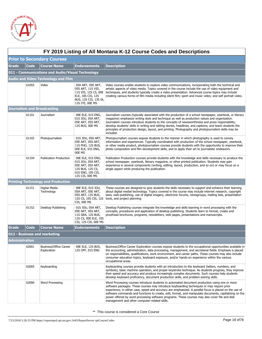

|                       | FY 2019 Listing of All Montana K-12 Course Codes and Descriptions |                                                  |                                                                                                                         |                                                                                                                                                                                                                                                                                                                                                                                                                                                                                                                                                                     |  |  |  |
|-----------------------|-------------------------------------------------------------------|--------------------------------------------------|-------------------------------------------------------------------------------------------------------------------------|---------------------------------------------------------------------------------------------------------------------------------------------------------------------------------------------------------------------------------------------------------------------------------------------------------------------------------------------------------------------------------------------------------------------------------------------------------------------------------------------------------------------------------------------------------------------|--|--|--|
|                       | <b>Prior to Secondary Courses</b>                                 |                                                  |                                                                                                                         |                                                                                                                                                                                                                                                                                                                                                                                                                                                                                                                                                                     |  |  |  |
| <b>Grade</b>          | <b>Code</b>                                                       | <b>Course Name</b>                               | <b>Endorsements</b>                                                                                                     | <b>Description</b>                                                                                                                                                                                                                                                                                                                                                                                                                                                                                                                                                  |  |  |  |
|                       |                                                                   | 011 - Communications and Audio/Visual Technology |                                                                                                                         |                                                                                                                                                                                                                                                                                                                                                                                                                                                                                                                                                                     |  |  |  |
|                       |                                                                   | <b>Audio and Video Technology and Film</b>       |                                                                                                                         |                                                                                                                                                                                                                                                                                                                                                                                                                                                                                                                                                                     |  |  |  |
|                       | 61055                                                             | Video                                            | 05A ART, 05E ART,<br>05S ART, 11S VID,<br>ELE, 10S CIS, 12S<br>BUS, 12S CIS, 13S IA,<br>13S ITE, 00E MS                 | Video courses enable students to explore video communications, incorporating both the technical and<br>artistic aspects of video media. Topics covered in the course include the use of video equipment and<br>11S VIS, 12S CS, 00E techniques, and students typically create a video presentation. Advanced course topics may include<br>creating various forms of film media including silent film; sport and music video; and self portrait video.                                                                                                               |  |  |  |
|                       |                                                                   | <b>Journalism and Broadcasting</b>               |                                                                                                                         |                                                                                                                                                                                                                                                                                                                                                                                                                                                                                                                                                                     |  |  |  |
|                       | 61101                                                             | Journalism                                       | 00E ELE, 01S ENG,<br>01S JOU, 05A ART,<br>05E ART, 05S ART,<br>12S BUS, 00E MS                                          | Journalism courses (typically associated with the production of a school newspaper, yearbook, or literary<br>magazine) emphasize writing style and technique as well as production values and organization.<br>Journalism courses introduce students to the concepts of newsworthiness and press responsibility;<br>develop students' skills in writing and editing stories, headlines, and captions; and teach students the<br>principles of production design, layout, and printing. Photography and photojournalism skills may be<br>included.                   |  |  |  |
|                       | 61102                                                             | Photojournalism                                  | 01S JOU, 05A ART,<br>05E ART, 05S ART,<br>11S PHO, 12S BUS,<br>00E ELE, 01S ENG,<br>00E MS                              | Photojournalism courses expose students to the manner in which photography is used to convey<br>information and experiences. Typically coordinated with production of the school newspaper, yearbook,<br>or other media product, photojournalism courses provide students with the opportunity to improve their<br>photo composition and film development skills, and to apply their art to journalistic endeavors.                                                                                                                                                 |  |  |  |
|                       | 61104                                                             | <b>Publication Production</b>                    | 00E ELE, 01S ENG,<br>01S JOU, 05A ART,<br>05E ART, 05S ART,<br>12S BUS, 12S CS,<br>01S ENG, 10S CIS,<br>12S CIS, 00E MS | Publication Production courses provide students with the knowledge and skills necessary to produce the<br>school newspaper, yearbook, literary magazine, or other printed publication. Students may gain<br>experience in several components (writing, editing, layout, production, and so on) or may focus on a<br>single aspect while producing the publication.                                                                                                                                                                                                  |  |  |  |
|                       |                                                                   | <b>Printing Technology and Production</b>        |                                                                                                                         |                                                                                                                                                                                                                                                                                                                                                                                                                                                                                                                                                                     |  |  |  |
|                       | 61151                                                             | Digital Media<br>Technology                      | 00E ELE, 01S JOU,<br>05A ART, 05E ART,<br>05S ART, 12S BUS,<br>12S CS, 10S CIS, 12S<br>CIS, OOE MS                      | These courses are designed to give students the skills necessary to support and enhance their learning<br>about digital medial technology. Topics covered in the course may include internet research, copyright<br>laws, web-publishing, use of digital imagery, electronic forums, newsgroups, mailing lists, presentation<br>tools, and project planning.                                                                                                                                                                                                        |  |  |  |
|                       | 61152                                                             | Desktop Publishing                               | 01S JOU, 05A ART,<br>05E ART, 05S ART,<br>11S GRA, 12S BUS,<br>12S CS, 00E ELE, 10S<br>CIS, 12S CIS, 00E MS             | Desktop Publishing courses integrate the knowledge and skills learning in word processing with the<br>concepts, procedures and application of desktop publishing. Students learn to format, create and<br>proofread brochures, programs, newsletters, web pages, presentations and manuscripts.                                                                                                                                                                                                                                                                     |  |  |  |
| <b>Grade</b>          | <b>Code</b>                                                       | <b>Course Name</b>                               | <b>Endorsements</b>                                                                                                     | <b>Description</b>                                                                                                                                                                                                                                                                                                                                                                                                                                                                                                                                                  |  |  |  |
|                       |                                                                   | 012 - Business and marketing                     |                                                                                                                         |                                                                                                                                                                                                                                                                                                                                                                                                                                                                                                                                                                     |  |  |  |
| <b>Administration</b> |                                                                   |                                                  |                                                                                                                         |                                                                                                                                                                                                                                                                                                                                                                                                                                                                                                                                                                     |  |  |  |
|                       | 62001                                                             | <b>Business/Office Career</b><br>Exploration     | 00E ELE, 12S BUS,<br>12S OFF, 01S ENG                                                                                   | Business/Office Career Exploration courses expose students to the occupational opportunities available in<br>the accounting, administration, data processing, management, and secretarial fields. Emphasis is placed<br>on responsibilities, qualifications, work environment, and career paths. These courses may also include<br>consumer education topics, keyboard exposure, and/or hands-on experience within the various<br>occupational areas.                                                                                                               |  |  |  |
|                       | 62005                                                             | Keyboarding                                      |                                                                                                                         | Keyboarding courses provide students with an introduction to the keyboard (letters, numbers, and<br>symbols), basic machine operation, and proper keystroke technique. As students progress, they improve<br>their speed and accuracy and produce increasingly complex documents. Such courses help students<br>develop keyboard proficiency, document production skills, and problem-solving skills.                                                                                                                                                               |  |  |  |
|                       | 62006                                                             | Word Processing                                  |                                                                                                                         | Word Processing courses introduce students to automated document production using one or more<br>software packages. These courses may introduce keyboarding techniques or may require prior<br>experience; in either case, speed and accuracy are emphasized. A parallel focus is placed on the use of<br>software commands and functions to create, edit, format, and manipulate documents, capitalizing on the<br>power offered by word processing software programs. These courses may also cover file and disk<br>management and other computer-related skills. |  |  |  |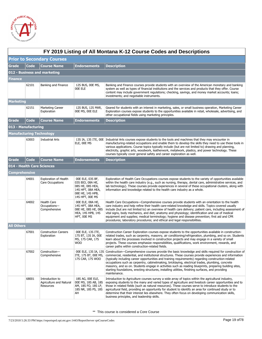

|                     | FY 2019 Listing of All Montana K-12 Course Codes and Descriptions |                                                                |                                                                                                                      |                                                                                                                                                                                                                                                                                                                                                                                                                                                                                                                                                                                                                                                                                      |  |  |  |
|---------------------|-------------------------------------------------------------------|----------------------------------------------------------------|----------------------------------------------------------------------------------------------------------------------|--------------------------------------------------------------------------------------------------------------------------------------------------------------------------------------------------------------------------------------------------------------------------------------------------------------------------------------------------------------------------------------------------------------------------------------------------------------------------------------------------------------------------------------------------------------------------------------------------------------------------------------------------------------------------------------|--|--|--|
|                     | <b>Prior to Secondary Courses</b>                                 |                                                                |                                                                                                                      |                                                                                                                                                                                                                                                                                                                                                                                                                                                                                                                                                                                                                                                                                      |  |  |  |
| Grade               | Code                                                              | <b>Course Name</b>                                             | <b>Endorsements</b>                                                                                                  | <b>Description</b>                                                                                                                                                                                                                                                                                                                                                                                                                                                                                                                                                                                                                                                                   |  |  |  |
|                     |                                                                   | 012 - Business and marketing                                   |                                                                                                                      |                                                                                                                                                                                                                                                                                                                                                                                                                                                                                                                                                                                                                                                                                      |  |  |  |
| Finance             |                                                                   |                                                                |                                                                                                                      |                                                                                                                                                                                                                                                                                                                                                                                                                                                                                                                                                                                                                                                                                      |  |  |  |
|                     | 62101                                                             | Banking and Finance                                            | 12S BUS, 00E MS,<br>00E ELE                                                                                          | Banking and Finance courses provide students with an overview of the American monetary and banking<br>system as well as types of financial institutions and the services and products that they offer. Course<br>content may include government regulations; checking, savings, and money market accounts; loans;<br>investments; and negotiable instruments.                                                                                                                                                                                                                                                                                                                        |  |  |  |
| Marketing           |                                                                   |                                                                |                                                                                                                      |                                                                                                                                                                                                                                                                                                                                                                                                                                                                                                                                                                                                                                                                                      |  |  |  |
|                     | 62151                                                             | <b>Marketing Career</b><br>Exploration                         | 12S BUS, 12S MAR,<br>00E MS, 00E ELE                                                                                 | Geared for students with an interest in marketing, sales, or small business operation, Marketing Career<br>Exploration courses expose students to the opportunities available in retail, wholesale, advertising, and<br>other occupational fields using marketing principles.                                                                                                                                                                                                                                                                                                                                                                                                        |  |  |  |
| Grade               | Code                                                              | <b>Course Name</b>                                             | <b>Endorsements</b>                                                                                                  | <b>Description</b>                                                                                                                                                                                                                                                                                                                                                                                                                                                                                                                                                                                                                                                                   |  |  |  |
| 013 - Manufacturing |                                                                   |                                                                |                                                                                                                      |                                                                                                                                                                                                                                                                                                                                                                                                                                                                                                                                                                                                                                                                                      |  |  |  |
|                     |                                                                   | <b>Manufacturing Technology</b>                                |                                                                                                                      |                                                                                                                                                                                                                                                                                                                                                                                                                                                                                                                                                                                                                                                                                      |  |  |  |
|                     | 63003                                                             | <b>Industrial Arts</b>                                         | ELE, OOE MS                                                                                                          | 13S IA, 13S ITE, 00E Industrial Arts courses expose students to the tools and machines that they may encounter in<br>manufacturing-related occupations and enable them to develop the skills they need to use these tools in<br>various applications. Course topics typically include (but are not limited to) drawing and planning,<br>electricity, graphic arts, woodwork, leatherwork, metalwork, plastics, and power technology. These<br>courses typically cover general safety and career exploration as well.                                                                                                                                                                 |  |  |  |
| Grade               | Code                                                              | <b>Course Name</b>                                             | <b>Endorsements</b>                                                                                                  | <b>Description</b>                                                                                                                                                                                                                                                                                                                                                                                                                                                                                                                                                                                                                                                                   |  |  |  |
|                     |                                                                   | 014 - Health Care Sciences                                     |                                                                                                                      |                                                                                                                                                                                                                                                                                                                                                                                                                                                                                                                                                                                                                                                                                      |  |  |  |
| Comprehensive       |                                                                   |                                                                |                                                                                                                      |                                                                                                                                                                                                                                                                                                                                                                                                                                                                                                                                                                                                                                                                                      |  |  |  |
|                     | 64001                                                             | <b>Exploration of Health</b><br>Care Occupations               | 00E ELE, 03S BF,<br>03S BIO, 08A HE,<br>08S HE, 08S HEA,<br>14S HPT, 08A HEA,<br>08E HE, 14S HPB,<br>14S HPT, 00E MS | Exploration of Health Care Occupations courses expose students to the variety of opportunities available<br>within the health care industry (e.g., such as nursing, therapy, dental care, administrative services, and<br>lab technology). These courses provide experiences in several of these occupational clusters, along with<br>information and knowledge related to the health care industry as a whole.                                                                                                                                                                                                                                                                      |  |  |  |
|                     | 64002                                                             | Health Care<br>Occupations-<br>Comprehensive                   | 00E ELE, 08A HE,<br>14S HPT, 08A HEA,<br>08E HE, 08S HE, 08S<br><b>HEA, 14S HPB, 14S</b><br>HPT, OOE MS              | Health Care Occupations—Comprehensive courses provide students with an orientation to the health<br>care industry and help refine their health care-related knowledge and skills. Topics covered usually<br>include (but are not limited to) an overview of health care delivery; patient care, including assessment of<br>vital signs, body mechanics, and diet; anatomy and physiology; identification and use of medical<br>equipment and supplies; medical terminology; hygiene and disease prevention; first aid and CPR<br>procedures; laboratory procedures; and ethical and legal responsibilities.                                                                          |  |  |  |
| All Others          |                                                                   |                                                                |                                                                                                                      |                                                                                                                                                                                                                                                                                                                                                                                                                                                                                                                                                                                                                                                                                      |  |  |  |
|                     | 67001                                                             | <b>Construction Careers</b><br>Exploration                     | 00E ELE, 13S ITE,<br>17S BT, 13S IA, 00E<br>MS, 17S CAR, 17S<br><b>WOO</b>                                           | Construction Career Exploration courses expose students to the opportunities available in construction-<br>related trades, such as carpentry, masonry, air conditioning/refrigeration, plumbing, and so on. Students<br>learn about the processes involved in construction projects and may engage in a variety of small<br>projects. These courses emphasize responsibilities, qualifications, work environment, rewards, and<br>career paths within construction-related fields.                                                                                                                                                                                                   |  |  |  |
|                     | 67002                                                             | Construction-<br>Comprehensive                                 | ITE, 17S BT, 00E MS,<br>17S CAR, 17S WOO                                                                             | 00E ELE, 13S IA, 13S Construction—Comprehensive courses provide the basic knowledge and skills required for construction of<br>commercial, residential, and institutional structures. These courses provide experiences and information<br>(typically including career opportunities and training requirements) regarding construction-related<br>occupations such as carpentry, cabinet making, bricklaying, electrical trades, plumbing, concrete<br>masonry, and so on. Students engage in activities such as reading blueprints, preparing building sites,<br>starting foundations, erecting structures, installing utilities, finishing surfaces, and providing<br>maintenance. |  |  |  |
|                     | 68001                                                             | Introduction to<br>Agriculture and Natural<br><b>Resources</b> | 18S AG, 00E ELE,<br>00E MS, 18S AB, 18S<br>AM, 18S FO, 18S LP,<br>18S NR, 18S PS, 18S<br>AH                          | Introduction to Agriculture courses survey a wide array of topics within the agricultural industry,<br>exposing students to the many and varied types of agriculture and livestock career opportunities and to<br>those in related fields (such as natural resources). These courses serve to introduce students to the<br>agricultural field, providing an opportunity for student to identify an area for continued study or to<br>determine that their interest lies elsewhere. They often focus on developing communication skills,<br>business principles, and leadership skills.                                                                                               |  |  |  |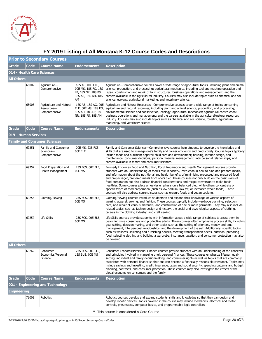

|                   | FY 2019 Listing of All Montana K-12 Course Codes and Descriptions |                                                        |                                                                                             |                                                                                                                                                                                                                                                                                                                                                                                                                                                                                                                                                                                                                                                                                                                                                                                                                       |  |  |
|-------------------|-------------------------------------------------------------------|--------------------------------------------------------|---------------------------------------------------------------------------------------------|-----------------------------------------------------------------------------------------------------------------------------------------------------------------------------------------------------------------------------------------------------------------------------------------------------------------------------------------------------------------------------------------------------------------------------------------------------------------------------------------------------------------------------------------------------------------------------------------------------------------------------------------------------------------------------------------------------------------------------------------------------------------------------------------------------------------------|--|--|
|                   |                                                                   | <b>Prior to Secondary Courses</b>                      |                                                                                             |                                                                                                                                                                                                                                                                                                                                                                                                                                                                                                                                                                                                                                                                                                                                                                                                                       |  |  |
| Grade             | <b>Code</b>                                                       | <b>Course Name</b>                                     | <b>Endorsements</b>                                                                         | <b>Description</b>                                                                                                                                                                                                                                                                                                                                                                                                                                                                                                                                                                                                                                                                                                                                                                                                    |  |  |
|                   |                                                                   | 014 - Health Care Sciences                             |                                                                                             |                                                                                                                                                                                                                                                                                                                                                                                                                                                                                                                                                                                                                                                                                                                                                                                                                       |  |  |
| <b>All Others</b> |                                                                   |                                                        |                                                                                             |                                                                                                                                                                                                                                                                                                                                                                                                                                                                                                                                                                                                                                                                                                                                                                                                                       |  |  |
|                   | 68002                                                             | Agriculture-<br>Comprehensive                          | 18S AG, 00E ELE,<br>00E MS, 18S FO, 18S<br>LP, 18S NR, 18S PS,<br>18S AB, 18S AH, 18S<br>AM | Agriculture—Comprehensive courses cover a wide range of agricultural topics, including plant and animal<br>science, production, and processing; agricultural mechanics, including tool and machine operation and<br>repair; construction and repair of farm structures; business operations and management; and the<br>careers available in the agricultural industry. Courses may also include topics such as chemical and soil<br>science, ecology, agricultural marketing, and veterinary science.                                                                                                                                                                                                                                                                                                                 |  |  |
|                   | 68003                                                             | Agriculture and Natural<br>Resources-<br>Comprehensive | ELE, 00E MS, 18S FO,<br>18S AH, 18S LP, 18S<br>NR, 18S PS, 18S AM                           | 18S AB, 18S AG, 00E Agriculture and Natural Resources—Comprehensive courses cover a wide range of topics concerning<br>agriculture and natural resources, including plant and animal science, production, and processing;<br>environmental science and conservation; ecology; agricultural mechanics; agricultural construction;<br>business operations and management; and the careers available in the agricultural/natural resources<br>industry. Courses may also include topics such as chemical and soil science, forestry, agricultural<br>marketing, and veterinary science.                                                                                                                                                                                                                                  |  |  |
| Grade             | <b>Code</b>                                                       | <b>Course Name</b>                                     | <b>Endorsements</b>                                                                         | <b>Description</b>                                                                                                                                                                                                                                                                                                                                                                                                                                                                                                                                                                                                                                                                                                                                                                                                    |  |  |
|                   | 019 - Human Services                                              |                                                        |                                                                                             |                                                                                                                                                                                                                                                                                                                                                                                                                                                                                                                                                                                                                                                                                                                                                                                                                       |  |  |
|                   |                                                                   | <b>Family and Consumer Sciences</b>                    |                                                                                             |                                                                                                                                                                                                                                                                                                                                                                                                                                                                                                                                                                                                                                                                                                                                                                                                                       |  |  |
|                   | 69251                                                             | Family and Consumer<br>Sciences-<br>Comprehensive      | 00E MS, 23S FCS,<br>00E ELE                                                                 | Family and Consumer Sciences—Comprehensive courses help students to develop the knowledge and<br>skills that are used to manage one's family and career efficiently and productively. Course topics typically<br>include foods and nutrition; apparel; child care and development; housing, interior design, and<br>maintenance; consumer decisions; personal financial management; interpersonal relationships; and<br>careers available in family and consumer sciences.                                                                                                                                                                                                                                                                                                                                            |  |  |
|                   | 69252                                                             | Food Preparation and<br>Health Management              | 23S FCS, 00E ELE,<br>00E MS                                                                 | Formerly known as Food and Nutrition, Food Preparation and Health Management courses provide<br>students with an understanding of food's role in society, instruction in how to plan and prepare meals,<br>and information about the nutritional and health benefits of minimizing processed and prepared food<br>and prepackaged/prepared meals from one's diet. These courses not only build on the basic skills of<br>food preparation but also address financial considerations and recipe conversion to make foods<br>healthier. Some courses place a heavier emphasis on a balanced diet, while others concentrate on<br>specific types of food preparation (such as low sodium, low fat, or increased whole foods). These<br>courses will also address current issues such as organic foods and vegan cooking. |  |  |
|                   | 69256                                                             | Clothing/Sewing                                        | 23S FCS, 00E ELE,<br>00E MS                                                                 | Clothing/Sewing courses introduce students to and expand their knowledge of various aspects of<br>wearing apparel, sewing, and fashion. These courses typically include wardrobe planning; selection,<br>care, and repair of various materials; and construction of one or more garments. They may also include<br>related topics, such as fashion design and history, the social and psychological aspects of clothing,<br>careers in the clothing industry, and craft sewing.                                                                                                                                                                                                                                                                                                                                       |  |  |
|                   | 69257                                                             | Life Skills                                            | 23S FCS, 00E ELE,<br>00E MS                                                                 | Life Skills courses provide students with information about a wide range of subjects to assist them in<br>becoming wise consumers and productive adults. These courses often emphasize process skills, including<br>goal-setting, decision making, and other topics such as the setting of priorities, money and time<br>management, interpersonal relationships, and the development of the self. Additionally, specific topics<br>such as wellness, selecting and furnishing houses, meeting transportation needs, nutrition, preparing<br>food, selecting clothing and building a wardrobe, insurance, taxation, and consumer protection may also<br>be covered.                                                                                                                                                   |  |  |
| <b>All Others</b> |                                                                   |                                                        |                                                                                             |                                                                                                                                                                                                                                                                                                                                                                                                                                                                                                                                                                                                                                                                                                                                                                                                                       |  |  |
|                   | 69262                                                             | Consumer<br>Economics/Personal<br>Finance              | 23S FCS, 00E ELE,<br>12S BUS, OOE MS                                                        | Consumer Economics/Personal Finance courses provide students with an understanding of the concepts<br>and principles involved in managing one's personal finances. These courses emphasize lifespan goal-<br>setting, individual and family decisionmaking, and consumer rights as well as topics that are commonly<br>associated with personal finance so that one can become a financially responsible consumer. Topics may<br>include savings and investing, credit, insurance, taxes and social security, spending patterns and budget<br>planning, contracts, and consumer protection. These courses may also investigate the effects of the<br>global economy on consumers and the family.                                                                                                                      |  |  |
| Grade             | <b>Code</b>                                                       | <b>Course Name</b>                                     | <b>Endorsements</b>                                                                         | <b>Description</b>                                                                                                                                                                                                                                                                                                                                                                                                                                                                                                                                                                                                                                                                                                                                                                                                    |  |  |
|                   |                                                                   | 021 - Engineering and Technology                       |                                                                                             |                                                                                                                                                                                                                                                                                                                                                                                                                                                                                                                                                                                                                                                                                                                                                                                                                       |  |  |
| Engineering       |                                                                   |                                                        |                                                                                             |                                                                                                                                                                                                                                                                                                                                                                                                                                                                                                                                                                                                                                                                                                                                                                                                                       |  |  |
|                   | 71009                                                             | Robotics                                               |                                                                                             | Robotics courses develop and expand students' skills and knowledge so that they can design and<br>develop robotic devices. Topics covered in the course may include mechanics, electrical and motor<br>controls, pneumatics, computer basics, and programmable logic controllers.                                                                                                                                                                                                                                                                                                                                                                                                                                                                                                                                     |  |  |
|                   |                                                                   |                                                        |                                                                                             | ** This course is considered a Core Course                                                                                                                                                                                                                                                                                                                                                                                                                                                                                                                                                                                                                                                                                                                                                                            |  |  |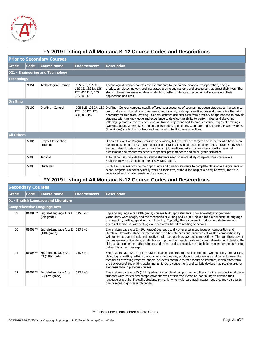

|                   | FY 2019 Listing of All Montana K-12 Course Codes and Descriptions |                                        |                                                                              |                                                                                                                                                                                                                                                                                                                                                                                                                                                                                                                                                                                                                                                                                                                                                                   |  |  |  |  |
|-------------------|-------------------------------------------------------------------|----------------------------------------|------------------------------------------------------------------------------|-------------------------------------------------------------------------------------------------------------------------------------------------------------------------------------------------------------------------------------------------------------------------------------------------------------------------------------------------------------------------------------------------------------------------------------------------------------------------------------------------------------------------------------------------------------------------------------------------------------------------------------------------------------------------------------------------------------------------------------------------------------------|--|--|--|--|
|                   | <b>Prior to Secondary Courses</b>                                 |                                        |                                                                              |                                                                                                                                                                                                                                                                                                                                                                                                                                                                                                                                                                                                                                                                                                                                                                   |  |  |  |  |
| <b>Grade</b>      | Code                                                              | <b>Course Name</b>                     | <b>Endorsements</b>                                                          | <b>Description</b>                                                                                                                                                                                                                                                                                                                                                                                                                                                                                                                                                                                                                                                                                                                                                |  |  |  |  |
|                   |                                                                   | 021 - Engineering and Technology       |                                                                              |                                                                                                                                                                                                                                                                                                                                                                                                                                                                                                                                                                                                                                                                                                                                                                   |  |  |  |  |
| Technology        |                                                                   |                                        |                                                                              |                                                                                                                                                                                                                                                                                                                                                                                                                                                                                                                                                                                                                                                                                                                                                                   |  |  |  |  |
|                   | 71051                                                             | <b>Technological Literacy</b>          | 12S BUS, 12S CIS,<br>12S CS, 13S IA, 13S<br>ITE, OOE ELE, 10S<br>CIS, OOE MS | Technological Literacy courses expose students to the communication, transportation, energy,<br>production, biotechnology, and integrated technology systems and processes that affect their lives. The<br>study of these processes enables students to better understand technological systems and their<br>applications and uses.                                                                                                                                                                                                                                                                                                                                                                                                                               |  |  |  |  |
| <b>Drafting</b>   |                                                                   |                                        |                                                                              |                                                                                                                                                                                                                                                                                                                                                                                                                                                                                                                                                                                                                                                                                                                                                                   |  |  |  |  |
|                   | 71102                                                             | Drafting-General                       | ITE, 17S BT, 17S<br>DRF, OOE MS                                              | 00E ELE, 13S IA, 13S Drafting-General courses, usually offered as a sequence of courses, introduce students to the technical<br>craft of drawing illustrations to represent and/or analyze design specifications and then refine the skills<br>necessary for this craft. Drafting-General courses use exercises from a variety of applications to provide<br>students with the knowledge and experience to develop the ability to perform freehand sketching,<br>lettering, geometric construction, and multiview projections and to produce various types of drawings<br>(working, detail, assembly, schematic, perspective, and so on). Computer-aided drafting (CAD) systems<br>(if available) are typically introduced and used to fulfill course objectives. |  |  |  |  |
| <b>All Others</b> |                                                                   |                                        |                                                                              |                                                                                                                                                                                                                                                                                                                                                                                                                                                                                                                                                                                                                                                                                                                                                                   |  |  |  |  |
|                   | 72004                                                             | <b>Dropout Prevention</b><br>Program   |                                                                              | Dropout Prevention Program courses vary widely, but typically are targeted at students who have been<br>identified as being at risk of dropping out of or failing in school. Course content may include study skills<br>and individual tutorials; career exploration or job readiness skills; communication skills; personal<br>assessment and awareness activities; speaker presentations; and small-group seminars.                                                                                                                                                                                                                                                                                                                                             |  |  |  |  |
|                   | 72005                                                             | Tutorial                               |                                                                              | Tutorial courses provide the assistance students need to successfully complete their coursework.<br>Students may receive help in one or several subjects.                                                                                                                                                                                                                                                                                                                                                                                                                                                                                                                                                                                                         |  |  |  |  |
|                   | 72006                                                             | Study Hall                             |                                                                              | Study Hall courses provide the opportunity and time for students to complete classroom assignments or<br>school projects. Students typically work on their own, without the help of a tutor; however, they are<br>supervised and usually remain in the classroom.                                                                                                                                                                                                                                                                                                                                                                                                                                                                                                 |  |  |  |  |
|                   |                                                                   |                                        |                                                                              | FY 2019 Listing of All Montana K-12 Course Codes and Descriptions                                                                                                                                                                                                                                                                                                                                                                                                                                                                                                                                                                                                                                                                                                 |  |  |  |  |
|                   | <b>Secondary Courses</b>                                          |                                        |                                                                              |                                                                                                                                                                                                                                                                                                                                                                                                                                                                                                                                                                                                                                                                                                                                                                   |  |  |  |  |
| Grade             | Code                                                              | <b>Course Name</b>                     | <b>Endorsements</b>                                                          | <b>Description</b>                                                                                                                                                                                                                                                                                                                                                                                                                                                                                                                                                                                                                                                                                                                                                |  |  |  |  |
|                   |                                                                   | 01 - English Language and Literature   |                                                                              |                                                                                                                                                                                                                                                                                                                                                                                                                                                                                                                                                                                                                                                                                                                                                                   |  |  |  |  |
|                   |                                                                   | <b>Comprehensive Language Arts</b>     |                                                                              |                                                                                                                                                                                                                                                                                                                                                                                                                                                                                                                                                                                                                                                                                                                                                                   |  |  |  |  |
| 09                | $01001$ **                                                        | English/Language Arts I<br>(9th grade) | 01S ENG                                                                      | English/Language Arts I (9th grade) courses build upon students' prior knowledge of grammar,<br>vocabulary, word usage, and the mechanics of writing and usually include the four aspects of language                                                                                                                                                                                                                                                                                                                                                                                                                                                                                                                                                             |  |  |  |  |

| <b>BECOHUST COULSES</b> |            |                                                  |                     |                                                                                                                                                                                                                                                                                                                                                                                                                                                                                                                                                                             |  |  |
|-------------------------|------------|--------------------------------------------------|---------------------|-----------------------------------------------------------------------------------------------------------------------------------------------------------------------------------------------------------------------------------------------------------------------------------------------------------------------------------------------------------------------------------------------------------------------------------------------------------------------------------------------------------------------------------------------------------------------------|--|--|
| Grade                   | Code       | <b>Course Name</b>                               | <b>Endorsements</b> | <b>Description</b>                                                                                                                                                                                                                                                                                                                                                                                                                                                                                                                                                          |  |  |
|                         |            | 01 - English Language and Literature             |                     |                                                                                                                                                                                                                                                                                                                                                                                                                                                                                                                                                                             |  |  |
|                         |            | <b>Comprehensive Language Arts</b>               |                     |                                                                                                                                                                                                                                                                                                                                                                                                                                                                                                                                                                             |  |  |
| 09                      | $01001**$  | English/Language Arts I<br>(9th grade)           | 01S ENG             | English/Language Arts I (9th grade) courses build upon students' prior knowledge of grammar,<br>vocabulary, word usage, and the mechanics of writing and usually include the four aspects of language<br>use: reading, writing, speaking, and listening. Typically, these courses introduce and define various<br>genres of literature, with writing exercises often linked to reading selections.                                                                                                                                                                          |  |  |
| 10                      | 01002 **   | English/Language Arts II 01S ENG<br>(10th grade) |                     | English/Language Arts II (10th grade) courses usually offer a balanced focus on composition and<br>literature. Typically, students learn about the alternate aims and audiences of written compositions by<br>writing persuasive, critical, and creative multi-paragraph essays and compositions. Through the study of<br>various genres of literature, students can improve their reading rate and comprehension and develop the<br>skills to determine the author's intent and theme and to recognize the techniques used by the author to<br>deliver his or her message. |  |  |
| 11                      | $01003$ ** | English/Language Arts<br>III (11th grade)        | 01S ENG             | English/Language Arts III (11th grade) courses continue to develop students' writing skills, emphasizing<br>clear, logical writing patterns, word choice, and usage, as students write essays and begin to learn the<br>techniques of writing research papers. Students continue to read works of literature, which often form<br>the backbone of the writing assignments. Literary conventions and stylistic devices may receive greater<br>emphasis than in previous courses.                                                                                             |  |  |
| 12                      | $01004$ ** | English/Language Arts<br>IV (12th grade)         | 01S ENG             | English/Language Arts IV (12th grade) courses blend composition and literature into a cohesive whole as<br>students write critical and comparative analyses of selected literature, continuing to develop their<br>language arts skills. Typically, students primarily write multi-paragraph essays, but they may also write<br>one or more major research papers.                                                                                                                                                                                                          |  |  |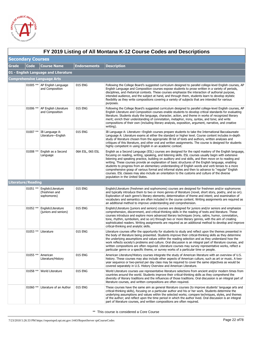

|       | FY 2019 Listing of All Montana K-12 Course Codes and Descriptions |                                                    |                     |                                                                                                                                                                                                                                                                                                                                                                                                                                                                                                                                                                                                                                                                                                                                                                                   |  |  |
|-------|-------------------------------------------------------------------|----------------------------------------------------|---------------------|-----------------------------------------------------------------------------------------------------------------------------------------------------------------------------------------------------------------------------------------------------------------------------------------------------------------------------------------------------------------------------------------------------------------------------------------------------------------------------------------------------------------------------------------------------------------------------------------------------------------------------------------------------------------------------------------------------------------------------------------------------------------------------------|--|--|
|       | <b>Secondary Courses</b>                                          |                                                    |                     |                                                                                                                                                                                                                                                                                                                                                                                                                                                                                                                                                                                                                                                                                                                                                                                   |  |  |
| Grade | <b>Code</b>                                                       | <b>Course Name</b>                                 | <b>Endorsements</b> | <b>Description</b>                                                                                                                                                                                                                                                                                                                                                                                                                                                                                                                                                                                                                                                                                                                                                                |  |  |
|       |                                                                   | 01 - English Language and Literature               |                     |                                                                                                                                                                                                                                                                                                                                                                                                                                                                                                                                                                                                                                                                                                                                                                                   |  |  |
|       |                                                                   | <b>Comprehensive Language Arts</b>                 |                     |                                                                                                                                                                                                                                                                                                                                                                                                                                                                                                                                                                                                                                                                                                                                                                                   |  |  |
|       |                                                                   | 01005 **   AP English Language<br>and Composition  | 01S ENG             | Following the College Board's suggested curriculum designed to parallel college-level English courses, AP<br>English Language and Composition courses expose students to prose written in a variety of periods,<br>disciplines, and rhetorical contexts. These courses emphasize the interaction of authorial purpose,<br>intended audience, and the subject at hand, and through them, students learn to develop stylistic<br>flexibility as they write compositions covering a variety of subjects that are intended for various<br>purposes.                                                                                                                                                                                                                                   |  |  |
|       | 01006 **                                                          | AP English Literature<br>and Composition           | 01S ENG             | Following the College Board's suggested curriculum designed to parallel college-level English courses, AP<br>English Literature and Composition courses enable students to develop critical standards for evaluating<br>literature. Students study the language, character, action, and theme in works of recognized literary<br>merit; enrich their understanding of connotation, metaphor, irony, syntax, and tone; and write<br>compositions of their own (including literary analysis, exposition, argument, narrative, and creative<br>writing).                                                                                                                                                                                                                             |  |  |
|       | $01007$ **                                                        | IB Language A:<br>Literature-English               | 01S ENG             | IB Language A: Literature—English courses prepare students to take the International Baccalaureate<br>Language A: Literature exams at either the standard or higher level. Course content includes in-depth<br>study of literature chosen from the appropriate IB list of texts and authors, written analyses and<br>critiques of this literature, and other oral and written assignments. The course is designed for students<br>highly competent in using English in an academic context.                                                                                                                                                                                                                                                                                       |  |  |
|       | 01008 **                                                          | English as a Second<br>Language                    | 06A ESL, 06S ESL    | English as a Second Language (ESL) courses are designed for the rapid mastery of the English language,<br>focusing on reading, writing, speaking, and listening skills. ESL courses usually begin with extensive<br>listening and speaking practice, building on auditory and oral skills, and then move on to reading and<br>writing. These courses provide an explanation of basic structures of the English language, enabling<br>students to progress from an elementary understanding of English words and verb tenses to a more<br>comprehensive grasp of various formal and informal styles and then to advance to "regular" English<br>courses. ESL classes may also include an orientation to the customs and culture of the diverse<br>population in the United States. |  |  |
|       | <b>Literature/Reading</b>                                         |                                                    |                     |                                                                                                                                                                                                                                                                                                                                                                                                                                                                                                                                                                                                                                                                                                                                                                                   |  |  |
|       | $01051$ **                                                        | English/Literature<br>(freshmen and<br>sophomores) | 01S ENG             | English/Literature (freshmen and sophomores) courses are designed for freshmen and/or sophomores<br>and typically introduce them to two or more genres of literature (novel, short story, poetry, and so on).<br>Exploration of each genre's literary elements; determination of theme and intent; and examination of<br>vocabulary and semantics are often included in the course content. Writing assignments are required as<br>an additional method to improve understanding and comprehension.                                                                                                                                                                                                                                                                               |  |  |
|       | $01052$ **                                                        | English/Literature<br>(juniors and seniors)        | 01S ENG             | English/Literature (juniors and seniors) courses are designed for juniors and/or seniors and emphasize<br>comprehension, discernment, and critical-thinking skills in the reading of texts and literature. These<br>courses introduce and explore more advanced literary techniques (irony, satire, humor, connotation,<br>tone, rhythm, symbolism, and so on) through two or more literary genres, with the aim of creating<br>sophisticated readers. Writing assignments are required as an additional method to develop and improve<br>critical-thinking and analytic skills.                                                                                                                                                                                                  |  |  |
|       |                                                                   | 01053 **   Literature                              | 01S ENG             | Literature courses offer the opportunity for students to study and reflect upon the themes presented in<br>the body of literature being presented. Students improve their critical-thinking skills as they determine<br>the underlying assumptions and values within the reading selection and as they understand how the<br>work reflects society's problems and culture. Oral discussion is an integral part of literature courses, and<br>written compositions are often required. Literature courses may survey representative works, reflect a<br>particular genre or a specific theme, or survey works of a particular time or people.                                                                                                                                      |  |  |
|       | 01055 **                                                          | American<br>Literature/History                     | 01S ENG             | American Literature/History courses integrate the study of American literature with an overview of U.S.<br>history. These courses may also include other aspects of American culture, such as art or music. A two-<br>year sequence or two-period per day class may be required to cover the same objectives as would be<br>covered separately in U.S. History Overview and American Literature.                                                                                                                                                                                                                                                                                                                                                                                  |  |  |
|       | $01058$ **                                                        | World Literature                                   | 01S ENG             | World Literature courses use representative literature selections from ancient and/or modern times from<br>countries around the world. Students improve their critical-thinking skills as they comprehend the<br>diversity of literary traditions and the influences of those traditions. Oral discussion is an integral part of<br>literature courses, and written compositions are often required.                                                                                                                                                                                                                                                                                                                                                                              |  |  |
|       |                                                                   | 01060 ** Literature of an Author                   | 01S ENG             | These courses have the same aim as general literature courses (to improve students' language arts and<br>critical-thinking skills), focusing on a particular author and his or her work. Students determine the<br>underlying assumptions and values within the selected works; compare techniques, styles, and themes<br>of the author; and reflect upon the time period in which the author lived. Oral discussion is an integral<br>part of literature courses, and written compositions are often required.                                                                                                                                                                                                                                                                   |  |  |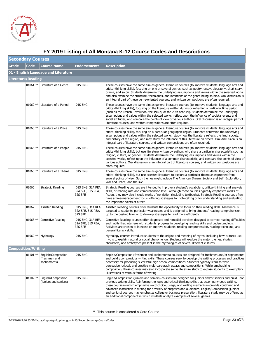

|       | FY 2019 Listing of All Montana K-12 Course Codes and Descriptions |                                                     |                                                   |                                                                                                                                                                                                                                                                                                                                                                                                                                                                                                                                                                                                                           |  |  |
|-------|-------------------------------------------------------------------|-----------------------------------------------------|---------------------------------------------------|---------------------------------------------------------------------------------------------------------------------------------------------------------------------------------------------------------------------------------------------------------------------------------------------------------------------------------------------------------------------------------------------------------------------------------------------------------------------------------------------------------------------------------------------------------------------------------------------------------------------------|--|--|
|       | <b>Secondary Courses</b>                                          |                                                     |                                                   |                                                                                                                                                                                                                                                                                                                                                                                                                                                                                                                                                                                                                           |  |  |
| Grade | Code                                                              | <b>Course Name</b>                                  | <b>Endorsements</b>                               | <b>Description</b>                                                                                                                                                                                                                                                                                                                                                                                                                                                                                                                                                                                                        |  |  |
|       |                                                                   | 01 - English Language and Literature                |                                                   |                                                                                                                                                                                                                                                                                                                                                                                                                                                                                                                                                                                                                           |  |  |
|       | <b>Literature/Reading</b>                                         |                                                     |                                                   |                                                                                                                                                                                                                                                                                                                                                                                                                                                                                                                                                                                                                           |  |  |
|       |                                                                   | 01061 ** Literature of a Genre                      | 01S ENG                                           | These courses have the same aim as general literature courses (to improve students' language arts and<br>critical-thinking skills), focusing on one or several genres, such as poetry, essay, biography, short story,<br>drama, and so on. Students determine the underlying assumptions and values within the selected works<br>and also examine the structure, techniques, and intentions of the genre being studied. Oral discussion is<br>an integral part of these genre-oriented courses, and written compositions are often required.                                                                              |  |  |
|       | $01062$ **                                                        | Literature of a Period                              | 01S ENG                                           | These courses have the same aim as general literature courses (to improve students' language arts and<br>critical-thinking skills), focusing on the literature written during or reflecting a particular time period<br>(such as the French Revolution, the 1960s, or the 20th century). Students determine the underlying<br>assumptions and values within the selected works, reflect upon the influence of societal events and<br>social attitudes, and compare the points of view of various authors. Oral discussion is an integral part of<br>literature courses, and written compositions are often required.      |  |  |
|       | $01063$ **                                                        | Literature of a Place                               | 01S ENG                                           | These courses have the same aim as general literature courses (to improve students' language arts and<br>critical-thinking skills), focusing on a particular geographic region. Students determine the underlying<br>assumptions and values within the selected works; study how the literature reflects the land, society,<br>and history of the region; and may study the influence of this literature on others. Oral discussion is an<br>integral part of literature courses, and written compositions are often required.                                                                                            |  |  |
|       | $01064$ **                                                        | Literature of a People                              | 01S ENG                                           | These courses have the same aim as general literature courses (to improve students' language arts and<br>critical-thinking skills), but use literature written by authors who share a particular characteristic such as<br>religion, culture, or gender. Students determine the underlying assumptions and values within the<br>selected works, reflect upon the influence of a common characteristic, and compare the points of view of<br>various authors. Oral discussion is an integral part of literature courses, and written compositions are<br>often required.                                                   |  |  |
|       | $01065$ **                                                        | Literature of a Theme                               | 01S ENG                                           | These courses have the same aim as general literature courses (to improve students' language arts and<br>critical-thinking skills), but use selected literature to explore a particular theme as expressed from<br>several points of view. Such themes might include The American Dream, Society and Self, Exploration,<br>War and Peace, and the like.                                                                                                                                                                                                                                                                   |  |  |
|       | 01066                                                             | Strategic Reading                                   | 01S ENG, 31A REA,<br>32A SPE, 31S REA,<br>32S SPE | Strategic Reading courses are intended to improve a student's vocabulary, critical-thinking and analysis<br>skills, or reading rate and comprehension level. Although these courses typically emphasize works of<br>fiction, they may also include works of nonfiction (including textbooks). Strategic Reading courses often<br>have a time-management focus, offering strategies for note-taking or for understanding and evaluating<br>the important points of a text.                                                                                                                                                 |  |  |
|       | 01067                                                             | Assisted Reading                                    | 01S ENG, 31A REA,<br>32A SPE, 31S REA,<br>32S SPE | Assisted Reading courses offer students the opportunity to focus on their reading skills. Assistance is<br>targeted to students' particular weaknesses and is designed to bring students' reading comprehension<br>up to the desired level or to develop strategies to read more efficiently.                                                                                                                                                                                                                                                                                                                             |  |  |
|       | $01068$ **                                                        | Corrective Reading                                  | 01S ENG, 31A REA,<br>32A SPE, 31S REA,<br>32S SPE | Corrective Reading courses offer diagnostic and remedial activities designed to correct reading difficulties<br>and habits that interfere with students' progress in developing reading skills and understandings.<br>Activities are chosen to increase or improve students' reading comprehension, reading technique, and<br>general literacy skills.                                                                                                                                                                                                                                                                    |  |  |
|       | $01069$ **                                                        | Mythology                                           | 01S ENG                                           | Mythology courses introduce students to the origins and meaning of myths, including how cultures use<br>myths to explain natural or social phenomenon. Students will explore the major themes, stories,<br>characters, and archetypes present in the mythologies of several different cultures.                                                                                                                                                                                                                                                                                                                           |  |  |
|       | <b>Composition/Writing</b>                                        |                                                     |                                                   |                                                                                                                                                                                                                                                                                                                                                                                                                                                                                                                                                                                                                           |  |  |
|       | $01101$ **                                                        | English/Composition<br>(freshmen and<br>sophomores) | 01S ENG                                           | English/Composition (freshmen and sophomores) courses are designed for freshmen and/or sophomores<br>and build upon previous writing skills. These courses seek to develop the writing processes and practices<br>necessary for producing successful high school compositions. Students typically learn to write<br>persuasive, critical, and creative multi-paragraph essays and compositions. While emphasizing<br>composition, these courses may also incorporate some literature study to expose students to exemplary<br>illustrations of various forms of writing.                                                  |  |  |
|       | $01102$ **                                                        | English/Composition<br>(juniors and seniors)        | 01S ENG                                           | English/Composition (juniors and seniors) courses are designed for juniors and/or seniors and build upon<br>previous writing skills. Reinforcing the logic and critical-thinking skills that accompany good writing,<br>these courses—which emphasize word choice, usage, and writing mechanics—provide continued and<br>advanced instruction in writing for a variety of purposes and audiences. English/Composition (juniors<br>and seniors) courses may emphasize college or business preparation; literature study may be offered as<br>an additional component in which students analyze examples of several genres. |  |  |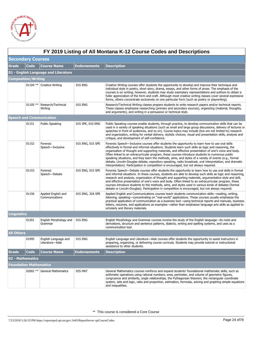

|                    | FY 2019 Listing of All Montana K-12 Course Codes and Descriptions |                                         |                     |                                                                                                                                                                                                                                                                                                                                                                                                                                                                                                                                                                                                                                                                                                                                     |  |  |  |  |
|--------------------|-------------------------------------------------------------------|-----------------------------------------|---------------------|-------------------------------------------------------------------------------------------------------------------------------------------------------------------------------------------------------------------------------------------------------------------------------------------------------------------------------------------------------------------------------------------------------------------------------------------------------------------------------------------------------------------------------------------------------------------------------------------------------------------------------------------------------------------------------------------------------------------------------------|--|--|--|--|
|                    | <b>Secondary Courses</b>                                          |                                         |                     |                                                                                                                                                                                                                                                                                                                                                                                                                                                                                                                                                                                                                                                                                                                                     |  |  |  |  |
| <b>Grade</b>       | <b>Code</b>                                                       | <b>Course Name</b>                      | <b>Endorsements</b> | <b>Description</b>                                                                                                                                                                                                                                                                                                                                                                                                                                                                                                                                                                                                                                                                                                                  |  |  |  |  |
|                    |                                                                   | 01 - English Language and Literature    |                     |                                                                                                                                                                                                                                                                                                                                                                                                                                                                                                                                                                                                                                                                                                                                     |  |  |  |  |
|                    | <b>Composition/Writing</b>                                        |                                         |                     |                                                                                                                                                                                                                                                                                                                                                                                                                                                                                                                                                                                                                                                                                                                                     |  |  |  |  |
|                    | $01104$ **                                                        | Creative Writing                        | 01S ENG             | Creative Writing courses offer students the opportunity to develop and improve their technique and<br>individual style in poetry, short story, drama, essays, and other forms of prose. The emphasis of the<br>courses is on writing; however, students may study exemplary representations and authors to obtain a<br>fuller appreciation of the form and craft. Although most creative writing classes cover several expressive<br>forms, others concentrate exclusively on one particular form (such as poetry or playwriting).                                                                                                                                                                                                  |  |  |  |  |
|                    | $01105$ **                                                        | Research/Technical<br>Writing           | 01S ENG             | Research/Technical Writing classes prepare students to write research papers and/or technical reports.<br>These classes emphasize researching (primary and secondary sources), organizing (material, thoughts,<br>and arguments), and writing in a persuasive or technical style.                                                                                                                                                                                                                                                                                                                                                                                                                                                   |  |  |  |  |
|                    |                                                                   | <b>Speech and Communication</b>         |                     |                                                                                                                                                                                                                                                                                                                                                                                                                                                                                                                                                                                                                                                                                                                                     |  |  |  |  |
|                    | 01151                                                             | <b>Public Speaking</b>                  | 01S SPE, 01S ENG    | Public Speaking courses enable students, through practice, to develop communication skills that can be<br>used in a variety of speaking situations (such as small and large group discussions, delivery of lectures or<br>speeches in front of audiences, and so on). Course topics may include (but are not limited to) research<br>and organization, writing for verbal delivery, stylistic choices, visual and presentation skills, analysis and<br>critique, and development of self-confidence.                                                                                                                                                                                                                                |  |  |  |  |
|                    | 01152                                                             | Forensic<br>Speech-Inclusive            | 01S ENG, 01S SPE    | Forensic Speech-Inclusive courses offer students the opportunity to learn how to use oral skills<br>effectively in formal and informal situations. Students learn such skills as logic and reasoning, the<br>organization of thought and supporting materials, and effective presentation of one's voice and body.<br>Often linked to an extracurricular program, these courses introduce students to numerous public<br>speaking situations, and they learn the methods, aims, and styles of a variety of events (e.g., formal<br>debate, Lincoln-Douglas debate, expository speaking, radio broadcast, oral interpretation, and dramatic<br>interpretation). Participation in competition is encouraged, but not always required. |  |  |  |  |
|                    | 01153                                                             | Forensic<br>Speech-Debate               | 01S ENG, 01S SPE    | Forensic Speech—Debate courses offer students the opportunity to learn how to use oral skills in formal<br>and informal situations. In these courses, students are able to develop such skills as logic and reasoning,<br>research and analysis, organization of thought and supporting materials, argumentative style and skill,<br>and effective presentation of one's voice and body. Often linked to an extracurricular program, these<br>courses introduce students to the methods, aims, and styles used in various kinds of debates (formal<br>debate or Lincoln-Douglas). Participation in competition is encouraged, but not always required.                                                                              |  |  |  |  |
|                    | 01156                                                             | Applied English and<br>Communications   | 01S ENG, 32A SPE    | Applied English and Communications courses teach students communication skills—reading, writing,<br>listening, speaking—concentrating on "real-world" applications. These courses usually emphasize the<br>practical application of communication as a business tool—using technical reports and manuals, business<br>letters, resumes, and applications as examples—rather than emphasize language arts skills as applied to<br>scholarly and literary materials.                                                                                                                                                                                                                                                                  |  |  |  |  |
| <b>Linguistics</b> |                                                                   |                                         |                     |                                                                                                                                                                                                                                                                                                                                                                                                                                                                                                                                                                                                                                                                                                                                     |  |  |  |  |
|                    | 01201                                                             | English Morphology and<br>Grammar       | 01S ENG             | English Morphology and Grammar courses involve the study of the English language—its roots and<br>derivations, structure and sentence patterns, dialects, writing and spelling systems, and uses as a<br>communication tool.                                                                                                                                                                                                                                                                                                                                                                                                                                                                                                        |  |  |  |  |
| <b>All Others</b>  |                                                                   |                                         |                     |                                                                                                                                                                                                                                                                                                                                                                                                                                                                                                                                                                                                                                                                                                                                     |  |  |  |  |
|                    | 01995                                                             | English Language and<br>Literature-Aide | 01S ENG             | English Language and Literature—Aide courses offer students the opportunity to assist instructors in<br>preparing, organizing, or delivering course curricula. Students may provide tutorial or instructional<br>assistance to other students.                                                                                                                                                                                                                                                                                                                                                                                                                                                                                      |  |  |  |  |
| <b>Grade</b>       | <b>Code</b>                                                       | <b>Course Name</b>                      | <b>Endorsements</b> | <b>Description</b>                                                                                                                                                                                                                                                                                                                                                                                                                                                                                                                                                                                                                                                                                                                  |  |  |  |  |
|                    | 02 - Mathematics                                                  |                                         |                     |                                                                                                                                                                                                                                                                                                                                                                                                                                                                                                                                                                                                                                                                                                                                     |  |  |  |  |
|                    | Foundation Mathematics                                            |                                         |                     |                                                                                                                                                                                                                                                                                                                                                                                                                                                                                                                                                                                                                                                                                                                                     |  |  |  |  |
|                    |                                                                   | 02002 ** General Mathematics            | 02S MAT             | General Mathematics courses reinforce and expand students' foundational mathematic skills, such as<br>arithmetic operations using rational numbers; area, perimeter, and volume of geometric figures,<br>congruence and similarity, angle relationships, the Pythagorean theorem, the rectangular coordinate<br>system, sets and logic, ratio and proportion, estimation, formulas, solving and graphing simple equations<br>and inequalities.                                                                                                                                                                                                                                                                                      |  |  |  |  |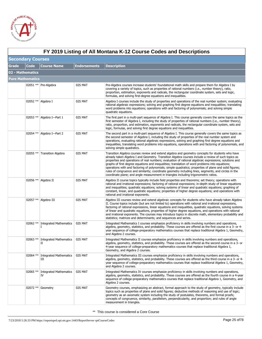

|              | FY 2019 Listing of All Montana K-12 Course Codes and Descriptions |                                      |                     |                                                                                                                                                                                                                                                                                                                                                                                                                                                                                                                                                                                                                                                                                                                                  |  |  |
|--------------|-------------------------------------------------------------------|--------------------------------------|---------------------|----------------------------------------------------------------------------------------------------------------------------------------------------------------------------------------------------------------------------------------------------------------------------------------------------------------------------------------------------------------------------------------------------------------------------------------------------------------------------------------------------------------------------------------------------------------------------------------------------------------------------------------------------------------------------------------------------------------------------------|--|--|
|              | <b>Secondary Courses</b>                                          |                                      |                     |                                                                                                                                                                                                                                                                                                                                                                                                                                                                                                                                                                                                                                                                                                                                  |  |  |
| <b>Grade</b> | <b>Code</b>                                                       | <b>Course Name</b>                   | <b>Endorsements</b> | <b>Description</b>                                                                                                                                                                                                                                                                                                                                                                                                                                                                                                                                                                                                                                                                                                               |  |  |
|              | 02 - Mathematics                                                  |                                      |                     |                                                                                                                                                                                                                                                                                                                                                                                                                                                                                                                                                                                                                                                                                                                                  |  |  |
|              | <b>Pure Mathematics</b>                                           |                                      |                     |                                                                                                                                                                                                                                                                                                                                                                                                                                                                                                                                                                                                                                                                                                                                  |  |  |
|              |                                                                   | 02051 ** Pre-Algebra                 | 02S MAT             | Pre-Algebra courses increase students' foundational math skills and prepare them for Algebra I by<br>covering a variety of topics, such as properties of rational numbers (i.e., number theory), ratio,<br>proportion, estimation, exponents and radicals, the rectangular coordinate system, sets and logic,<br>formulas, and solving first-degree equations and inequalities.                                                                                                                                                                                                                                                                                                                                                  |  |  |
|              |                                                                   | 02052 ** Algebra I                   | 02S MAT             | Algebra I courses include the study of properties and operations of the real number system; evaluating<br>rational algebraic expressions; solving and graphing first degree equations and inequalities; translating<br>word problems into equations; operations with and factoring of polynomials; and solving simple<br>quadratic equations.                                                                                                                                                                                                                                                                                                                                                                                    |  |  |
|              | 02053 **                                                          | Algebra I-Part 1                     | 02S MAT             | The first part in a multi-part sequence of Algebra I. This course generally covers the same topics as the<br>first semester of Algebra I, including the study of properties of rational numbers (i.e., number theory),<br>ratio, proportion, and estimation, exponents and radicals, the rectangular coordinate system, sets and<br>logic, formulas, and solving first degree equations and inequalities.                                                                                                                                                                                                                                                                                                                        |  |  |
|              |                                                                   | 02054 ** Algebra I-Part 2            | 02S MAT             | The second part in a multi-part sequence of Algebra I. This course generally covers the same topics as<br>the second semester of Algebra I, including the study of properties of the real number system and<br>operations, evaluating rational algebraic expressions, solving and graphing first degree equations and<br>inequalities, translating word problems into equations, operations with and factoring of polynomials, and<br>solving simple quadratics.                                                                                                                                                                                                                                                                 |  |  |
|              | 02055 **                                                          | <b>Transition Algebra</b>            | 02S MAT             | Transition Algebra courses review and extend algebra and geometry concepts for students who have<br>already taken Algebra I and Geometry. Transition Algebra courses include a review of such topics as<br>properties and operations of real numbers; evaluation of rational algebraic expressions; solutions and<br>graphs of first degree equations and inequalities; translation of word problems into equations;<br>operations with and factoring of polynomials; simple quadratics; properties of plane and solid figures;<br>rules of congruence and similarity; coordinate geometry including lines, segments, and circles in the<br>coordinate plane; and angle measurement in triangles including trigonometric ratios. |  |  |
|              |                                                                   | 02056 ** Algebra II                  | 02S MAT             | Algebra II course topics typically include field properties and theorems; set theory; operations with<br>rational and irrational expressions; factoring of rational expressions; in-depth study of linear equations<br>and inequalities; quadratic equations; solving systems of linear and quadratic equations; graphing of<br>constant, linear, and quadratic equations; properties of higher degree equations; and operations with<br>rational and irrational exponents.                                                                                                                                                                                                                                                      |  |  |
|              |                                                                   | 02057 ** Algebra III                 | 02S MAT             | Algebra III courses review and extend algebraic concepts for students who have already taken Algebra<br>II. Course topics include (but are not limited to) operations with rational and irrational expressions,<br>factoring of rational expressions, linear equations and inequalities, quadratic equations, solving systems<br>of linear and quadratic equations, properties of higher degree equations, and operations with rational<br>and irrational exponents. The courses may introduce topics in discrete math, elementary probability and<br>statistics; matrices and determinants; and sequences and series.                                                                                                           |  |  |
|              |                                                                   | 02062 ** Integrated Mathematics<br>I | 02S MAT             | Integrated Mathematics I courses emphasize proficiency in skills involving numbers and operations,<br>algebra, geometry, statistics, and probability. These courses are offered as the first course in a 3- or 4-<br>year sequence of college-preparatory mathematics courses that replace traditional Algebra 1, Geometry,<br>and Algebra 2 courses.                                                                                                                                                                                                                                                                                                                                                                            |  |  |
|              |                                                                   | 02063 ** Integrated Mathematics<br>П | 02S MAT             | Integrated Mathematics II courses emphasize proficiency in skills involving numbers and operations,<br>algebra, geometry, statistics, and probability. These courses are offered as the second course in a 3- or<br>4-year sequence of college-preparatory mathematics courses that replace traditional Algebra 1,<br>Geometry, and Algebra 2 courses.                                                                                                                                                                                                                                                                                                                                                                           |  |  |
|              | 02064 **                                                          | <b>Integrated Mathematics</b><br>Ш   | 02S MAT             | Integrated Mathematics III courses emphasize proficiency in skills involving numbers and operations,<br>algebra, geometry, statistics, and probability. These courses are offered as the third course in a 3- or 4-<br>year sequence of college-preparatory mathematics courses that replace traditional Algebra 1, Geometry,<br>and Algebra 2 courses.                                                                                                                                                                                                                                                                                                                                                                          |  |  |
|              | 02065 **                                                          | <b>Integrated Mathematics</b><br>IV  | 02S MAT             | Integrated Mathematics IV courses emphasize proficiency in skills involving numbers and operations,<br>algebra, geometry, statistics, and probability. These courses are offered as the fourth course in a 4-year<br>sequence of college-preparatory mathematics courses that replace traditional Algebra 1, Geometry, and<br>Algebra 2 courses.                                                                                                                                                                                                                                                                                                                                                                                 |  |  |
|              |                                                                   | 02072 ** Geometry                    | 02S MAT             | Geometry courses, emphasizing an abstract, formal approach to the study of geometry, typically include<br>topics such as properties of plane and solid figures; deductive methods of reasoning and use of logic;<br>geometry as an axiomatic system including the study of postulates, theorems, and formal proofs;<br>concepts of congruence, similarity, parallelism, perpendicularity, and proportion; and rules of angle<br>measurement in triangles.                                                                                                                                                                                                                                                                        |  |  |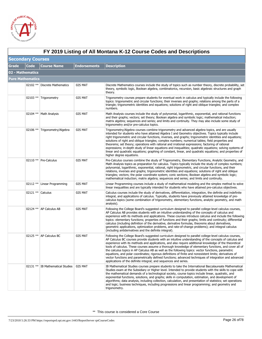

|              | FY 2019 Listing of All Montana K-12 Course Codes and Descriptions |                                  |                     |                                                                                                                                                                                                                                                                                                                                                                                                                                                                                                                                                                                                                                                                                                                                                                                                                                        |  |  |  |  |
|--------------|-------------------------------------------------------------------|----------------------------------|---------------------|----------------------------------------------------------------------------------------------------------------------------------------------------------------------------------------------------------------------------------------------------------------------------------------------------------------------------------------------------------------------------------------------------------------------------------------------------------------------------------------------------------------------------------------------------------------------------------------------------------------------------------------------------------------------------------------------------------------------------------------------------------------------------------------------------------------------------------------|--|--|--|--|
|              | <b>Secondary Courses</b>                                          |                                  |                     |                                                                                                                                                                                                                                                                                                                                                                                                                                                                                                                                                                                                                                                                                                                                                                                                                                        |  |  |  |  |
| <b>Grade</b> | <b>Code</b>                                                       | <b>Course Name</b>               | <b>Endorsements</b> | <b>Description</b>                                                                                                                                                                                                                                                                                                                                                                                                                                                                                                                                                                                                                                                                                                                                                                                                                     |  |  |  |  |
|              | 02 - Mathematics                                                  |                                  |                     |                                                                                                                                                                                                                                                                                                                                                                                                                                                                                                                                                                                                                                                                                                                                                                                                                                        |  |  |  |  |
|              | <b>Pure Mathematics</b>                                           |                                  |                     |                                                                                                                                                                                                                                                                                                                                                                                                                                                                                                                                                                                                                                                                                                                                                                                                                                        |  |  |  |  |
|              |                                                                   | 02102 ** Discrete Mathematics    | 02S MAT             | Discrete Mathematics courses include the study of topics such as number theory, discrete probability, set<br>theory, symbolic logic, Boolean algebra, combinatorics, recursion, basic algebraic structures and graph<br>theory.                                                                                                                                                                                                                                                                                                                                                                                                                                                                                                                                                                                                        |  |  |  |  |
|              |                                                                   | 02103 ** Trigonometry            | 02S MAT             | Trigonometry courses prepare students for eventual work in calculus and typically include the following<br>topics: trigonometric and circular functions; their inverses and graphs; relations among the parts of a<br>triangle; trigonometric identities and equations; solutions of right and oblique triangles; and complex<br>numbers.                                                                                                                                                                                                                                                                                                                                                                                                                                                                                              |  |  |  |  |
|              |                                                                   | 02104 **   Math Analysis         | 02S MAT             | Math Analysis courses include the study of polynomial, logarithmic, exponential, and rational functions<br>and their graphs; vectors; set theory; Boolean algebra and symbolic logic; mathematical induction;<br>matrix algebra; sequences and series; and limits and continuity. They may also include some study of<br>trigonometry and/or pre-calculus topics.                                                                                                                                                                                                                                                                                                                                                                                                                                                                      |  |  |  |  |
|              | 02106 **                                                          | Trigonometry/Algebra             | 02S MAT             | Trigonometry/Algebra courses combine trigonometry and advanced algebra topics, and are usually<br>intended for students who have attained Algebra I and Geometry objectives. Topics typically include<br>right trigonometric and circular functions, inverses, and graphs; trigonometric identities and equations;<br>solutions of right and oblique triangles; complex numbers; numerical tables; field properties and<br>theorems; set theory; operations with rational and irrational expressions; factoring of rational<br>expressions; in-depth study of linear equations and inequalities; quadratic equations; solving systems of<br>linear and quadratic equations; graphing of constant, linear, and quadratic equations; and properties of<br>higher degree equations.                                                       |  |  |  |  |
|              |                                                                   | 02110 ** Pre-Calculus            | 02S MAT             | Pre-Calculus courses combine the study of Trigonometry, Elementary Functions, Analytic Geometry, and<br>Math Analysis topics as preparation for calculus. Topics typically include the study of complex numbers;<br>polynomial, logarithmic, exponential, rational, right trigonometric, and circular functions, and their<br>relations, inverses and graphs; trigonometric identities and equations; solutions of right and oblique<br>triangles; vectors; the polar coordinate system; conic sections; Boolean algebra and symbolic logic;<br>mathematical induction; matrix algebra; sequences and series; and limits and continuity.                                                                                                                                                                                               |  |  |  |  |
|              | $02112**$                                                         | Linear Programming               | 02S MAT             | Linear Programming courses include a study of mathematical modeling and the simplex method to solve<br>linear inequalities and are typically intended for students who have attained pre-calculus objectives.                                                                                                                                                                                                                                                                                                                                                                                                                                                                                                                                                                                                                          |  |  |  |  |
|              | 02121 ** Calculus                                                 |                                  | 02S MAT             | Calculus courses include the study of derivatives, differentiation, integration, the definite and indefinite<br>integral, and applications of calculus. Typically, students have previously attained knowledge of pre-<br>calculus topics (some combination of trigonometry, elementary functions, analytic geometry, and math<br>analysis).                                                                                                                                                                                                                                                                                                                                                                                                                                                                                           |  |  |  |  |
|              |                                                                   | 02124 **   AP Calculus AB        | 02S MAT             | Following the College Board's suggested curriculum designed to parallel college-level calculus courses,<br>AP Calculus AB provides students with an intuitive understanding of the concepts of calculus and<br>experience with its methods and applications. These courses introduce calculus and include the following<br>topics: elementary functions; properties of functions and their graphs; limits and continuity; differential<br>calculus (including definition of the derivative, derivative formulas, theorems about derivatives,<br>geometric applications, optimization problems, and rate-of-change problems); and integral calculus<br>(including antiderivatives and the definite integral).                                                                                                                           |  |  |  |  |
|              |                                                                   | 02125 ** AP Calculus BC          | 02S MAT             | Following the College Board's suggested curriculum designed to parallel college-level calculus courses,<br>AP Calculus BC courses provide students with an intuitive understanding of the concepts of calculus and<br>experience with its methods and applications, and also require additional knowledge of the theoretical<br>tools of calculus. These courses assume a thorough knowledge of elementary functions, and cover all of<br>the calculus topics in AP Calculus AB as well as the following topics: vector functions, parametric<br>equations, and polar coordinates; rigorous definitions of finite and nonexistent limits; derivatives of<br>vector functions and parametrically defined functions; advanced techniques of integration and advanced<br>applications of the definite integral; and sequences and series. |  |  |  |  |
|              |                                                                   | 02131 ** IB Mathematical Studies | 02S MAT             | IB Mathematical Studies courses prepare students to take the International Baccalaureate Mathematical<br>Studies exam at the Subsidiary or Higher level. Intended to provide students with the skills to cope with<br>the mathematical demands of a technological society, course topics include linear, quadratic, and<br>exponential functions, solutions, and graphs; skills in computation, estimation, and development of<br>algorithms; data analysis, including collection, calculation, and presentation of statistics; set operations<br>and logic; business techniques, including progressions and linear programming; and geometry and<br>trigonometry.                                                                                                                                                                     |  |  |  |  |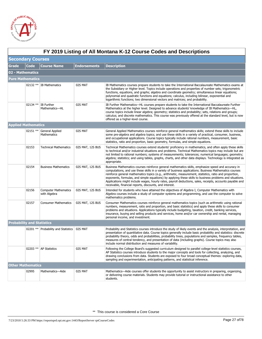

|       | FY 2019 Listing of All Montana K-12 Course Codes and Descriptions |                                             |                     |                                                                                                                                                                                                                                                                                                                                                                                                                                                                                                                                                                                                            |  |  |  |
|-------|-------------------------------------------------------------------|---------------------------------------------|---------------------|------------------------------------------------------------------------------------------------------------------------------------------------------------------------------------------------------------------------------------------------------------------------------------------------------------------------------------------------------------------------------------------------------------------------------------------------------------------------------------------------------------------------------------------------------------------------------------------------------------|--|--|--|
|       | <b>Secondary Courses</b>                                          |                                             |                     |                                                                                                                                                                                                                                                                                                                                                                                                                                                                                                                                                                                                            |  |  |  |
| Grade | Code                                                              | <b>Course Name</b>                          | <b>Endorsements</b> | <b>Description</b>                                                                                                                                                                                                                                                                                                                                                                                                                                                                                                                                                                                         |  |  |  |
|       | 02 - Mathematics                                                  |                                             |                     |                                                                                                                                                                                                                                                                                                                                                                                                                                                                                                                                                                                                            |  |  |  |
|       | <b>Pure Mathematics</b>                                           |                                             |                     |                                                                                                                                                                                                                                                                                                                                                                                                                                                                                                                                                                                                            |  |  |  |
|       |                                                                   | 02132 ** IB Mathematics                     | 02S MAT             | IB Mathematics courses prepare students to take the International Baccalaureate Mathematics exams at<br>the Subsidiary or Higher level. Topics include operations and properties of number sets; trigonometric<br>functions, equations, and graphs; algebra and coordinate geometry; simultaneous linear equations;<br>polynomial and quadratic functions and equations; calculus, including bilinear, exponential and<br>logarithmic functions; two dimensional vectors and matrices; and probability.                                                                                                    |  |  |  |
|       | 02134 **                                                          | IB Further<br>Mathematics-HL                | 02S MAT             | IB Further Mathematics-HL courses prepare students to take the International Baccalaureate Further<br>Mathematics at the higher level. Designed to advance students' knowledge of IB Mathematics-HL,<br>course topics include linear algebra; geometry; statistics and probability; sets, relations and groups;<br>calculus; and discrete mathematics. This course was previously offered at the standard level, but is now<br>offered as a higher-level course.                                                                                                                                           |  |  |  |
|       | <b>Applied Mathematics</b>                                        |                                             |                     |                                                                                                                                                                                                                                                                                                                                                                                                                                                                                                                                                                                                            |  |  |  |
|       | 02151 **                                                          | General Applied<br>Mathematics              | 02S MAT             | General Applied Mathematics courses reinforce general mathematics skills; extend these skills to include<br>some pre-algebra and algebra topics; and use these skills in a variety of practical, consumer, business,<br>and occupational applications. Course topics typically include rational numbers, measurement, basic<br>statistics, ratio and proportion, basic geometry, formulas, and simple equations.                                                                                                                                                                                           |  |  |  |
|       | 02153                                                             | <b>Technical Mathematics</b>                | 02S MAT, 12S BUS    | Technical Mathematics courses extend students' proficiency in mathematics, and often apply these skills<br>to technical and/or industrial situations and problems. Technical Mathematics topics may include but are<br>not limited to rational numbers; systems of measurements; tolerances; numerical languages; geometry;<br>algebra; statistics; and using tables, graphs, charts, and other data displays. Technology is integrated as<br>appropriate.                                                                                                                                                 |  |  |  |
|       | 02154                                                             | <b>Business Mathematics</b>                 | 02S MAT, 12S BUS    | Business Mathematics courses reinforce general mathematics skills, emphasize speed and accuracy in<br>computations, and use these skills in a variety of business applications. Business Mathematics courses<br>reinforce general mathematics topics (e.g., arithmetic, measurement, statistics, ratio and proportion,<br>exponents, formulas, and simple equations) by applying these skills to business problems and situations.<br>Applications might include wages, hourly rates, payroll deductions, sales, receipts, accounts payable and<br>receivable, financial reports, discounts, and interest. |  |  |  |
|       | 02156                                                             | <b>Computer Mathematics</b><br>with Algebra | 02S MAT, 12S BUS    | Intended for students who have attained the objectives of Algebra I, Computer Mathematics with<br>Algebra courses include a study of computer systems and programming, and use the computer to solve<br>mathematics problems.                                                                                                                                                                                                                                                                                                                                                                              |  |  |  |
|       | 02157                                                             | <b>Consumer Mathematics</b>                 | 02S MAT, 12S BUS    | Consumer Mathematics courses reinforce general mathematics topics (such as arithmetic using rational<br>numbers, measurement, ratio and proportion, and basic statistics) and apply these skills to consumer<br>problems and situations. Applications typically include budgeting, taxation, credit, banking services,<br>insurance, buying and selling products and services, home and/or car ownership and rental, managing<br>personal income, and investment.                                                                                                                                          |  |  |  |
|       | <b>Probability and Statistics</b>                                 |                                             |                     |                                                                                                                                                                                                                                                                                                                                                                                                                                                                                                                                                                                                            |  |  |  |
|       |                                                                   | 02201 ** Probability and Statistics         | 02S MAT             | Probability and Statistics courses introduce the study of likely events and the analysis, interpretation, and<br>presentation of quantitative data. Course topics generally include basic probability and statistics: discrete<br>probability theory, odds and probabilities, probability trees, populations and samples, frequency tables,<br>measures of central tendency, and presentation of data (including graphs). Course topics may also<br>include normal distribution and measures of variability.                                                                                               |  |  |  |
|       |                                                                   | 02203 ** AP Statistics                      | 02S MAT             | Following the College Board's suggested curriculum designed to parallel college-level statistics courses,<br>AP Statistics courses introduce students to the major concepts and tools for collecting, analyzing, and<br>drawing conclusions from data. Students are exposed to four broad conceptual themes: exploring data,<br>sampling and experimentation, anticipating patterns, and statistical inference.                                                                                                                                                                                            |  |  |  |
|       | <b>Other Mathematics</b>                                          |                                             |                     |                                                                                                                                                                                                                                                                                                                                                                                                                                                                                                                                                                                                            |  |  |  |
|       | 02995                                                             | Mathematics-Aide                            | 02S MAT             | Mathematics—Aide courses offer students the opportunity to assist instructors in preparing, organizing,<br>or delivering course materials. Students may provide tutorial or instructional assistance to other<br>students.                                                                                                                                                                                                                                                                                                                                                                                 |  |  |  |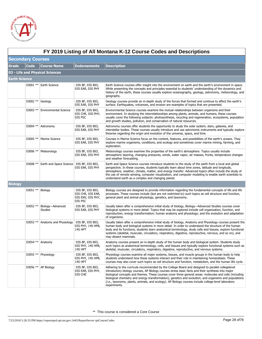

 $\Gamma$ 

|                      | FY 2019 Listing of All Montana K-12 Course Codes and Descriptions |                                    |                                                                       |                                                                                                                                                                                                                                                                                                                                                                                                                                                                                                                                                    |  |  |
|----------------------|-------------------------------------------------------------------|------------------------------------|-----------------------------------------------------------------------|----------------------------------------------------------------------------------------------------------------------------------------------------------------------------------------------------------------------------------------------------------------------------------------------------------------------------------------------------------------------------------------------------------------------------------------------------------------------------------------------------------------------------------------------------|--|--|
|                      | <b>Secondary Courses</b>                                          |                                    |                                                                       |                                                                                                                                                                                                                                                                                                                                                                                                                                                                                                                                                    |  |  |
| <b>Grade</b>         | <b>Code</b>                                                       | <b>Course Name</b>                 | <b>Endorsements</b>                                                   | Description                                                                                                                                                                                                                                                                                                                                                                                                                                                                                                                                        |  |  |
|                      |                                                                   | 03 - Life and Physical Sciences    |                                                                       |                                                                                                                                                                                                                                                                                                                                                                                                                                                                                                                                                    |  |  |
| <b>Earth Science</b> |                                                                   |                                    |                                                                       |                                                                                                                                                                                                                                                                                                                                                                                                                                                                                                                                                    |  |  |
|                      |                                                                   | 03001 ** Earth Science             | 03S BF, 03S BIO,<br>03S EAR, 03S PHY                                  | Earth Science courses offer insight into the environment on earth and the earth's environment in space.<br>While presenting the concepts and principles essential to students' understanding of the dynamics and<br>history of the earth, these courses usually explore oceanography, geology, astronomy, meteorology, and<br>geography.                                                                                                                                                                                                           |  |  |
|                      | 03002 **                                                          | Geology                            | 03S BF, 03S BIO,<br>03S EAR, 03S PHY                                  | Geology courses provide an in-depth study of the forces that formed and continue to affect the earth's<br>surface. Earthquakes, volcanoes, and erosion are examples of topics that are presented.                                                                                                                                                                                                                                                                                                                                                  |  |  |
|                      | $03003$ **                                                        | <b>Environmental Science</b>       | 03S BF, 03S BIO,<br>03S CHE, 03S PHY,<br>03S PSC                      | Environmental Science courses examine the mutual relationships between organisms and their<br>environment. In studying the interrelationships among plants, animals, and humans, these courses<br>usually cover the following subjects: photosynthesis, recycling and regeneration, ecosystems, population<br>and growth studies, pollution, and conservation of natural resources.                                                                                                                                                                |  |  |
|                      | 03004 **                                                          | Astronomy                          | 03S BF, 03S BIO,<br>03S EAR, 03S PHY                                  | Astronomy courses offer students the opportunity to study the solar system, stars, galaxies, and<br>interstellar bodies. These courses usually introduce and use astronomic instruments and typically explore<br>theories regarding the origin and evolution of the universe, space, and time.                                                                                                                                                                                                                                                     |  |  |
|                      | 03005 **                                                          | Marine Science                     | 03S BF, 03S BIO,<br>03S EAR, 03S PHY                                  | Courses in Marine Science focus on the content, features, and possibilities of the earth's oceans. They<br>explore marine organisms, conditions, and ecology and sometimes cover marine mining, farming, and<br>exploration.                                                                                                                                                                                                                                                                                                                       |  |  |
|                      |                                                                   | 03006 **   Meteorology             | 03S BF, 03S BIO,<br>03S EAR, 03S PHY                                  | Meteorology courses examine the properties of the earth's atmosphere. Topics usually include<br>atmospheric layering, changing pressures, winds, water vapor, air masses, fronts, temperature changes<br>and weather forecasting.                                                                                                                                                                                                                                                                                                                  |  |  |
|                      | 03008 **                                                          | Earth and Space Science            | 03S BF, 03S BIO,<br>03S EAR, 03S PHY                                  | Earth and Space Science courses introduce students to the study of the earth from a local and global<br>perspective. In these courses, students typically learn about time zones, latitude and longitude,<br>atmosphere, weather, climate, matter, and energy transfer. Advanced topics often include the study of<br>the use of remote sensing, computer visualization, and computer modeling to enable earth scientists to<br>understand earth as a complex and changing planet.                                                                 |  |  |
| <b>Biology</b>       |                                                                   |                                    |                                                                       |                                                                                                                                                                                                                                                                                                                                                                                                                                                                                                                                                    |  |  |
|                      | 03051 ** Biology                                                  |                                    | 03S BF, 03S BIO,<br>03S CHE, 03S EAR,<br>03S ENV, 03S PHY,<br>03S PSC | Biology courses are designed to provide information regarding the fundamental concepts of life and life<br>processes. These courses include (but are not restricted to) such topics as cell structure and function,<br>general plant and animal physiology, genetics, and taxonomy.                                                                                                                                                                                                                                                                |  |  |
|                      | 03052 **                                                          | Biology-Advanced<br><b>Studies</b> | 03S BF, 03S BIO,<br>03S EAR, 03S PHY                                  | Usually taken after a comprehensive initial study of biology, Biology—Advanced Studies courses cover<br>biological systems in more detail. Topics that may be explored include cell organization, function, and<br>reproduction; energy transformation; human anatomy and physiology; and the evolution and adaptation<br>of organisms.                                                                                                                                                                                                            |  |  |
|                      |                                                                   | 03053 ** Anatomy and Physiology    | 03S BF, 03S BIO,<br>03S PHY, 14S HPB,<br>14S HPT                      | Usually taken after a comprehensive initial study of biology, Anatomy and Physiology courses present the<br>human body and biological systems in more detail. In order to understand the structure of the human<br>body and its functions, students learn anatomical terminology, study cells and tissues, explore functional<br>systems (skeletal, muscular, circulatory, respiratory, digestive, reproductive, nervous, and so on), and<br>may dissect mammals.                                                                                  |  |  |
|                      |                                                                   | 03054 ** Anatomy                   | 03S BF, 03S BIO,<br>03S PHY, 14S HPB,<br>14S HPT                      | Anatomy courses present an in-depth study of the human body and biological system. Students study<br>such topics as anatomical terminology, cells, and tissues and typically explore functional systems such as<br>skeletal, muscular, circulatory, respiratory, digestive, reproductive, and nervous systems.                                                                                                                                                                                                                                     |  |  |
|                      |                                                                   | 03055 ** Physiology                | 03S BF, 03S BIO,<br>03S PHY, 14S HPB,<br>14S HPT                      | Physiology courses examine all major systems, tissues, and muscle groups in the human body to help<br>students understand how these systems interact and their role in maintaining homeostasis. These<br>courses may also cover such topics as cell structure and function, metabolism, and the human life cycle.                                                                                                                                                                                                                                  |  |  |
|                      |                                                                   | 03056 ** $AP$ Biology              | 03S BF, 03S BIO,<br>03S EAR, 03S PHY,<br>03S CHE                      | Adhering to the curricula recommended by the College Board and designed to parallel collegelevel<br>introductory biology courses, AP Biology courses stress basic facts and their synthesis into major<br>biological concepts and themes. These courses cover three general areas: molecules and cells (including<br>biological chemistry and energy transformation); genetics and evolution; and organisms and populations<br>(i.e., taxonomy, plants, animals, and ecology). AP Biology courses include college-level laboratory<br>experiments. |  |  |

### **FY 2019 Listing of All Montana K-12 Course Codes and Descriptions**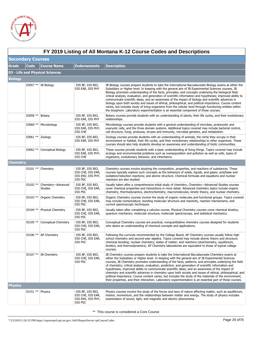

|                | FY 2019 Listing of All Montana K-12 Course Codes and Descriptions |                                      |                                                                       |                                                                                                                                                                                                                                                                                                                                                                                                                                                                                                                                                                                                                                                                                                                                                                                                                                                                        |  |  |
|----------------|-------------------------------------------------------------------|--------------------------------------|-----------------------------------------------------------------------|------------------------------------------------------------------------------------------------------------------------------------------------------------------------------------------------------------------------------------------------------------------------------------------------------------------------------------------------------------------------------------------------------------------------------------------------------------------------------------------------------------------------------------------------------------------------------------------------------------------------------------------------------------------------------------------------------------------------------------------------------------------------------------------------------------------------------------------------------------------------|--|--|
|                | <b>Secondary Courses</b>                                          |                                      |                                                                       |                                                                                                                                                                                                                                                                                                                                                                                                                                                                                                                                                                                                                                                                                                                                                                                                                                                                        |  |  |
| Grade          | <b>Code</b>                                                       | <b>Course Name</b>                   | <b>Endorsements</b>                                                   | <b>Description</b>                                                                                                                                                                                                                                                                                                                                                                                                                                                                                                                                                                                                                                                                                                                                                                                                                                                     |  |  |
|                |                                                                   | 03 - Life and Physical Sciences      |                                                                       |                                                                                                                                                                                                                                                                                                                                                                                                                                                                                                                                                                                                                                                                                                                                                                                                                                                                        |  |  |
| <b>Biology</b> |                                                                   |                                      |                                                                       |                                                                                                                                                                                                                                                                                                                                                                                                                                                                                                                                                                                                                                                                                                                                                                                                                                                                        |  |  |
|                |                                                                   | 03057 **   IB Biology                | 03S BF, 03S BIO,<br>03S EAR, 03S PHY                                  | IB Biology courses prepare students to take the International Baccalaureate Biology exams at either the<br>Subsidiary or Higher level. In keeping with the general aim of IB Experimental Sciences courses, IB<br>Biology promotes understanding of the facts, principles, and concepts underlying the biological field;<br>critical analysis, evaluation, and generation of scientific information and hypotheses; improved ability to<br>communicate scientific ideas; and an awareness of the impact of biology and scientific advances in<br>biology upon both society and issues of ethical, philosophical, and political importance. Course content<br>varies, but includes study of living organisms from the cellular level through functioning entities within<br>the biosphere. Laboratory experimentation is an essential component of these courses.       |  |  |
|                | 03058 ** Botany                                                   |                                      | 03S BF, 03S BIO,<br>03S EAR, 03S PHY                                  | Botany courses provide students with an understanding of plants, their life cycles, and their evolutionary<br>relationships.                                                                                                                                                                                                                                                                                                                                                                                                                                                                                                                                                                                                                                                                                                                                           |  |  |
|                |                                                                   | 03060 ** Microbiology                | 03S BF, 03S BIO,<br>03S EAR, 03S PHY,<br>03S CHE                      | Microbiology courses provide students with a general understanding of microbes, prokaryotic and<br>euaryotic cells, and the three domain systems. Additional topics covered may include bacterial control,<br>cell structure, fungi, protozoa, viruses and immunity, microbial genetics, and metabolism.                                                                                                                                                                                                                                                                                                                                                                                                                                                                                                                                                               |  |  |
|                | 03061 ** Zoology                                                  |                                      | 03S BF, 03S BIO,<br>03S EAR, 03S PHY                                  | Zoology courses provide students with an understanding of animals, the niche they occupy in their<br>environment or habitat, their life cycles, and their evolutionary relationships to other organisms. These<br>courses should also help students develop an awareness and understanding of biotic communities.                                                                                                                                                                                                                                                                                                                                                                                                                                                                                                                                                      |  |  |
|                |                                                                   | 03062 ** Conceptual Biology          | 03S BF, 03S BIO,<br>03S EAR, 03S PHY,<br>03S CHE                      | These courses provide students with a basic understanding of living things. Topics covered may include<br>ecology and environmental problems such as overpopulation and pollution as well as cells, types of<br>organisms, evolutionary behavior, and inheritance.                                                                                                                                                                                                                                                                                                                                                                                                                                                                                                                                                                                                     |  |  |
| Chemistry      |                                                                   |                                      |                                                                       |                                                                                                                                                                                                                                                                                                                                                                                                                                                                                                                                                                                                                                                                                                                                                                                                                                                                        |  |  |
|                |                                                                   | 03101 ** Chemistry                   | 03S BF, 03S BIO,<br>03S CHE, 03S EAR,<br>03S ENV, 03S PHY,<br>03S PSC | Chemistry courses involve studying the composition, properties, and reactions of substances. These<br>courses typically explore such concepts as the behaviors of solids, liquids, and gases; acid/base and<br>oxidation/reduction reactions; and atomic structure. Chemical formulas and equations and nuclear<br>reactions are also studied.                                                                                                                                                                                                                                                                                                                                                                                                                                                                                                                         |  |  |
|                | 03102 **                                                          | Chemistry-Advanced<br><b>Studies</b> | 03S BF, 03S BIO,<br>03S CHE, 03S EAR,<br>03S PSC                      | Usually taken after a comprehensive initial study of chemistry, Chemistry—Advanced Studies courses<br>cover chemical properties and interactions in more detail. Advanced chemistry topics include organic<br>chemistry, thermodynamics, electrochemistry, macromolecules, kinetic theory, and nuclear chemistry.                                                                                                                                                                                                                                                                                                                                                                                                                                                                                                                                                      |  |  |
|                | $03103$ **                                                        | Organic Chemistry                    | 03S BF, 03S BIO,<br>03S CHE, 03S EAR,<br>03S PSC                      | Organic Chemistry courses involve the study of organic molecules and functional groups. Topics covered<br>may include nomenclature, bonding molecular structure and reactivity, reaction mechanisms, and<br>current spectroscopic techniques.                                                                                                                                                                                                                                                                                                                                                                                                                                                                                                                                                                                                                          |  |  |
|                |                                                                   | 03104 ** Physical Chemistry          | 03S BF, 03S BIO,<br>03S CHE, 03S EAR,<br>03S PSC                      | Usually taken after completing a calculus course, Physical Chemistry courses cover chemical kinetics,<br>quantum mechanics, molecular structure, molecular spectroscopy, and statistical mechanics.                                                                                                                                                                                                                                                                                                                                                                                                                                                                                                                                                                                                                                                                    |  |  |
|                |                                                                   | 03105 ** Conceptual Chemistry        | 03S BF, 03S BIO,<br>03S CHE, 03S EAR,<br>03S PSC                      | Conceptual Chemistry courses are practical, nonquantitative chemistry courses designed for students<br>who desire an understanding of chemical concepts and applications.                                                                                                                                                                                                                                                                                                                                                                                                                                                                                                                                                                                                                                                                                              |  |  |
|                |                                                                   | 03106 ** AP Chemistry                | 03S BF, 03S BIO,<br>03S CHE, 03S EAR,<br>03S PSC                      | Following the curricula recommended by the College Board, AP Chemistry courses usually follow high<br>school chemistry and second-year algebra. Topics covered may include atomic theory and structure;<br>chemical bonding; nuclear chemistry; states of matter; and reactions (stoichiometry, equilibrium,<br>kinetics, and thermodynamics). AP Chemistry laboratories are equivalent to those of typical college<br>courses.                                                                                                                                                                                                                                                                                                                                                                                                                                        |  |  |
|                |                                                                   | 03107 ** B Chemistry                 | 03S BF, 03S BIO,<br>03S CHE, 03S EAR,<br>03S PSC                      | IB Chemistry courses prepare students to take the International Baccalaureate Chemistry exams at<br>either the Subsidiary or Higher level. In keeping with the general aim of IB Experimental Sciences<br>courses, IB Chemistry promotes understanding of the facts, patterns, and principles underlying the field<br>of chemistry; critical analysis, evaluation, prediction, and generation of scientific information and<br>hypotheses; improved ability to communicate scientific ideas; and an awareness of the impact of<br>chemistry and scientific advances in chemistry upon both society and issues of ethical, philosophical, and<br>political importance. Course content varies, but includes the study of the materials of the environment,<br>their properties, and their interaction. Laboratory experimentation is an essential part of these courses. |  |  |
| <b>Physics</b> |                                                                   |                                      |                                                                       |                                                                                                                                                                                                                                                                                                                                                                                                                                                                                                                                                                                                                                                                                                                                                                                                                                                                        |  |  |
|                | 03151 ** Physics                                                  |                                      | 03S BF, 03S BIO,<br>03S CHE, 03S EAR,<br>03S ENV, 03S PHY,<br>03S PSC | Physics courses involve the study of the forces and laws of nature affecting matter, such as equilibrium,<br>motion, momentum, and the relationships between matter and energy. The study of physics includes<br>examination of sound, light, and magnetic and electric phenomena.                                                                                                                                                                                                                                                                                                                                                                                                                                                                                                                                                                                     |  |  |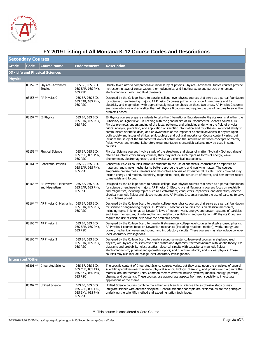

|                          | FY 2019 Listing of All Montana K-12 Course Codes and Descriptions |                                                     |                                                                       |                                                                                                                                                                                                                                                                                                                                                                                                                                                                                                                                                                                                                                                                                                                                                                                                                                                                                    |  |  |
|--------------------------|-------------------------------------------------------------------|-----------------------------------------------------|-----------------------------------------------------------------------|------------------------------------------------------------------------------------------------------------------------------------------------------------------------------------------------------------------------------------------------------------------------------------------------------------------------------------------------------------------------------------------------------------------------------------------------------------------------------------------------------------------------------------------------------------------------------------------------------------------------------------------------------------------------------------------------------------------------------------------------------------------------------------------------------------------------------------------------------------------------------------|--|--|
| <b>Secondary Courses</b> |                                                                   |                                                     |                                                                       |                                                                                                                                                                                                                                                                                                                                                                                                                                                                                                                                                                                                                                                                                                                                                                                                                                                                                    |  |  |
| <b>Grade</b>             | <b>Code</b>                                                       | <b>Course Name</b>                                  | <b>Endorsements</b>                                                   | <b>Description</b>                                                                                                                                                                                                                                                                                                                                                                                                                                                                                                                                                                                                                                                                                                                                                                                                                                                                 |  |  |
|                          |                                                                   | 03 - Life and Physical Sciences                     |                                                                       |                                                                                                                                                                                                                                                                                                                                                                                                                                                                                                                                                                                                                                                                                                                                                                                                                                                                                    |  |  |
| <b>Physics</b>           |                                                                   |                                                     |                                                                       |                                                                                                                                                                                                                                                                                                                                                                                                                                                                                                                                                                                                                                                                                                                                                                                                                                                                                    |  |  |
|                          | $03152**$                                                         | Physics-Advanced<br><b>Studies</b>                  | 03S BF, 03S BIO,<br>03S EAR, 03S PHY,<br>03S PSC                      | Usually taken after a comprehensive initial study of physics, Physics—Advanced Studies courses provide<br>instruction in laws of conservation, thermodynamics, and kinetics; wave and particle phenomena;<br>electromagnetic fields; and fluid dynamics.                                                                                                                                                                                                                                                                                                                                                                                                                                                                                                                                                                                                                           |  |  |
|                          |                                                                   | 03156 ** AP Physics C                               | 03S BF, 03S BIO,<br>03S EAR, 03S PHY,<br>03S PSC                      | Designed by the College Board to parallel college-level physics courses that serve as a partial foundation<br>for science or engineering majors, AP Physics C courses primarily focus on 1) mechanics and 2)<br>electricity and magnetism, with approximately equal emphasis on these two areas. AP Physics C courses<br>are more intensive and analytical than AP Physics B courses and require the use of calculus to solve the<br>problems posed.                                                                                                                                                                                                                                                                                                                                                                                                                               |  |  |
|                          |                                                                   | 03157 **   IB Physics                               | 03S BF, 03S BIO,<br>03S EAR, 03S PHY,<br>03S PSC                      | IB Physics courses prepare students to take the International Baccalaureate Physics exams at either the<br>Subsidiary or Higher level. In keeping with the general aim of IB Experimental Sciences courses, IB<br>Physics promotes understanding of the facts, patterns, and principles underlying the field of physics;<br>critical analysis, prediction, and application of scientific information and hypotheses; improved ability to<br>communicate scientific ideas; and an awareness of the impact of scientific advances in physics upon<br>both society and issues of ethical, philosophical, and political importance. Course content varies, but<br>includes the study of the fundamental laws of nature and the interaction between concepts of matter,<br>fields, waves, and energy. Laboratory experimentation is essential; calculus may be used in some<br>courses. |  |  |
|                          | 03159 **                                                          | <b>Physical Science</b>                             | 03S BF, 03S BIO,<br>03S CHE, 03S PHY,<br>03S PSC                      | Physical Science courses involve study of the structures and states of matter. Typically (but not always)<br>offered as introductory survey courses, they may include such topics as forms of energy, wave<br>phenomenon, electromagnetism, and physical and chemical interactions.                                                                                                                                                                                                                                                                                                                                                                                                                                                                                                                                                                                                |  |  |
|                          | 03161 **                                                          | <b>Conceptual Physics</b>                           | 03S BF, 03S BIO,<br>03S EAR, 03S PHY,<br>03S PSC                      | Conceptual Physics courses introduce students to the use of chemicals, characteristic properties of<br>materials, and simple mechanics to better describe the world and nonliving matter. The courses<br>emphasize precise measurements and descriptive analysis of experimental results. Topics covered may<br>include energy and motion, electricity, magnetism, heat, the structure of matter, and how matter reacts<br>to materials and forces.                                                                                                                                                                                                                                                                                                                                                                                                                                |  |  |
|                          | 03163 **                                                          | AP Physics C: Electricity<br>and Magnetism          | 03S BF, 03S BIO,<br>03S EAR, 03S PHY,<br>03S PSC                      | Designed by the College Board to parallel college-level physics courses that serve as a partial foundation<br>for science or engineering majors, AP Physics C: Electricity and Magnetism courses focus on electricity<br>and magnetism, including topics such as electrostatics; conductors, capacitors, and dielectrics; electric<br>circuits; magnetic fields; and electromagnetism. AP Physics C courses require the use of calculus to solve<br>the problems posed.                                                                                                                                                                                                                                                                                                                                                                                                            |  |  |
|                          |                                                                   | 03164 ** AP Physics C: Mechanics   03S BF, 03S BIO, | 03S EAR, 03S PHY,<br>03S PSC                                          | Designed by the College Board to parallel college-level physics courses that serve as a partial foundation<br>for science or engineering majors, AP Physics C: Mechanics courses focus on classical mechanics,<br>including topics in kinematics; Newton's laws of motion; work, energy, and power; systems of particles<br>and linear momentum; circular motion and rotation; oscillations; and gravitation. AP Physics C courses<br>require the use of calculus to solve the problems posed.                                                                                                                                                                                                                                                                                                                                                                                     |  |  |
|                          |                                                                   | 03165 **   AP Physics 1                             | 03S BF, 03S BIO,<br>03S EAR, 03S PHY,<br>03S PSC                      | Designed by the College Board to parallel first-semester college-level courses in algebra-based physics,<br>AP Physics 1 courses focus on Newtonian mechanics (including rotational motion); work, energy, and<br>power; mechanical waves and sound; and introductory circuits. These courses may also include college-<br>level laboratory investigations.                                                                                                                                                                                                                                                                                                                                                                                                                                                                                                                        |  |  |
|                          |                                                                   | 03166 ** AP Physics 2                               | 03S BF, 03S BIO,<br><b>U3S EAR, U3S PHY,</b><br>03S PSC               | Designed by the College Board to parallel second-semester college-level courses in algebra-based<br>physics, AP Physics 2 courses cover fluid statics and dynamics; thermodynamics with kinetic theory, PV<br>diagrams and probability; electrostatics; electrical circuits with capacitors; magnetic fields;<br>electromagnetism; physical and geometric optics; and quantum, atomic, and nuclear physics. These<br>courses may also include college-level laboratory investigations.                                                                                                                                                                                                                                                                                                                                                                                             |  |  |
|                          | <b>Integrated/Other</b>                                           |                                                     |                                                                       |                                                                                                                                                                                                                                                                                                                                                                                                                                                                                                                                                                                                                                                                                                                                                                                                                                                                                    |  |  |
|                          | $03201$ **                                                        | <b>Integrated Science</b>                           | 03S BF, 03S BIO,<br>03S CHE, 03S EAR,<br>03S ENV, 03S PHY,<br>03S PSC | The specific content of Integrated Science courses varies, but they draw upon the principles of several<br>scientific specialties—earth science, physical science, biology, chemistry, and physics—and organize the<br>material around thematic units. Common themes covered include systems, models, energy, patterns,<br>change, and constancy. These courses use appropriate aspects from each specialty to investigate<br>applications of the theme.                                                                                                                                                                                                                                                                                                                                                                                                                           |  |  |
|                          | 03202 **                                                          | <b>Unified Science</b>                              | 03S BF, 03S BIO,<br>03S CHE, 03S EAR,<br>03S ENV, 03S PHY,<br>03S PSC | Unified Science courses combine more than one branch of science into a cohesive study or may<br>integrate science with another discipline. General scientific concepts are explored, as are the principles<br>underlying the scientific method and experimentation techniques.                                                                                                                                                                                                                                                                                                                                                                                                                                                                                                                                                                                                     |  |  |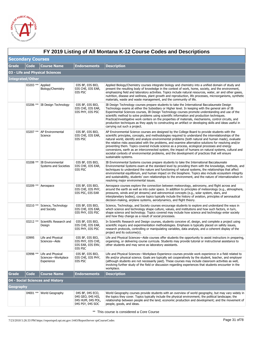

|              | FY 2019 Listing of All Montana K-12 Course Codes and Descriptions |                                                       |                                                                                |                                                                                                                                                                                                                                                                                                                                                                                                                                                                                                                                                                                                                                                                                                                                                                 |  |  |
|--------------|-------------------------------------------------------------------|-------------------------------------------------------|--------------------------------------------------------------------------------|-----------------------------------------------------------------------------------------------------------------------------------------------------------------------------------------------------------------------------------------------------------------------------------------------------------------------------------------------------------------------------------------------------------------------------------------------------------------------------------------------------------------------------------------------------------------------------------------------------------------------------------------------------------------------------------------------------------------------------------------------------------------|--|--|
|              | <b>Secondary Courses</b>                                          |                                                       |                                                                                |                                                                                                                                                                                                                                                                                                                                                                                                                                                                                                                                                                                                                                                                                                                                                                 |  |  |
| <b>Grade</b> | <b>Code</b>                                                       | <b>Course Name</b>                                    | <b>Endorsements</b>                                                            | <b>Description</b>                                                                                                                                                                                                                                                                                                                                                                                                                                                                                                                                                                                                                                                                                                                                              |  |  |
|              |                                                                   | 03 - Life and Physical Sciences                       |                                                                                |                                                                                                                                                                                                                                                                                                                                                                                                                                                                                                                                                                                                                                                                                                                                                                 |  |  |
|              | <b>Integrated/Other</b>                                           |                                                       |                                                                                |                                                                                                                                                                                                                                                                                                                                                                                                                                                                                                                                                                                                                                                                                                                                                                 |  |  |
|              | 03203 ** Applied                                                  | Biology/Chemistry                                     | 03S BF, 03S BIO,<br>03S CHE, 03S EAR,<br>03S PSC                               | Applied Biology/Chemistry courses integrate biology and chemistry into a unified domain of study and<br>present the resulting body of knowledge in the context of work, home, society, and the environment,<br>emphasizing field and laboratory activities. Topics include natural resources, water, air and other gases,<br>nutrition, disease and wellness, plant growth and reproduction, life processes, microorganisms, synthetic<br>materials, waste and waste management, and the community of life.                                                                                                                                                                                                                                                     |  |  |
|              |                                                                   | 03206 ** IB Design Technology                         | 03S BF, 03S BIO,<br>03S CHE, 03S EAR,<br>03S PHY, 03S PSC                      | IB Design Technology courses prepare students to take the International Baccalaureate Design<br>Technology exams at either the Subsidiary or Higher level. In keeping with the general aim of IB<br>Experimental Sciences courses, IB Design Technology courses promote understanding and use of the<br>scientific method to solve problems using scientific information and production techniques.<br>Practical/investigative work centers on the properties of materials, mechanisms, control circuits, and<br>production techniques as they apply to constructing an artifact or developing skills and ideas useful in<br>carrying out such a project.                                                                                                       |  |  |
|              |                                                                   | 03207 **   AP Environmental<br>Science                | 03S BF, 03S BIO,<br>03S CHE, 03S EAR,<br>03S PSC                               | AP Environmental Science courses are designed by the College Board to provide students with the<br>scientific principles, concepts, and methodologies required to understand the interrelationships of the<br>natural world, identify and analyze environmental problems (both natural and human made), evaluate<br>the relative risks associated with the problems, and examine alternative solutions for resolving and/or<br>preventing them. Topics covered include science as a process, ecological processes and energy<br>conversions, earth as an interconnected system, the impact of humans on natural systems, cultural and<br>societal contexts of environmental problems, and the development of practices that will ensure<br>sustainable systems. |  |  |
|              | 03208 **                                                          | <b>IB Environmental</b><br>Systems and Societies      | 03S BF, 03S BIO,<br>03S CHE, 03S EAR,<br>03S PSC                               | IB Environmental Systems courses prepare students to take the International Baccalaureate<br>Environmental Systems exam at the standard level by providing them with the knowledge, methods, and<br>techniques to understand the nature and functioning of natural systems, the relationships that affect<br>environmental equilibrium, and human impact on the biosphere. Topics also include ecosystem integrity<br>and sustainability, students' own relationships to the environment, and the nature of internationalism in<br>resolving major environmental issues.                                                                                                                                                                                        |  |  |
|              |                                                                   | 03209 ** Aerospace                                    | 03S BF, 03S BIO,<br>03S CHE, 03S PHY,<br>03S PSC, 03S EAR                      | Aerospace courses explore the connection between meteorology, astronomy, and flight across and<br>around the earth as well as into outer space. In addition to principles of meteorology (e.g., atmosphere,<br>pressures, winds and jet streams) and astronomical concepts (e.g., solar system, stars, and<br>interplanetary bodies), course topics typically include the history of aviation, principles of aeronautical<br>decision-making, airplane systems, aerodynamics, and flight theory.                                                                                                                                                                                                                                                                |  |  |
|              | 03210 **                                                          | Science, Technology<br>and Society                    | 03S BF, 03S BIO,<br>03S CHE, 03S EAR,<br>03S PHY, 03S PSC                      | Science, Technology, and Society courses encourage students to explore and understand the ways in<br>which science and technology shape culture, values, and institutions and how such factors, in turn,<br>shape science and technology. Topics covered may include how science and technology enter society<br>and how they change as a result of social processes.                                                                                                                                                                                                                                                                                                                                                                                           |  |  |
|              | 03212 **                                                          | Scientific Research and<br>Design                     | 03S BF, 03S BIO,<br>03S CHE, 03S EAR,<br>03S PHY, 03S PSC                      | In Scientific Research and Design courses, students conceive of, design, and complete a project using<br>scientific inquiry and experimentation methodologies. Emphasis is typically placed on safety issues,<br>research protocols, controlling or manipulating variables, data analysis, and a coherent display of the<br>project and its outcome(s).                                                                                                                                                                                                                                                                                                                                                                                                         |  |  |
|              | 03995                                                             | Life and Physical<br>Sciences-Aide                    | 03S BF, 03S BIO,<br>03S PHY, 03S CHE,<br>03S EAR, 03S ENV,<br>03S PSC          | Life and Physical Sciences—Aide courses offer students the opportunity to assist instructors in preparing,<br>organizing, or delivering course curricula. Students may provide tutorial or instructional assistance to<br>other students and may serve as laboratory assistants.                                                                                                                                                                                                                                                                                                                                                                                                                                                                                |  |  |
|              | 03998 **                                                          | Life and Physical<br>Sciences-Workplace<br>Experience | 03S BF, 03S BIO,<br>03S CHE, 03S PHY,<br>03S PSC                               | Life and Physical Sciences—Workplace Experience courses provide work experience in a field related to<br>life and/or physical science. Goals are typically set cooperatively by the student, teacher, and employer<br>(although students are not necessarily paid). These courses may include classroom activities as well,<br>involving further study of the field or discussion regarding experiences that students encounter in the<br>workplace.                                                                                                                                                                                                                                                                                                            |  |  |
| <b>Grade</b> | Code                                                              | <b>Course Name</b>                                    | <b>Endorsements</b>                                                            | <b>Description</b>                                                                                                                                                                                                                                                                                                                                                                                                                                                                                                                                                                                                                                                                                                                                              |  |  |
|              |                                                                   | 04 - Social Sciences and History                      |                                                                                |                                                                                                                                                                                                                                                                                                                                                                                                                                                                                                                                                                                                                                                                                                                                                                 |  |  |
| Geography    |                                                                   |                                                       |                                                                                |                                                                                                                                                                                                                                                                                                                                                                                                                                                                                                                                                                                                                                                                                                                                                                 |  |  |
|              |                                                                   | 04001 ** World Geography                              | 04S BF, 04S ECO,<br>04S GEO, 04S HIS,<br>04S HUM, 04S POL,<br>04S PSY, 04S SOC | World Geography courses provide students with an overview of world geography, but may vary widely in<br>the topics they cover. Topics typically include the physical environment; the political landscape; the<br>relationship between people and the land; economic production and development; and the movement of<br>people, goods, and ideas.                                                                                                                                                                                                                                                                                                                                                                                                               |  |  |

# **FY 2019 Listing of All Montana K-12 Course Codes and Descriptions**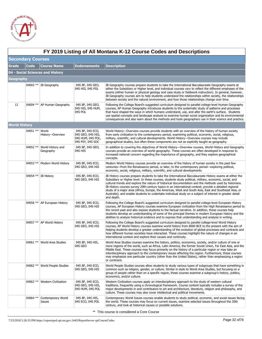

| <b>Secondary Courses</b> |             |                                  |                                                                                |                                                                                                                                                                                                                                                                                                                                                                                                                                                                                                                                                                                                                                                                           |  |  |
|--------------------------|-------------|----------------------------------|--------------------------------------------------------------------------------|---------------------------------------------------------------------------------------------------------------------------------------------------------------------------------------------------------------------------------------------------------------------------------------------------------------------------------------------------------------------------------------------------------------------------------------------------------------------------------------------------------------------------------------------------------------------------------------------------------------------------------------------------------------------------|--|--|
| Grade                    | <b>Code</b> | <b>Course Name</b>               | <b>Endorsements</b>                                                            | <b>Description</b>                                                                                                                                                                                                                                                                                                                                                                                                                                                                                                                                                                                                                                                        |  |  |
|                          |             | 04 - Social Sciences and History |                                                                                |                                                                                                                                                                                                                                                                                                                                                                                                                                                                                                                                                                                                                                                                           |  |  |
| Geography                |             |                                  |                                                                                |                                                                                                                                                                                                                                                                                                                                                                                                                                                                                                                                                                                                                                                                           |  |  |
|                          |             | 04003 ** IB Geography            | 04S BF, 04S GEO,<br>04S HIS, 04S POL                                           | IB Geography courses prepare students to take the International Baccalaureate Geography exams at<br>either the Subsidiary or Higher level, and individual courses vary to reflect the different emphases of the<br>exams (either human or physical geology and case study or fieldwork instruction). In general, however,<br>IB Geography courses aim to help students understand the relationships within society, the relationships<br>between society and the natural environment, and how those relationships change over time.                                                                                                                                       |  |  |
| 12                       |             | 04004 ** AP Human Geography      | 04S BF, 04S GEO,<br>04S HIS, 04S HUM,<br>04S POL                               | Following the College Board's suggested curriculum designed to parallel college-level Human Geography<br>courses, AP Human Geography introduces students to the systematic study of patterns and processes<br>that have shaped the ways in which humans understand, use, and alter the earth's surface. Students<br>use spatial concepts and landscape analysis to examine human social organization and its environmental<br>consequences and also learn about the methods and tools geographers use in their science and practice.                                                                                                                                      |  |  |
| <b>World History</b>     |             |                                  |                                                                                |                                                                                                                                                                                                                                                                                                                                                                                                                                                                                                                                                                                                                                                                           |  |  |
|                          | 04051 **    | World<br>History-Overview        | 04S BF, 04S ECO,<br>04S GEO, 04S HIS,<br>04S HUM, 04S POL,<br>04S PSY, 04S SOC | World History—Overview courses provide students with an overview of the history of human society<br>from early civilization to the contemporary period, examining political, economic, social, religious,<br>military, scientific, and cultural developments. World History-Overview courses may include<br>geographical studies, but often these components are not as explicitly taught as geography.                                                                                                                                                                                                                                                                   |  |  |
|                          | 04052 **    | World History and<br>Geography   | 04S BF, 04S GEO,<br>04S HIS                                                    | In addition to covering the objectives of World History—Overview courses, World History and Geography<br>courses provide an overview of world geography. These courses are often developed in response to<br>increased national concern regarding the importance of geography, and they explore geographical<br>concepts.                                                                                                                                                                                                                                                                                                                                                 |  |  |
|                          | $04053$ **  | Modern World History             | 04S BF, 04S ECO,<br>04S GEO, 04S HIS                                           | Modern World History courses provide an overview of the history of human society in the past few<br>centuries—from the Renaissance period, or later, to the contemporary period—exploring political,<br>economic, social, religious, military, scientific, and cultural developments.                                                                                                                                                                                                                                                                                                                                                                                     |  |  |
|                          |             | 04054 ** IB History              | 04S BF, 04S ECO,<br>04S GEO, 04S HIS                                           | IB History courses prepare students to take the International Baccalaureate History exams at either the<br>Subsidiary or Higher level. In these courses, students study political, military, economic, social, and<br>cultural trends and explore the nature of historical documentation and the methods used by historians.<br>IB History courses survey 20th-century topics in an international context; provide a detailed regional<br>study of a major area (Africa, Europe, the Americas, West and South Asia, East and Southeast Asia, or<br>Australia); and enable students to undertake individual study on a subject of interest in greater detail<br>and depth. |  |  |
|                          |             | 04056 ** AP European History     | 04S BF, 04S ECO,<br>04S GEO, 04S HIS                                           | Following the College Board's suggested curriculum designed to parallel college-level European History<br>courses, AP European History courses examine European civilization from the High Renaissance period to<br>the recent past and also expose students to the factual narrative. In addition, these courses help<br>students develop an understanding of some of the principal themes in modern European history and the<br>abilities to analyze historical evidence and to express that understanding and analysis in writing.                                                                                                                                     |  |  |
|                          |             | 04057 ** AP World History        | 04S BF, 04S ECO,<br>04S GEO, 04S HIS                                           | Following the College Board's suggested curriculum designed to parallel college-level World History<br>courses, AP World History courses examine world history from 8000 BCE to the present with the aim of<br>helping students develop a greater understanding of the evolution of global processes and contracts and<br>how different human societies have interacted. These courses highlight the nature of changes in an<br>international context and explore their causes and continuity.                                                                                                                                                                            |  |  |
|                          |             | 04061 **   World Area Studies    | 04S BF, 04S HIS,<br>04S GEO                                                    | World Area Studies courses examine the history, politics, economics, society, and/or culture of one or<br>more regions of the world, such as Africa, Latin America, the former Soviet Union, Far East Asia, and the<br>Middle East. These courses may focus primarily on the history of a particular region or may take an<br>interdisciplinary approach to the contemporary issues affecting the region. Furthermore, these courses<br>may emphasize one particular country (other than the United States), rather than emphasizing a region<br>or continent.                                                                                                            |  |  |
|                          |             | 04062 ** World People Studies    | 04S BF, 04S ECO,<br>04S GEO, 04S HIS                                           | World People Studies courses allow students to study various types of subgroups that have something in<br>common such as religion, gender, or culture. Similar in style to World Area Studies, but focusing on a<br>group of people rather than on a specific region, these courses examine a subgroup's history, politics,<br>economics, and/or culture.                                                                                                                                                                                                                                                                                                                 |  |  |
|                          |             | 04063 ** Western Civilization    | 04S BF, 04S ECO,<br>04S GEO, 04S HIS,<br>04S HUM, 04S POL                      | Western Civilization courses apply an interdisciplinary approach to the study of western cultural<br>traditions, frequently using a chronological framework. Course content typically includes a survey of the<br>major developments in and contributors to art and architecture, literature, religion and philosophy, and<br>culture. These courses may also cover intellectual and political movements.                                                                                                                                                                                                                                                                 |  |  |
|                          | 04064 **    | Contemporary World<br>Issues     | 04S BF, 04S HIS,<br>04S ECO, 04S POL                                           | Contemporary World Issues courses enable students to study political, economic, and social issues facing<br>the world. These courses may focus on current issues, examine selected issues throughout the 20th<br>century, and look at historical causes or possible solutions.                                                                                                                                                                                                                                                                                                                                                                                            |  |  |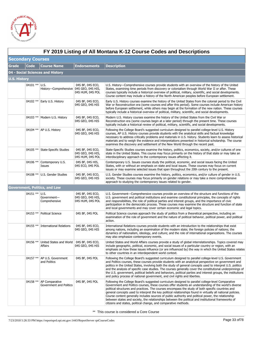

|                     | FY 2019 Listing of All Montana K-12 Course Codes and Descriptions |                                                       |                                                           |                                                                                                                                                                                                                                                                                                                                                                                                                                                                                                                                                                                                                                                                                                                   |  |  |
|---------------------|-------------------------------------------------------------------|-------------------------------------------------------|-----------------------------------------------------------|-------------------------------------------------------------------------------------------------------------------------------------------------------------------------------------------------------------------------------------------------------------------------------------------------------------------------------------------------------------------------------------------------------------------------------------------------------------------------------------------------------------------------------------------------------------------------------------------------------------------------------------------------------------------------------------------------------------------|--|--|
|                     | <b>Secondary Courses</b>                                          |                                                       |                                                           |                                                                                                                                                                                                                                                                                                                                                                                                                                                                                                                                                                                                                                                                                                                   |  |  |
| <b>Grade</b>        | Code                                                              | <b>Course Name</b>                                    | <b>Endorsements</b>                                       | <b>Description</b>                                                                                                                                                                                                                                                                                                                                                                                                                                                                                                                                                                                                                                                                                                |  |  |
|                     | 04 - Social Sciences and History                                  |                                                       |                                                           |                                                                                                                                                                                                                                                                                                                                                                                                                                                                                                                                                                                                                                                                                                                   |  |  |
| <b>U.S. History</b> |                                                                   |                                                       |                                                           |                                                                                                                                                                                                                                                                                                                                                                                                                                                                                                                                                                                                                                                                                                                   |  |  |
|                     | 04101 ** U.S.                                                     | History-Comprehensive 04S GEO, 04S HIS,               | 04S BF, 04S ECO,<br>04S HUM, 04S POL                      | U.S. History—Comprehensive courses provide students with an overview of the history of the United<br>States, examining time periods from discovery or colonialism through World War II or after. These<br>courses typically include a historical overview of political, military, scientific, and social developments.<br>Course content may include a history of the North American peoples before European settlement.                                                                                                                                                                                                                                                                                          |  |  |
|                     | 04102 **                                                          | Early U.S. History                                    | 04S BF, 04S ECO,<br>04S GEO, 04S HIS                      | Early U.S. History courses examine the history of the United States from the colonial period to the Civil<br>War or Reconstruction era (some courses end after this period). Some courses include American history<br>before European settlement, while others may begin at the formation of the new nation. These courses<br>typically include a historical overview of political, military, scientific, and social developments.                                                                                                                                                                                                                                                                                |  |  |
|                     |                                                                   | 04103 ** Modern U.S. History                          | 04S BF, 04S ECO,<br>04S GEO, 04S HIS                      | Modern U.S. History courses examine the history of the United States from the Civil War or<br>Reconstruction era (some courses begin at a later period) through the present time. These courses<br>typically include a historical review of political, military, scientific, and social developments.                                                                                                                                                                                                                                                                                                                                                                                                             |  |  |
|                     |                                                                   | 04104 **   AP U.S. History                            | 04S BF, 04S ECO,<br>04S GEO, 04S HIS                      | Following the College Board's suggested curriculum designed to parallel college-level U.S. History<br>courses, AP U.S. History courses provide students with the analytical skills and factual knowledge<br>necessary to address critically problems and materials in U.S. history. Students learn to assess historical<br>materials and to weigh the evidence and interpretations presented in historical scholarship. The course<br>examines the discovery and settlement of the New World through the recent past.                                                                                                                                                                                             |  |  |
|                     | 04105 **                                                          | <b>State-Specific Studies</b>                         | 04S BF, 04S ECO,<br>04S GEO, 04S HIS,<br>04S HUM, 04S POL | State-Specific Studies courses examine the history, politics, economics, society, and/or cultures of one<br>state in the United States. This course may focus primarily on the history of that state or may take an<br>interdisciplinary approach to the contemporary issues affecting it.                                                                                                                                                                                                                                                                                                                                                                                                                        |  |  |
|                     | 04106 **                                                          | Contemporary U.S.<br>Issues                           | 04S BF, 04S HIS,<br>04S ECO, 04S POL                      | Contemporary U.S. Issues courses study the political, economic, and social issues facing the United<br>States, with or without an emphasis on state and local issues. These courses may focus on current<br>issues or may examine selected issues that span throughout the 20th century to the present.                                                                                                                                                                                                                                                                                                                                                                                                           |  |  |
|                     |                                                                   | 04108 ** U.S. Gender Studies                          | 04S BF, 04S ECO,<br>04S GEO, 04S HIS                      | U.S. Gender Studies courses examine the history, politics, economics, and/or culture of gender in U.S.<br>society. These courses may focus primarily on gender relations or may take a more comprehensive<br>approach to studying the contemporary issues related to gender.                                                                                                                                                                                                                                                                                                                                                                                                                                      |  |  |
|                     |                                                                   | <b>Government, Politics, and Law</b>                  |                                                           |                                                                                                                                                                                                                                                                                                                                                                                                                                                                                                                                                                                                                                                                                                                   |  |  |
|                     | 04151 ** U.S.                                                     | Government-<br>Comprehensive                          | 04S BF, 04S ECO,<br>04S GEO, 04S HIS,<br>04S HUM, 04S POL | U.S. Government—Comprehensive courses provide an overview of the structure and functions of the<br>U.S. government and political institutions and examine constitutional principles, the concepts of rights<br>and responsibilities, the role of political parties and interest groups, and the importance of civic<br>participation in the democratic process. These courses may examine the structure and function of state<br>and local governments and may cover certain economic and legal topics.                                                                                                                                                                                                           |  |  |
|                     | $04153$ **                                                        | <b>Political Science</b>                              | 04S BF, 04S POL                                           | Political Science courses approach the study of politics from a theoretical perspective, including an<br>examination of the role of government and the nature of political behavior, political power, and political<br>action.                                                                                                                                                                                                                                                                                                                                                                                                                                                                                    |  |  |
|                     | 04155 **                                                          | <b>International Relations</b>                        | 04S BF, 04S ECO,<br>04S GEO, 04S HIS                      | International Relations courses provide students with an introduction to the relationships that exist<br>among nations, including an examination of the modern state; the foreign policies of nations; the<br>dynamics of nationalism, ideology, and culture; and the role of international organizations. The courses<br>may also emphasize contemporary events.                                                                                                                                                                                                                                                                                                                                                 |  |  |
|                     | 04156 **                                                          | United States and World   04S BF, 04S ECO,<br>Affairs | 04S GEO, 04S HIS                                          | United States and World Affairs courses provide a study of global interrelationships. Topics covered may<br>include geographic, political, economic, and social issues of a particular country or region, with an<br>emphasis on how these issues influence (or are influenced by) the way in which the United States relates<br>to other countries in an interdependent world context.                                                                                                                                                                                                                                                                                                                           |  |  |
|                     | 04157 **                                                          | AP U.S. Government<br>and Politics                    | 04S BF, 04S POL                                           | Following the College Board's suggested curriculum designed to parallel college-level U.S. Government<br>and Politics courses, these courses provide students with an analytical perspective on government and<br>politics in the United States, involving both the study of general concepts used to interpret U.S. politics<br>and the analysis of specific case studies. The courses generally cover the constitutional underpinnings of<br>the U.S. government, political beliefs and behaviors, political parties and interest groups, the institutions<br>and policy process of national government, and civil rights and liberties.                                                                        |  |  |
|                     | 04158 **                                                          | AP Comparative<br>Government and Politics             | 04S BF, 04S POL                                           | Following the College Board's suggested curriculum designed to parallel college-level Comparative<br>Government and Politics courses, these courses offer students an understanding of the world's diverse<br>political structures and practices. The courses encompass the study of both specific countries and<br>general concepts used to interpret the key political relationships found in virtually all national policies.<br>Course content generally includes sources of public authority and political power, the relationship<br>between states and society, the relationships between the political and institutional frameworks of<br>citizens and states, political change, and comparative methods. |  |  |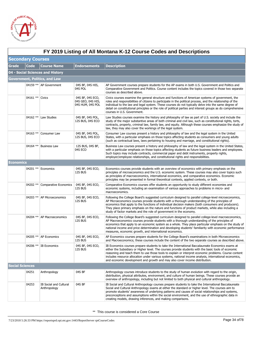

|                        | FY 2019 Listing of All Montana K-12 Course Codes and Descriptions |                                        |                                                           |                                                                                                                                                                                                                                                                                                                                                                                                                                                                                                            |  |  |
|------------------------|-------------------------------------------------------------------|----------------------------------------|-----------------------------------------------------------|------------------------------------------------------------------------------------------------------------------------------------------------------------------------------------------------------------------------------------------------------------------------------------------------------------------------------------------------------------------------------------------------------------------------------------------------------------------------------------------------------------|--|--|
|                        | <b>Secondary Courses</b>                                          |                                        |                                                           |                                                                                                                                                                                                                                                                                                                                                                                                                                                                                                            |  |  |
| <b>Grade</b>           | <b>Code</b>                                                       | <b>Course Name</b>                     | <b>Endorsements</b>                                       | <b>Description</b>                                                                                                                                                                                                                                                                                                                                                                                                                                                                                         |  |  |
|                        |                                                                   | 04 - Social Sciences and History       |                                                           |                                                                                                                                                                                                                                                                                                                                                                                                                                                                                                            |  |  |
|                        |                                                                   | <b>Government, Politics, and Law</b>   |                                                           |                                                                                                                                                                                                                                                                                                                                                                                                                                                                                                            |  |  |
|                        |                                                                   | 04159 **   AP Government               | 04S BF, 04S HIS,<br>04S POL                               | AP Government courses prepare students for the AP exams in both U.S. Government and Politics and<br>Comparative Government and Politics. Course content includes the topics covered in those two separate<br>courses as described above.                                                                                                                                                                                                                                                                   |  |  |
|                        | 04161 ** Civics                                                   |                                        | 04S BF, 04S ECO,<br>04S GEO, 04S HIS,<br>04S HUM, 04S POL | Civics courses examine the general structure and functions of American systems of government, the<br>roles and responsibilities of citizens to participate in the political process, and the relationship of the<br>individual to the law and legal system. These courses do not typically delve into the same degree of<br>detail on constitutional principles or the role of political parties and interest groups as do comprehensive<br>courses in U.S. Government.                                    |  |  |
|                        | 04162 **                                                          | Law Studies                            | 04S BF, 04S POL,<br>12S BUS, 04S ECO                      | Law Studies courses examine the history and philosophy of law as part of U.S. society and include the<br>study of the major substantive areas of both criminal and civil law, such as constitutional rights, torts,<br>contracts, property, criminal law, family law, and equity. Although these courses emphasize the study of<br>law, they may also cover the workings of the legal system.                                                                                                              |  |  |
|                        | 04163 **                                                          | Consumer Law                           | 04S BF, 04S POL,<br>12S BUS, 04S ECO                      | Consumer Law courses present a history and philosophy of law and the legal system in the United<br>States, with a particular emphasis on those topics affecting students as consumers and young adults<br>(such as contractual laws, laws pertaining to housing and marriage, and constitutional rights).                                                                                                                                                                                                  |  |  |
|                        | 04164 **                                                          | <b>Business Law</b>                    | 12S BUS, 04S BF,<br>04S ECO                               | Business Law courses present a history and philosophy of law and the legal system in the United States,<br>with a particular emphasis on those topics affecting students as future business leaders and employees.<br>Such topics may include contracts, commercial paper and debt instruments, property rights,<br>employer/employee relationships, and constitutional rights and responsibilities.                                                                                                       |  |  |
| Economics              |                                                                   |                                        |                                                           |                                                                                                                                                                                                                                                                                                                                                                                                                                                                                                            |  |  |
|                        |                                                                   | 04201 ** Economics                     | 04S BF, 04S ECO,<br>12S BUS                               | Economics courses provide students with an overview of economics with primary emphasis on the<br>principles of microeconomics and the U.S. economic system. These courses may also cover topics such<br>as principles of macroeconomics, international economics, and comparative economics. Economic<br>principles may be presented in formal theoretical contexts, applied contexts, or both.                                                                                                            |  |  |
|                        |                                                                   | 04202 ** Comparative Economics         | 04S BF, 04S ECO,<br>12S BUS                               | Comparative Economics courses offer students an opportunity to study different economies and<br>economic systems, including an examination of various approaches to problems in micro- and<br>macroeconomics.                                                                                                                                                                                                                                                                                              |  |  |
|                        |                                                                   | 04203 **   AP Microeconomics           | 04S BF, 04S ECO,<br>12S BUS                               | Following the College Board's suggested curriculum designed to parallel college-level microeconomics,<br>AP Microeconomics courses provide students with a thorough understanding of the principles of<br>economics that apply to the functions of individual decision makers (both consumers and producers).<br>They place primary emphasis on the nature and functions of product markets, while also including a<br>study of factor markets and the role of government in the economy.                  |  |  |
|                        |                                                                   | 04204 ** AP Macroeconomics             | 04S BF, 04S ECO,<br>12S BUS                               | Following the College Board's suggested curriculum designed to parallel college-level macroeconomics,<br>AP Macroeconomics courses provide students with a thorough understanding of the principles of<br>economics that apply to an economic system as a whole. They place particular emphasis on the study of<br>national income and price determination and developing students' familiarity with economic performance<br>measures, economic growth, and international economics.                       |  |  |
|                        |                                                                   | 04205 ** AP Economics                  | 04S BF, 04S ECO,<br>12S BUS                               | AP Economics courses prepare students for the College Board's examinations in both Microeconomics<br>and Macroeconomics; these courses include the content of the two separate courses as described above.                                                                                                                                                                                                                                                                                                 |  |  |
|                        |                                                                   | 04206 ** IB Economics                  | 04S BF, 04S ECO,<br>12S BUS                               | IB Economics courses prepare students to take the International Baccalaureate Economics exams at<br>either the Subsidiary or Higher level. The courses provide students with the basic tools of economic<br>reasoning and teach them to use those tools to explain or interpret economic problems. Course content<br>includes resource allocation under various systems, national income analysis, international economics,<br>and economic development and growth and may also cover income distribution. |  |  |
| <b>Social Sciences</b> |                                                                   |                                        |                                                           |                                                                                                                                                                                                                                                                                                                                                                                                                                                                                                            |  |  |
|                        | 04251                                                             | Anthropology                           | 04S BF                                                    | Anthropology courses introduce students to the study of human evolution with regard to the origin,<br>distribution, physical attributes, environment, and culture of human beings. These courses provide an<br>overview of anthropology, including but not limited to both physical and cultural anthropology.                                                                                                                                                                                             |  |  |
|                        | 04253                                                             | IB Social and Cultural<br>Anthropology | 04S BF                                                    | IB Social and Cultural Anthropology courses prepare students to take the International Baccalaureate<br>Social and Cultural Anthropology exams at either the standard or higher level. The courses aim to<br>promote students' awareness of underlying patterns and causes of social relationships and systems,<br>preconceptions and assumptions within the social environment, and the use of ethnographic data in<br>creating models, drawing inferences, and making comparisons.                       |  |  |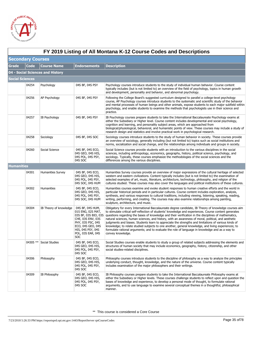

|                        | FY 2019 Listing of All Montana K-12 Course Codes and Descriptions<br><b>Secondary Courses</b> |                                  |                                                                                                                                                                                |                                                                                                                                                                                                                                                                                                                                                                                                                                                                                                                                                                                                                                                                                                                                                                       |  |  |
|------------------------|-----------------------------------------------------------------------------------------------|----------------------------------|--------------------------------------------------------------------------------------------------------------------------------------------------------------------------------|-----------------------------------------------------------------------------------------------------------------------------------------------------------------------------------------------------------------------------------------------------------------------------------------------------------------------------------------------------------------------------------------------------------------------------------------------------------------------------------------------------------------------------------------------------------------------------------------------------------------------------------------------------------------------------------------------------------------------------------------------------------------------|--|--|
|                        |                                                                                               |                                  |                                                                                                                                                                                |                                                                                                                                                                                                                                                                                                                                                                                                                                                                                                                                                                                                                                                                                                                                                                       |  |  |
| <b>Grade</b>           | <b>Code</b>                                                                                   | <b>Course Name</b>               | <b>Endorsements</b>                                                                                                                                                            | <b>Description</b>                                                                                                                                                                                                                                                                                                                                                                                                                                                                                                                                                                                                                                                                                                                                                    |  |  |
|                        |                                                                                               | 04 - Social Sciences and History |                                                                                                                                                                                |                                                                                                                                                                                                                                                                                                                                                                                                                                                                                                                                                                                                                                                                                                                                                                       |  |  |
| <b>Social Sciences</b> |                                                                                               |                                  |                                                                                                                                                                                |                                                                                                                                                                                                                                                                                                                                                                                                                                                                                                                                                                                                                                                                                                                                                                       |  |  |
|                        | 04254                                                                                         | Psychology                       | 04S BF, 04S PSY                                                                                                                                                                | Psychology courses introduce students to the study of individual human behavior. Course content<br>typically includes (but is not limited to) an overview of the field of psychology, topics in human growth<br>and development, personality and behavior, and abnormal psychology.                                                                                                                                                                                                                                                                                                                                                                                                                                                                                   |  |  |
|                        | 04256                                                                                         | AP Psychology                    | 04S BF, 04S PSY                                                                                                                                                                | Following the College Board's suggested curriculum designed to parallel a college-level psychology<br>course, AP Psychology courses introduce students to the systematic and scientific study of the behavior<br>and mental processes of human beings and other animals, expose students to each major subfield within<br>psychology, and enable students to examine the methods that psychologists use in their science and<br>practice.                                                                                                                                                                                                                                                                                                                             |  |  |
|                        | 04257                                                                                         | IB Psychology                    | 04S BF, 04S PSY                                                                                                                                                                | IB Psychology courses prepare students to take the International Baccalaureate Psychology exams at<br>either the Subsidiary or Higher level. Course content includes developmental and social psychology,<br>cognition and learning, and personality subject areas, which are approached from<br>biological/physiological, behavioral, and humanistic points of view. These courses may include a study of<br>research design and statistics and involve practical work in psychological research.                                                                                                                                                                                                                                                                    |  |  |
|                        | 04258                                                                                         | Sociology                        | 04S BF, 04S SOC                                                                                                                                                                | Sociology courses introduce students to the study of human behavior in society. These courses provide<br>an overview of sociology, generally including (but not limited to) topics such as social institutions and<br>norms, socialization and social change, and the relationships among individuals and groups in society.                                                                                                                                                                                                                                                                                                                                                                                                                                          |  |  |
|                        | 04260                                                                                         | Social Science                   | 04S BF, 04S ECO,<br>04S GEO, 04S HIS,<br>04S POL, 04S PSY,<br>04S SOC                                                                                                          | Social Science courses provide students with an introduction to the various disciplines in the social<br>sciences, including anthropology, economics, geography, history, political science, psychology, and<br>sociology. Typically, these courses emphasize the methodologies of the social sciences and the<br>differences among the various disciplines.                                                                                                                                                                                                                                                                                                                                                                                                          |  |  |
| <b>Humanities</b>      |                                                                                               |                                  |                                                                                                                                                                                |                                                                                                                                                                                                                                                                                                                                                                                                                                                                                                                                                                                                                                                                                                                                                                       |  |  |
|                        | 04301                                                                                         | <b>Humanities Survey</b>         | 04S BF, 04S ECO,<br>04S GEO, 04S HIS,<br>04S POL, 04S PSY,<br>04S SOC, 04S HUM                                                                                                 | Humanities Survey courses provide an overview of major expressions of the cultural heritage of selected<br>western and eastern civilizations. Content typically includes (but is not limited to) the examination of<br>selected examples of art, music, literature, architecture, technology, philosophy, and religion of the<br>cultures studied. These courses may also cover the languages and political institutions of these cultures.                                                                                                                                                                                                                                                                                                                           |  |  |
|                        | 04302                                                                                         | Humanities                       | 04S BF, 04S ECO,<br>04S GEO, 04S HIS,<br>04S POL, 04S PSY,<br>04S SOC, 04S HUM                                                                                                 | Humanities courses examine and evoke student responses to human creative efforts and the world in<br>particular historical periods and in particular cultures. Course content includes exploration, analysis,<br>synthesis, and various responses to cultural traditions, including viewing, listening, speaking, reading,<br>writing, performing, and creating. The courses may also examine relationships among painting,<br>sculpture, architecture, and music.                                                                                                                                                                                                                                                                                                    |  |  |
|                        | 04304                                                                                         | IB Theory of knowledge           | 04S BF, 04S HUM,<br>01S ENG, 02S MAT,<br>03S BF, 03S BIO, 03S<br>CHE, 03S ENV, 03S<br>PHY, 03S PSC, 04S<br>ECO, 04S GEO, 04S<br>HIS, 04S PSY, 04S<br>POL, 03S EAR, 04S<br>SOC. | Obligatory for every International Baccalaureate degree candidate, IB Theory of knowledge courses aim<br>to stimulate critical self-reflection of students' knowledge and experiences. Course content generates<br>questions regarding the bases of knowledge and their verification in the disciplines of mathematics,<br>natural sciences, human sciences, and history, with an awareness of moral, political, and aesthetic<br>judgments and biases. Students learn to appreciate the strengths and limitations of various kinds of<br>knowledge; to relate studied subjects to one another, general knowledge, and living experiences; to<br>formulate rational arguments; and to evaluate the role of language in knowledge and as a way to<br>convey knowledge. |  |  |
|                        |                                                                                               | 04305 ** Social Studies          | 04S BF, 04S ECO,<br>04S GEO, 04S HIS,<br>04S POL, 04S PSY,<br>04S SOC                                                                                                          | Social Studies courses enable students to study a group of related subjects addressing the elements and<br>structures of human society that may include economics, geography, history, citizenship, and other<br>social studies-related disciplines.                                                                                                                                                                                                                                                                                                                                                                                                                                                                                                                  |  |  |
|                        | 04306                                                                                         | Philosophy                       | 04S BF, 04S ECO,<br>04S GEO, 04S HIS,<br>04S POL, 04S PSY,<br>04S SOC                                                                                                          | Philosophy courses introduce students to the discipline of philosophy as a way to analyze the principles<br>underlying conduct, thought, knowledge, and the nature of the universe. Course content typically<br>includes examination of the major philosophers and their writings.                                                                                                                                                                                                                                                                                                                                                                                                                                                                                    |  |  |
|                        | 04309                                                                                         | IB Philosophy                    | 04S BF, 04S ECO,<br>04S GEO, 04S HIS,<br>04S POL, 04S PSY,<br>04S SOC                                                                                                          | IB Philosophy courses prepare students to take the International Baccalaureate Philosophy exams at<br>either the Subsidiary or Higher levels. These courses challenge students to reflect upon and question the<br>bases of knowledge and experience, to develop a personal mode of thought, to formulate rational<br>arguments, and to use language to examine several conceptual themes in a thoughtful, philosophical<br>manner.                                                                                                                                                                                                                                                                                                                                   |  |  |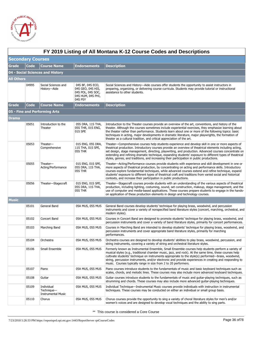

|                          | FY 2019 Listing of All Montana K-12 Course Codes and Descriptions |                                                       |                                                                                            |                                                                                                                                                                                                                                                                                                                                                                                                                                                                                                                                  |  |  |
|--------------------------|-------------------------------------------------------------------|-------------------------------------------------------|--------------------------------------------------------------------------------------------|----------------------------------------------------------------------------------------------------------------------------------------------------------------------------------------------------------------------------------------------------------------------------------------------------------------------------------------------------------------------------------------------------------------------------------------------------------------------------------------------------------------------------------|--|--|
| <b>Secondary Courses</b> |                                                                   |                                                       |                                                                                            |                                                                                                                                                                                                                                                                                                                                                                                                                                                                                                                                  |  |  |
| <b>Grade</b>             | <b>Code</b>                                                       | <b>Course Name</b>                                    | <b>Endorsements</b>                                                                        | <b>Description</b>                                                                                                                                                                                                                                                                                                                                                                                                                                                                                                               |  |  |
|                          |                                                                   | 04 - Social Sciences and History                      |                                                                                            |                                                                                                                                                                                                                                                                                                                                                                                                                                                                                                                                  |  |  |
| <b>All Others</b>        |                                                                   |                                                       |                                                                                            |                                                                                                                                                                                                                                                                                                                                                                                                                                                                                                                                  |  |  |
|                          | 04995                                                             | Social Sciences and<br>History-Aide                   | 04S BF, 04S ECO,<br>04S GEO, 04S HIS,<br>04S POL, 04S SOC,<br>04S HUM, 04S PHI,<br>04S PSY | Social Sciences and History—Aide courses offer students the opportunity to assist instructors in<br>preparing, organizing, or delivering course curricula. Students may provide tutorial or instructional<br>assistance to other students.                                                                                                                                                                                                                                                                                       |  |  |
| Grade                    | <b>Code</b>                                                       | <b>Course Name</b>                                    | <b>Endorsements</b>                                                                        | <b>Description</b>                                                                                                                                                                                                                                                                                                                                                                                                                                                                                                               |  |  |
|                          |                                                                   | 05 - Fine and Performing Arts                         |                                                                                            |                                                                                                                                                                                                                                                                                                                                                                                                                                                                                                                                  |  |  |
| Drama                    |                                                                   |                                                       |                                                                                            |                                                                                                                                                                                                                                                                                                                                                                                                                                                                                                                                  |  |  |
|                          | 05051                                                             | Introduction to the<br>Theater                        | 05S DRA, 11S THA,<br>05S THR, 01S ENG,<br>01S SPE                                          | Introduction to the Theater courses provide an overview of the art, conventions, and history of the<br>theater. Although the courses sometimes include experiential exercises, they emphasize learning about<br>the theater rather than performance. Students learn about one or more of the following topics: basic<br>techniques in acting, major developments in dramatic literature, major playwrights, the formation of<br>theater as a cultural tradition, and critical appreciation of the art.                           |  |  |
|                          | 05053                                                             | Theater-<br>Comprehensive                             | 01S ENG, 05S DRA,<br>11S THA, 01S SPE,<br>05S THR                                          | Theater—Comprehensive courses help students experience and develop skill in one or more aspects of<br>theatrical production. Introductory courses provide an overview of theatrical elements including acting,<br>set design, stage management, directing, playwriting, and production. Advanced courses concentrate on<br>extending and refining dramatic technique, expanding students' exposure to different types of theatrical<br>styles, genres, and traditions, and increasing their participation in public productions. |  |  |
|                          | 05055                                                             | Theater-<br>Acting/Performance                        | 01S ENG, 01S SPE,<br>05S DRA, 11S THA,<br>05S THR                                          | Theater-Acting/Performance courses provide students with experience and skill development in one or<br>more aspects of theatrical production, by concentrating on acting and performance skills. Introductory<br>courses explore fundamental techniques, while advanced courses extend and refine technique, expand<br>students' exposure to different types of theatrical craft and traditions from varied social and historical<br>contexts, and increase their participation in public productions.                           |  |  |
|                          | 05056                                                             | Theater-Stagecraft                                    | 01S ENG, 01S SPE,<br>05S DRA, 11S THA,<br>05S THR                                          | Theater—Stagecraft courses provide students with an understanding of the various aspects of theatrical<br>production, including lighting, costuming, sound, set construction, makeup, stage management, and the<br>use of computer and media-based applications. These courses prepare students to engage in the hands-<br>on application of these production elements in design and technology courses.                                                                                                                         |  |  |
| Music                    |                                                                   |                                                       |                                                                                            |                                                                                                                                                                                                                                                                                                                                                                                                                                                                                                                                  |  |  |
|                          | 05101                                                             | General Band                                          | 05A MUS, 05S MUS                                                                           | General Band courses develop students' technique for playing brass, woodwind, and percussion<br>instruments and cover a variety of nonspecified band literature styles (concert, marching, orchestral, and<br>modern styles).                                                                                                                                                                                                                                                                                                    |  |  |
|                          | 05102                                                             | Concert Band                                          | 05A MUS, 05S MUS                                                                           | Courses in Concert Band are designed to promote students' technique for playing brass, woodwind, and<br>percussion instruments and cover a variety of band literature styles, primarily for concert performances.                                                                                                                                                                                                                                                                                                                |  |  |
|                          | 05103                                                             | Marching Band                                         | 05A MUS, 05S MUS                                                                           | Courses in Marching Band are intended to develop students' technique for playing brass, woodwind, and<br>percussion instruments and cover appropriate band literature styles, primarily for marching<br>performances.                                                                                                                                                                                                                                                                                                            |  |  |
|                          | 05104                                                             | Orchestra                                             | 05A MUS, 05S MUS                                                                           | Orchestra courses are designed to develop students' abilities to play brass, woodwind, percussion, and<br>string instruments, covering a variety of string and orchestral literature styles.                                                                                                                                                                                                                                                                                                                                     |  |  |
|                          | 05106                                                             | Small Ensemble                                        | 05A MUS, 05S MUS                                                                           | Formerly known as Instrumental Ensemble, Small Ensemble courses help students perform a variety of<br>musical styles (e.g., traditional chamber music, jazz, and rock). At the same time, these courses help<br>cultivate students' technique on instruments appropriate to the style(s) performed—brass, woodwind,<br>string, percussion instruments, and/or electronic and provide experiences in creating and responding to<br>music. Courses typically range in size from 2 to 20 performers.                                |  |  |
|                          | 05107                                                             | Piano                                                 | 05A MUS, 05S MUS                                                                           | Piano courses introduce students to the fundamentals of music and basic keyboard techniques such as<br>scales, chords, and melodic lines. These courses may also include more advanced keyboard techniques.                                                                                                                                                                                                                                                                                                                      |  |  |
|                          | 05108                                                             | Guitar                                                | 05A MUS, 05S MUS                                                                           | Guitar courses introduce students to the fundamentals of music and guitar-playing techniques, such as<br>strumming and chords. These courses may also include more advanced quitar-playing techniques.                                                                                                                                                                                                                                                                                                                           |  |  |
|                          | 05109                                                             | Individual<br>Technique-<br><b>Instrumental Music</b> | 05A MUS, 05S MUS                                                                           | Individual Technique—Instrumental Music courses provide individuals with instruction in instrumental<br>techniques. These courses may be conducted on either an individual or small group basis.                                                                                                                                                                                                                                                                                                                                 |  |  |
|                          | 05110                                                             | Chorus                                                | 05A MUS, 05S MUS                                                                           | Chorus courses provide the opportunity to sing a variety of choral literature styles for men's and/or<br>women's voices and are designed to develop vocal techniques and the ability to sing parts.                                                                                                                                                                                                                                                                                                                              |  |  |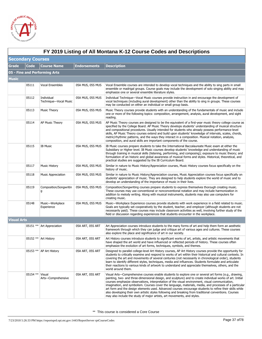

|                    | FY 2019 Listing of All Montana K-12 Course Codes and Descriptions |                                     |                     |                                                                                                                                                                                                                                                                                                                                                                                                                                                                                                                                                                                                                                                                                                                                   |  |  |  |
|--------------------|-------------------------------------------------------------------|-------------------------------------|---------------------|-----------------------------------------------------------------------------------------------------------------------------------------------------------------------------------------------------------------------------------------------------------------------------------------------------------------------------------------------------------------------------------------------------------------------------------------------------------------------------------------------------------------------------------------------------------------------------------------------------------------------------------------------------------------------------------------------------------------------------------|--|--|--|
|                    | <b>Secondary Courses</b>                                          |                                     |                     |                                                                                                                                                                                                                                                                                                                                                                                                                                                                                                                                                                                                                                                                                                                                   |  |  |  |
| <b>Grade</b>       | <b>Code</b>                                                       | <b>Course Name</b>                  | <b>Endorsements</b> | <b>Description</b>                                                                                                                                                                                                                                                                                                                                                                                                                                                                                                                                                                                                                                                                                                                |  |  |  |
|                    |                                                                   | 05 - Fine and Performing Arts       |                     |                                                                                                                                                                                                                                                                                                                                                                                                                                                                                                                                                                                                                                                                                                                                   |  |  |  |
| <b>Music</b>       |                                                                   |                                     |                     |                                                                                                                                                                                                                                                                                                                                                                                                                                                                                                                                                                                                                                                                                                                                   |  |  |  |
|                    | 05111                                                             | Vocal Ensembles                     | 05A MUS, 05S MUS    | Vocal Ensemble courses are intended to develop vocal techniques and the ability to sing parts in small<br>ensemble or madrigal groups. Course goals may include the development of solo singing ability and may<br>emphasize one or several ensemble literature styles.                                                                                                                                                                                                                                                                                                                                                                                                                                                           |  |  |  |
|                    | 05112                                                             | Individual<br>Technique-Vocal Music | 05A MUS, 05S MUS    | Individual Technique—Vocal Music courses provide instruction in and encourage the development of<br>vocal techniques (including aural development) other than the ability to sing in groups. These courses<br>may be conducted on either an individual or small group basis.                                                                                                                                                                                                                                                                                                                                                                                                                                                      |  |  |  |
|                    | 05113                                                             | <b>Music Theory</b>                 | 05A MUS, 05S MUS    | Music Theory courses provide students with an understanding of the fundamentals of music and include<br>one or more of the following topics: composition, arrangement, analysis, aural development, and sight<br>reading.                                                                                                                                                                                                                                                                                                                                                                                                                                                                                                         |  |  |  |
|                    | 05114                                                             | AP Music Theory                     | 05A MUS, 05S MUS    | AP Music Theory courses are designed to be the equivalent of a first-year music theory college course as<br>specified by the College Board. AP Music Theory develops students' understanding of musical structure<br>and compositional procedures. Usually intended for students who already possess performance-level<br>skills, AP Music Theory courses extend and build upon students' knowledge of intervals, scales, chords,<br>metric/rhythmic patterns, and the ways they interact in a composition. Musical notation, analysis,<br>composition, and aural skills are important components of the course.                                                                                                                  |  |  |  |
|                    | 05115                                                             | <b>IB Music</b>                     | 05A MUS, 05S MUS    | IB Music courses prepare students to take the International Baccalaureate Music exam at either the<br>Subsidiary or Higher level. IB Music courses develop students' knowledge and understanding of music<br>through training in musical skills (listening, performing, and composing); exposure to music theory; and<br>formulation of an historic and global awareness of musical forms and styles. Historical, theoretical, and<br>practical studies are suggested by the IB Curriculum Board.                                                                                                                                                                                                                                 |  |  |  |
|                    | 05117                                                             | <b>Music History</b>                | 05A MUS, 05S MUS    | Similar in nature to Music History/Appreciation courses, Music History courses focus specifically on the<br>history of music.                                                                                                                                                                                                                                                                                                                                                                                                                                                                                                                                                                                                     |  |  |  |
|                    | 05118                                                             | <b>Music Appreciation</b>           | 05A MUS, 05S MUS    | Similar in nature to Music History/Appreciation courses, Music Appreciation courses focus specifically on<br>students' appreciation of music. They are designed to help students explore the world of music and to<br>develop an understanding of the importance of music in their lives.                                                                                                                                                                                                                                                                                                                                                                                                                                         |  |  |  |
|                    | 05119                                                             | Composition/Songwritin<br>g         | 05A MUS, 05S MUS    | Composition/Songwriting courses prepare students to express themselves thorough creating music.<br>These courses may use conventional or nonconventional notation and may include harmonization in<br>addition to melody writing. Along with musical instruments, students may also use computers for<br>creating music.                                                                                                                                                                                                                                                                                                                                                                                                          |  |  |  |
|                    | 05148                                                             | Music-Workplace<br>Experience       | 05A MUS, 05S MUS    | Music—Workplace Experience courses provide students with work experience in a field related to music.<br>Goals are typically set cooperatively by the student, teacher, and employer (although students are not<br>necessarily paid). These courses may include classroom activities as well, involving further study of the<br>field or discussion regarding experiences that students encounter in the workplace.                                                                                                                                                                                                                                                                                                               |  |  |  |
| <b>Visual Arts</b> |                                                                   |                                     |                     |                                                                                                                                                                                                                                                                                                                                                                                                                                                                                                                                                                                                                                                                                                                                   |  |  |  |
|                    |                                                                   | 05151 ** Art Appreciation           | 05A ART, 05S ART    | Art Appreciation courses introduce students to the many forms of art and help them form an aesthetic<br>framework through which they can judge and critique art of various ages and cultures. These courses<br>also explore the place and significance of art in our society.                                                                                                                                                                                                                                                                                                                                                                                                                                                     |  |  |  |
|                    |                                                                   | 05152 ** Art History                | 05A ART, 05S ART    | Art History courses introduce students to significant works of art, artists, and artistic movements that<br>have shaped the art world and have influenced or reflected periods of history. These courses often<br>emphasize the evolution of art forms, techniques, symbols, and themes.                                                                                                                                                                                                                                                                                                                                                                                                                                          |  |  |  |
|                    |                                                                   | 05153 **   AP Art History           | 05A ART, 05S ART    | Designed to parallel college-level Art History courses, AP Art History courses provide the opportunity for<br>students to critically examine and respond to works of art within their historical and cultural contexts. In<br>covering the art and movements of several centuries (not necessarily in chronological order), students<br>learn to identify different styles, techniques, media and influences. Students formulate and articulate<br>their reactions to various kinds of artwork to understand and appreciate themselves, others, and the<br>world around them.                                                                                                                                                     |  |  |  |
|                    | 05154 **                                                          | Visual<br>Arts-Comprehensive        | 05A ART, 05S ART    | Visual Arts—Comprehensive courses enable students to explore one or several art forms (e.g., drawing,<br>painting, two- and three-dimensional design, and sculpture) and to create individual works of art. Initial<br>courses emphasize observations, interpretation of the visual environment, visual communication,<br>imagination, and symbolism. Courses cover the language, materials, media, and processes of a particular<br>art form and the design elements used. Advanced courses encourage students to refine their skills while<br>also developing their own artistic styles following and breaking from traditional conventions. Courses<br>may also include the study of major artists, art movements, and styles. |  |  |  |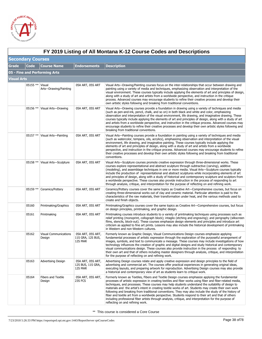

|              | FY 2019 Listing of All Montana K-12 Course Codes and Descriptions |                                        |                                                   |                                                                                                                                                                                                                                                                                                                                                                                                                                                                                                                                                                                                                                                                                                                                                                                                |  |  |
|--------------|-------------------------------------------------------------------|----------------------------------------|---------------------------------------------------|------------------------------------------------------------------------------------------------------------------------------------------------------------------------------------------------------------------------------------------------------------------------------------------------------------------------------------------------------------------------------------------------------------------------------------------------------------------------------------------------------------------------------------------------------------------------------------------------------------------------------------------------------------------------------------------------------------------------------------------------------------------------------------------------|--|--|
|              | <b>Secondary Courses</b>                                          |                                        |                                                   |                                                                                                                                                                                                                                                                                                                                                                                                                                                                                                                                                                                                                                                                                                                                                                                                |  |  |
| <b>Grade</b> | <b>Code</b>                                                       | <b>Course Name</b>                     | <b>Endorsements</b>                               | <b>Description</b>                                                                                                                                                                                                                                                                                                                                                                                                                                                                                                                                                                                                                                                                                                                                                                             |  |  |
|              |                                                                   | 05 - Fine and Performing Arts          |                                                   |                                                                                                                                                                                                                                                                                                                                                                                                                                                                                                                                                                                                                                                                                                                                                                                                |  |  |
| Visual Arts  |                                                                   |                                        |                                                   |                                                                                                                                                                                                                                                                                                                                                                                                                                                                                                                                                                                                                                                                                                                                                                                                |  |  |
|              | 05155 **                                                          | Visual<br>Arts-Drawing/Painting        | 05A ART, 05S ART                                  | Visual Arts—Drawing/Painting courses focus on the inter-relationships that occur between drawing and<br>painting using a variety of media and techniques, emphasizing observation and interpretation of the<br>visual environment. These courses typically include applying the elements of art and principles of design,<br>along with a study of art and artists from a worldwide perspective, and instruction in the critique<br>process. Advanced courses may encourage students to refine their creative process and develop their<br>own artistic styles following and breaking from traditional conventions.                                                                                                                                                                            |  |  |
|              | 05156 **                                                          | Visual Arts-Drawing                    | 05A ART, 05S ART                                  | Visual Arts—Drawing courses provide a foundation in drawing using a variety of techniques and media<br>(such as pen-and-ink, pencil, chalk, and so on) in both black and white and color, emphasizing<br>observation and interpretation of the visual environment, life drawing, and imaginative drawing. These<br>courses typically include applying the elements of art and principles of design, along with a study of art<br>and artists from a worldwide perspective, and instruction in the critique process. Advanced courses may<br>encourage students to refine their creative processes and develop their own artistic styles following and<br>breaking from traditional conventions.                                                                                                |  |  |
|              |                                                                   | 05157 **   Visual Arts--Painting       | 05A ART, 05S ART                                  | Visual Arts—Painting courses provide a foundation in painting using a variety of techniques and media<br>(such as watercolor, tempera, oils, acrylics), emphasizing observation and interpretation of the visual<br>environment, life drawing, and imaginative painting. These courses typically include applying the<br>elements of art and principles of design, along with a study of art and artists from a worldwide<br>perspective, and instruction in the critique process. Advanced courses may encourage students to refine<br>their creative processes and develop their own artistic styles following and breaking from traditional<br>conventions.                                                                                                                                 |  |  |
|              | 05158 **                                                          | Visual Arts-Sculpture                  | 05A ART, 05S ART                                  | Visual Arts—Sculpture courses promote creative expression through three-dimensional works. These<br>courses explore representational and abstract sculpture through subtractive (carving), additive<br>(modeling), and assemblage techniques in one or more media. Visual Arts-Sculpture courses typically<br>include the production of representational and abstract sculptures while incorporating elements of art<br>and principles of design, along with a study of historical and contemporary sculpture and sculptors from<br>a worldwide perspective. These courses also provide instruction in the process of responding to art<br>through analysis, critique, and interpretation for the purpose of reflecting on and refining work.                                                  |  |  |
|              | $05159$ **                                                        | Ceramics/Pottery                       | 05A ART, 05S ART                                  | Ceramics/Pottery courses cover the same topics as Creative Art—Comprehensive courses, but focus on<br>creating three-dimensional works out of clay and ceramic material. Particular attention is paid to the<br>characteristics of the raw materials, their transformation under heat, and the various methods used to<br>create and finish objects.                                                                                                                                                                                                                                                                                                                                                                                                                                           |  |  |
|              | 05160                                                             | Printmaking/Graphics                   | 05A ART, 05S ART                                  | Printmaking/Graphics courses cover the same topics as Creative Art—Comprehensive courses, but focus<br>on design principles, printmaking, and graphic design.                                                                                                                                                                                                                                                                                                                                                                                                                                                                                                                                                                                                                                  |  |  |
|              | 05161                                                             | Printmaking                            | 05A ART, 05S ART                                  | Printmaking courses introduce students to a variety of printmaking techniques using processes such as<br>relief printing (monoprint, collograph block); intaglio (etching and engraving); and perigraphy (silkscreen<br>films, stencils, block-out). These courses emphasize design elements and principles and introduce art<br>criticism as applied to fine art prints. Lessons may also include the historical development of printmaking<br>in Western and non-Western cultures.                                                                                                                                                                                                                                                                                                           |  |  |
|              | 05162                                                             | <b>Visual Communications</b><br>Design | 05A ART, 05S ART,<br>11S GRA, 12S BUS,<br>12S MAR | Formerly known as Graphic Design, Visual Communications Design courses emphasize applying<br>fundamental processes of artistic expression through the exploration of the purposeful arrangement of<br>images, symbols, and text to communicate a message. These courses may include investigations of how<br>technology influences the creation of graphic and digital designs and study historical and contemporary<br>visual communications design. These courses also provide instruction in the process of responding to<br>their own art and that of others including master designers through analysis, critique, and interpretation<br>for the purpose of reflecting on and refining work.                                                                                              |  |  |
|              | 05163                                                             | Advertising Design                     | 05A ART, 05S ART,<br>12S BUS, 11S GRA,<br>12S MAR | Advertising Design courses relate and apply creative expression and design principles to the field of<br>advertising and commercial art. The courses offer practical experiences in generating original ideas,<br>executing layouts, and preparing artwork for reproduction. Advertising Design courses may also provide<br>a historical and contemporary view of art as students learn to critique work.                                                                                                                                                                                                                                                                                                                                                                                      |  |  |
|              | 05164                                                             | <b>Fibers and Textile</b><br>Design    | 05A ART, 05S ART,<br>23S FCS                      | Formerly known as Textiles, Fibers and Textile Design courses emphasize applying the fundamental<br>processes of artistic expression in creating textiles and fiber works using fiber and fiber-related media,<br>techniques, and processes. These courses may help students understand the suitability of design to<br>materials and the artist's intent in creating textile works of art. Students may create their own work<br>following and breaking from traditional conventions. They may also include the study of the history of<br>fiber and textile art from a worldwide perspective. Students respond to their art and that of others<br>including professional fiber artists through analysis, critique, and interpretation for the purpose of<br>reflecting on and refining work. |  |  |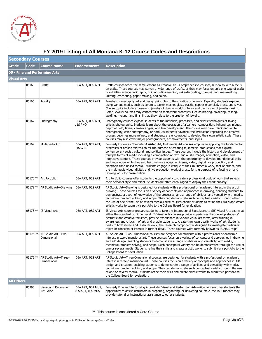

|                    | FY 2019 Listing of All Montana K-12 Course Codes and Descriptions |                                     |                                       |                                                                                                                                                                                                                                                                                                                                                                                                                                                                                                                                                                                                                                                                                                                                                                                                                                                                                                 |  |  |
|--------------------|-------------------------------------------------------------------|-------------------------------------|---------------------------------------|-------------------------------------------------------------------------------------------------------------------------------------------------------------------------------------------------------------------------------------------------------------------------------------------------------------------------------------------------------------------------------------------------------------------------------------------------------------------------------------------------------------------------------------------------------------------------------------------------------------------------------------------------------------------------------------------------------------------------------------------------------------------------------------------------------------------------------------------------------------------------------------------------|--|--|
|                    | <b>Secondary Courses</b>                                          |                                     |                                       |                                                                                                                                                                                                                                                                                                                                                                                                                                                                                                                                                                                                                                                                                                                                                                                                                                                                                                 |  |  |
| <b>Grade</b>       | Code                                                              | <b>Course Name</b>                  | <b>Endorsements</b>                   | <b>Description</b>                                                                                                                                                                                                                                                                                                                                                                                                                                                                                                                                                                                                                                                                                                                                                                                                                                                                              |  |  |
|                    |                                                                   | 05 - Fine and Performing Arts       |                                       |                                                                                                                                                                                                                                                                                                                                                                                                                                                                                                                                                                                                                                                                                                                                                                                                                                                                                                 |  |  |
| <b>Visual Arts</b> |                                                                   |                                     |                                       |                                                                                                                                                                                                                                                                                                                                                                                                                                                                                                                                                                                                                                                                                                                                                                                                                                                                                                 |  |  |
|                    | 05165                                                             | Crafts                              | 05A ART, 05S ART                      | Crafts courses teach the same lessons as Creative Art—Comprehensive courses, but do so with a focus<br>on crafts. These courses may survey a wide range of crafts, or they may focus on only one type of craft;<br>possibilities include calligraphy, quilting, silk-screening, cake-decorating, tole-painting, maskmaking,<br>knitting, crocheting, paper-making, and so on.                                                                                                                                                                                                                                                                                                                                                                                                                                                                                                                   |  |  |
|                    | 05166                                                             | <b>Jewelry</b>                      | 05A ART, 05S ART                      | Jewelry courses apply art and design principles to the creation of jewelry. Typically, students explore<br>using various media, such as ceramic, papier-mache, glass, plastic, copper-enameled, brass, and silver.<br>Course topics include exposure to jewelry of diverse world cultures and the history of jewelry design.<br>Some Jewelry courses may concentrate on metalwork processes such as brazing, soldering, casting,<br>welding, riveting, and finishing as they relate to the creation of jewelry.                                                                                                                                                                                                                                                                                                                                                                                 |  |  |
|                    | 05167                                                             | Photography                         | 05A ART, 05S ART,<br>11S PHO          | Photography courses expose students to the materials, processes, and artistic techniques of taking<br>artistic photographs. Students learn about the operation of a camera, composition, lighting techniques,<br>depth of field, filters, camera angles, and film development. The course may cover black-and-white<br>photography, color photography, or both. As students advance, the instruction regarding the creative<br>process becomes more refined, and students are encouraged to develop their own artistic style. These<br>courses may also cover major photographers, art movements, and styles.                                                                                                                                                                                                                                                                                   |  |  |
|                    | 05169                                                             | Multimedia Art                      | 05A ART, 05S ART,<br>11S GRA          | Formerly known as Computer-Assisted Art, Multimedia Art courses emphasize applying the fundamental<br>processes of artistic expression for the purpose of creating multimedia productions that explore<br>contemporary social, cultural, and political issues. These courses include the history and development of<br>multiple forms of media including a combination of text, audio, still images, animation, video, and<br>interactive content. These courses provide students with the opportunity to develop foundational skills<br>and knowledge while they also become more adept in cinema, video, digital live production, and<br>electronic time-based media. Students engage in critique of their multimedia work, that of others, and<br>the multimedia video, digital, and live production work of artists for the purpose of reflecting on and<br>refining work for presentation. |  |  |
|                    |                                                                   | 05170 ** Art Portfolio              | 05A ART, 05S ART                      | Art Portfolio courses offer students the opportunity to create a professional body of work that reflects<br>their personal style and talent. Students are often encouraged to display their work publicly.                                                                                                                                                                                                                                                                                                                                                                                                                                                                                                                                                                                                                                                                                      |  |  |
|                    |                                                                   | 05172 ** AP Studio Art-Drawing      | 05A ART, 05S ART                      | AP Studio Art—Drawing is designed for students with a professional or academic interest in the art of<br>drawing. These courses focus on a variety of concepts and approaches in drawing, enabling students to<br>demonstrate a depth of knowledge of the processes, and a range of abilities, and versatility with media,<br>technique, problem solving, and scope. They can demonstrate such conceptual variety through either<br>the use of one or the use of several media. These courses enable students to refine their skills and create<br>artistic works to submit via portfolio to the College Board for evaluation.                                                                                                                                                                                                                                                                  |  |  |
|                    |                                                                   | 05173 ** IB Visual Arts             | 05A ART, 05S ART                      | IB Visual Arts courses prepare students to take the International Baccalaureate (IB) Visual Arts exams at<br>either the standard or higher level. IB Visual Arts courses provide experiences that develop students'<br>aesthetic and creative facukties, provide experiences in various visual art forms, offer training in<br>awareness and criticism of art, and enable students to create their own quality works of art. Students<br>perform both studio and research work; the research component is designed to investigate particular<br>topics or concepts of interest in further detail. These courses were formerly known as IB Art/Design.                                                                                                                                                                                                                                           |  |  |
|                    | 05174 **                                                          | AP Studio Art-Two-<br>Dimensional   | 05A ART, 05S ART                      | AP Studio Art—Two-Dimensional courses are designed for students with a professional or academic<br>interest in two-dimensional art. These courses focus on a variety of concepts and approaches in drawing<br>and 2-D design, enabling students to demonstrate a range of abilities and versatility with media,<br>technique, problem solving, and scope. Such conceptual variety can be demonstrated through the use of<br>one or several media. Students refine their skills and create artistic works to submit via a portfolio to the<br>College Board for evaluation.                                                                                                                                                                                                                                                                                                                      |  |  |
|                    | 05175 **                                                          | AP Studio Art-Three-<br>Dimensional | 05A ART, 05S ART                      | AP Studio Art—Three-Dimensional courses are designed for students with a professional or academic<br>interest in three-dimensional art. These courses focus on a variety of concepts and approaches in 3-D<br>design and creation, enabling students to demonstrate a range of abilities and versatility with media,<br>technique, problem solving, and scope. They can demonstrate such conceptual variety through the use<br>of one or several media. Students refine their skills and create artistic works to submit via portfolio to<br>the College Board for evaluation.                                                                                                                                                                                                                                                                                                                  |  |  |
| <b>All Others</b>  |                                                                   |                                     |                                       |                                                                                                                                                                                                                                                                                                                                                                                                                                                                                                                                                                                                                                                                                                                                                                                                                                                                                                 |  |  |
|                    | 05995                                                             | Visual and Performing<br>Art-Aide   | 05A ART, 05A MUS,<br>05S ART, 05S MUS | Formerly Fine and Performing Arts—Aide, Visual and Performing Arts—Aide courses offer students the<br>opportunity to assist instructors in preparing, organizing, or delivering course curricula. Students may<br>provide tutorial or instructional assistance to other students.                                                                                                                                                                                                                                                                                                                                                                                                                                                                                                                                                                                                               |  |  |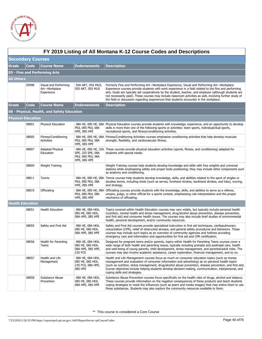

|                   | FY 2019 Listing of All Montana K-12 Course Codes and Descriptions |                                                      |                                                                      |                                                                                                                                                                                                                                                                                                                                                                                                                                                                                                                          |  |  |  |
|-------------------|-------------------------------------------------------------------|------------------------------------------------------|----------------------------------------------------------------------|--------------------------------------------------------------------------------------------------------------------------------------------------------------------------------------------------------------------------------------------------------------------------------------------------------------------------------------------------------------------------------------------------------------------------------------------------------------------------------------------------------------------------|--|--|--|
|                   | <b>Secondary Courses</b>                                          |                                                      |                                                                      |                                                                                                                                                                                                                                                                                                                                                                                                                                                                                                                          |  |  |  |
| Grade             | <b>Code</b>                                                       | <b>Course Name</b>                                   | <b>Endorsements</b>                                                  | <b>Description</b>                                                                                                                                                                                                                                                                                                                                                                                                                                                                                                       |  |  |  |
|                   |                                                                   | 05 - Fine and Performing Arts                        |                                                                      |                                                                                                                                                                                                                                                                                                                                                                                                                                                                                                                          |  |  |  |
| <b>All Others</b> |                                                                   |                                                      |                                                                      |                                                                                                                                                                                                                                                                                                                                                                                                                                                                                                                          |  |  |  |
|                   | 05998                                                             | Visual and Performing<br>Art-Workplace<br>Experience | 05A ART, 05A MUS,<br>05S ART, 05S MUS                                | Formerly Fine and Performing Art—Workplace Experience, Visual and Performing Art—Workplace<br>Experience courses provide students with work experience in a field related to the fine and performing<br>arts. Goals are typically set cooperatively by the student, teacher, and employer (although students are<br>not necessarily paid). These courses may include classroom activities as well, involving further study of<br>the field or discussion regarding experiences that students encounter in the workplace. |  |  |  |
| Grade             | <b>Code</b>                                                       | <b>Course Name</b>                                   | <b>Endorsements</b>                                                  | <b>Description</b>                                                                                                                                                                                                                                                                                                                                                                                                                                                                                                       |  |  |  |
|                   |                                                                   | 08 - Physical, Health, and Safety Education          |                                                                      |                                                                                                                                                                                                                                                                                                                                                                                                                                                                                                                          |  |  |  |
|                   | <b>Physical Education</b>                                         |                                                      |                                                                      |                                                                                                                                                                                                                                                                                                                                                                                                                                                                                                                          |  |  |  |
|                   | 08001                                                             | <b>Physical Education</b>                            | PEd, 08S PEd, 08A<br>HPE, 08S HPE                                    | 08A HE, 08S HE, 08A Physical Education courses provide students with knowledge, experience, and an opportunity to develop<br>skills in more than one of the following sports or activities: team sports, individual/dual sports,<br>recreational sports, and fitness/conditioning activities.                                                                                                                                                                                                                            |  |  |  |
|                   | 08005                                                             | Fitness/Conditioning<br>Activities                   | PEd, 08S PEd, 08A<br>HPE, 08S HPE                                    | 08A HE, 08S HE, 08A Fitness/Conditioning Activities courses emphasize conditioning activities that help develop muscular<br>strength, flexibility, and cardiovascular fitness.                                                                                                                                                                                                                                                                                                                                           |  |  |  |
|                   | 08007                                                             | <b>Adapted Physical</b><br>Education                 | SPE, 32S SPE, 08A<br>PEd, 08S PEd, 08A<br>HPE, 08S HPE               | 08A HE, 08S HE, 32A These courses provide physical education activities (sports, fitness, and conditioning) adapted for<br>students with special needs.                                                                                                                                                                                                                                                                                                                                                                  |  |  |  |
|                   | 08009                                                             | Weight Training                                      |                                                                      | Weight Training courses help students develop knowledge and skills with free weights and universal<br>stations while emphasizing safety and proper body positioning; they may include other components such<br>as anatomy and conditioning.                                                                                                                                                                                                                                                                              |  |  |  |
|                   | 08011                                                             | Tennis                                               | PEd, 08S PEd, 08A<br>HPE, 08S HPE                                    | 08A HE, 08S HE, 08A Tennis courses help students develop knowledge, skills, and abilities related to the sport of singles or<br>doubles tennis, including shots (such as serves, forehand strokes, backhand strokes, and lobs), scoring,<br>and strategy.                                                                                                                                                                                                                                                                |  |  |  |
|                   | 08019                                                             | Officiating                                          | PEd, 08S PEd, 08A<br>HPE, 08S HPE                                    | 08A HE, 08S HE, 08A Officiating courses provide students with the knowledge, skills, and abilities to serve as a referee,<br>umpire, judge, or other official for a sports contest, emphasizing rule interpretation and the proper<br>mechanics of officiating.                                                                                                                                                                                                                                                          |  |  |  |
|                   | <b>Health Education</b>                                           |                                                      |                                                                      |                                                                                                                                                                                                                                                                                                                                                                                                                                                                                                                          |  |  |  |
|                   | 08051                                                             | <b>Health Education</b>                              | 08A HE, 08A HEA,<br>08S HE, 08S HEA,<br>08A HPE, 08S HPE             | Topics covered within Health Education courses may vary widely, but typically include personal health<br>(nutrition, mental health and stress management, drug/alcohol abuse prevention, disease prevention,<br>and first aid) and consumer health issues. The courses may also include brief studies of environmental<br>health, personal development, and/or community resources.                                                                                                                                      |  |  |  |
|                   | 08055                                                             | Safety and First Aid                                 | 08A HE, 08A HEA,<br>08S HE, 08S HEA,<br>08A HPE, 08S HPE             | Safety and First Aid courses provide specialized instruction in first aid techniques, cardiopulmonary<br>resuscitation (CPR), relief of obstructed airways, and general safety procedures and behaviors. These<br>courses may include such topics as an overview of community agencies and hotlines providing<br>emergency care and information and opportunities for first aid and CPR certification.                                                                                                                   |  |  |  |
|                   | 08056                                                             | Health for Parenting<br>Teens                        | 08A HE, 08A HEA,<br>08S HE, 08S HEA,<br>08A HPE, 08S HPE,<br>23S FCS | Designed for pregnant teens and/or parents, topics within Health for Parenting Teens courses cover a<br>wide range of both health and parenting issues, typically including prenatal and postnatal care, health<br>and well-being of young parents, child development, stress management, and parental/adult roles. The<br>courses may also involve academic assistance, career exploration, financial management, and so on.                                                                                            |  |  |  |
|                   | 08057                                                             | Health and Life<br>Management                        | 08A HE, 08A HEA,<br>08S HE, 08S HEA,<br>23S FCS, 08A HPE,<br>08S HPE | Health and Life Management courses focus as much on consumer education topics (such as money<br>management and evaluation of consumer information and advertising) as on personal health topics<br>(such as nutrition, stress management, drug/alcohol abuse prevention, disease prevention, and first aid).<br>Course objectives include helping students develop decision-making, communication, interpersonal, and<br>coping skills and strategies.                                                                   |  |  |  |
|                   | 08058                                                             | Substance Abuse<br>Prevention                        | 08A HE, 08A HEA,<br>08S HE, 08S HEA,<br>08A HPE, 08S HPE             | Substance Abuse Prevention courses focus specifically on the health risks of drugs, alcohol and tobacco.<br>These courses provide information on the negative consequences of these products and teach students<br>coping strategies to resist the influences (such as peers and media images) that may entice them to use<br>these substances. Students may also explore the community resources available to them.                                                                                                     |  |  |  |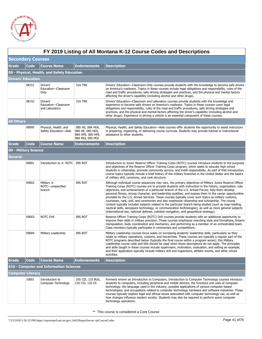

|                   | FY 2019 Listing of All Montana K-12 Course Codes and Descriptions |                                                   |                                                                               |                                                                                                                                                                                                                                                                                                                                                                                                                                                                                                                                                                                                                                                                                                                                                                                                                                                                                                                                                                       |  |  |  |
|-------------------|-------------------------------------------------------------------|---------------------------------------------------|-------------------------------------------------------------------------------|-----------------------------------------------------------------------------------------------------------------------------------------------------------------------------------------------------------------------------------------------------------------------------------------------------------------------------------------------------------------------------------------------------------------------------------------------------------------------------------------------------------------------------------------------------------------------------------------------------------------------------------------------------------------------------------------------------------------------------------------------------------------------------------------------------------------------------------------------------------------------------------------------------------------------------------------------------------------------|--|--|--|
|                   | <b>Secondary Courses</b>                                          |                                                   |                                                                               |                                                                                                                                                                                                                                                                                                                                                                                                                                                                                                                                                                                                                                                                                                                                                                                                                                                                                                                                                                       |  |  |  |
| Grade             | <b>Code</b>                                                       | <b>Course Name</b>                                | <b>Endorsements</b>                                                           | <b>Description</b>                                                                                                                                                                                                                                                                                                                                                                                                                                                                                                                                                                                                                                                                                                                                                                                                                                                                                                                                                    |  |  |  |
|                   |                                                                   | 08 - Physical, Health, and Safety Education       |                                                                               |                                                                                                                                                                                                                                                                                                                                                                                                                                                                                                                                                                                                                                                                                                                                                                                                                                                                                                                                                                       |  |  |  |
|                   | Drivers' Education                                                |                                                   |                                                                               |                                                                                                                                                                                                                                                                                                                                                                                                                                                                                                                                                                                                                                                                                                                                                                                                                                                                                                                                                                       |  |  |  |
|                   | 08151                                                             | Drivers'<br>Education-Classroom<br>Only           | 31A TRE                                                                       | Drivers' Education—Classroom Only courses provide students with the knowledge to become safe drivers<br>on America's roadways. Topics in these courses include legal obligations and responsibility, rules of the<br>road and traffic procedures, safe driving strategies and practices, and the physical and mental factors<br>affecting the driver's capability (including alcohol and other drugs).                                                                                                                                                                                                                                                                                                                                                                                                                                                                                                                                                                |  |  |  |
|                   | 08152                                                             | Drivers'<br>Education-Classroom<br>and Laboratory | 31A TRE                                                                       | Drivers' Education-Classroom and Laboratory courses provide students with the knowledge and<br>experience to become safe drivers on America's roadways. Topics in these courses cover legal<br>obligations and responsibility, rules of the road and traffic procedures, safe driving strategies and<br>practices, and the physical and mental factors affecting the driver's capability (including alcohol and<br>other drugs). Experience in driving a vehicle is an essential component of these courses.                                                                                                                                                                                                                                                                                                                                                                                                                                                          |  |  |  |
| <b>All Others</b> |                                                                   |                                                   |                                                                               |                                                                                                                                                                                                                                                                                                                                                                                                                                                                                                                                                                                                                                                                                                                                                                                                                                                                                                                                                                       |  |  |  |
|                   | 08995                                                             | Physical, Health, and<br>Safety Education-Aide    | 08S HE, 08A HEA,<br>08A HE, 08S HEA,<br>08A HPE, 08S HPE,<br>08A PEd, 08S PEd | Physical, Health, and Safety Education—Aide courses offer students the opportunity to assist instructors<br>in preparing, organizing, or delivering course curricula. Students may provide tutorial or instructional<br>assistance to other students.                                                                                                                                                                                                                                                                                                                                                                                                                                                                                                                                                                                                                                                                                                                 |  |  |  |
| Grade             | <b>Code</b>                                                       | <b>Course Name</b>                                | <b>Endorsements</b>                                                           | <b>Description</b>                                                                                                                                                                                                                                                                                                                                                                                                                                                                                                                                                                                                                                                                                                                                                                                                                                                                                                                                                    |  |  |  |
|                   | 09 - Military Science                                             |                                                   |                                                                               |                                                                                                                                                                                                                                                                                                                                                                                                                                                                                                                                                                                                                                                                                                                                                                                                                                                                                                                                                                       |  |  |  |
| General           |                                                                   |                                                   |                                                                               |                                                                                                                                                                                                                                                                                                                                                                                                                                                                                                                                                                                                                                                                                                                                                                                                                                                                                                                                                                       |  |  |  |
|                   | 09001                                                             | Introduction to Jr. ROTC                          | 09S ROT                                                                       | Introduction to Junior Reserve Officer Training Corps (ROTC) courses introduce students to the purposes<br>and objectives of the Reserve Officer Training Corps program, which seeks to educate high school<br>students in citizenship, promote community service, and instill responsibility. As part of that introduction,<br>course topics typically include a brief history of the military branches in the United States and the basics<br>of military drill, ceremony, and rank structure.                                                                                                                                                                                                                                                                                                                                                                                                                                                                      |  |  |  |
|                   | 09002                                                             | Military Jr.<br>ROTC-unspecified<br>branch        | 09S ROT                                                                       | Although individual course sequences may vary, the primary objectives of Military Junior Reserve Officer<br>Training Corps (ROTC) courses are to provide students with instruction in the history, organization, role,<br>objectives, and achievements of a particular branch of the U.S. Armed Forces; help them develop<br>personal fitness, strong character, and leadership qualities; and expose them to the career opportunities<br>provided by the U.S. Armed Services. These courses typically cover such topics as military customs,<br>courtesies, rank, drill, and ceremonies and also emphasize citizenship and scholarship. The course<br>content typically includes subjects related to the particular branch being studied (such as map-reading,<br>nautical skills, aerospace technology, or communication technologies), as well as more general subjects<br>(international law, national defense, celestial navigation, and geopolitical strategy). |  |  |  |
|                   | 09003                                                             | <b>ROTC Drill</b>                                 | 09S ROT                                                                       | Reserve Officer Training Corps (ROTC) Drill courses provide students with an additional opportunity to<br>improve their skills in military precision. These courses emphasize marching style and formations, firearm<br>manipulation, body coordination and mechanics, and performing as a member of an orchestrated team.<br>Class members typically participate in ceremonies and competitions.                                                                                                                                                                                                                                                                                                                                                                                                                                                                                                                                                                     |  |  |  |
|                   | 09004                                                             | Military Leadership                               | 09S ROT                                                                       | Military Leadership courses focus solely on increasing students' leadership skills, particularly as they<br>relate to military operations, customs, and hierarchies. These courses are typically a regular part of the<br>ROTC programs described below (typically the final course within a program series); this Military<br>Leadership course code and title should be used when those descriptions do not apply. The principles<br>and skills taught in these courses include supervision, motivation, evaluation, and setting an example,<br>and their application typically include military drill and inspections, athletic events, and other school<br>activities.                                                                                                                                                                                                                                                                                            |  |  |  |
| Grade             | <b>Code</b>                                                       | <b>Course Name</b>                                | <b>Endorsements</b>                                                           | <b>Description</b>                                                                                                                                                                                                                                                                                                                                                                                                                                                                                                                                                                                                                                                                                                                                                                                                                                                                                                                                                    |  |  |  |
|                   |                                                                   | 010 - Computer and Information Sciences           |                                                                               |                                                                                                                                                                                                                                                                                                                                                                                                                                                                                                                                                                                                                                                                                                                                                                                                                                                                                                                                                                       |  |  |  |
|                   | Computer Literacy                                                 |                                                   |                                                                               |                                                                                                                                                                                                                                                                                                                                                                                                                                                                                                                                                                                                                                                                                                                                                                                                                                                                                                                                                                       |  |  |  |
|                   | 10001                                                             | Introduction to<br>Computer Technology            | 10S CIS, 12S BUS,<br>12S CIS, 12S CS                                          | Formerly known as Introduction to Computers, Introduction to Computer Technology courses introduce<br>students to computers, including peripheral and mobile devices; the functions and uses of computer<br>technology; the language used in the industry; possible applications of various computer-based<br>technologies; and occupations related to computer technology hardware and software industries. These<br>courses typically explore legal and ethical issues associated with computer technology use, as well as<br>how changes influence modern society. Students may also be required to perform some computer<br>technology operations.                                                                                                                                                                                                                                                                                                                |  |  |  |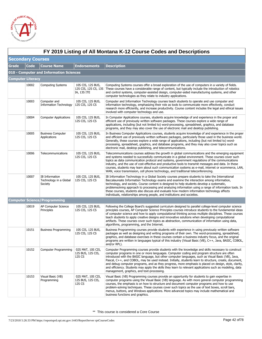

|                          | FY 2019 Listing of All Montana K-12 Course Codes and Descriptions |                                                     |                                                          |                                                                                                                                                                                                                                                                                                                                                                                                                                                                                                                                                                                                                                                                                      |  |  |  |
|--------------------------|-------------------------------------------------------------------|-----------------------------------------------------|----------------------------------------------------------|--------------------------------------------------------------------------------------------------------------------------------------------------------------------------------------------------------------------------------------------------------------------------------------------------------------------------------------------------------------------------------------------------------------------------------------------------------------------------------------------------------------------------------------------------------------------------------------------------------------------------------------------------------------------------------------|--|--|--|
|                          | <b>Secondary Courses</b>                                          |                                                     |                                                          |                                                                                                                                                                                                                                                                                                                                                                                                                                                                                                                                                                                                                                                                                      |  |  |  |
| Grade                    | <b>Code</b>                                                       | <b>Course Name</b>                                  | <b>Endorsements</b>                                      | <b>Description</b>                                                                                                                                                                                                                                                                                                                                                                                                                                                                                                                                                                                                                                                                   |  |  |  |
|                          |                                                                   | 010 - Computer and Information Sciences             |                                                          |                                                                                                                                                                                                                                                                                                                                                                                                                                                                                                                                                                                                                                                                                      |  |  |  |
| <b>Computer Literacy</b> |                                                                   |                                                     |                                                          |                                                                                                                                                                                                                                                                                                                                                                                                                                                                                                                                                                                                                                                                                      |  |  |  |
|                          | 10002                                                             | <b>Computing Systems</b>                            | 10S CIS, 12S BUS,<br>12S CIS, 12S CS, 13S<br>IA, 13S ITE | Computing Systems courses offer a broad exploration of the use of computers in a variety of fields.<br>These courses have a considerable range of content, but typically include the introduction of robotics<br>and control systems, computer-assisted design, computer-aided manufacturing systems, and other<br>computer technologies as they relate to industry applications.                                                                                                                                                                                                                                                                                                    |  |  |  |
|                          | 10003                                                             | Computer and<br><b>Information Technology</b>       | 10S CIS, 12S BUS,<br>12S CIS, 12S CS                     | Computer and Information Technology courses teach students to operate and use computer and<br>information technology, emphasizing their role as tools to communicate more effectively, conduct<br>research more efficiently, and increase productivity. Course content includes the legal and ethical issues<br>involved with computer technology and use.                                                                                                                                                                                                                                                                                                                           |  |  |  |
|                          | 10004                                                             | <b>Computer Applications</b>                        | 10S CIS, 12S BUS,<br>12S CIS, 12S CS                     | In Computer Applications courses, students acquire knowledge of and experience in the proper and<br>efficient use of previously written software packages. These courses explore a wide range of<br>applications, including (but not limited to) word-processing, spreadsheet, graphics, and database<br>programs, and they may also cover the use of electronic mail and desktop publishing.                                                                                                                                                                                                                                                                                        |  |  |  |
|                          | 10005                                                             | <b>Business Computer</b><br>Applications            | 10S CIS, 12S BUS,<br>12S CIS, 12S CS                     | In Business Computer Applications courses, students acquire knowledge of and experience in the proper<br>and efficient use of previously written software packages, particularly those used in the business world.<br>Generally, these courses explore a wide range of applications, including (but not limited to) word-<br>processing, spreadsheet, graphics, and database programs, and they may also cover topics such as<br>electronic mail, desktop publishing, and telecommunications.                                                                                                                                                                                        |  |  |  |
|                          | 10006                                                             | Telecommunications                                  | 10S CIS, 12S BUS,<br>12S CIS, 12S CS                     | Telecommunications courses address the growth in global communications and the emerging equipment<br>and systems needed to successfully communicate in a global environment. These courses cover such<br>topics as data communication protocol and systems, government regulations of the communications<br>industry, and the use of cost-effective and productive tools to transmit messages and data. In these<br>courses, students may learn about such communication systems as e-mail, internet or ecommerce, LAN,<br>WAN, voice transmission, cell phone technology, and traditional teleconferencing.                                                                         |  |  |  |
|                          | 10007                                                             | IB Information<br>Technology in a Global<br>Society | 10S CIS, 12S BUS,<br>12S CIS, 12S CS                     | IB Information Technology in a Global Society courses prepare students to take the International<br>Baccalaureate Information Technology exams and examine the interaction among information,<br>technology, and society. Course content is designed to help students develop a systematic,<br>problemsolving approach to processing and analyzing information using a range of information tools. In<br>these courses, students also discuss and evaluate how modern information technology affects<br>individuals, relationships among people, and institutions and societies.                                                                                                     |  |  |  |
|                          |                                                                   | <b>Computer Science/Programming</b>                 |                                                          |                                                                                                                                                                                                                                                                                                                                                                                                                                                                                                                                                                                                                                                                                      |  |  |  |
|                          | 10019                                                             | AP Computer Science<br>Principles                   | 10S CIS, 12S BUS,<br>12S CIS, 12S CS                     | Following the College Board's suggested curriculum designed to parallel college-level computer science<br>principles courses, AP Computer Science Principles courses introduce students to the fundamental ideas<br>of computer science and how to apply computational thinking across multiple disciplines. These courses<br>teach students to apply creative designs and innovative solutions when developing computational<br>artifacts. These courses cover such topics as abstraction, communication of information using data,<br>algorithms, programming, and the Internet.                                                                                                   |  |  |  |
|                          | 10151                                                             | <b>Business Programming</b>                         | 10S CIS, 12S BUS,<br>12S CIS, 12S CS                     | Business Programming courses provide students with experience in using previously written software<br>packages as well as designing and writing programs of their own. The word-processing, spreadsheet,<br>graphics, and database exercises in these courses contain a business industry focus, and the original<br>programs are written in languages typical of this industry (Visual Basic (VB), C++, Java, BASIC, COBOL,<br>and/or RPL).                                                                                                                                                                                                                                         |  |  |  |
|                          | 10152                                                             | Computer Programming                                | 02S MAT, 10S CIS,<br>12S BUS, 12S CIS,<br>12S CS         | Computer Programming courses provide students with the knowledge and skills necessary to construct<br>computer programs in one or more languages. Computer coding and program structure are often<br>introduced with the BASIC language, but other computer languages, such as Visual Basic (VB), Java,<br>Pascal, C++, and COBOL, may be used instead. Initially, students learn to structure, create, document,<br>and debug computer programs, and as they progress, more emphasis is placed on design, style, clarity,<br>and efficiency. Students may apply the skills they learn to relevant applications such as modeling, data<br>management, graphics, and text-processing. |  |  |  |
|                          | 10153                                                             | Visual Basic (VB)<br>Programming                    | 02S MAT, 10S CIS,<br>12S BUS, 12S CIS,<br>12S CS         | Visual Basic (VB) Programming courses provide an opportunity for students to gain expertise in<br>computer programs using the Visual Basic (VB) language. As with more general computer programming<br>courses, the emphasis is on how to structure and document computer programs and how to use<br>problem-solving techniques. These courses cover such topics as the use of text boxes, scroll bars,<br>menus, buttons, and Windows applications. More advanced topics may include mathematical and<br>business functions and graphics.                                                                                                                                           |  |  |  |

# **FY 2019 Listing of All Montana K-12 Course Codes and Descriptions**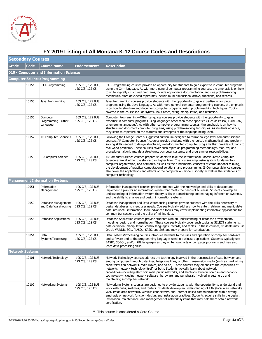

|              | FY 2019 Listing of All Montana K-12 Course Codes and Descriptions |                                             |                                      |                                                                                                                                                                                                                                                                                                                                                                                                                                                                                                                                                                                                                                                      |  |  |  |
|--------------|-------------------------------------------------------------------|---------------------------------------------|--------------------------------------|------------------------------------------------------------------------------------------------------------------------------------------------------------------------------------------------------------------------------------------------------------------------------------------------------------------------------------------------------------------------------------------------------------------------------------------------------------------------------------------------------------------------------------------------------------------------------------------------------------------------------------------------------|--|--|--|
|              | <b>Secondary Courses</b>                                          |                                             |                                      |                                                                                                                                                                                                                                                                                                                                                                                                                                                                                                                                                                                                                                                      |  |  |  |
| <b>Grade</b> | <b>Code</b>                                                       | <b>Course Name</b>                          | <b>Endorsements</b>                  | <b>Description</b>                                                                                                                                                                                                                                                                                                                                                                                                                                                                                                                                                                                                                                   |  |  |  |
|              | 010 - Computer and Information Sciences                           |                                             |                                      |                                                                                                                                                                                                                                                                                                                                                                                                                                                                                                                                                                                                                                                      |  |  |  |
|              |                                                                   | <b>Computer Science/Programming</b>         |                                      |                                                                                                                                                                                                                                                                                                                                                                                                                                                                                                                                                                                                                                                      |  |  |  |
|              | 10154                                                             | $C++$ Programming                           | 10S CIS, 12S BUS,<br>12S CIS, 12S CS | C++ Programming courses provide an opportunity for students to gain expertise in computer programs<br>using the C++ language. As with more general computer programming courses, the emphasis is on how<br>to write logically structured programs, include appropriate documentation, and use problemsolving<br>techniques. More advanced topics may include multi-dimensional arrays, functions, and records.                                                                                                                                                                                                                                       |  |  |  |
|              | 10155                                                             | Java Programming                            | 10S CIS, 12S BUS,<br>12S CIS, 12S CS | Java Programming courses provide students with the opportunity to gain expertise in computer<br>programs using the Java language. As with more general computer programming courses, the emphasis<br>is on how to structure and document computer programs, using problem-solving techniques. Topics<br>covered in the course include syntax, I/O classes, string manipulation, and recursion.                                                                                                                                                                                                                                                       |  |  |  |
|              | 10156                                                             | Computer<br>Programming-Other<br>Language   | 10S CIS, 12S BUS,<br>12S CIS, 12S CS | Computer Programming—Other Language courses provide students with the opportunity to gain<br>expertise in computer programs using languages other than those specified (such as Pascal, FORTRAN,<br>or emerging languages). As with other computer programming courses, the emphasis is on how to<br>structure and document computer programs, using problem-solving techniques. As students advance,<br>they learn to capitalize on the features and strengths of the language being used.                                                                                                                                                          |  |  |  |
|              | 10157                                                             | AP Computer Science A                       | 10S CIS, 12S BUS,<br>12S CIS, 12S CS | Following the College Board's suggested curriculum designed to mirror college-level computer science<br>courses, AP Computer Science A courses provide students with the logical, mathematical, and problem-<br>solving skills needed to design structured, well-documented computer programs that provide solutions to<br>real-world problems. These courses cover such topics as programming methodology, features, and<br>procedures; algorithms; data structures; computer systems; and programmer responsibilities.                                                                                                                             |  |  |  |
|              | 10159                                                             | <b>IB Computer Science</b>                  | 10S CIS, 12S BUS,<br>12S CIS, 12S CS | IB Computer Science courses prepare students to take the International Baccalaureate Computer<br>Science exam at either the standard or higher level. The courses emphasize system fundamentals,<br>computer organization, and networks, as well as the fundamental concepts of computational thinking,<br>the development of practical computational solutions, and programming. IB Computer Science courses<br>also cover the applications and effects of the computer on modern society as well as the limitations of<br>computer technology.                                                                                                     |  |  |  |
|              |                                                                   | <b>Management Information Systems</b>       |                                      |                                                                                                                                                                                                                                                                                                                                                                                                                                                                                                                                                                                                                                                      |  |  |  |
|              | 10051                                                             | Information<br>Management                   | 10S CIS, 12S BUS,<br>12S CIS, 12S CS | Information Management courses provide students with the knowledge and skills to develop and<br>implement a plan for an information system that meets the needs of business. Students develop an<br>understanding of information system theory, skills in administering and managing information systems,<br>and the ability to analyze and design information systems.                                                                                                                                                                                                                                                                              |  |  |  |
|              | 10052                                                             | Database Management<br>and Data Warehousing | 10S CIS, 12S BUS,<br>12S CIS, 12S CS | Database Management and Data Warehousing courses provide students with the skills necessary to<br>design databases to meet user needs. Courses typically address how to enter, retrieve, and manipulate<br>data into useful information. More advanced topics may cover implementing interactive applications for<br>common transactions and the utility of mining data.                                                                                                                                                                                                                                                                             |  |  |  |
|              | 10053                                                             | Database Applications                       | 10S CIS, 12S BUS,<br>12S CIS, 12S CS | Database Application courses provide students with an understanding of database development,<br>modeling, design, and normalization. These courses typically cover such topics as SELECT statements,<br>data definition, manipulation, control languages, records, and tables. In these courses, students may use<br>Oracle WebDB, SQL, PL/SQL, SPSS, and SAS and may prepare for certification.                                                                                                                                                                                                                                                     |  |  |  |
|              | 10054                                                             | Data<br>Systems/Processing                  | 10S CIS, 12S BUS,<br>12S CIS, 12S CS | Data Systems/Processing courses introduce students to the uses and operation of computer hardware<br>and software and to the programming languages used in business applications. Students typically use<br>BASIC, COBOL, and/or RPL languages as they write flowcharts or computer programs and may also<br>learn data-processing skills.                                                                                                                                                                                                                                                                                                           |  |  |  |
|              | <b>Network Systems</b>                                            |                                             |                                      |                                                                                                                                                                                                                                                                                                                                                                                                                                                                                                                                                                                                                                                      |  |  |  |
|              | 10101                                                             | Network Technology                          | 10S CIS, 12S BUS,<br>12S CIS, 12S CS | Network Technology courses address the technology involved in the transmission of data between and<br>among computers through data lines, telephone lines, or other transmission media (such as hard wiring,<br>cable television networks, radio waves, and so on). These courses may emphasize the capabilities of<br>networks, network technology itself, or both. Students typically learn about network<br>capabilities—including electronic mail, public networks, and electronic bulletin boards—and network<br>technology—including network software, hardware, and peripherals involved in setting up and<br>maintaining a computer network. |  |  |  |
|              | 10102                                                             | <b>Networking Systems</b>                   | 10S CIS, 12S BUS,<br>12S CIS, 12S CS | Networking Systems courses are designed to provide students with the opportunity to understand and<br>work with hubs, switches, and routers. Students develop an understanding of LAN (local area network),<br>WAN (wide area network), wireless connectivity, and Internet-based communications with a strong<br>emphasis on network function, design, and installation practices. Students acquire skills in the design,<br>installation, maintenance, and management of network systems that may help them obtain network<br>certification.                                                                                                       |  |  |  |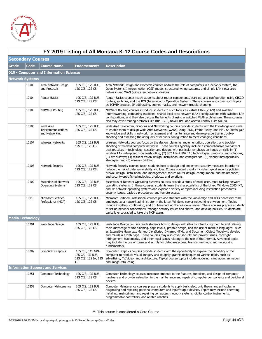

|                          | FY 2019 Listing of All Montana K-12 Course Codes and Descriptions |                                                          |                                                                      |                                                                                                                                                                                                                                                                                                                                                                                                                                                                                                                                                                                                                                         |  |  |
|--------------------------|-------------------------------------------------------------------|----------------------------------------------------------|----------------------------------------------------------------------|-----------------------------------------------------------------------------------------------------------------------------------------------------------------------------------------------------------------------------------------------------------------------------------------------------------------------------------------------------------------------------------------------------------------------------------------------------------------------------------------------------------------------------------------------------------------------------------------------------------------------------------------|--|--|
| <b>Secondary Courses</b> |                                                                   |                                                          |                                                                      |                                                                                                                                                                                                                                                                                                                                                                                                                                                                                                                                                                                                                                         |  |  |
| <b>Grade</b>             | <b>Code</b>                                                       | <b>Course Name</b>                                       | <b>Endorsements</b>                                                  | <b>Description</b>                                                                                                                                                                                                                                                                                                                                                                                                                                                                                                                                                                                                                      |  |  |
|                          |                                                                   | 010 - Computer and Information Sciences                  |                                                                      |                                                                                                                                                                                                                                                                                                                                                                                                                                                                                                                                                                                                                                         |  |  |
| <b>Network Systems</b>   |                                                                   |                                                          |                                                                      |                                                                                                                                                                                                                                                                                                                                                                                                                                                                                                                                                                                                                                         |  |  |
|                          | 10103                                                             | Area Network Design<br>and Protocols                     | 10S CIS, 12S BUS,<br>12S CIS, 12S CS                                 | Area Network Design and Protocols courses address the role of computers in a network system, the<br>Open Systems Interconnection (OSI) model, structured wiring systems, and simple LAN (local area<br>network) and WAN (wide area network) designs.                                                                                                                                                                                                                                                                                                                                                                                    |  |  |
|                          | 10104                                                             | <b>Router Basics</b>                                     | 10S CIS, 12S BUS,<br>12S CIS, 12S CS                                 | Router Basics courses teach students about router components, start-up, and configuration using CISCO<br>routers, switches, and the IOS (Internetwork Operation System). These courses also cover such topics<br>as TCP/IP protocol, IP addressing, subnet masks, and network trouble-shooting.                                                                                                                                                                                                                                                                                                                                         |  |  |
|                          | 10105                                                             | NetWare Routing                                          | 10S CIS, 12S BUS,<br>12S CIS, 12S CS                                 | NetWare Routing courses introduce students to such topics as Virtual LANs (VLAN) and switched<br>internetworking, comparing traditional shared local area network (LAN) configurations with switched LAN<br>configurations, and they also discuss the benefits of using a switched VLAN architecture. These courses<br>also may cover routing protocols like RIP, IGRP, Novell IPX, and Access Control Lists (ACLs).                                                                                                                                                                                                                    |  |  |
|                          | 10106                                                             | Wide Area<br>Telecommunications<br>and Networking        | 10S CIS, 12S BUS,<br>12S CIS, 12S CS                                 | Wide Area Telecommunications and Networking courses provide students with the knowledge and skills<br>to enable them to design Wide Area Networks (WANs) using ISDN, Frame-Relay, and PPP. Students gain<br>knowledge and skills in network management and maintenance and develop expertise in trouble-<br>shooting and assessing the adequacy of network configuration to meet changing conditions.                                                                                                                                                                                                                                   |  |  |
|                          | 10107                                                             | Wireless Networks                                        | 10S CIS, 12S BUS,<br>12S CIS, 12S CS                                 | Wireless Networks courses focus on the design, planning, implementation, operation, and trouble-<br>shooting of wireless computer networks. These courses typically include a comprehensive overview of<br>best practices in technology, security, and design, with particular emphasis on hands-on skills in (1)<br>wireless LAN set-up and trouble-shooting; (2) 802.11a & 802.11b technologies, products, and solutions;<br>(3) site surveys; (4) resilient WLAN design, installation, and configuration; (5) vendor interoperability<br>strategies; and (6) wireless bridging.                                                      |  |  |
|                          | 10108                                                             | <b>Network Security</b>                                  | 10S CIS, 12S BUS,<br>12S CIS, 12S CS                                 | Network Security courses teach students how to design and implement security measures in order to<br>reduce the risk of data vulnerability and loss. Course content usually includes typical security policies;<br>firewall design, installation, and management; secure router design, configuration, and maintenance;<br>and security-specific technologies, products, and solutions.                                                                                                                                                                                                                                                 |  |  |
|                          | 10109                                                             | <b>Essentials of Network</b><br><b>Operating Systems</b> | 10S CIS, 12S BUS,<br>12S CIS, 12S CS                                 | Essentials of Network Operating Systems courses provide a study of multi-user, multi-tasking network<br>operating systems. In these courses, students learn the characteristics of the Linux, Windows 2000, NT,<br>and XP network operating systems and explore a variety of topics including installation procedures,<br>security issues, back-up procedures, and remote access.                                                                                                                                                                                                                                                       |  |  |
|                          | 10110                                                             | Microsoft Certified<br>Professional (MCP)                | 10S CIS, 12S BUS,<br>12S CIS, 12S CS                                 | Microsoft Certified Professional courses provide students with the knowledge and skills necessary to be<br>employed as a network administrator in the latest Windows server-networking environment. Topics<br>include installing, configuring, and trouble-shooting the Windows server. These courses prepare students<br>to set up network connections; manage security issues and shares; and develop policies. Students are<br>typically encouraged to take the MCP exam.                                                                                                                                                            |  |  |
| <b>Media Technology</b>  |                                                                   |                                                          |                                                                      |                                                                                                                                                                                                                                                                                                                                                                                                                                                                                                                                                                                                                                         |  |  |
|                          | 10201                                                             | Web Page Design                                          | 10S CIS, 12S BUS,<br>12S CIS, 12S CS                                 | Web Page Design courses teach students how to design web sites by introducing them to and refining<br>their knowledge of site planning, page layout, graphic design, and the use of markup languages—such<br>as Extensible Hypertext Markup, JavaScript, Dynamic HTML, and Document Object Model-to develop<br>and maintain a web page. These courses may also cover security and privacy issues, copyright<br>infringement, trademarks, and other legal issues relating to the use of the Internet. Advanced topics<br>may include the use of forms and scripts for database access, transfer methods, and networking<br>fundamentals. |  |  |
|                          | 10202                                                             | <b>Computer Graphics</b>                                 | 10S CIS, 11S GRA,<br>12S CS, 12S BUS,<br>12S CIS, 13S IA, 13S<br>ITE | Computer Graphics courses provide students with the opportunity to explore the capability of the<br>computer to produce visual imagery and to apply graphic techniques to various fields, such as<br>advertising, TV/video, and architecture. Typical course topics include modeling, simulation, animation,<br>and image retouching.                                                                                                                                                                                                                                                                                                   |  |  |
|                          |                                                                   | <b>Information Support and Services</b>                  |                                                                      |                                                                                                                                                                                                                                                                                                                                                                                                                                                                                                                                                                                                                                         |  |  |
|                          | 10251                                                             | Computer Technology                                      | 10S CIS, 12S BUS,<br>12S CIS, 12S CS                                 | Computer Technology courses introduce students to the features, functions, and design of computer<br>hardware and provide instruction in the maintenance and repair of computer components and peripheral<br>devices.                                                                                                                                                                                                                                                                                                                                                                                                                   |  |  |
|                          | 10252                                                             | Computer Maintenance                                     | 10S CIS, 12S BUS,<br>12S CIS, 12S CS                                 | Computer Maintenance courses prepare students to apply basic electronic theory and principles in<br>diagnosing and repairing personal computers and input/output devices. Topics may include operating,<br>installing, maintaining, and repairing computers, network systems, digital control instruments,<br>programmable controllers, and related robotics.                                                                                                                                                                                                                                                                           |  |  |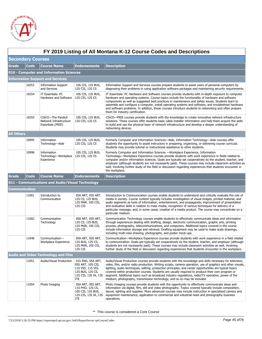

|                   | FY 2019 Listing of All Montana K-12 Course Codes and Descriptions |                                                                  |                                                                                                                 |                                                                                                                                                                                                                                                                                                                                                                                                                                                                                                                                                                                                                           |  |  |  |
|-------------------|-------------------------------------------------------------------|------------------------------------------------------------------|-----------------------------------------------------------------------------------------------------------------|---------------------------------------------------------------------------------------------------------------------------------------------------------------------------------------------------------------------------------------------------------------------------------------------------------------------------------------------------------------------------------------------------------------------------------------------------------------------------------------------------------------------------------------------------------------------------------------------------------------------------|--|--|--|
|                   | <b>Secondary Courses</b>                                          |                                                                  |                                                                                                                 |                                                                                                                                                                                                                                                                                                                                                                                                                                                                                                                                                                                                                           |  |  |  |
| Grade             | Code                                                              | <b>Course Name</b>                                               | <b>Endorsements</b>                                                                                             | <b>Description</b>                                                                                                                                                                                                                                                                                                                                                                                                                                                                                                                                                                                                        |  |  |  |
|                   |                                                                   | 010 - Computer and Information Sciences                          |                                                                                                                 |                                                                                                                                                                                                                                                                                                                                                                                                                                                                                                                                                                                                                           |  |  |  |
|                   |                                                                   | <b>Information Support and Services</b>                          |                                                                                                                 |                                                                                                                                                                                                                                                                                                                                                                                                                                                                                                                                                                                                                           |  |  |  |
|                   | 10253                                                             | <b>Information Support</b><br>and Services                       | 10S CIS, 12S BUS,<br>12S CIS, 12S CS                                                                            | Information Support and Services courses prepare students to assist users of personal computers by<br>diagnosing their problems in using application software packages and maintaining security requirements.                                                                                                                                                                                                                                                                                                                                                                                                             |  |  |  |
|                   | 10254                                                             | IT Essentials: PC<br>Hardware and Software                       | 10S CIS, 12S BUS,<br>12S CIS, 12S CS                                                                            | IT Essentials: PC Hardware and Software courses provide students with in-depth exposure to computer<br>hardware and operating systems. Course topics include the functionality of hardware and software<br>components as well as suggested best practices in maintenance and safety issues. Students learn to<br>assemble and configure a computer, install operating systems and software, and troubleshoot hardware<br>and software problems. In addition, these courses introduce students to networking and often prepare<br>them for industry certification.                                                         |  |  |  |
|                   | 10255                                                             | CISCO-The Panduit<br>Network Infrastructure<br>Essentials (PNIE) | 10S CIS, 12S BUS,<br>12S CIS, 12S CS                                                                            | CISCO—PNIE courses provide students with the knowledge to create innovative network infrastructure<br>solutions. These courses offer students basic cable installer information and help them acquire the skills<br>to build and use the physical layer of network infrastructure and develop a deeper understanding of<br>networking devices.                                                                                                                                                                                                                                                                            |  |  |  |
| <b>All Others</b> |                                                                   |                                                                  |                                                                                                                 |                                                                                                                                                                                                                                                                                                                                                                                                                                                                                                                                                                                                                           |  |  |  |
|                   | 10995                                                             | Information<br>Technology-Aide                                   | 10S CIS, 12S BUS,<br>12S CIS, 12S CS                                                                            | Formerly Computer and Information Sciences—Aide, Information Technology—Aide courses offer<br>students the opportunity to assist instructors in preparing, organizing, or delivering course curricula.<br>Students may provide tutorial or instructional assistance to other students.                                                                                                                                                                                                                                                                                                                                    |  |  |  |
|                   | 10998                                                             | Information<br>Technology-Workplace<br>Experience                | 10S CIS, 12S BUS,<br>12S CIS, 12S CS                                                                            | Formerly Computer and Information Sciences - Workplace Experience, Information<br>Technology—Workplace Experience courses provide students with work experience in fields related to<br>computer and/or information sciences. Goals are typically set cooperatively by the student, teacher, and<br>employer (although students are not necessarily paid). These courses may include classroom activities as<br>well, involving further study of the field or discussion regarding experiences that students encounter in<br>the workplace.                                                                               |  |  |  |
| Grade             | <b>Code</b>                                                       | <b>Course Name</b>                                               | <b>Endorsements</b>                                                                                             | <b>Description</b>                                                                                                                                                                                                                                                                                                                                                                                                                                                                                                                                                                                                        |  |  |  |
|                   |                                                                   | 011 - Communications and Audio/Visual Technology                 |                                                                                                                 |                                                                                                                                                                                                                                                                                                                                                                                                                                                                                                                                                                                                                           |  |  |  |
| Communication     |                                                                   |                                                                  |                                                                                                                 |                                                                                                                                                                                                                                                                                                                                                                                                                                                                                                                                                                                                                           |  |  |  |
|                   | 11001                                                             | Introduction to<br>Communication                                 | 05A ART, 05S ART,<br>12S CS, 12S BUS,<br>12S MAR, 10S CIS,<br>12S CIS                                           | Introduction to Communication courses enable students to understand and critically evaluate the role of<br>media in society. Course content typically includes investigation of visual images, printed material, and<br>audio segments as tools of information, entertainment, and propaganda; improvement of presentation<br>and evaluative skills in relation to mass media; recognition of various techniques for delivery of a<br>particular message; and, in some cases, creation of a media product. The course may concentrate on a<br>particular medium.                                                          |  |  |  |
|                   | 11002                                                             | Communication<br>Technology                                      | 05A ART, 05S ART,<br>12S CS, 12S BUS,<br>12S MAR, 10S CIS,<br>12S CIS                                           | Communication Technology courses enable students to effectively communicate ideas and information<br>through experiences dealing with drafting, design, electronic communication, graphic arts, printing<br>process, photography, telecommunications, and computers. Additional topics covered in the course<br>include information storage and retrieval. Drafting equipment may be used to make scale drawings,<br>including multi-view drawing, photographs, and poster mock-ups.                                                                                                                                      |  |  |  |
|                   | 11048                                                             | Communication-<br>Workplace Experience                           | 05A ART, 05S ART,<br>12S BUS, 12S CS,<br>12S MAR, 10S CIS,<br>12S CIS                                           | Communication-Workplace Experience courses provide students with work experience in a field related<br>to communication. Goals are typically set cooperatively by the student, teacher, and employer (although<br>students are not necessarily paid). These courses may include classroom activities as well, involving<br>further study of the field or discussion regarding experiences that students encounter in the workplace.                                                                                                                                                                                       |  |  |  |
|                   |                                                                   | <b>Audio and Video Technology and Film</b>                       |                                                                                                                 |                                                                                                                                                                                                                                                                                                                                                                                                                                                                                                                                                                                                                           |  |  |  |
|                   | 11051                                                             | Audio/Visual Production                                          | 01S ENG, 05A ART,<br>05S ART, 10S CIS,<br>11S VID, 11S VIS,<br>12S BUS, 12S CS,<br>12S CIS, 13S IA, 13S<br>ITE. | Audio/Visual Production courses provide students with the knowledge and skills necessary for television,<br>video, film, and/or radio production. Writing scripts, camera operation, use of graphics and other visuals,<br>lighting, audio techniques, editing, production principles, and career opportunities are typical topics<br>covered within production courses. Students are usually required to produce their own program or<br>segment. Additional topics such as broadcast industry regulations, radio/TV operation, power of the<br>medium, photography, transmission technology, and so on may be included. |  |  |  |
|                   | 11054                                                             | Photo Imaging                                                    | 05A ART, 05S ART,<br>11S PHO, 12S CS,<br>10S CIS, 12S BUS,<br>12S CIS, 13S IA, 13S<br>ITE.                      | Photo Imaging courses provide students with the opportunity to effectively communicate ideas and<br>information via digital, film, still and video photography. Topics covered typically include composition,<br>layout, lighting and supplies. More advanced courses may include instruction in specialized camera and<br>equipment maintenance, application to commercial and industrial need and photography business<br>operations.                                                                                                                                                                                   |  |  |  |

### **FY 2019 Listing of All Montana K-12 Course Codes and Descriptions**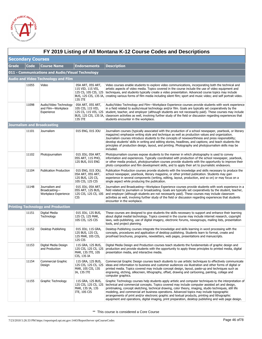

|       | FY 2019 Listing of All Montana K-12 Course Codes and Descriptions |                                                            |                                                                                |                                                                                                                                                                                                                                                                                                                                                                                                                                                                                                                                                                                                                                 |  |  |  |
|-------|-------------------------------------------------------------------|------------------------------------------------------------|--------------------------------------------------------------------------------|---------------------------------------------------------------------------------------------------------------------------------------------------------------------------------------------------------------------------------------------------------------------------------------------------------------------------------------------------------------------------------------------------------------------------------------------------------------------------------------------------------------------------------------------------------------------------------------------------------------------------------|--|--|--|
|       | <b>Secondary Courses</b>                                          |                                                            |                                                                                |                                                                                                                                                                                                                                                                                                                                                                                                                                                                                                                                                                                                                                 |  |  |  |
| Grade | <b>Code</b>                                                       | <b>Course Name</b>                                         | <b>Endorsements</b>                                                            | <b>Description</b>                                                                                                                                                                                                                                                                                                                                                                                                                                                                                                                                                                                                              |  |  |  |
|       |                                                                   | 011 - Communications and Audio/Visual Technology           |                                                                                |                                                                                                                                                                                                                                                                                                                                                                                                                                                                                                                                                                                                                                 |  |  |  |
|       |                                                                   | <b>Audio and Video Technology and Film</b>                 |                                                                                |                                                                                                                                                                                                                                                                                                                                                                                                                                                                                                                                                                                                                                 |  |  |  |
|       | 11055                                                             | Video                                                      | 05A ART, 05S ART,<br>11S VID, 11S VIS,<br>13S ITE                              | Video courses enable students to explore video communications, incorporating both the technical and<br>artistic aspects of video media. Topics covered in the course include the use of video equipment and<br>12S CS, 10S CIS, 12S   techniques, and students typically create a video presentation. Advanced course topics may include<br>BUS, 12S CIS, 13S IA, creating various forms of film media including silent film; sport and music video; and self portrait video.                                                                                                                                                   |  |  |  |
|       | 11098                                                             | Audio/Video Technology<br>and Film-Workplace<br>Experience | 05A ART, 05S ART,<br>10S CIS, 11S VID,<br>12S CS, 11S VIS, 12S<br>13S ITE      | Audio/Video Technology and Film—Workplace Experience courses provide students with work experience<br>in a field related to audio/visual technology and/or film. Goals are typically set cooperatively by the<br>student, teacher, and employer (although students are not necessarily paid). These courses may include<br>BUS, 12S CIS, 13S IA, classroom activities as well, involving further study of the field or discussion regarding experiences that<br>students encounter in the workplace.                                                                                                                            |  |  |  |
|       |                                                                   | <b>Journalism and Broadcasting</b>                         |                                                                                |                                                                                                                                                                                                                                                                                                                                                                                                                                                                                                                                                                                                                                 |  |  |  |
|       | 11101                                                             | Journalism                                                 | 01S ENG, 01S JOU                                                               | Journalism courses (typically associated with the production of a school newspaper, yearbook, or literary<br>magazine) emphasize writing style and technique as well as production values and organization.<br>Journalism courses introduce students to the concepts of newsworthiness and press responsibility;<br>develop students' skills in writing and editing stories, headlines, and captions; and teach students the<br>principles of production design, layout, and printing. Photography and photojournalism skills may be<br>included.                                                                               |  |  |  |
|       | 11102                                                             | Photojournalism                                            | 01S JOU, 05A ART,<br>05S ART, 11S PHO,<br>12S BUS, 01S ENG                     | Photojournalism courses expose students to the manner in which photography is used to convey<br>information and experiences. Typically coordinated with production of the school newspaper, yearbook,<br>or other media product, photojournalism courses provide students with the opportunity to improve their<br>photo composition and film development skills, and to apply their art to journalistic endeavors.                                                                                                                                                                                                             |  |  |  |
|       | 11104                                                             | <b>Publication Production</b>                              | 01S ENG, 01S JOU,<br>05A ART, 05S ART,<br>12S BUS, 12S CS,<br>10S CIS, 12S CIS | Publication Production courses provide students with the knowledge and skills necessary to produce the<br>school newspaper, yearbook, literary magazine, or other printed publication. Students may gain<br>experience in several components (writing, editing, layout, production, and so on) or may focus on a<br>single aspect while producing the publication.                                                                                                                                                                                                                                                              |  |  |  |
|       | 11148                                                             | Journalism and<br>Broadcasting-<br>Workplace Experience    | 01S JOU, 05A ART,<br>05S ART, 12S BUS,<br>12S CIS, 12S CS, 10S<br>CIS          | Journalism and Broadcasting-Workplace Experience courses provide students with work experience in a<br>field related to journalism or broadcasting. Goals are typically set cooperatively by the student, teacher,<br>and employer (although students are not necessarily paid). These courses may include classroom<br>activities as well, involving further study of the field or discussion regarding experiences that students<br>encounter in the workplace.                                                                                                                                                               |  |  |  |
|       |                                                                   | <b>Printing Technology and Production</b>                  |                                                                                |                                                                                                                                                                                                                                                                                                                                                                                                                                                                                                                                                                                                                                 |  |  |  |
|       | 11151                                                             | Digital Media<br>Technology                                | 01S JOU, 12S BUS,<br>12S CS, 12S MAR,<br>10S CIS, 12S CIS                      | These courses are designed to give students the skills necessary to support and enhance their learning<br>about digital medial technology. Topics covered in the course may include internet research, copyright<br>laws, web-publishing, use of digital imagery, electronic forums, newsgroups, mailing lists, presentation<br>tools, and project planning.                                                                                                                                                                                                                                                                    |  |  |  |
|       | 11152                                                             | Desktop Publishing                                         | 01S JOU, 11S GRA,<br>12S BUS, 12S CS,<br>12S MAR, 10S CIS,<br>12S CIS          | Desktop Publishing courses integrate the knowledge and skills learning in word processing with the<br>concepts, procedures and application of desktop publishing. Students learn to format, create and<br>proofread brochures, programs, newsletters, web pages, presentations and manuscripts.                                                                                                                                                                                                                                                                                                                                 |  |  |  |
|       | 11153                                                             | Digital Media Design<br>and Production                     | 11S GRA, 12S BUS,<br>12S CIS, 12S CS, 12S<br>MAR, 13S ITE, 10S<br>CIS, 13S IA  | Digital Media Design and Production courses teach students the fundamentals of graphic design and<br>production and provide students with the opportunity to apply these principles to printed media, digital<br>presentation media, and interactive media.                                                                                                                                                                                                                                                                                                                                                                     |  |  |  |
|       | 11154                                                             | Commercial Graphic<br>Design                               | 11S GRA, 12S BUS,<br>12S CIS, 12S CS, 12S<br>MAR, 10S CIS, 13S<br>IA, 13S ITE  | Commercial Graphic Design courses teach students to use artistic techniques to effectively communicate<br>ideas and information to business and customer audiences via illustration and other forms of digital or<br>printed media. Topics covered may include concept design, layout, paste-up and techniques such as<br>engraving, etching, silkscreen, lithography, offset, drawing and cartooning, painting, collage and<br>computer graphics.                                                                                                                                                                              |  |  |  |
|       | 11155                                                             | Graphic Technology                                         | 11S GRA, 12S BUS,<br>12S CIS, 12S CS, 12S<br>MAR, 13S IA, 13S<br>ITE, 10S CIS  | Graphic Technology courses help students apply artistic and computer techniques to the interpretation of<br>technical and commercial concepts. Topics covered may include computer assisted art and design,<br>printmaking, concept sketching, technical drawing, color theory, imaging, studio techniques, still life<br>modeling, and commercial art business operations. Advanced topics may include topographic<br>arrangements of print and/or electronic graphic and textual products, printing and lithographic<br>equipment and operations, digital imaging, print preparation, desktop publishing and web page design. |  |  |  |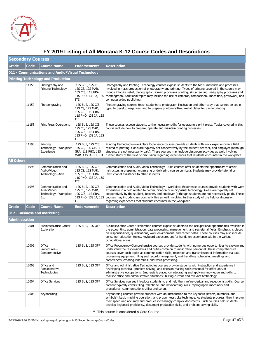

|                   | FY 2019 Listing of All Montana K-12 Course Codes and Descriptions |                                                                 |                                                                                                  |                                                                                                                                                                                                                                                                                                                                                                                                                                                                                                                   |  |  |  |
|-------------------|-------------------------------------------------------------------|-----------------------------------------------------------------|--------------------------------------------------------------------------------------------------|-------------------------------------------------------------------------------------------------------------------------------------------------------------------------------------------------------------------------------------------------------------------------------------------------------------------------------------------------------------------------------------------------------------------------------------------------------------------------------------------------------------------|--|--|--|
|                   | <b>Secondary Courses</b>                                          |                                                                 |                                                                                                  |                                                                                                                                                                                                                                                                                                                                                                                                                                                                                                                   |  |  |  |
| Grade             | Code                                                              | <b>Course Name</b>                                              | <b>Endorsements</b>                                                                              | <b>Description</b>                                                                                                                                                                                                                                                                                                                                                                                                                                                                                                |  |  |  |
|                   |                                                                   | 011 - Communications and Audio/Visual Technology                |                                                                                                  |                                                                                                                                                                                                                                                                                                                                                                                                                                                                                                                   |  |  |  |
|                   |                                                                   | <b>Printing Technology and Production</b>                       |                                                                                                  |                                                                                                                                                                                                                                                                                                                                                                                                                                                                                                                   |  |  |  |
|                   | 11156                                                             | Photography and<br>Printing Technology                          | 12S BUS, 12S CIS,<br>12S CS, 12S MAR,<br>10S CIS, 11S GRA,<br>ITE.                               | Photography and Printing Technology courses expose students to the tools, materials and processes<br>involved in mass production of photography and printing. Types of printing covered in the course may<br>include intaglio, relief, planographic, screen processes printing, silk screening, serigraphy processes and<br>11S PHO, 13S IA, 13S thermograph. Additional topics may include the use of cameras, composition, imposition, presswork, and<br>computer aided publishing.                             |  |  |  |
|                   | 11157                                                             | Photoengraving                                                  | 12S BUS, 12S CIS,<br>12S CS, 12S MAR,<br>10S CIS, 11S GRA,<br>11S PHO, 13S IA, 13S<br>ITE        | Photoengraving courses teach students to photograph illustration and other copy that cannot be set in<br>type, to develop negatives, and to prepare photosensitized metal plates for use in printing.                                                                                                                                                                                                                                                                                                             |  |  |  |
|                   | 11158                                                             | <b>Print Press Operations</b>                                   | 12S BUS, 12S CIS,<br>12S CS, 12S MAR,<br>10S CIS, 11S GRA,<br>11S PHO, 13S IA, 13S<br>ITE        | These courses expose students to the necessary skills for operating a print press. Topics covered in this<br>course include how to prepare, operate and maintain printing processes.                                                                                                                                                                                                                                                                                                                              |  |  |  |
|                   | 11198                                                             | Printing<br>Technology-Workplace<br>Experience                  | 12S BUS, 12S CIS,<br>12S CS, 10S CIS, 11S<br>GRA, 11S PHO, 12S                                   | Printing Technology—Workplace Experience courses provide students with work experience in a field<br>related to printing. Goals are typically set cooperatively by the student, teacher, and employer (although<br>students are not necessarily paid). These courses may include classroom activities as well, involving<br>MAR, 13S IA, 13S ITE further study of the field or discussion regarding experiences that students encounter in the workplace.                                                         |  |  |  |
| <b>All Others</b> |                                                                   |                                                                 |                                                                                                  |                                                                                                                                                                                                                                                                                                                                                                                                                                                                                                                   |  |  |  |
|                   | 11995                                                             | Communication and<br>Audio/Video<br>Technology-Aide             | 12S BUS, 12S CIS,<br>12S CS, 12S MAR,<br>10S CIS, 11S GRA,<br>11S PHO, 13S IA, 13S<br><b>ITE</b> | Communication and Audio/Video Technology—Aide courses offer students the opportunity to assist<br>instructors in preparing, organizing or delivering course curricula. Students may provide tutorial or<br>instructional assistance to other students.                                                                                                                                                                                                                                                            |  |  |  |
|                   | 11998                                                             | Communication and<br>Audio/Video<br>Technology-Workplace<br>Exp | 12S BUS, 12S CIS,<br>12S CS, 12S MAR,<br>10S CIS, 11S GRA,<br><b>ITE</b>                         | Communication and Audio/Video Technology—Workplace Experience courses provide students with work<br>experience in a field related to communication or audio/visual technology. Goals are typically set<br>cooperatively by the student, teacher, and employer (although students are not necessarily paid). These<br>11S PHO, 13S IA, 13S courses may include classroom activities as well, involving further study of the field or discussion<br>regarding experiences that students encounter in the workplace. |  |  |  |
| Grade             | Code                                                              | <b>Course Name</b>                                              | <b>Endorsements</b>                                                                              | <b>Description</b>                                                                                                                                                                                                                                                                                                                                                                                                                                                                                                |  |  |  |
|                   |                                                                   | 012 - Business and marketing                                    |                                                                                                  |                                                                                                                                                                                                                                                                                                                                                                                                                                                                                                                   |  |  |  |
| Administration    |                                                                   |                                                                 |                                                                                                  |                                                                                                                                                                                                                                                                                                                                                                                                                                                                                                                   |  |  |  |
|                   | 12001                                                             | <b>Business/Office Career</b><br>Exploration                    | 12S BUS, 12S OFF                                                                                 | Business/Office Career Exploration courses expose students to the occupational opportunities available in<br>the accounting, administration, data processing, management, and secretarial fields. Emphasis is placed<br>on responsibilities, qualifications, work environment, and career paths. These courses may also include<br>consumer education topics, keyboard exposure, and/or hands-on experience within the various<br>occupational areas.                                                             |  |  |  |
|                   | 12002                                                             | Office<br>Procedures-<br>Comprehensive                          | 12S BUS, 12S OFF                                                                                 | Office Procedures—Comprehensive courses provide students with numerous opportunities to explore and<br>understand the responsibilities and duties common to most office personnel. These comprehensive<br>courses cover such topics as communication skills, reception and transmission of information via data<br>processing equipment, filing and record management, mail handling, scheduling meetings and<br>conferences, creating itineraries, and word processing.                                          |  |  |  |
|                   | 12003                                                             | Office and<br>Administrative<br>Technologies                    | 12S BUS, 12S OFF                                                                                 | Office and Administrative Technologies courses provide students with instruction and experience in<br>developing technical, problem-solving, and decision-making skills essential for office and/or<br>administrative occupations. Emphasis is placed on integrating and applying knowledge and skills to<br>realistic office and administrative situations utilizing current and relevant technology.                                                                                                            |  |  |  |
|                   | 12004                                                             | <b>Office Services</b>                                          | 12S BUS, 12S OFF                                                                                 | Office Services courses introduce students to and help them refine clerical and receptionist skills. Course<br>content typically covers filing, telephone, and keyboarding skills; reprographic machinery and<br>procedures; communications skills; and so on.                                                                                                                                                                                                                                                    |  |  |  |
|                   | 12005                                                             | Keyboarding                                                     |                                                                                                  | Keyboarding courses provide students with an introduction to the keyboard (letters, numbers, and<br>symbols), basic machine operation, and proper keystroke technique. As students progress, they improve<br>their speed and accuracy and produce increasingly complex documents. Such courses help students<br>develop keyboard proficiency, document production skills, and problem-solving skills.                                                                                                             |  |  |  |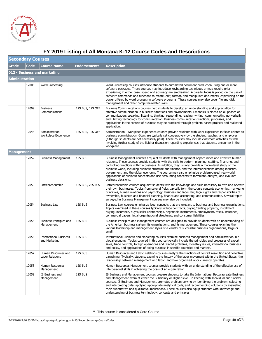

|                   | FY 2019 Listing of All Montana K-12 Course Codes and Descriptions |                                                |                  |                                                                                                                                                                                                                                                                                                                                                                                                                                                                                                                                                                                                                                                      |  |  |  |
|-------------------|-------------------------------------------------------------------|------------------------------------------------|------------------|------------------------------------------------------------------------------------------------------------------------------------------------------------------------------------------------------------------------------------------------------------------------------------------------------------------------------------------------------------------------------------------------------------------------------------------------------------------------------------------------------------------------------------------------------------------------------------------------------------------------------------------------------|--|--|--|
|                   | <b>Secondary Courses</b>                                          |                                                |                  |                                                                                                                                                                                                                                                                                                                                                                                                                                                                                                                                                                                                                                                      |  |  |  |
| Grade             | Code                                                              | <b>Course Name</b>                             | Endorsements     | <b>Description</b>                                                                                                                                                                                                                                                                                                                                                                                                                                                                                                                                                                                                                                   |  |  |  |
|                   |                                                                   | 012 - Business and marketing                   |                  |                                                                                                                                                                                                                                                                                                                                                                                                                                                                                                                                                                                                                                                      |  |  |  |
| Administration    |                                                                   |                                                |                  |                                                                                                                                                                                                                                                                                                                                                                                                                                                                                                                                                                                                                                                      |  |  |  |
|                   | 12006                                                             | Word Processing                                |                  | Word Processing courses introduce students to automated document production using one or more<br>software packages. These courses may introduce keyboarding techniques or may require prior<br>experience; in either case, speed and accuracy are emphasized. A parallel focus is placed on the use of<br>software commands and functions to create, edit, format, and manipulate documents, capitalizing on the<br>power offered by word processing software programs. These courses may also cover file and disk<br>management and other computer-related skills.                                                                                  |  |  |  |
|                   | 12009                                                             | <b>Business</b><br>Communications              | 12S BUS, 12S OFF | Business Communications courses help students to develop an understanding and appreciation for<br>effective communication in business situations and environments. Emphasis is placed on all phases of<br>communication: speaking, listening, thinking, responding, reading, writing, communicating nonverbally,<br>and utilizing technology for communication. Business communication functions, processes, and<br>applications in the context of business may be practiced through problem-based projects and realworld<br>application.                                                                                                            |  |  |  |
|                   | 12048                                                             | Administration-<br>Workplace Experience        | 12S BUS, 12S OFF | Administration—Workplace Experience courses provide students with work experience in fields related to<br>business administration. Goals are typically set cooperatively by the student, teacher, and employer<br>(although students are not necessarily paid). These courses may include classroom activities as well,<br>involving further study of the field or discussion regarding experiences that students encounter in the<br>workplace.                                                                                                                                                                                                     |  |  |  |
| <b>Management</b> |                                                                   |                                                |                  |                                                                                                                                                                                                                                                                                                                                                                                                                                                                                                                                                                                                                                                      |  |  |  |
|                   | 12052                                                             | <b>Business Management</b>                     | 12S BUS          | Business Management courses acquaint students with management opportunities and effective human<br>relations. These courses provide students with the skills to perform planning, staffing, financing, and<br>controlling functions within a business. In addition, they usually provide a macro-level study of the<br>business world, including business structure and finance, and the interconnections among industry,<br>government, and the global economy. The course may also emphasize problem-based, real-world<br>applications of business concepts and use accounting concepts to formulate, analyze, and evaluate<br>business decisions. |  |  |  |
|                   | 12053                                                             | Entrepreneurship                               | 12S BUS, 23S FCS | Entrepreneurship courses acquaint students with the knowledge and skills necessary to own and operate<br>their own businesses. Topics from several fields typically form the course content: economics, marketing<br>principles, human relations and psychology, business and labor law, legal rights and responsibilities of<br>ownership, business and financial planning, finance and accounting, and communication. Several topics<br>surveyed in Business Management courses may also be included.                                                                                                                                              |  |  |  |
|                   | 12054                                                             | <b>Business Law</b>                            | 12S BUS          | Business Law courses emphasize legal concepts that are relevant to business and business organizations.<br>Topics examined in these courses typically include contracts, buying/renting property, installment<br>buying, insurance, buyer/seller relationships, negotiable instruments, employment, taxes, insurance,<br>commercial papers, legal organizational structures, and consumer liabilities.                                                                                                                                                                                                                                               |  |  |  |
|                   | 12055                                                             | Business Principles and<br>Management          | 12S BUS          | Business Principles and Management courses are designed to provide students with an understanding of<br>the American business system, its organizations, and its management. These courses examine the<br>various leadership and management styles of a variety of successful business organizations, large or<br>small.                                                                                                                                                                                                                                                                                                                             |  |  |  |
|                   | 12056                                                             | <b>International Business</b><br>and Marketing | 12S BUS          | International Business and Marketing courses examine business management and administration in a<br>global economy. Topics covered in this course typically include the principles and processes of export<br>sales, trade controls, foreign operations and related problems, monetary issues, international business<br>and policy, and applications of doing business in specific countries and markets.                                                                                                                                                                                                                                           |  |  |  |
|                   | 12057                                                             | Human Resources and<br>Labor Relations         | 12S BUS          | Human Resources and Labor Relations courses analyze the functions of conflict resolution and collective<br>bargaining. Typically, students examine the history of the labor movement within the United States, the<br>relationship between management and labor, and how organized labor currently operates.                                                                                                                                                                                                                                                                                                                                         |  |  |  |
|                   | 12058                                                             | Human Resources<br>Management                  | 12S BUS          | Human Resources Management courses provide students with an understanding of the effective use of<br>interpersonal skills in achieving the goals of an organization.                                                                                                                                                                                                                                                                                                                                                                                                                                                                                 |  |  |  |
|                   | 12059                                                             | IB Business and<br>Management                  | 12S BUS          | IB Business and Management courses prepare students to take the International Baccalaureate Business<br>and Management exam at either the Subsidiary or Higher level. In keeping with Individual and Society<br>courses, IB Business and Management promotes problem-solving by identifying the problem, selecting<br>and interpreting data, applying appropriate analytical tools, and recommending solutions by evaluating<br>their quantitative and qualitative implications. These courses also equip students with knowledge and<br>understanding of business terminology, concepts and principles.                                             |  |  |  |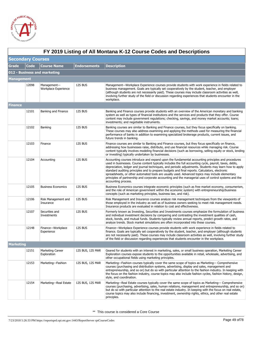

|                   | FY 2019 Listing of All Montana K-12 Course Codes and Descriptions |                                     |                     |                                                                                                                                                                                                                                                                                                                                                                                                                                                                                                                                                                                                                                                             |  |  |  |
|-------------------|-------------------------------------------------------------------|-------------------------------------|---------------------|-------------------------------------------------------------------------------------------------------------------------------------------------------------------------------------------------------------------------------------------------------------------------------------------------------------------------------------------------------------------------------------------------------------------------------------------------------------------------------------------------------------------------------------------------------------------------------------------------------------------------------------------------------------|--|--|--|
|                   | <b>Secondary Courses</b>                                          |                                     |                     |                                                                                                                                                                                                                                                                                                                                                                                                                                                                                                                                                                                                                                                             |  |  |  |
| <b>Grade</b>      | Code                                                              | <b>Course Name</b>                  | <b>Endorsements</b> | <b>Description</b>                                                                                                                                                                                                                                                                                                                                                                                                                                                                                                                                                                                                                                          |  |  |  |
|                   |                                                                   | 012 - Business and marketing        |                     |                                                                                                                                                                                                                                                                                                                                                                                                                                                                                                                                                                                                                                                             |  |  |  |
| <b>Management</b> |                                                                   |                                     |                     |                                                                                                                                                                                                                                                                                                                                                                                                                                                                                                                                                                                                                                                             |  |  |  |
|                   | 12098                                                             | Management-<br>Workplace Experience | 12S BUS             | Management—Workplace Experience courses provide students with work experience in fields related to<br>business management. Goals are typically set cooperatively by the student, teacher, and employer<br>(although students are not necessarily paid). These courses may include classroom activities as well,<br>involving further study of the field or discussion regarding experiences that students encounter in the<br>workplace.                                                                                                                                                                                                                    |  |  |  |
| Finance           |                                                                   |                                     |                     |                                                                                                                                                                                                                                                                                                                                                                                                                                                                                                                                                                                                                                                             |  |  |  |
|                   | 12101                                                             | Banking and Finance                 | 12S BUS             | Banking and Finance courses provide students with an overview of the American monetary and banking<br>system as well as types of financial institutions and the services and products that they offer. Course<br>content may include government regulations; checking, savings, and money market accounts; loans;<br>investments; and negotiable instruments.                                                                                                                                                                                                                                                                                               |  |  |  |
|                   | 12102                                                             | Banking                             | 12S BUS             | Banking courses are similar to Banking and Finance courses, but they focus specifically on banking.<br>These courses may also address examining and applying the methods used for measuring the financial<br>performance of banks in addition to examining specialized brokerage products, current issues, and<br>future trends in banking.                                                                                                                                                                                                                                                                                                                 |  |  |  |
|                   | 12103                                                             | Finance                             | 12S BUS             | Finance courses are similar to Banking and Finance courses, but they focus specifically on finance,<br>addressing how businesses raise, distribute, and use financial resources while managing risk. Course<br>content typically involves modeling financial decisions (such as borrowing, selling equity or stock, lending<br>or investing) typically undertaken by businesses.                                                                                                                                                                                                                                                                            |  |  |  |
|                   | 12104                                                             | Accounting                          | 12S BUS             | Accounting courses introduce and expand upon the fundamental accounting principles and procedures<br>used in businesses. Course content typically includes the full accounting cycle, payroll, taxes, debts,<br>depreciation, ledger and journal techniques, and periodic adjustments. Students may learn how to apply<br>standard auditing principles and to prepare budgets and final reports. Calculators, electronic<br>spreadsheets, or other automated tools are usually used. Advanced topics may include elementary<br>principles of partnership and corporate accounting and the managerial uses of control systems and the<br>accounting process. |  |  |  |
|                   | 12105                                                             | <b>Business Economics</b>           | 12S BUS             | Business Economics courses integrate economic principles (such as free market economy, consumerism,<br>and the role of American government within the economic system) with entrepreneurship/business<br>concepts (such as marketing principles, business law, and risk).                                                                                                                                                                                                                                                                                                                                                                                   |  |  |  |
|                   | 12106                                                             | Risk Management and<br>Insurance    | 12S BUS             | Risk Management and Insurance courses analyze risk management techniques from the viewpoints of<br>those employed in the industry as well as of business owners seeking to meet risk management needs.<br>Insurance products are evaluated in relation to cost and effectiveness.                                                                                                                                                                                                                                                                                                                                                                           |  |  |  |
|                   | 12107                                                             | Securities and<br>Investments       | 12S BUS             | Formerly known as Investing, Securities and Investments courses emphasize the formulation of business<br>and individual investment decisions by comparing and contrasting the investment qualities of cash,<br>stock, bonds, and mutual funds. Students typically review annual reports, predict growth rates, and<br>analyze trends. Stock market simulations are often incorporated into these courses.                                                                                                                                                                                                                                                   |  |  |  |
|                   | 12148                                                             | Finance-Workplace<br>Experience     | 12S BUS             | Finance—Workplace Experience courses provide students with work experience in fields related to<br>finance. Goals are typically set cooperatively by the student, teacher, and employer (although students<br>are not necessarily paid). These courses may include classroom activities as well, involving further study<br>of the field or discussion regarding experiences that students encounter in the workplace.                                                                                                                                                                                                                                      |  |  |  |
| <b>Marketing</b>  |                                                                   |                                     |                     |                                                                                                                                                                                                                                                                                                                                                                                                                                                                                                                                                                                                                                                             |  |  |  |
|                   | 12151                                                             | Marketing Career<br>Exploration     | 12S BUS, 12S MAR    | Geared for students with an interest in marketing, sales, or small business operation, Marketing Career<br>Exploration courses expose students to the opportunities available in retail, wholesale, advertising, and<br>other occupational fields using marketing principles.                                                                                                                                                                                                                                                                                                                                                                               |  |  |  |
|                   | 12153                                                             | Marketing-Fashion                   | 12S BUS, 12S MAR    | Marketing—Fashion courses typically cover the same scope of topics as Marketing— Comprehensive<br>courses (purchasing and distribution systems, advertising, display and sales, management and<br>entrepreneurship, and so on) but do so with particular attention to the fashion industry. In keeping with<br>the focus on the fashion industry, course topics may also include fashion cycles, fashion history, design,<br>style, and coordination.                                                                                                                                                                                                       |  |  |  |
|                   | 12154                                                             | Marketing-Real Estate               | 12S BUS, 12S MAR    | Marketing—Real Estate courses typically cover the same scope of topics as Marketing— Comprehensive<br>courses (purchasing, advertising, sales, human relations, management and entrepreneurship, and so on)<br>but do so with particular attention to the real estate industry. In keeping with the focus on real estate,<br>course topics may also include financing, investment, ownership rights, ethics, and other real estate<br>principles.                                                                                                                                                                                                           |  |  |  |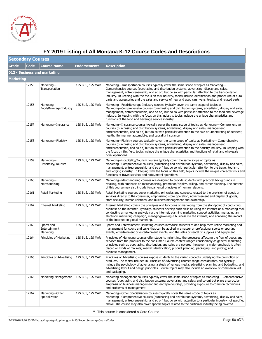

 $\sqrt{ }$ 

|           | FY 2019 Listing of All Montana K-12 Course Codes and Descriptions |                                          |                     |                                                                                                                                                                                                                                                                                                                                                                                                                                                                                                                      |  |  |  |
|-----------|-------------------------------------------------------------------|------------------------------------------|---------------------|----------------------------------------------------------------------------------------------------------------------------------------------------------------------------------------------------------------------------------------------------------------------------------------------------------------------------------------------------------------------------------------------------------------------------------------------------------------------------------------------------------------------|--|--|--|
|           | <b>Secondary Courses</b>                                          |                                          |                     |                                                                                                                                                                                                                                                                                                                                                                                                                                                                                                                      |  |  |  |
| Grade     | Code                                                              | <b>Course Name</b>                       | <b>Endorsements</b> | <b>Description</b>                                                                                                                                                                                                                                                                                                                                                                                                                                                                                                   |  |  |  |
|           |                                                                   | 012 - Business and marketing             |                     |                                                                                                                                                                                                                                                                                                                                                                                                                                                                                                                      |  |  |  |
| Marketing |                                                                   |                                          |                     |                                                                                                                                                                                                                                                                                                                                                                                                                                                                                                                      |  |  |  |
|           | 12155                                                             | Marketing-<br>Transportation             | 12S BUS, 12S MAR    | Marketing—Transportation courses typically cover the same scope of topics as Marketing—<br>Comprehensive courses (purchasing and distribution systems, advertising, display and sales,<br>management, entrepreneurship, and so on) but do so with particular attention to the transportation<br>industry. In keeping with the focus on this industry, topics include identification and proper use of auto<br>parts and accessories and the sales and service of new and used cars, vans, trucks, and related parts. |  |  |  |
|           | 12156                                                             | Marketing-<br>Food/Beverage Industry     | 12S BUS, 12S MAR    | Marketing-Food/Beverage Industry courses typically cover the same scope of topics as<br>Marketing—Comprehensive courses (purchasing and distribution systems, advertising, display and sales,<br>management, entrepreneurship, and so on) but do so with particular attention to the food and beverage<br>industry. In keeping with the focus on this industry, topics include the unique characteristics and<br>functions of the food and beverage service industry.                                                |  |  |  |
|           | 12157                                                             | Marketing-Insurance                      | 12S BUS, 12S MAR    | Marketing—Insurance courses typically cover the same scope of topics as Marketing— Comprehensive<br>courses (purchasing and distribution systems, advertising, display and sales, management,<br>entrepreneurship, and so on) but do so with particular attention to the sale or underwriting of accident,<br>health, life, marine, automobile, and causality insurance.                                                                                                                                             |  |  |  |
|           | 12158                                                             | Marketing-Floristry                      | 12S BUS, 12S MAR    | Marketing—Floristry courses typically cover the same scope of topics as Marketing— Comprehensive<br>courses (purchasing and distribution systems, advertising, display and sales, management,<br>entrepreneurship, and so on) but do so with particular attention to the floristry industry. In keeping with<br>the focus on this field, topics include the unique characteristics and functions of retail and wholesale<br>floral operations.                                                                       |  |  |  |
|           | 12159                                                             | Marketing-<br>Hospitality/Tourism        | 12S BUS, 12S MAR    | Marketing-Hospitality/Tourism courses typically cover the same scope of topics as<br>Marketing—Comprehensive courses (purchasing and distribution systems, advertising, display and sales,<br>management, entrepreneurship, and so on) but do so with particular attention to the travel, tourism,<br>and lodging industry. In keeping with the focus on this field, topics include the unique characteristics and<br>functions of travel services and hotel/motel operations.                                       |  |  |  |
|           | 12160                                                             | Marketing-<br>Merchandising              | 12S BUS, 12S MAR    | Marketing—Merchandising courses are designed to provide students with practical backgrounds in<br>retailing, with emphasis on merchandising, promotion/display, selling, and career planning. The content<br>of this course may also include fundamental principles of human relations.                                                                                                                                                                                                                              |  |  |  |
|           | 12161                                                             | Retail Marketing                         | 12S BUS, 12S MAR    | Retail Marketing courses cover marketing principles and concepts related to the provision of goods or<br>services directly to the consumer, emphasizing store operation, advertisement and display of goods,<br>store security, human relations, and business management and ownership.                                                                                                                                                                                                                              |  |  |  |
|           | 12162                                                             | <b>Internet Marketing</b>                | 12S BUS, 12S MAR    | Internet Marketing covers the principles and functions of marketing from the standpoint of conducting<br>business on the internet. Typically, students develop such skills as using the internet as a marketing tool,<br>conducting a marketing analysis via the internet, planning marketing support activities, managing an<br>electronic marketing campaign, managing/owning a business via the internet, and analyzing the impact<br>of the internet on global marketing.                                        |  |  |  |
|           | 12163                                                             | Sports and<br>Entertainment<br>Marketing | 12S BUS, 12S MAR    | Sports and Entertainment Marketing courses introduce students to and help them refine marketing and<br>management functions and tasks that can be applied in amateur or professional sports or sporting<br>events, entertainment or entertainment events, and the sales or rental of supplies and equipment.                                                                                                                                                                                                         |  |  |  |
|           | 12164                                                             | Principles of Marketing                  | 12S BUS, 12S MAR    | Principles of Marketing courses offer students insight into the processes affecting the flow of goods and<br>services from the producer to the consumer. Course content ranges considerably as general marketing<br>principles such as purchasing, distribution, and sales are covered; however, a major emphasis is often<br>placed on kinds of markets; market identification; product planning, packaging, and pricing; and<br>business management.                                                               |  |  |  |
|           | 12165                                                             | Principles of Advertising                | 12S BUS, 12S MAR    | Principles of Advertising courses expose students to the varied concepts underlying the promotion of<br>products. The topics included in Principles of Advertising courses range considerably, but typically<br>include the psychology of advertising, a study of various media, advertising planning and budgeting, and<br>advertising layout and design principles. Course topics may also include an overview of commercial art<br>and packaging.                                                                 |  |  |  |
|           | 12166                                                             | Marketing Management                     | 12S BUS, 12S MAR    | Marketing Management courses typically cover the same scope of topics as Marketing— Comprehensive<br>courses (purchasing and distribution systems; advertising and sales; and so on) but place a particular<br>emphasis on business management and entrepreneurship, providing exposure to common techniques<br>and problems of management.                                                                                                                                                                          |  |  |  |
|           | 12167                                                             | Marketing-Other<br>Specialization        | 12S BUS, 12S MAR    | Marketing—Other Specialization courses typically cover the same scope of topics as<br>Marketing—Comprehensive courses (purchasing and distribution systems, advertising, display and sales,<br>management, entrepreneurship, and so on) but do so with attention to a particular industry not specified<br>above. The course may also cover specific topics related to the particular industry being covered.                                                                                                        |  |  |  |

**FY 2019 Listing of All Montana K-12 Course Codes and Descriptions**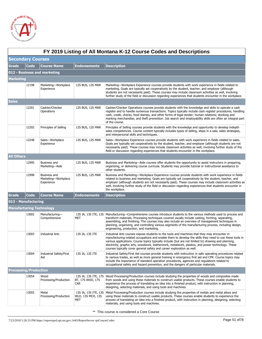

|                              | FY 2019 Listing of All Montana K-12 Course Codes and Descriptions |                                                   |                                |                                                                                                                                                                                                                                                                                                                                                                                                                                                                                                 |  |  |
|------------------------------|-------------------------------------------------------------------|---------------------------------------------------|--------------------------------|-------------------------------------------------------------------------------------------------------------------------------------------------------------------------------------------------------------------------------------------------------------------------------------------------------------------------------------------------------------------------------------------------------------------------------------------------------------------------------------------------|--|--|
| <b>Secondary Courses</b>     |                                                                   |                                                   |                                |                                                                                                                                                                                                                                                                                                                                                                                                                                                                                                 |  |  |
| <b>Grade</b>                 | <b>Code</b>                                                       | <b>Course Name</b>                                | <b>Endorsements</b>            | <b>Description</b>                                                                                                                                                                                                                                                                                                                                                                                                                                                                              |  |  |
|                              |                                                                   | 012 - Business and marketing                      |                                |                                                                                                                                                                                                                                                                                                                                                                                                                                                                                                 |  |  |
| Marketing                    |                                                                   |                                                   |                                |                                                                                                                                                                                                                                                                                                                                                                                                                                                                                                 |  |  |
|                              | 12198                                                             | Marketing-Workplace<br>Experience                 | 12S BUS, 12S MAR               | Marketing—Workplace Experience courses provide students with work experience in fields related to<br>marketing. Goals are typically set cooperatively by the student, teacher, and employer (although<br>students are not necessarily paid). These courses may include classroom activities as well, involving<br>further study of the field or discussion regarding experiences that students encounter in the workplace.                                                                      |  |  |
| <b>Sales</b>                 |                                                                   |                                                   |                                |                                                                                                                                                                                                                                                                                                                                                                                                                                                                                                 |  |  |
|                              | 12201                                                             | Cashier/Checker<br>Operations                     | 12S BUS, 12S MAR               | Cashier/Checker Operations courses provide students with the knowledge and skills to operate a cash<br>register and to handle numerous transactions. Topics typically include cash register procedures; handling<br>cash, credit, checks, food stamps, and other forms of legal tender; human relations; stocking and<br>marking merchandise; and theft prevention. Job search and employability skills are often an integral part<br>of the course.                                            |  |  |
|                              | 12202                                                             | Principles of Selling                             | 12S BUS, 12S MAR               | Principles of Selling courses provide students with the knowledge and opportunity to develop indepth<br>sales competencies. Course content typically includes types of selling, steps in a sale, sales strategies,<br>and interpersonal skills and techniques.                                                                                                                                                                                                                                  |  |  |
|                              | 12248                                                             | Sales-Workplace<br>Experience                     | 12S BUS, 12S MAR               | Sales-Workplace Experience courses provide students with work experience in fields related to sales.<br>Goals are typically set cooperatively by the student, teacher, and employer (although students are not<br>necessarily paid). These courses may include classroom activities as well, involving further study of the<br>field or discussion regarding experiences that students encounter in the workplace.                                                                              |  |  |
| <b>All Others</b>            |                                                                   |                                                   |                                |                                                                                                                                                                                                                                                                                                                                                                                                                                                                                                 |  |  |
|                              | 12995                                                             | <b>Business and</b><br>Marketing-Aide             | 12S BUS, 12S MAR               | Business and Marketing—Aide courses offer students the opportunity to assist instructors in preparing,<br>organizing, or delivering course curricula. Students may provide tutorial or instructional assistance to<br>other students.                                                                                                                                                                                                                                                           |  |  |
|                              | 12998                                                             | Business and<br>Marketing-Workplace<br>Experience | 12S BUS, 12S MAR               | Business and Marketing—Workplace Experience courses provide students with work experience in fields<br>related to business and marketing. Goals are typically set cooperatively by the student, teacher, and<br>employer (although students are not necessarily paid). These courses may include classroom activities as<br>well, involving further study of the field or discussion regarding experiences that students encounter in<br>the workplace.                                         |  |  |
| Grade                        | <b>Code</b>                                                       | <b>Course Name</b>                                | <b>Endorsements</b>            | <b>Description</b>                                                                                                                                                                                                                                                                                                                                                                                                                                                                              |  |  |
| 013 - Manufacturing          |                                                                   |                                                   |                                |                                                                                                                                                                                                                                                                                                                                                                                                                                                                                                 |  |  |
|                              |                                                                   | <b>Manufacturing Technology</b>                   |                                |                                                                                                                                                                                                                                                                                                                                                                                                                                                                                                 |  |  |
|                              | 13002                                                             | Manufacturing-<br>Comprehensive                   | MET                            | 13S IA, 13S ITE, 13S Manufacturing—Comprehensive courses introduce students to the various methods used to process and<br>transform materials. Processing techniques covered usually include casting, forming, separating,<br>assembling, and finishing. The courses may also include an overview of management techniques in<br>planning, organizing, and controlling various segments of the manufacturing process, including design,<br>engineering, production, and marketing.              |  |  |
|                              | 13003                                                             | <b>Industrial Arts</b>                            | 13S IA, 13S ITE                | Industrial Arts courses expose students to the tools and machines that they may encounter in<br>manufacturing-related occupations and enable them to develop the skills they need to use these tools in<br>various applications. Course topics typically include (but are not limited to) drawing and planning,<br>electricity, graphic arts, woodwork, leatherwork, metalwork, plastics, and power technology. These<br>courses typically cover general safety and career exploration as well. |  |  |
|                              | 13004                                                             | Industrial Safety/First<br>Aid                    | 13S IA, 13S ITE                | Industrial Safety/First Aid courses provide students with instruction in safe operating procedures related<br>to various trades, as well as more general training in emergency first aid and CPR. Course topics may<br>include the importance of standard operation procedures, agencies and regulations related to<br>occupational safety and hazard prevention, and the dangers of particular materials.                                                                                      |  |  |
| <b>Processing/Production</b> |                                                                   |                                                   |                                |                                                                                                                                                                                                                                                                                                                                                                                                                                                                                                 |  |  |
|                              | 13054                                                             | Wood<br>Processing/Production                     | BT, 17S WOO, 17S<br><b>CAR</b> | 13S IA, 13S ITE, 17S Wood Processing/Production courses include studying the properties of woods and composites made<br>from woods and using these materials to construct usable products. These courses enable students to<br>experience the process of translating an idea into a finished product, with instruction in planning,<br>designing, selecting materials, and using tools and machines.                                                                                            |  |  |
|                              | 13055                                                             | Metal<br>Processing/Production                    | WLD, 13S MCH, 13S<br>MET       | 13S IA, 13S ITE, 13S Metal Processing/Production courses include studying the properties of metals and metal alloys and<br>using these materials to construct usable products. These courses enable students to experience the<br>process of translating an idea into a finished product, with instruction in planning, designing, selecting<br>materials, and using tools and machines.                                                                                                        |  |  |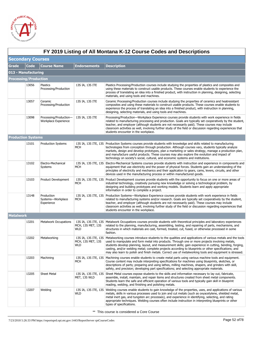

|                              | FY 2019 Listing of All Montana K-12 Course Codes and Descriptions |                                                |                                 |                                                                                                                                                                                                                                                                                                                                                                                                                                                                                                                                                                                        |  |  |  |
|------------------------------|-------------------------------------------------------------------|------------------------------------------------|---------------------------------|----------------------------------------------------------------------------------------------------------------------------------------------------------------------------------------------------------------------------------------------------------------------------------------------------------------------------------------------------------------------------------------------------------------------------------------------------------------------------------------------------------------------------------------------------------------------------------------|--|--|--|
|                              | <b>Secondary Courses</b>                                          |                                                |                                 |                                                                                                                                                                                                                                                                                                                                                                                                                                                                                                                                                                                        |  |  |  |
| Grade                        | <b>Code</b>                                                       | <b>Course Name</b>                             | <b>Endorsements</b>             | <b>Description</b>                                                                                                                                                                                                                                                                                                                                                                                                                                                                                                                                                                     |  |  |  |
| 013 - Manufacturing          |                                                                   |                                                |                                 |                                                                                                                                                                                                                                                                                                                                                                                                                                                                                                                                                                                        |  |  |  |
| <b>Processing/Production</b> |                                                                   |                                                |                                 |                                                                                                                                                                                                                                                                                                                                                                                                                                                                                                                                                                                        |  |  |  |
|                              | 13056                                                             | Plastics<br>Processing/Production              | 13S IA, 13S ITE                 | Plastics Processing/Production courses include studying the properties of plastics and composites and<br>using these materials to construct usable products. These courses enable students to experience the<br>process of translating an idea into a finished product, with instruction in planning, designing, selecting<br>materials, and using tools and machines.                                                                                                                                                                                                                 |  |  |  |
|                              | 13057                                                             | Ceramic<br>Processing/Production               | 13S IA, 13S ITE                 | Ceramic Processing/Production courses include studying the properties of ceramics and heatresistant<br>composites and using these materials to construct usable products. These courses enable students to<br>experience the process of translating an idea into a finished product, with instruction in planning,<br>designing, selecting materials, and using tools and machines.                                                                                                                                                                                                    |  |  |  |
|                              | 13098                                                             | Processing/Production-<br>Workplace Experience | 13S IA, 13S ITE                 | Processing/Production-Workplace Experience courses provide students with work experience in fields<br>related to manufacturing processing and production. Goals are typically set cooperatively by the student,<br>teacher, and employer (although students are not necessarily paid). These courses may include<br>classroom activities as well, involving further study of the field or discussion regarding experiences that<br>students encounter in the workplace.                                                                                                                |  |  |  |
| <b>Production Systems</b>    |                                                                   |                                                |                                 |                                                                                                                                                                                                                                                                                                                                                                                                                                                                                                                                                                                        |  |  |  |
|                              | 13101                                                             | <b>Production Systems</b>                      | MCH                             | 13S IA, 13S ITE, 13S Production Systems courses provide students with knowledge and skills related to manufacturing<br>technologies from conception through production. Although courses vary, students typically analyze<br>markets, design and develop prototypes, plan a marketing or sales strategy, manage a production plan,<br>and manufacture useful products. These courses may also explore the evolution and impact of<br>technology on society's social, cultural, and economic systems and institutions.                                                                  |  |  |  |
|                              | 13102                                                             | Electro-Mechanical<br>Systems                  | MCH                             | 13S IA, 13S ITE, 13S Electro-Mechanical Systems courses provide students with instruction and experience in components and<br>equipment that use electricity and the power of physical forces. Students gain an understanding of the<br>principles of electricity and mechanics and their application to gears, cams, levers, circuits, and other<br>devices used in the manufacturing process or within manufactured goods.                                                                                                                                                           |  |  |  |
|                              | 13103                                                             | Product Development                            | MCH                             | 13S IA, 13S ITE, 13S Product Development courses provide students with the opportunity to focus on one or more areas of<br>industrial technology, creatively pursuing new knowledge or solving a technological problem, by<br>designing and building prototypes and working models. Students learn and apply appropriate<br>information in order to complete a project.                                                                                                                                                                                                                |  |  |  |
|                              | 13148                                                             | Production<br>Systems-Workplace<br>Experience  | MCH                             | 13S IA, 13S ITE, 13S Production Systems-Workplace Experience courses provide students with work experience in fields<br>related to manufacturing systems and/or research. Goals are typically set cooperatively by the student,<br>teacher, and employer (although students are not necessarily paid). These courses may include<br>classroom activities as well, involving further study of the field or discussion regarding experiences that<br>students encounter in the workplace.                                                                                                |  |  |  |
| <b>Metalwork</b>             |                                                                   |                                                |                                 |                                                                                                                                                                                                                                                                                                                                                                                                                                                                                                                                                                                        |  |  |  |
|                              | 13201                                                             | Metalwork Occupations                          | MCH, 13S MET, 13S<br><b>WLD</b> | 13S IA, 13S ITE, 13S Metalwork Occupations courses provide students with theoretical principles and laboratory experiences<br>related to the planning, manufacturing, assembling, testing, and repairing of parts, mechanisms, and<br>structures in which materials are cast, formed, treated, cut, fused, or otherwise processed in some<br>fashion.                                                                                                                                                                                                                                  |  |  |  |
|                              | 13202                                                             | Metalworking                                   | <b>WLD</b>                      | 13S IA, 13S ITE, 13S   Metalworking courses introduce students to the qualities and applications of various metals and the tools<br>MCH, 13S MET, 13S used to manipulate and form metal into products. Through one or more projects involving metals,<br>students develop planning, layout, and measurement skills; gain experience in cutting, bending, forging,<br>casting, and/or welding metal; complete projects according to blueprints or other specifications; and<br>may also learn to polish and finish metals. Correct use of metalworking tools and equipment is stressed. |  |  |  |
|                              | 13203                                                             | Machining                                      | MCH                             | 13S IA, 13S ITE, 13S Machining courses enable students to create metal parts using various machine tools and equipment.<br>Course content may include interpreting specifications for machines using blueprints, sketches, or<br>descriptions of parts; preparing and using lathes, milling machines, shapers, and grinders with skill,<br>safety, and precision; developing part specifications; and selecting appropriate materials.                                                                                                                                                 |  |  |  |
|                              | 13205                                                             | Sheet Metal                                    | MET, 13S WLD                    | 13S IA, 13S ITE, 13S Sheet Metal courses expose students to the skills and information necessary to lay out, fabricate,<br>assemble, install, maintain, and repair items and structures created from sheet metal components.<br>Students learn the safe and efficient operation of various tools and typically gain skill in blueprint<br>reading, welding, and finishing and polishing metals.                                                                                                                                                                                        |  |  |  |
|                              | 13207                                                             | Welding                                        | WLD                             | 13S IA, 13S ITE, 13S Welding courses enable students to gain knowledge of the properties, uses, and applications of various<br>metals, skills in various processes used to join and cut metals (such as oxyacetylene, shielded metal,<br>metal inert gas, and tungsten arc processes), and experience in identifying, selecting, and rating<br>appropriate techniques. Welding courses often include instruction in interpreting blueprints or other<br>types of specifications.                                                                                                       |  |  |  |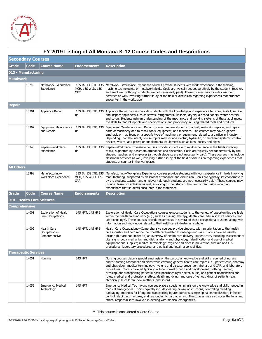

|                             | FY 2019 Listing of All Montana K-12 Course Codes and Descriptions |                                                  |                                 |                                                                                                                                                                                                                                                                                                                                                                                                                                                                                                                                                                                                                                                                                                       |  |  |  |
|-----------------------------|-------------------------------------------------------------------|--------------------------------------------------|---------------------------------|-------------------------------------------------------------------------------------------------------------------------------------------------------------------------------------------------------------------------------------------------------------------------------------------------------------------------------------------------------------------------------------------------------------------------------------------------------------------------------------------------------------------------------------------------------------------------------------------------------------------------------------------------------------------------------------------------------|--|--|--|
| <b>Secondary Courses</b>    |                                                                   |                                                  |                                 |                                                                                                                                                                                                                                                                                                                                                                                                                                                                                                                                                                                                                                                                                                       |  |  |  |
| <b>Grade</b>                | <b>Code</b>                                                       | <b>Course Name</b>                               | <b>Endorsements</b>             | <b>Description</b>                                                                                                                                                                                                                                                                                                                                                                                                                                                                                                                                                                                                                                                                                    |  |  |  |
|                             | 013 - Manufacturing                                               |                                                  |                                 |                                                                                                                                                                                                                                                                                                                                                                                                                                                                                                                                                                                                                                                                                                       |  |  |  |
| <b>Metalwork</b>            |                                                                   |                                                  |                                 |                                                                                                                                                                                                                                                                                                                                                                                                                                                                                                                                                                                                                                                                                                       |  |  |  |
|                             | 13248                                                             | Metalwork-Workplace<br>Experience                | MCH, 13S WLD, 13S<br>MET        | 13S IA, 13S ITE, 13S Metalwork—Workplace Experience courses provide students with work experience in the welding,<br>machine technologies, or metalwork fields. Goals are typically set cooperatively by the student, teacher,<br>and employer (although students are not necessarily paid). These courses may include classroom<br>activities as well, involving further study of the field or discussion regarding experiences that students<br>encounter in the workplace.                                                                                                                                                                                                                         |  |  |  |
| Repair                      |                                                                   |                                                  |                                 |                                                                                                                                                                                                                                                                                                                                                                                                                                                                                                                                                                                                                                                                                                       |  |  |  |
|                             | 13301                                                             | Appliance Repair                                 | IΜ                              | 13S IA, 13S ITE, 13S Appliance Repair courses provide students with the knowledge and experience to repair, install, service,<br>and inspect appliances such as stoves, refrigerators, washers, dryers, air conditioners, water heaters,<br>and so on. Students gain an understanding of the mechanics and working systems of these appliances,<br>the skills to read blueprints and specifications, and proficiency in using related tools and products.                                                                                                                                                                                                                                             |  |  |  |
|                             | 13302                                                             | <b>Equipment Maintenance</b><br>and Repair       | IΜ                              | 13S IA, 13S ITE, 13S Equipment Maintenance and Repair courses prepare students to adjust, maintain, replace, and repair<br>parts of machinery and to repair tools, equipment, and machines. The courses may have a general<br>emphasis or may focus on a specific type of machinery or equipment related to a particular industry.<br>Depending upon the intent, course topics may include electric, hydraulic, or mechanic systems; control<br>devices, valves, and gates; or supplemental equipment such as fans, hoses, and pipes.                                                                                                                                                                 |  |  |  |
|                             | 13348                                                             | Repair-Workplace<br>Experience                   | IΜ                              | 13S IA, 13S ITE, 13S Repair—Workplace Experience courses provide students with work experience in the fields involving<br>repair, supported by classroom attendance and discussion. Goals are typically set cooperatively by the<br>student, teacher, and employer (although students are not necessarily paid). These courses may include<br>classroom activities as well, involving further study of the field or discussion regarding experiences that<br>students encounter in the workplace.                                                                                                                                                                                                     |  |  |  |
| <b>All Others</b>           |                                                                   |                                                  |                                 |                                                                                                                                                                                                                                                                                                                                                                                                                                                                                                                                                                                                                                                                                                       |  |  |  |
|                             | 13998                                                             | Manufacturing-<br>Workplace Experience           | MCH, 17S WOO, 17S<br><b>CAR</b> | 13S IA, 13S ITE, 13S   Manufacturing-Workplace Experience courses provide students with work experience in fields involving<br>manufacturing, supported by classroom attendance and discussion. Goals are typically set cooperatively<br>by the student, teacher, and employer (although students are not necessarily paid). These courses may<br>include classroom activities as well, involving further study of the field or discussion regarding<br>experiences that students encounter in the workplace.                                                                                                                                                                                         |  |  |  |
| <b>Grade</b>                | Code                                                              | <b>Course Name</b>                               | <b>Endorsements</b>             | <b>Description</b>                                                                                                                                                                                                                                                                                                                                                                                                                                                                                                                                                                                                                                                                                    |  |  |  |
|                             |                                                                   | 014 - Health Care Sciences                       |                                 |                                                                                                                                                                                                                                                                                                                                                                                                                                                                                                                                                                                                                                                                                                       |  |  |  |
| Comprehensive               |                                                                   |                                                  |                                 |                                                                                                                                                                                                                                                                                                                                                                                                                                                                                                                                                                                                                                                                                                       |  |  |  |
|                             | 14001                                                             | <b>Exploration of Health</b><br>Care Occupations | 14S HPT, 14S HPB                | Exploration of Health Care Occupations courses expose students to the variety of opportunities available<br>within the health care industry (e.g., such as nursing, therapy, dental care, administrative services, and<br>lab technology). These courses provide experiences in several of these occupational clusters, along with<br>information and knowledge related to the health care industry as a whole.                                                                                                                                                                                                                                                                                       |  |  |  |
|                             | 14002                                                             | Health Care<br>Occupations-<br>Comprehensive     | 14S HPT, 14S HPB                | Health Care Occupations-Comprehensive courses provide students with an orientation to the health<br>care industry and help refine their health care-related knowledge and skills. Topics covered usually<br>include (but are not limited to) an overview of health care delivery; patient care, including assessment of<br>vital signs, body mechanics, and diet; anatomy and physiology; identification and use of medical<br>equipment and supplies; medical terminology; hygiene and disease prevention; first aid and CPR<br>procedures; laboratory procedures; and ethical and legal responsibilities.                                                                                           |  |  |  |
| <b>Therapeutic Services</b> |                                                                   |                                                  |                                 |                                                                                                                                                                                                                                                                                                                                                                                                                                                                                                                                                                                                                                                                                                       |  |  |  |
|                             | 14051                                                             | Nursing                                          | 14S HPT                         | Nursing courses place a special emphasis on the particular knowledge and skills required of nurses<br>and/or nursing assistants and aides while covering general health care topics (i.e., patient care, anatomy<br>and physiology, medical terminology, hygiene and disease prevention, first aid and CPR, and laboratory<br>procedures). Topics covered typically include normal growth and development; bathing, feeding,<br>dressing, and transporting patients; basic pharmacology; doctor, nurse, and patient relationships and<br>roles; medical and professional ethics; death and dying; and care of various kinds of patients (e.g.,<br>chronically ill, children, new mothers, and so on). |  |  |  |
|                             | 14055                                                             | <b>Emergency Medical</b><br>Technology           | 14S HPT                         | Emergency Medical Technology courses place a special emphasis on the knowledge and skills needed in<br>medical emergencies. Topics typically include clearing airway obstructions, controlling bleeding,<br>bandaging, methods for lifting and transporting injured persons, simple spinal immobilization, infection<br>control, stabilizing fractures, and responding to cardiac arrest. The courses may also cover the legal and<br>ethical responsibilities involved in dealing with medical emergencies.                                                                                                                                                                                          |  |  |  |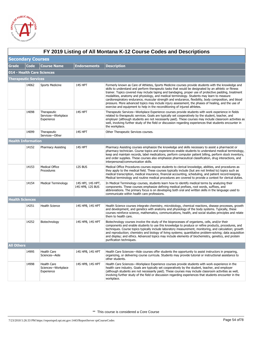

|                          | FY 2019 Listing of All Montana K-12 Course Codes and Descriptions |                                                 |                                       |                                                                                                                                                                                                                                                                                                                                                                                                                                                                                                                                                                                                                                                                                                                   |  |  |  |
|--------------------------|-------------------------------------------------------------------|-------------------------------------------------|---------------------------------------|-------------------------------------------------------------------------------------------------------------------------------------------------------------------------------------------------------------------------------------------------------------------------------------------------------------------------------------------------------------------------------------------------------------------------------------------------------------------------------------------------------------------------------------------------------------------------------------------------------------------------------------------------------------------------------------------------------------------|--|--|--|
| <b>Secondary Courses</b> |                                                                   |                                                 |                                       |                                                                                                                                                                                                                                                                                                                                                                                                                                                                                                                                                                                                                                                                                                                   |  |  |  |
| <b>Grade</b>             | <b>Code</b>                                                       | <b>Course Name</b>                              | <b>Endorsements</b>                   | <b>Description</b>                                                                                                                                                                                                                                                                                                                                                                                                                                                                                                                                                                                                                                                                                                |  |  |  |
|                          |                                                                   | 014 - Health Care Sciences                      |                                       |                                                                                                                                                                                                                                                                                                                                                                                                                                                                                                                                                                                                                                                                                                                   |  |  |  |
|                          | <b>Therapeutic Services</b>                                       |                                                 |                                       |                                                                                                                                                                                                                                                                                                                                                                                                                                                                                                                                                                                                                                                                                                                   |  |  |  |
|                          | 14062                                                             | Sports Medicine                                 | 14S HPT                               | Formerly known as Care of Athletes, Sports Medicine courses provide students with the knowledge and<br>skills to understand and perform therapeutic tasks that would be designated by an athletic or fitness<br>trainer. Topics covered may include taping and bandaging, proper use of protective padding, treatment<br>modalities, anatomy and physiology, and medical terminology. Students may learn to measure<br>cardiorespiratory endurance, muscular strength and endurance, flexibility, body composition, and blood<br>pressure. More advanced topics may include injury assessment, the phases of healing, and the use of<br>exercise and equipment to help in the reconditioning of injured athletes. |  |  |  |
|                          | 14098                                                             | Therapeutic<br>Services-Workplace<br>Experience | 14S HPT                               | Therapeutic Services-Workplace Experience courses provide students with work experience in fields<br>related to therapeutic services. Goals are typically set cooperatively by the student, teacher, and<br>employer (although students are not necessarily paid). These courses may include classroom activities as<br>well, involving further study of the field or discussion regarding experiences that students encounter in<br>the workplace.                                                                                                                                                                                                                                                               |  |  |  |
|                          | 14099                                                             | Therapeutic<br>Services-Other                   | 14S HPT                               | Other Therapeutic Services courses.                                                                                                                                                                                                                                                                                                                                                                                                                                                                                                                                                                                                                                                                               |  |  |  |
|                          | <b>Health Information</b>                                         |                                                 |                                       |                                                                                                                                                                                                                                                                                                                                                                                                                                                                                                                                                                                                                                                                                                                   |  |  |  |
|                          | 14152                                                             | <b>Pharmacy Assisting</b>                       | 14S HPT                               | Pharmacy Assisting courses emphasize the knowledge and skills necessary to assist a pharmacist or<br>pharmacy technician. Course topics and experiences enable students to understand medical terminology,<br>keep and maintain records, label medications, perform computer patient billing, perform stock inventory,<br>and order supplies. These courses also emphasize pharmaceutical classification, drug interactions, and<br>interpersonal/communication skills.                                                                                                                                                                                                                                           |  |  |  |
|                          | 14153                                                             | <b>Medical Office</b><br>Procedures             | 12S BUS                               | Medical Office Procedures courses expose students to clerical knowledge, abilities, and procedures as<br>they apply to the medical field. These courses typically include (but are not limited to) topics such as<br>medical transcription, medical insurance, financial accounting, scheduling, and patient record-keeping.<br>Medical terminology and routine medical procedures are covered to provide a context for clerical duties.                                                                                                                                                                                                                                                                          |  |  |  |
|                          | 14154                                                             | Medical Terminology                             | 14S HPI, 14S HPT,<br>14S HPB, 12S BUS | In Medical Terminology courses, students learn how to identify medical terms by analyzing their<br>components. These courses emphasize defining medical prefixes, root words, suffixes, and<br>abbreviations. The primary focus is on developing both oral and written skills in the language used to<br>communicate within health care professions.                                                                                                                                                                                                                                                                                                                                                              |  |  |  |
|                          | <b>Health Sciences</b>                                            |                                                 |                                       |                                                                                                                                                                                                                                                                                                                                                                                                                                                                                                                                                                                                                                                                                                                   |  |  |  |
|                          | 14251                                                             | <b>Health Science</b>                           | 14S HPB, 14S HPT                      | Health Science courses integrate chemistry, microbiology, chemical reactions, disease processes, growth<br>and development, and genetics with anatomy and physiology of the body systems. Typically, these<br>courses reinforce science, mathematics, communications, health, and social studies principles and relate<br>them to health care.                                                                                                                                                                                                                                                                                                                                                                    |  |  |  |
|                          | 14252                                                             | Biotechnology                                   | 14S HPB, 14S HPT                      | Biotechnology courses involve the study of the bioprocesses of organisms, cells, and/or their<br>components and enable students to use this knowledge to produce or refine products, procedures, and<br>techniques. Course topics typically include laboratory measurement, monitoring, and calculation; growth<br>and reproduction; chemistry and biology of living systems; quantitative problem-solving; data acquisition<br>and display; and ethics. Advanced topics may include elements of biochemistry, genetics, and protein<br>purification techniques.                                                                                                                                                  |  |  |  |
| <b>All Others</b>        |                                                                   |                                                 |                                       |                                                                                                                                                                                                                                                                                                                                                                                                                                                                                                                                                                                                                                                                                                                   |  |  |  |
|                          | 14995                                                             | Health Care<br>Sciences-Aide                    | 14S HPB, 14S HPT                      | Health Care Sciences—Aide courses offer students the opportunity to assist instructors in preparing,<br>organizing, or delivering course curricula. Students may provide tutorial or instructional assistance to<br>other students.                                                                                                                                                                                                                                                                                                                                                                                                                                                                               |  |  |  |
|                          | 14998                                                             | Health Care<br>Sciences-Workplace<br>Experience | 14S HPB, 14S HPT                      | Health Care Sciences—Workplace Experience courses provide students with work experience in the<br>health care industry. Goals are typically set cooperatively by the student, teacher, and employer<br>(although students are not necessarily paid). These courses may include classroom activities as well,<br>involving further study of the field or discussion regarding experiences that students encounter in the<br>workplace.                                                                                                                                                                                                                                                                             |  |  |  |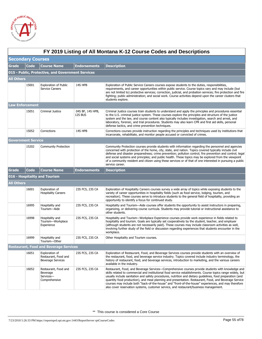

|                   | FY 2019 Listing of All Montana K-12 Course Codes and Descriptions |                                                                    |                             |                                                                                                                                                                                                                                                                                                                                                                                                                                                                                                                                                                                                                                         |  |  |  |
|-------------------|-------------------------------------------------------------------|--------------------------------------------------------------------|-----------------------------|-----------------------------------------------------------------------------------------------------------------------------------------------------------------------------------------------------------------------------------------------------------------------------------------------------------------------------------------------------------------------------------------------------------------------------------------------------------------------------------------------------------------------------------------------------------------------------------------------------------------------------------------|--|--|--|
|                   | <b>Secondary Courses</b>                                          |                                                                    |                             |                                                                                                                                                                                                                                                                                                                                                                                                                                                                                                                                                                                                                                         |  |  |  |
| Grade             | Code                                                              | <b>Course Name</b>                                                 | <b>Endorsements</b>         | <b>Description</b>                                                                                                                                                                                                                                                                                                                                                                                                                                                                                                                                                                                                                      |  |  |  |
|                   |                                                                   | 015 - Public, Protective, and Government Services                  |                             |                                                                                                                                                                                                                                                                                                                                                                                                                                                                                                                                                                                                                                         |  |  |  |
| <b>All Others</b> |                                                                   |                                                                    |                             |                                                                                                                                                                                                                                                                                                                                                                                                                                                                                                                                                                                                                                         |  |  |  |
|                   | 15001                                                             | <b>Exploration of Public</b><br><b>Service Careers</b>             | 14S HPB                     | Exploration of Public Service Careers courses expose students to the duties, responsibilities,<br>requirements, and career opportunities within public service. Course topics vary and may include (but<br>are not limited to) protective services; correction, judicial, and probation services; fire protection and fire<br>fighting; public administration; and social work. Course activities depend upon the career clusters that<br>students explore.                                                                                                                                                                             |  |  |  |
|                   | <b>Law Enforcement</b>                                            |                                                                    |                             |                                                                                                                                                                                                                                                                                                                                                                                                                                                                                                                                                                                                                                         |  |  |  |
|                   | 15051                                                             | Criminal Justice                                                   | 04S BF, 14S HPB,<br>12S BUS | Criminal Justice courses train students to understand and apply the principles and procedures essential<br>to the U.S. criminal justice system. These courses explore the principles and structure of the justice<br>system and the law, and course content also typically includes investigation, search and arrest, and<br>laboratory, forensic, and trial procedures. Students may also learn CPR and first aid skills, personal<br>defense tactics, and crime prevention techniques.                                                                                                                                                |  |  |  |
|                   | 15052                                                             | Corrections                                                        | 14S HPB                     | Corrections courses provide instruction regarding the principles and techniques used by institutions that<br>incarcerate, rehabilitate, and monitor people accused or convicted of crimes.                                                                                                                                                                                                                                                                                                                                                                                                                                              |  |  |  |
|                   | <b>Government Service</b>                                         |                                                                    |                             |                                                                                                                                                                                                                                                                                                                                                                                                                                                                                                                                                                                                                                         |  |  |  |
|                   | 15202                                                             | <b>Community Protection</b>                                        |                             | Community Protection courses provide students with information regarding the personnel and agencies<br>concerned with protection of the home, city, state, and nation. Topics covered typically include civil<br>defense and disaster preparedness; crime prevention; pollution control; fire prevention and control; legal<br>and social systems and principles; and public health. These topics may be explored from the viewpoint<br>of a community resident and citizen using these services or of that of one interested in pursuing a public<br>service career.                                                                   |  |  |  |
| <b>Grade</b>      | Code                                                              | <b>Course Name</b>                                                 | Endorsements                | <b>Description</b>                                                                                                                                                                                                                                                                                                                                                                                                                                                                                                                                                                                                                      |  |  |  |
|                   |                                                                   | 016 - Hospitality and Tourism                                      |                             |                                                                                                                                                                                                                                                                                                                                                                                                                                                                                                                                                                                                                                         |  |  |  |
| <b>All Others</b> |                                                                   |                                                                    |                             |                                                                                                                                                                                                                                                                                                                                                                                                                                                                                                                                                                                                                                         |  |  |  |
|                   | 16001                                                             | Exploration of<br><b>Hospitality Careers</b>                       | 23S FCS, 23S CA             | Exploration of Hospitality Careers courses survey a wide array of topics while exposing students to the<br>variety of career opportunities in hospitality fields (such as food service, lodging, tourism, and<br>recreation). These courses serve to introduce students to the general field of hospitality, providing an<br>opportunity to identify a focus for continued study.                                                                                                                                                                                                                                                       |  |  |  |
|                   | 16995                                                             | Hospitality and<br>Tourism-Aide                                    | 23S FCS, 23S CA             | Hospitality and Tourism—Aide courses offer students the opportunity to assist instructors in preparing,<br>organizing, or delivering course curricula. Students may provide tutorial or instructional assistance to<br>other students.                                                                                                                                                                                                                                                                                                                                                                                                  |  |  |  |
|                   | 16998                                                             | Hospitality and<br>Tourism-Workplace<br>Experience                 | 23S FCS, 23S CA             | Hospitality and Tourism—Workplace Experience courses provide work experience in fields related to<br>hospitality and tourism. Goals are typically set cooperatively by the student, teacher, and employer<br>(although students are not necessarily paid). These courses may include classroom activities as well,<br>involving further study of the field or discussion regarding experiences that students encounter in the<br>workplace.                                                                                                                                                                                             |  |  |  |
|                   | 16999                                                             | Hospitality and<br>Tourism-Other                                   | 23S FCS, 23S CA             | Other Hospitality and Tourism courses.                                                                                                                                                                                                                                                                                                                                                                                                                                                                                                                                                                                                  |  |  |  |
|                   |                                                                   | <b>Restaurant, Food and Beverage Services</b>                      |                             |                                                                                                                                                                                                                                                                                                                                                                                                                                                                                                                                                                                                                                         |  |  |  |
|                   | 16051                                                             | Exploration of<br>Restaurant, Food and<br><b>Beverage Services</b> | 23S FCS, 23S CA             | Exploration of Restaurant, Food, and Beverage Services courses provide students with an overview of<br>the restaurant, food, and beverage service industry. Topics covered include industry terminology, the<br>history of restaurant, food, and beverage services, introduction to marketing, and the various careers<br>available in the industry.                                                                                                                                                                                                                                                                                    |  |  |  |
|                   | 16052                                                             | Restaurant, Food and<br>Beverage<br>Services-<br>Comprehensive     | 23S FCS, 23S CA             | Restaurant, Food, and Beverage Services—Comprehensive courses provide students with knowledge and<br>skills related to commercial and institutional food service establishments. Course topics range widely, but<br>usually include sanitation and safety procedures, nutrition and dietary guidelines, food preparation (and<br>quantity food production), and meal planning and presentation. Restaurant, Food, and Beverage Service<br>courses may include both "back-of-the-house" and "front-of-the-house" experiences, and may therefore<br>also cover reservation systems, customer service, and restaurant/business management. |  |  |  |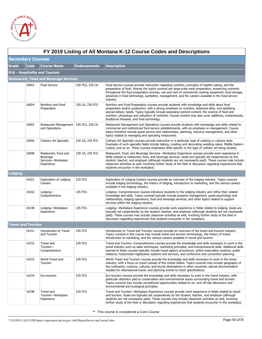

|              | FY 2019 Listing of All Montana K-12 Course Codes and Descriptions |                                                                      |                     |                                                                                                                                                                                                                                                                                                                                                                                                                                                                             |  |  |  |
|--------------|-------------------------------------------------------------------|----------------------------------------------------------------------|---------------------|-----------------------------------------------------------------------------------------------------------------------------------------------------------------------------------------------------------------------------------------------------------------------------------------------------------------------------------------------------------------------------------------------------------------------------------------------------------------------------|--|--|--|
|              | <b>Secondary Courses</b>                                          |                                                                      |                     |                                                                                                                                                                                                                                                                                                                                                                                                                                                                             |  |  |  |
| <b>Grade</b> | <b>Code</b>                                                       | <b>Course Name</b>                                                   | <b>Endorsements</b> | <b>Description</b>                                                                                                                                                                                                                                                                                                                                                                                                                                                          |  |  |  |
|              |                                                                   | 016 - Hospitality and Tourism                                        |                     |                                                                                                                                                                                                                                                                                                                                                                                                                                                                             |  |  |  |
|              |                                                                   | <b>Restaurant, Food and Beverage Services</b>                        |                     |                                                                                                                                                                                                                                                                                                                                                                                                                                                                             |  |  |  |
|              | 16053                                                             | Food Service                                                         | 23S FCS, 23S CA     | Food Service courses provide instruction regarding nutrition, principles of healthy eating, and the<br>preparation of food. Among the topics covered are large-scale meal preparation, preserving nutrients<br>throughout the food preparation process, use and care of commercial cooking equipment, food storage,<br>advances in food technology, sanitation, management, and the careers available in the food service<br>industry.                                      |  |  |  |
|              | 16054                                                             | Nutrition and Food<br>Preparation                                    | 23S CA, 23S FCS     | Nutrition and Food Preparation courses provide students with knowledge and skills about food<br>preparation and/or production, with a strong emphasis on nutrition, balanced diets, and satisfying<br>special dietary needs. Topics typically include assessing nutrient content, the science of food and<br>nutrition, physiology and utilization of nutrients. Course content may also cover additives, contaminants,<br>foodborne illnesses, and food technology.        |  |  |  |
|              | 16055                                                             | Restaurant Management 23S FCS, 23S CA<br>and Operations              |                     | Restaurant Management and Operations courses provide students with knowledge and skills related to<br>commercial and institutional food service establishments, with an emphasis on management. Course<br>topics therefore include guest service and relationships, planning, resource management, and other<br>topics related to managing and operating restaurants.                                                                                                       |  |  |  |
|              | 16056                                                             | <b>Culinary Art Specialty</b>                                        | 23S CA, 23S FCS     | Culinary Art Specialty courses provide instruction in a particular type of cooking or culinary style.<br>Examples of such specialty fields include baking, creating and decorating wedding cakes, Middle Eastern<br>cuisine, and so on. These courses emphasize skills specific to the type of culinary art being studied.                                                                                                                                                  |  |  |  |
|              | 16098                                                             | Restaurant, Food and<br>Beverage<br>Services-Workplace<br>Experience | 23S CA, 23S FCS     | Restaurant, Food, and Beverage Services—Workplace Experience courses provide work experience in<br>fields related to restaurant, food, and beverage services. Goals are typically set cooperatively by the<br>student, teacher, and employer (although students are not necessarily paid). These courses may include<br>classroom activities as well, involving further study of the field or discussion regarding experiences that<br>students encounter in the workplace. |  |  |  |
| Lodging      |                                                                   |                                                                      |                     |                                                                                                                                                                                                                                                                                                                                                                                                                                                                             |  |  |  |
|              | 16101                                                             | <b>Exploration of Lodging</b><br>Careers                             | 23S FCS             | Exploration of Lodging Careers courses provide an overview of the lodging industry. Topics covered<br>include lodging terminology, the history of lodging, introduction to marketing, and the various careers<br>available in the lodging industry.                                                                                                                                                                                                                         |  |  |  |
|              | 16102                                                             | Lodging-<br>Comprehensive                                            | 23S FCS             | Lodging—Comprehensive courses introduce students to the lodging industry and refine their related<br>knowledge and skills. Topics covered typically include property management, guest psychology and<br>relationships, lodging operations, food and beverage services, and other topics related to support<br>services within the lodging industry.                                                                                                                        |  |  |  |
|              | 16148                                                             | Lodging-Workplace<br>Experience                                      | 23S FCS             | Lodging-Workplace Experience courses provide work experience in fields related to lodging. Goals are<br>typically set cooperatively by the student, teacher, and employer (although students are not necessarily<br>paid). These courses may include classroom activities as well, involving further study of the field or<br>discussion regarding experiences that students encounter in the workplace.                                                                    |  |  |  |
|              | <b>Travel and Tourism</b>                                         |                                                                      |                     |                                                                                                                                                                                                                                                                                                                                                                                                                                                                             |  |  |  |
|              | 16151                                                             | Introduction to Travel<br>and Tourism                                | 23S FCS             | Introduction to Travel and Tourism courses provide an overview of the travel and tourism industry.<br>Topics covered in this course may include travel and tourism terminology, the history of travel,<br>introduction to marketing, and the various careers available in travel and tourism.                                                                                                                                                                               |  |  |  |
|              | 16152                                                             | Travel and<br>Tourism-<br>Comprehensive                              | 23S FCS             | Travel and Tourism—Comprehensive courses provide the knowledge and skills necessary to work in the<br>travel industry such as sales techniques, marketing principles, and entrepreneurial skills. Additional skills<br>learned in these courses typically include travel agency procedures, airline reservation systems, public<br>relations, hotel/motel registration systems and services, and conference and convention planning.                                        |  |  |  |
|              | 16153                                                             | World Travel and<br>Tourism                                          | 23S FCS             | World Travel and Tourism courses provide the knowledge and skills necessary to work in the travel<br>industry, with a focus on travel outside of the United States. Topics covered may include geography of<br>the continents; customs, cultures, and tourist destinations in other countries; special documentation<br>needed for international travel; and planning events to client specifications.                                                                      |  |  |  |
|              | 16154                                                             | Eco-tourism                                                          | 23S FCS             | Eco-tourism courses provide the knowledge and skills necessary to work in the travel industry, with<br>particular attention paid to conservation and environmental issues surrounding travel and tourism.<br>Topics covered may include recreational opportunities related to on- and off-site attractions and<br>environmental and ecological principles.                                                                                                                  |  |  |  |
|              | 16198                                                             | Travel and<br>Tourism-Workplace<br>Experience                        | 23S FCS             | Travel and Tourism—Workplace Experience courses provide work experience in fields related to travel<br>and tourism. Goals are typically set cooperatively by the student, teacher, and employer (although<br>students are not necessarily paid). These courses may include classroom activities as well, involving<br>further study of the field or discussion regarding experiences that students encounter in the workplace.                                              |  |  |  |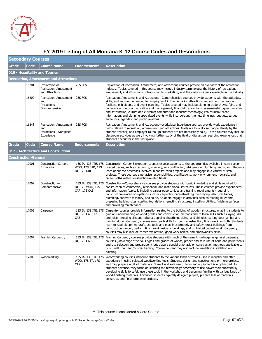

|              | FY 2019 Listing of All Montana K-12 Course Codes and Descriptions |                                                                     |                                  |                                                                                                                                                                                                                                                                                                                                                                                                                                                                                                                                                                                                                                                                                                                                                                           |  |  |  |
|--------------|-------------------------------------------------------------------|---------------------------------------------------------------------|----------------------------------|---------------------------------------------------------------------------------------------------------------------------------------------------------------------------------------------------------------------------------------------------------------------------------------------------------------------------------------------------------------------------------------------------------------------------------------------------------------------------------------------------------------------------------------------------------------------------------------------------------------------------------------------------------------------------------------------------------------------------------------------------------------------------|--|--|--|
|              | <b>Secondary Courses</b>                                          |                                                                     |                                  |                                                                                                                                                                                                                                                                                                                                                                                                                                                                                                                                                                                                                                                                                                                                                                           |  |  |  |
| <b>Grade</b> | <b>Code</b>                                                       | <b>Course Name</b>                                                  | <b>Endorsements</b>              | <b>Description</b>                                                                                                                                                                                                                                                                                                                                                                                                                                                                                                                                                                                                                                                                                                                                                        |  |  |  |
|              | 016 - Hospitality and Tourism                                     |                                                                     |                                  |                                                                                                                                                                                                                                                                                                                                                                                                                                                                                                                                                                                                                                                                                                                                                                           |  |  |  |
|              |                                                                   | Recreation, Amusement and Attractions                               |                                  |                                                                                                                                                                                                                                                                                                                                                                                                                                                                                                                                                                                                                                                                                                                                                                           |  |  |  |
|              | 16201                                                             | Exploration of<br>Recreation, Amusement<br>and Attractions          | 23S FCS                          | Exploration of Recreation, Amusement, and Attractions courses provide an overview of the recreation<br>industry. Topics covered in this course may include industry terminology; the history of recreation,<br>amusement, and attractions; introduction to marketing; and the various careers available in the industry.                                                                                                                                                                                                                                                                                                                                                                                                                                                  |  |  |  |
|              | 16202                                                             | Recreation, Amusement<br>and<br>Attractions-<br>Comprehensive       | 23S FCS                          | Recreation, Amusement, and Attractions-Comprehensive courses provide students with the attitudes,<br>skills, and knowledge needed for employment in theme parks, attractions and outdoor recreation<br>facilities, exhibitions, and event planning. Topics covered may include planning trade shows, fairs, and<br>conferences; outdoor recreation and management; financial transactions; salesmanship; quest services<br>and satisfaction; culture and customs; computer and industry technology; eco-tourism; client<br>information; and planning specialized events while incorporating themes, timelines, budgets, target<br>audiences, agendas, and public relations.                                                                                               |  |  |  |
|              | 16248                                                             | Recreation, Amusement<br>and<br>Attractions-Workplace<br>Experience | 23S FCS                          | Recreation, Amusement, and Attractions-Workplace Experience courses provide work experience in<br>fields related to recreation, amusement, and attractions. Goals are typically set cooperatively by the<br>student, teacher, and employer (although students are not necessarily paid). These courses may include<br>classroom activities as well, involving further study of the field or discussion regarding experiences that<br>students encounter in the workplace.                                                                                                                                                                                                                                                                                                 |  |  |  |
| Grade        | Code                                                              | <b>Course Name</b>                                                  | <b>Endorsements</b>              | <b>Description</b>                                                                                                                                                                                                                                                                                                                                                                                                                                                                                                                                                                                                                                                                                                                                                        |  |  |  |
|              |                                                                   | 017 - Architecture and Construction                                 |                                  |                                                                                                                                                                                                                                                                                                                                                                                                                                                                                                                                                                                                                                                                                                                                                                           |  |  |  |
|              | <b>Construction-General</b>                                       |                                                                     |                                  |                                                                                                                                                                                                                                                                                                                                                                                                                                                                                                                                                                                                                                                                                                                                                                           |  |  |  |
|              | 17001                                                             | <b>Construction Careers</b><br>Exploration                          | WOO, 17S CAR, 17S<br>BT, 17S DRF | 13S IA, 13S ITE, 17S Construction Career Exploration courses expose students to the opportunities available in construction-<br>related trades, such as carpentry, masonry, air conditioning/refrigeration, plumbing, and so on. Students<br>learn about the processes involved in construction projects and may engage in a variety of small<br>projects. These courses emphasize responsibilities, qualifications, work environment, rewards, and<br>career paths within construction-related fields.                                                                                                                                                                                                                                                                   |  |  |  |
|              | 17002                                                             | Construction-<br>Comprehensive                                      | BT, 17S WOO, 17S<br>CAR, 17S CAB | 13S IA, 13S ITE, 17S Construction—Comprehensive courses provide students with basic knowledge and skills required for<br>construction of commercial, residential, and institutional structures. These courses provide experiences<br>and information (typically including career opportunities and training requirements) regarding<br>construction-related occupations such as carpentry, cabinetmaking, bricklaying, electrical trades,<br>plumbing, concrete masonry, and so on. Students engage in activities such as reading blueprints,<br>preparing building sites, starting foundations, erecting structures, installing utilities, finishing surfaces,<br>and providing maintenance.                                                                             |  |  |  |
|              | 17003                                                             | Carpentry                                                           | BT, 17S CAR, 17S<br>CAB          | 13S IA, 13S ITE, 17S Carpentry courses provide information related to the building of wooden structures, enabling students to<br>gain an understanding of wood grades and construction methods and to learn skills such as laying sills<br>and joists; erecting sills and rafters; applying sheathing, siding, and shingles; setting door jambs; and<br>hanging doors. Carpentry courses may teach skills for rough construction, finish work, or both. Students<br>learn to read blueprints, draft, use tools and machines properly and safely, erect buildings from<br>construction lumber, perform finish work inside of buildings, and do limited cabinet work. Carpentry<br>courses may also include career exploration, good work habits, and employability skills. |  |  |  |
|              | 17004                                                             | <b>Framing Carpentry</b>                                            | BT, 17S CAR                      | 13S IA, 13S ITE, 17S Framing Carpentry courses provide students with much of the same knowledge as general carpentry<br>courses (knowledge of various types and grades of woods, proper and safe use of hand and power tools,<br>and site selection and preparation), but place a special emphasis on construction methods applicable to<br>floor, wall, roof, and/or stair framing. Course content may also include insulation installation and<br>painting.                                                                                                                                                                                                                                                                                                             |  |  |  |
|              | 17006                                                             | Woodworking                                                         | WOO, 17S BT, 17S<br><b>CAR</b>   | 13S IA, 13S ITE, 17S Woodworking courses introduce students to the various kinds of woods used in industry and offer<br>experience in using selected woodworking tools. Students design and construct one or more projects<br>and may prepare a bill of materials. Correct and safe use of tools and equipment is emphasized. As<br>students advance, they focus on learning the terminology necessary to use power tools successfully,<br>developing skills to safely use these tools in the workshop and becoming familiar with various kinds of<br>wood-finishing materials. Advanced students typically design a project, prepare bills of materials,<br>construct, and finish proposed projects.                                                                     |  |  |  |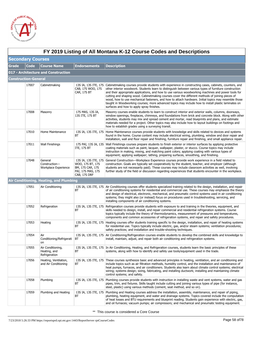

|       | FY 2019 Listing of All Montana K-12 Course Codes and Descriptions |                                                    |                                                                           |                                                                                                                                                                                                                                                                                                                                                                                                                                                                                                                                                                                                                                                                                                             |  |  |  |
|-------|-------------------------------------------------------------------|----------------------------------------------------|---------------------------------------------------------------------------|-------------------------------------------------------------------------------------------------------------------------------------------------------------------------------------------------------------------------------------------------------------------------------------------------------------------------------------------------------------------------------------------------------------------------------------------------------------------------------------------------------------------------------------------------------------------------------------------------------------------------------------------------------------------------------------------------------------|--|--|--|
|       | <b>Secondary Courses</b>                                          |                                                    |                                                                           |                                                                                                                                                                                                                                                                                                                                                                                                                                                                                                                                                                                                                                                                                                             |  |  |  |
| Grade | <b>Code</b>                                                       | <b>Course Name</b>                                 | <b>Endorsements</b>                                                       | <b>Description</b>                                                                                                                                                                                                                                                                                                                                                                                                                                                                                                                                                                                                                                                                                          |  |  |  |
|       |                                                                   | 017 - Architecture and Construction                |                                                                           |                                                                                                                                                                                                                                                                                                                                                                                                                                                                                                                                                                                                                                                                                                             |  |  |  |
|       | <b>Construction-General</b>                                       |                                                    |                                                                           |                                                                                                                                                                                                                                                                                                                                                                                                                                                                                                                                                                                                                                                                                                             |  |  |  |
|       | 17007                                                             | Cabinetmaking                                      | CAB, 17S WOO, 17S<br>CAR, 17S BT                                          | 13S IA, 13S ITE, 17S Cabinetmaking courses provide students with experience in constructing cases, cabinets, counters, and<br>other interior woodwork. Students learn to distinguish between various types of furniture construction<br>and their appropriate applications, and how to use various woodworking machines and power tools for<br>cutting and shaping wood. Cabinetmaking courses cover the different methods of joining pieces of<br>wood, how to use mechanical fasteners, and how to attach hardware. Initial topics may resemble those<br>taught in Woodworking courses; more advanced topics may include how to install plastic laminates on<br>surfaces and how to apply spray finishes. |  |  |  |
|       | 17008                                                             | Masonry                                            | 17S MAS, 13S IA,<br>13S ITE, 17S BT                                       | Masonry courses enable students to learn to construct interior and exterior walls, columns, doorways,<br>window openings, fireplaces, chimneys, and foundations from brick and concrete block. Along with other<br>activities, students may mix and spread cement and mortar, read blueprints and plans, and estimate<br>materials needed for a project. Other topics may also include how to layout buildings on footings and<br>how to establish grades using a surveying transit.                                                                                                                                                                                                                        |  |  |  |
|       | 17010                                                             | Home Maintenance                                   | ВT                                                                        | 13S IA, 13S ITE, 17S Home Maintenance courses provide students with knowledge and skills related to devices and systems<br>found in the home. Course content may include electrical wiring, plumbing, window and door repair and<br>installation, wall and floor repair and finishing, furniture repair and finishing, and small appliance repair.                                                                                                                                                                                                                                                                                                                                                          |  |  |  |
|       | 17011                                                             | <b>Wall Finishings</b>                             | ITE, 17S BT                                                               | 17S PAI, 13S IA, 13S Wall Finishings courses prepare students to finish exterior or interior surfaces by applying protective<br>coating materials such as paint, lacquer, wallpaper, plaster, or stucco. Course topics may include<br>instruction in making, mixing, and matching paint colors; applying coating with various types of<br>equipment; applying wallpaper; lathing, preparing surfaces, smoothing, and finishing.                                                                                                                                                                                                                                                                             |  |  |  |
|       | 17048                                                             | General<br>Construction-<br>Workplace Experience   | WOO, 17S BT, 17S<br>BM, 17S CAR, 17S<br>PAI, 17S MAS, 17S<br>CAB, 17S DRF | 13S IA, 13S ITE, 17S General Construction-Workplace Experience courses provide work experience in a field related to<br>construction. Goals are typically set cooperatively by the student, teacher, and employer (although<br>students are not necessarily paid). These courses may include classroom activities as well, involving<br>further study of the field or discussion regarding experiences that students encounter in the workplace.                                                                                                                                                                                                                                                            |  |  |  |
|       |                                                                   | Air Conditioning, Heating, and Plumbing            |                                                                           |                                                                                                                                                                                                                                                                                                                                                                                                                                                                                                                                                                                                                                                                                                             |  |  |  |
|       | 17051                                                             | Air Conditioning                                   | ВT                                                                        | 13S IA, 13S ITE, 17S Air Conditioning courses offer students specialized training related to the design, installation, and repair<br>of air conditioning systems for residential and commercial use. These courses may emphasize the theory<br>and design of electrical, electronic, mechanical, and pneumatic control systems used in air conditioning<br>systems; they might also (or instead) focus on procedures used in troubleshooting, servicing, and<br>installing components of air conditioning systems.                                                                                                                                                                                          |  |  |  |
|       | 17052                                                             | Refrigeration                                      | <b>BT</b>                                                                 | 13S IA, 13S ITE, 17S Refrigeration courses provide students with exposure to and training in the theories, equipment, and<br>skills needed to design, install, and repair commercial and residential refrigeration systems. Course<br>topics typically include the theory of thermodynamics, measurement of pressures and temperatures,<br>components and common accessories of refrigeration systems, and repair and safety procedures.                                                                                                                                                                                                                                                                    |  |  |  |
|       | 17053                                                             | Heating                                            | ВT                                                                        | 13S IA, 13S ITE, 17S Heating courses offer students training specific to the design, installation, and repair of heating systems<br>for residential use. Topics typically include electric, gas, and/or steam systems; ventilation procedures;<br>safety practices; and installation and trouble-shooting techniques.                                                                                                                                                                                                                                                                                                                                                                                       |  |  |  |
|       | 17054                                                             | Air<br>Conditioning/Refrigerati<br>on              | ВT                                                                        | 13S IA, 13S ITE, 17S Air Conditioning/Refrigeration courses enable students to develop the combined skills and knowledge to<br>install, maintain, adjust, and repair both air conditioning and refrigeration systems.                                                                                                                                                                                                                                                                                                                                                                                                                                                                                       |  |  |  |
|       | 17055                                                             | Air Conditioning,<br>Heating, and<br>Refrigeration | ВT                                                                        | 13S IA, 13S ITE, 17S In Air Conditioning, Heating, and Refrigeration courses, students learn the basic principles of these<br>systems, along with how to identify and safely use tools/equipment used in the trade.                                                                                                                                                                                                                                                                                                                                                                                                                                                                                         |  |  |  |
|       | 17056                                                             | Heating, Ventilation,<br>and Air Conditioning      | ВT                                                                        | 13S IA, 13S ITE, 17S These courses synthesize basic and advanced principles in heating, ventilation, and air conditioning and<br>include topics such as air filtration methods, humidity control, and the installation and maintenance of<br>heat pumps, furnaces, and air conditioners. Students also learn about climate control systems; electrical<br>wiring; systems design; sizing, fabricating, and installing ductwork; installing and maintaining climate<br>control systems; and safety.                                                                                                                                                                                                          |  |  |  |
|       | 17058                                                             | Plumbing                                           | ВT                                                                        | 13S IA, 13S ITE, 17S Plumbing courses provide students with instruction in installing waste and vent systems, water and gas<br>pipes, trim, and fixtures. Skills taught include cutting and joining various types of pipe (for instance,<br>steel, plastic) using various methods (cement, seat method, and so on).                                                                                                                                                                                                                                                                                                                                                                                         |  |  |  |
|       | 17059                                                             | Plumbing and Heating                               | ВT                                                                        | 13S IA, 13S ITE, 17S Plumbing and Heating courses address the installation, assembly, maintenance, and repair of piping,<br>plumbing, heating equipment, and water and drainage systems. Topics covered include the computation<br>of heat losses and BTU requirements and blueprint reading. Students gain experience with electric, gas,<br>and oil furnaces; vacuum pumps; air compressors; and mechanical and pneumatic testing equipment.                                                                                                                                                                                                                                                              |  |  |  |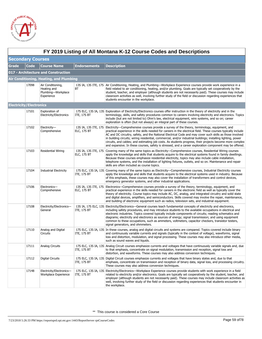

|                                | FY 2019 Listing of All Montana K-12 Course Codes and Descriptions |                                                                      |                     |                                                                                                                                                                                                                                                                                                                                                                                                                                                                                                                                                                                                                                                                                           |  |  |  |
|--------------------------------|-------------------------------------------------------------------|----------------------------------------------------------------------|---------------------|-------------------------------------------------------------------------------------------------------------------------------------------------------------------------------------------------------------------------------------------------------------------------------------------------------------------------------------------------------------------------------------------------------------------------------------------------------------------------------------------------------------------------------------------------------------------------------------------------------------------------------------------------------------------------------------------|--|--|--|
|                                | <b>Secondary Courses</b>                                          |                                                                      |                     |                                                                                                                                                                                                                                                                                                                                                                                                                                                                                                                                                                                                                                                                                           |  |  |  |
| <b>Grade</b>                   | <b>Code</b>                                                       | <b>Course Name</b>                                                   | <b>Endorsements</b> | <b>Description</b>                                                                                                                                                                                                                                                                                                                                                                                                                                                                                                                                                                                                                                                                        |  |  |  |
|                                |                                                                   | 017 - Architecture and Construction                                  |                     |                                                                                                                                                                                                                                                                                                                                                                                                                                                                                                                                                                                                                                                                                           |  |  |  |
|                                |                                                                   | Air Conditioning, Heating, and Plumbing                              |                     |                                                                                                                                                                                                                                                                                                                                                                                                                                                                                                                                                                                                                                                                                           |  |  |  |
|                                | 17098                                                             | Air Conditioning,<br>Heating and<br>Plumbing-Workplace<br>Experience | BT                  | 13S IA, 13S ITE, 17S Air Conditioning, Heating, and Plumbing—Workplace Experience courses provide work experience in a<br>field related to air conditioning, heating, and/or plumbing. Goals are typically set cooperatively by the<br>student, teacher, and employer (although students are not necessarily paid). These courses may include<br>classroom activities as well, involving further study of the field or discussion regarding experiences that<br>students encounter in the workplace.                                                                                                                                                                                      |  |  |  |
| <b>Electricity/Electronics</b> |                                                                   |                                                                      |                     |                                                                                                                                                                                                                                                                                                                                                                                                                                                                                                                                                                                                                                                                                           |  |  |  |
|                                | 17101                                                             | Exploration of<br>Electricity/Electronics                            | ITE, 17S BT         | 17S ELC, 13S IA, 13S Exploration of Electricity/Electronics courses offer instruction in the theory of electricity and in the<br>terminology, skills, and safety procedures common to careers involving electricity and electronics. Topics<br>include (but are not limited to) Ohm's law, electrical equipment, wire systems, and so on; career<br>exploration is often (but not always) an integral part of these courses.                                                                                                                                                                                                                                                              |  |  |  |
|                                | 17102                                                             | Electricity-<br>Comprehensive                                        | <b>ELC, 17S BT</b>  | 13S IA, 13S ITE, 17S Electricity—Comprehensive courses provide a survey of the theory, terminology, equipment, and<br>practical experience in the skills needed for careers in the electrical field. These courses typically include<br>AC and DC circuitry, safety, and the National Electrical Code and may cover such skills as those involved<br>in building circuits; wiring residential, commercial, and/or industrial buildings; installing lighting, power<br>circuits, and cables; and estimating job costs. As students progress, their projects become more complex<br>and expansive. In these courses, safety is stressed, and a career exploration component may be offered. |  |  |  |
|                                | 17103                                                             | <b>Residential Wiring</b>                                            | <b>ELC, 17S BT</b>  | 13S IA, 13S ITE, 17S Covering many of the same topics as Electricity—Comprehensive courses, Residential Wiring courses<br>apply the knowledge and skills that students acquire to the electrical systems found in family dwellings.<br>Because these courses emphasize residential electricity, topics may also include cable installation,<br>telephone systems, and the installation of lighting fixtures, outlets, and so on. Maintenance and repair<br>skills are often included as course topics.                                                                                                                                                                                    |  |  |  |
|                                | 17104                                                             | <b>Industrial Electricity</b>                                        | <b>ITE, 17S BT</b>  | 17S ELC, 13S IA, 13S Covering many of the same topics as Electricity—Comprehensive courses, Industrial Electricity courses<br>apply the knowledge and skills that students acquire to the electrical systems used in industry. Because<br>of this emphasis, these courses may also cover the installation of transformers and control devices,<br>emergency generator systems, and other industrial applications.                                                                                                                                                                                                                                                                         |  |  |  |
|                                | 17106                                                             | Electronics-<br>Comprehensive                                        | <b>ELC, 17S BT</b>  | 13S IA, 13S ITE, 17S Electronics—Comprehensive courses provide a survey of the theory, terminology, equipment, and<br>practical experience in the skills needed for careers in the electronic field as well as typically cover the<br>theory of electricity. Course topics may include AC, DC, analog, and integrated circuitry and solid state<br>and digital devices, amplifiers, and semiconductors. Skills covered may involve the repair, maintenance,<br>and building of electronic equipment such as radios, television sets, and industrial equipment.                                                                                                                            |  |  |  |
|                                | 17108                                                             | Electricity/Electronics-<br>General                                  | <b>ITE, 17S BT</b>  | 13S IA, 17S ELC, 13S Electricity/Electronics—General courses teach fundamental concepts of electricity and electronics,<br>including safety procedures, and may introduce students to the available occupations in electrical and<br>electronic industries. Topics covered typically include components of circuits; reading schematics and<br>diagrams; electricity and electronics as sources of energy; signal transmission; and using equipment<br>common to these occupations, such as ammeters, voltmeters, capacitor checkers, transistor testers,<br>signal generators, and ohmmeters.                                                                                            |  |  |  |
|                                | 17110                                                             | Analog and Digital<br><b>Circuits</b>                                | <b>ITE, 17S BT</b>  | 17S ELC, 13S IA, 13S In these courses, analog and digital circuits and systems are compared. Topics covered include binary<br>and continuously variable currents and signals (typically in the context of voltage), waveforms, signal<br>loss and distortion, modulation, and signal processing. These courses may also introduce other media,<br>such as sound waves and liquids.                                                                                                                                                                                                                                                                                                        |  |  |  |
|                                | 17111                                                             | Analog Circuits                                                      | <b>ITE, 17S BT</b>  | 17S ELC, 13S IA, 13S Analog Circuit courses emphasize currents and voltages that have continuously variable signals and, due<br>to that emphasis, concentrate on signal modulation, transmission and reception, signal loss and<br>distortion, and waveforms. These courses may also address conversion techniques.                                                                                                                                                                                                                                                                                                                                                                       |  |  |  |
|                                | 17112                                                             | Digital Circuits                                                     | ITE, 17S BT         | 17S ELC, 13S IA, 13S Digital Circuit courses emphasize currents and voltages that have binary states and, due to that<br>emphasis, concentrate on transmission and reception of binary data, signal loss, and processing circuitry.<br>These courses may also address conversion techniques.                                                                                                                                                                                                                                                                                                                                                                                              |  |  |  |
|                                | 17148                                                             | Electricity/Electronics-<br>Workplace Experience                     | ITE, 17S BT         | 17S ELC, 13S IA, 13S Electricity/Electronics—Workplace Experience courses provide students with work experience in a field<br>related to electricity and/or electronics. Goals are typically set cooperatively by the student, teacher, and<br>employer (although students are not necessarily paid). These courses may include classroom activities as<br>well, involving further study of the field or discussion regarding experiences that students encounter in<br>the workplace.                                                                                                                                                                                                    |  |  |  |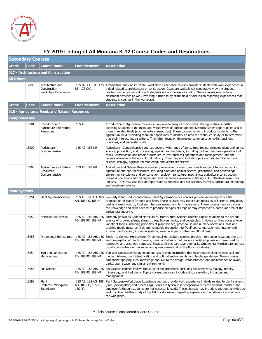

|                      | FY 2019 Listing of All Montana K-12 Course Codes and Descriptions |                                                           |                               |                                                                                                                                                                                                                                                                                                                                                                                                                                                                                                                                                                                 |  |  |  |
|----------------------|-------------------------------------------------------------------|-----------------------------------------------------------|-------------------------------|---------------------------------------------------------------------------------------------------------------------------------------------------------------------------------------------------------------------------------------------------------------------------------------------------------------------------------------------------------------------------------------------------------------------------------------------------------------------------------------------------------------------------------------------------------------------------------|--|--|--|
|                      | <b>Secondary Courses</b>                                          |                                                           |                               |                                                                                                                                                                                                                                                                                                                                                                                                                                                                                                                                                                                 |  |  |  |
| Grade                | Code                                                              | <b>Course Name</b>                                        | <b>Endorsements</b>           | <b>Description</b>                                                                                                                                                                                                                                                                                                                                                                                                                                                                                                                                                              |  |  |  |
|                      |                                                                   | 017 - Architecture and Construction                       |                               |                                                                                                                                                                                                                                                                                                                                                                                                                                                                                                                                                                                 |  |  |  |
| <b>All Others</b>    |                                                                   |                                                           |                               |                                                                                                                                                                                                                                                                                                                                                                                                                                                                                                                                                                                 |  |  |  |
|                      | 17998                                                             | Architecture and<br>Construction-<br>Workplace Experience | BT, 17S CAR                   | 13S IA, 13S ITE, 17S Architecture and Construction—Workplace Experience courses provide students with work experience in<br>a field related to architecture or construction. Goals are typically set cooperatively by the student,<br>teacher, and employer (although students are not necessarily paid). These courses may include<br>classroom activities as well, involving further study of the field or discussion regarding experiences that<br>students encounter in the workplace.                                                                                      |  |  |  |
| Grade                | <b>Code</b>                                                       | <b>Course Name</b>                                        | Endorsements                  | <b>Description</b>                                                                                                                                                                                                                                                                                                                                                                                                                                                                                                                                                              |  |  |  |
|                      |                                                                   | 018 - Agriculture, Food, and Natural Resources            |                               |                                                                                                                                                                                                                                                                                                                                                                                                                                                                                                                                                                                 |  |  |  |
| Comprehensive        |                                                                   |                                                           |                               |                                                                                                                                                                                                                                                                                                                                                                                                                                                                                                                                                                                 |  |  |  |
|                      | 18001                                                             | Introduction to<br>Agriculture and Natural<br>Resources   | <b>18S AG</b>                 | Introduction to Agriculture courses survey a wide array of topics within the agricultural industry,<br>exposing students to the many and varied types of agriculture and livestock career opportunities and to<br>those in related fields (such as natural resources). These courses serve to introduce students to the<br>agricultural field, providing them an opportunity to identify an area for continued study or to determine<br>that their interest lies elsewhere. They often focus on developing communication skills, business<br>principles, and leadership skills. |  |  |  |
|                      | 18002                                                             | Agriculture-<br>Comprehensive                             | 18S AG, 18S NR                | Agriculture—Comprehensive courses cover a wide range of agricultural topics, including plant and animal<br>science, production, and processing; agricultural mechanics, including tool and machine operation and<br>repair; construction and repair of farm structures; business operations and management; and the<br>careers available in the agricultural industry. They may also include topics such as chemical and soil<br>science, ecology, agricultural marketing, and veterinary science.                                                                              |  |  |  |
|                      | 18003                                                             | Agriculture and Natural<br>Resources-<br>Comprehensive    | 18S AG, 18S NR                | Agriculture and Natural Resources—Comprehensive courses cover a wide range of topics concerning<br>agriculture and natural resources, including plant and animal science, production, and processing;<br>environmental science and conservation; ecology; agricultural mechanics; agricultural construction;<br>business operations and management; and the careers available in the agricultural/natural resources<br>industry. They may also include topics such as chemical and soil science, forestry, agricultural marketing,<br>and veterinary science.                   |  |  |  |
| <b>Plant Systems</b> |                                                                   |                                                           |                               |                                                                                                                                                                                                                                                                                                                                                                                                                                                                                                                                                                                 |  |  |  |
|                      | 18051                                                             | Plant Systems/Science                                     | AH, 18S PS, 18S NR            | 18S AG, 18S FO, 18S   Formerly Plant Production/Science, Plant Systems/Science courses provide knowledge about the<br>propagation of plants for food and fiber. These courses may cover such topics as soil science, irrigation,<br>pest and weed control, food and fiber processing, and farm operations. These courses may also cover<br>the knowledge and skills needed to produce all types of crops or may emphasize a particular area of the<br>agricultural industry.                                                                                                    |  |  |  |
|                      | 18052                                                             | Horticultural Science                                     | FO, 18S PS, 18S NR            | 18S AG, 18S AH, 18S Formerly known as General Horticulture, Horticultural Science courses expose students to the art and<br>science of growing plants, shrubs, trees, flowers, fruits, and vegetables. In doing so, they cover a wide<br>variety of topics, including principles of plant science, greenhouse and nursery operations, soils and<br>growing media mixtures, fruit and vegetable production, turf/golf course management, interior and<br>exterior plantscaping, irrigation systems, weed and pest control, and floral design.                                    |  |  |  |
|                      | 18053                                                             | Ornamental Horticulture                                   | FO, 18S PS, 18S NR            | 18S AG, 18S AH, 18S Similar to General Horticulture, Ornamental Horticulture courses provide information regarding the care<br>and propagation of plants, flowers, trees, and shrubs, but place a special emphasis on those used for<br>decorative and aesthetic purposes. Because of this particular emphasis, Ornamental Horticulture courses<br>usually concentrate on nurseries and greenhouses and on the floristry industry.                                                                                                                                              |  |  |  |
|                      | 18054                                                             | Turf and Landscape<br>Management                          | FO, 18S PS, 18S NR            | 18S AG, 18S AH, 18S Turf and Landscape Management courses provide instruction that incorporates plant science, soil and<br>media mixtures, plant identification and optimal environments, and landscape design. These courses<br>emphasize applying such knowledge and skill to the design, establishment, and maintenance of lawns,<br>parks, open space, and similar environments.                                                                                                                                                                                            |  |  |  |
|                      | 18055                                                             | Soil Science                                              | FO, 18S PS, 18S NR            | 185 AG, 185 AH, 18S Soil Science courses involve the study of soil properties, including soil chemistry, biology, fertility,<br>mineralogy, and hydrology. Topics covered may also include soil conservation, irrigation, and<br>management.                                                                                                                                                                                                                                                                                                                                    |  |  |  |
|                      | 18098                                                             | Plant<br>Systems-Workplace<br>Experience                  | AH, 18S FO, 18S PS,<br>18S NR | 18S AB, 18S AG, 18S Plant Systems-Workplace Experience courses provide work experience in fields related to plant systems<br>(care, propagation, and processing). Goals are typically set cooperatively by the student, teacher, and<br>employer (although students are not necessarily paid). These courses may include classroom activities as<br>well, involving further study of the field or discussion regarding experiences that students encounter in<br>the workplace.                                                                                                 |  |  |  |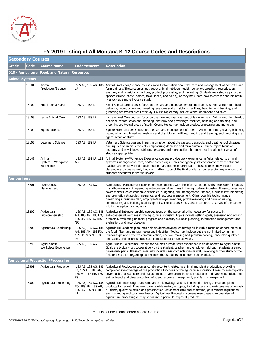

|                          | FY 2019 Listing of All Montana K-12 Course Codes and Descriptions |                                                |                                                                                |                                                                                                                                                                                                                                                                                                                                                                                                                                                                                                                                                                                                                                                                              |  |  |
|--------------------------|-------------------------------------------------------------------|------------------------------------------------|--------------------------------------------------------------------------------|------------------------------------------------------------------------------------------------------------------------------------------------------------------------------------------------------------------------------------------------------------------------------------------------------------------------------------------------------------------------------------------------------------------------------------------------------------------------------------------------------------------------------------------------------------------------------------------------------------------------------------------------------------------------------|--|--|
| <b>Secondary Courses</b> |                                                                   |                                                |                                                                                |                                                                                                                                                                                                                                                                                                                                                                                                                                                                                                                                                                                                                                                                              |  |  |
| <b>Grade</b>             | <b>Code</b>                                                       | <b>Course Name</b>                             | <b>Endorsements</b>                                                            | <b>Description</b>                                                                                                                                                                                                                                                                                                                                                                                                                                                                                                                                                                                                                                                           |  |  |
|                          |                                                                   | 018 - Agriculture, Food, and Natural Resources |                                                                                |                                                                                                                                                                                                                                                                                                                                                                                                                                                                                                                                                                                                                                                                              |  |  |
| <b>Animal Systems</b>    |                                                                   |                                                |                                                                                |                                                                                                                                                                                                                                                                                                                                                                                                                                                                                                                                                                                                                                                                              |  |  |
|                          | 18101                                                             | Animal<br>Production/Science                   | LP                                                                             | 18S AB, 18S AG, 18S Animal Production/Science courses impart information about the care and management of domestic and<br>farm animals. These courses may cover animal nutrition, health, behavior, selection, reproduction,<br>anatomy and physiology, facilities, product processing, and marketing. Students may study a particular<br>species (swine, cattle, horses, fowl, sheep, and so on), or they may learn how to care for and maintain<br>livestock as a more inclusive study.                                                                                                                                                                                    |  |  |
|                          | 18102                                                             | <b>Small Animal Care</b>                       | 18S AG, 18S LP                                                                 | Small Animal Care courses focus on the care and management of small animals. Animal nutrition, health,<br>behavior, reproduction and breeding, anatomy and physiology, facilities, handling and training, and<br>grooming are typical areas of study. Course topics may include kennel operations and sales.                                                                                                                                                                                                                                                                                                                                                                 |  |  |
|                          | 18103                                                             | Large Animal Care                              | 18S AG, 18S LP                                                                 | Large Animal Care courses focus on the care and management of large animals. Animal nutrition, health,<br>behavior, reproduction and breeding, anatomy and physiology, facilities, handling and training, and<br>grooming are typical areas of study. Course topics may include product processing and marketing.                                                                                                                                                                                                                                                                                                                                                            |  |  |
|                          | 18104                                                             | Equine Science                                 | 18S AG, 18S LP                                                                 | Equine Science courses focus on the care and management of horses. Animal nutrition, health, behavior,<br>reproduction and breeding, anatomy and physiology, facilities, handling and training, and grooming are<br>typical areas of study.                                                                                                                                                                                                                                                                                                                                                                                                                                  |  |  |
|                          | 18105                                                             | <b>Veterinary Science</b>                      | 18S AG, 18S LP                                                                 | Veterinary Science courses impart information about the causes, diagnosis, and treatment of diseases<br>and injuries of animals, typically emphasizing domestic and farm animals. Course topics focus on<br>anatomy and physiology, nutrition, behavior, and reproduction, but may also include other areas of<br>study as appropriate.                                                                                                                                                                                                                                                                                                                                      |  |  |
|                          | 18148                                                             | Animal<br>Systems-Workplace<br>Experience      | 18S AG, 18S LP, 18S<br>AB                                                      | Animal Systems-Workplace Experience courses provide work experience in fields related to animal<br>systems (management, care, and/or processing). Goals are typically set cooperatively by the student,<br>teacher, and employer (although students are not necessarily paid). These courses may include<br>classroom activities as well, involving further study of the field or discussion regarding experiences that<br>students encounter in the workplace.                                                                                                                                                                                                              |  |  |
| <b>Agribusiness</b>      |                                                                   |                                                |                                                                                |                                                                                                                                                                                                                                                                                                                                                                                                                                                                                                                                                                                                                                                                              |  |  |
|                          | 18201                                                             | Agribusiness<br>Management                     | 18S AB, 18S AG                                                                 | Agribusiness Management courses provide students with the information and skills necessary for success<br>in agribusiness and in operating entrepreneurial ventures in the agricultural industry. These courses may<br>cover topics such as economic principles, budgeting, risk management, finance, business law, marketing<br>and promotion strategies, insurance, and resource management. Other possible topics include<br>developing a business plan, employee/employer relations, problem-solving and decisionmaking,<br>commodities, and building leadership skills. These courses may also incorporate a survey of the careers<br>within the agricultural industry. |  |  |
|                          | 18202                                                             | Agricultural<br>Entrepreneurship               | 18S AB, 18S AG, 18S<br>AH, 18S AM, 18S FO,<br>18S LP, 18S PS, 18S<br><b>NR</b> | Agricultural Entrepreneurship courses focus on the personal skills necessary for success in<br>entrepreneurial ventures in the agricultural industry. Topics include setting goals, assessing and solving<br>problems, evaluating financial progress and success, business planning, information management and<br>evaluation, and recordkeeping.                                                                                                                                                                                                                                                                                                                            |  |  |
|                          | 18203                                                             | Agricultural Leadership                        | 18S AB, 18S AG, 18S<br>AH, 18S AM, 18S FO,<br>18S LP, 18S NR, 18S<br>PS        | Agricultural Leadership courses help students develop leadership skills with a focus on opportunities in<br>the food, fiber, and natural resources industries. Topics may include but are not limited to human<br>relationships and effective communication, decision-making and problem-solving, leadership qualities<br>and styles, and ensuring successful completion of group activities.                                                                                                                                                                                                                                                                                |  |  |
|                          | 18248                                                             | Agribusiness-<br>Workplace Experience          | 18S AB, 18S AG                                                                 | Agribusiness-Workplace Experience courses provide work experience in fields related to agribusiness.<br>Goals are typically set cooperatively by the student, teacher, and employer (although students are not<br>necessarily paid). These courses may include classroom activities as well, involving further study of the<br>field or discussion regarding experiences that students encounter in the workplace.                                                                                                                                                                                                                                                           |  |  |
|                          |                                                                   | <b>Agricultural Production/Processing</b>      |                                                                                |                                                                                                                                                                                                                                                                                                                                                                                                                                                                                                                                                                                                                                                                              |  |  |
|                          | 18301                                                             | <b>Agricultural Production</b>                 | 18S AB, 18S AG, 18S<br>LP, 18S AH, 18S AM,<br>18S FO, 18S NR, 18S<br>PS        | Agricultural Production courses combine content related to animal and plant production, providing<br>comprehensive coverage of the production functions of the agricultural industry. These courses typically<br>cover such topics as care and management of farm animals, crop production and harvesting, plant and<br>animal insect and disease control, efficient resource management, and farm management.                                                                                                                                                                                                                                                               |  |  |
|                          | 18302                                                             | <b>Agricultural Processing</b>                 | 18S AB, 18S AG, 18S<br>FO, 18S AM, 18S AH,<br>18S PS, 18S NR, 18S<br>LP        | Agricultural Processing courses impart the knowledge and skills needed to bring animal and plant<br>products to market. They may cover a wide variety of topics, including care and maintenance of animals<br>or plants, quality selection and preservation, equipment care and sanitation, government regulations,<br>and marketing and consumer trends. Agricultural Processing courses may present an overview of<br>agricultural processing or may specialize in particular types of products.                                                                                                                                                                           |  |  |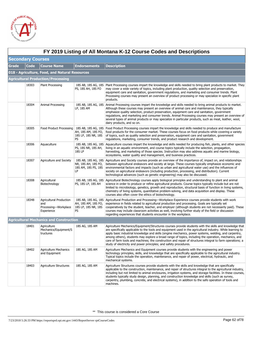

|                          | FY 2019 Listing of All Montana K-12 Course Codes and Descriptions |                                                                             |                                                                         |                                                                                                                                                                                                                                                                                                                                                                                                                                                                                                                                                                                                                          |  |  |
|--------------------------|-------------------------------------------------------------------|-----------------------------------------------------------------------------|-------------------------------------------------------------------------|--------------------------------------------------------------------------------------------------------------------------------------------------------------------------------------------------------------------------------------------------------------------------------------------------------------------------------------------------------------------------------------------------------------------------------------------------------------------------------------------------------------------------------------------------------------------------------------------------------------------------|--|--|
| <b>Secondary Courses</b> |                                                                   |                                                                             |                                                                         |                                                                                                                                                                                                                                                                                                                                                                                                                                                                                                                                                                                                                          |  |  |
| <b>Grade</b>             | <b>Code</b>                                                       | <b>Course Name</b>                                                          | Endorsements                                                            | <b>Description</b>                                                                                                                                                                                                                                                                                                                                                                                                                                                                                                                                                                                                       |  |  |
|                          |                                                                   | 018 - Agriculture, Food, and Natural Resources                              |                                                                         |                                                                                                                                                                                                                                                                                                                                                                                                                                                                                                                                                                                                                          |  |  |
|                          |                                                                   | <b>Agricultural Production/Processing</b>                                   |                                                                         |                                                                                                                                                                                                                                                                                                                                                                                                                                                                                                                                                                                                                          |  |  |
|                          | 18303                                                             | <b>Plant Processing</b>                                                     | 18S AB, 18S AG, 18S<br>PS, 18S AH, 18S FO                               | Plant Processing courses impart the knowledge and skills needed to bring plant products to market. They<br>may cover a wide variety of topics, including plant production, quality selection and preservation,<br>equipment care and sanitation, government regulations, and marketing and consumer trends. Plant<br>Processing courses may present an overview of product processing or may specialize in specific plant<br>products.                                                                                                                                                                                   |  |  |
|                          | 18304                                                             | Animal Processing                                                           | 18S AB, 18S AG, 18S<br>LP, 18S AM                                       | Animal Processing courses impart the knowledge and skills needed to bring animal products to market.<br>Although these courses may present an overview of animal care and maintenance, they typically<br>emphasize quality selection, product preservation, equipment care and sanitation, government<br>regulations, and marketing and consumer trends. Animal Processing courses may present an overview of<br>several types of animal products or may specialize in particular products, such as meat, leather, wool,<br>dairy products, and so on.                                                                   |  |  |
|                          | 18305                                                             | Food Product Processing                                                     | 18S AB, 18S AG, 18S<br>AH, 18S AM, 18S FO,<br>18S LP, 18S NR, 18S<br>PS | Food Product Processing courses impart the knowledge and skills needed to produce and manufacture<br>food products for the consumer market. These courses focus on food products while covering a variety<br>of topics, such as quality selection and preservation, equipment care and sanitation, government<br>regulations, marketing, consumer trends, and product research and development.                                                                                                                                                                                                                          |  |  |
|                          | 18306                                                             | Aquaculture                                                                 | 18S AB, 18S AG, 18S<br>PS, 18S NR, 18S AH,<br><b>18S LP</b>             | Aquaculture courses impart the knowledge and skills needed for producing fish, plants, and other species<br>living in an aquatic environment, and course topics typically include the selection, propagation,<br>harvesting, and marketing of those species. Instruction may also address aquatic and marine biology,<br>ecosystems, water quality and management, and business practices.                                                                                                                                                                                                                               |  |  |
|                          | 18307                                                             | Agriculture and Society                                                     | 18S AB, 18S AG, 18S<br>NR, 18S AH, 18S FO,<br>18S AM, 18S PS, 18S<br>LP | Agriculture and Society courses provide an overview of the importance of, impact on, and relationships<br>between agricultural endeavors and society at large. These courses typically emphasize economic and<br>environmental factors and impacts (such as urban and agricultural water use) and the influences of<br>society on agricultural endeavors (including production, processing, and distribution). Current<br>technological advances (such as genetic engineering) may also be discussed.                                                                                                                    |  |  |
|                          | 18308                                                             | Agricultural<br>Biotechnology                                               | 18S AB, 18S AG, 18S<br>PS, 18S LP, 18S AH                               | Agricultural Biotechnology courses apply biological principles and understanding to plant and animal<br>science in order to produce or refine agricultural products. Course topics typically include but are not<br>limited to microbiology, genetics, growth and reproduction, structural basis of function in living systems,<br>chemistry of living systems, quantitative problem-solving, and data acquisition and display. These<br>courses also often cover the ethics of biotechnology.                                                                                                                           |  |  |
|                          | 18348                                                             | <b>Agricultural Production</b><br>and<br>Processing-Workplace<br>Experience | 18S AB, 18S AG, 18S<br>AH, 18S AM, 18S FO,<br>18S LP, 18S NR, 18S<br>PS | Agricultural Production and Processing-Workplace Experience courses provide students with work<br>experience in fields related to agricultural production and processing. Goals are typically set<br>cooperatively by the student, teacher, and employer (although students are not necessarily paid). These<br>courses may include classroom activities as well, involving further study of the field or discussion<br>regarding experiences that students encounter in the workplace.                                                                                                                                  |  |  |
|                          |                                                                   | <b>Agricultural Mechanics and Construction</b>                              |                                                                         |                                                                                                                                                                                                                                                                                                                                                                                                                                                                                                                                                                                                                          |  |  |
|                          | 18401                                                             | Agriculture<br>Mechanics/Equipment/S<br>tructures                           | 18S AG, 18S AM                                                          | Agriculture Mechanics/Equipment/Structures courses provide students with the skills and knowledge that<br>are specifically applicable to the tools and equipment used in the agricultural industry. While learning to<br>apply basic industrial knowledge and skills (engine mechanics, power systems, welding, and carpentry,<br>among others), students may explore a broad range of topics, including the operation, mechanics, and<br>care of farm tools and machines; the construction and repair of structures integral to farm operations; a<br>study of electricity and power principles; and safety procedures. |  |  |
|                          | 18402                                                             | <b>Agriculture Mechanics</b><br>and Equipment                               | 18S AG, 18S AM                                                          | Agriculture Mechanics and Equipment courses provide students with the engineering and power<br>technology principles, skills, and knowledge that are specifically applicable to the agricultural industry.<br>Typical topics include the operation, maintenance, and repair of power, electrical, hydraulic, and<br>mechanical systems.                                                                                                                                                                                                                                                                                  |  |  |
|                          | 18403                                                             | <b>Agriculture Structures</b>                                               | 18S AG, 18S AM                                                          | Agriculture Structures courses provide students with the skills and knowledge that are specifically<br>applicable to the construction, maintenance, and repair of structures integral to the agricultural industry,<br>including but not limited to animal enclosures, irrigation systems, and storage facilities. In these courses,<br>students typically study design, planning, and construction knowledge and skills (such as survey,<br>carpentry, plumbing, concrete, and electrical systems), in addition to the safe operation of tools and<br>machines.                                                         |  |  |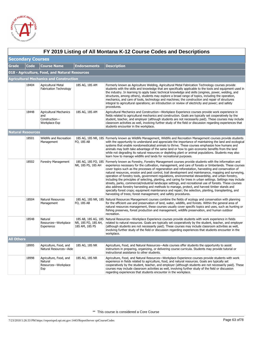

|                          | FY 2019 Listing of All Montana K-12 Course Codes and Descriptions |                                                                        |                                           |                                                                                                                                                                                                                                                                                                                                                                                                                                                                                                                                                                                                                                                                                                                                                                                                                                                                                                                                                                                                                                                 |  |  |
|--------------------------|-------------------------------------------------------------------|------------------------------------------------------------------------|-------------------------------------------|-------------------------------------------------------------------------------------------------------------------------------------------------------------------------------------------------------------------------------------------------------------------------------------------------------------------------------------------------------------------------------------------------------------------------------------------------------------------------------------------------------------------------------------------------------------------------------------------------------------------------------------------------------------------------------------------------------------------------------------------------------------------------------------------------------------------------------------------------------------------------------------------------------------------------------------------------------------------------------------------------------------------------------------------------|--|--|
| <b>Secondary Courses</b> |                                                                   |                                                                        |                                           |                                                                                                                                                                                                                                                                                                                                                                                                                                                                                                                                                                                                                                                                                                                                                                                                                                                                                                                                                                                                                                                 |  |  |
| Grade                    | Code                                                              | <b>Course Name</b>                                                     | <b>Endorsements</b>                       | <b>Description</b>                                                                                                                                                                                                                                                                                                                                                                                                                                                                                                                                                                                                                                                                                                                                                                                                                                                                                                                                                                                                                              |  |  |
|                          |                                                                   | 018 - Agriculture, Food, and Natural Resources                         |                                           |                                                                                                                                                                                                                                                                                                                                                                                                                                                                                                                                                                                                                                                                                                                                                                                                                                                                                                                                                                                                                                                 |  |  |
|                          |                                                                   | <b>Agricultural Mechanics and Construction</b>                         |                                           |                                                                                                                                                                                                                                                                                                                                                                                                                                                                                                                                                                                                                                                                                                                                                                                                                                                                                                                                                                                                                                                 |  |  |
|                          | 18404                                                             | Agricultural Metal<br><b>Fabrication Technology</b>                    | 18S AG, 18S AM                            | Formerly known as Agriculture Welding, Agricultural Metal Fabrication Technology courses provide<br>students with the skills and knowledge that are specifically applicable to the tools and equipment used in<br>the industry. In learning to apply basic technical knowledge and skills (engines, power, welding, and<br>structures, among others), students may explore a broad range of topics, including the operation,<br>mechanics, and care of tools, technology and machines; the construction and repair of structures<br>integral to agricultural operations; an introduction or review of electricity and power; and safety<br>procedures.                                                                                                                                                                                                                                                                                                                                                                                          |  |  |
|                          | 18448                                                             | <b>Agricultural Mechanics</b><br>and<br>Construction-<br>Workplace Exp | 18S AG, 18S AM                            | Agricultural Mechanics and Construction-Workplace Experience courses provide work experience in<br>fields related to agricultural mechanics and construction. Goals are typically set cooperatively by the<br>student, teacher, and employer (although students are not necessarily paid). These courses may include<br>classroom activities as well, involving further study of the field or discussion regarding experiences that<br>students encounter in the workplace.                                                                                                                                                                                                                                                                                                                                                                                                                                                                                                                                                                     |  |  |
| <b>Natural Resources</b> |                                                                   |                                                                        |                                           |                                                                                                                                                                                                                                                                                                                                                                                                                                                                                                                                                                                                                                                                                                                                                                                                                                                                                                                                                                                                                                                 |  |  |
|                          | 18501                                                             | Wildlife and Recreation<br>Management                                  | FO, 18S AB                                | 18S AG, 18S NR, 18S Formerly known as Wildlife Management, Wildlife and Recreation Management courses provide students<br>with the opportunity to understand and appreciate the importance of maintaining the land and ecological<br>systems that enable nondomesticated animals to thrive. These courses emphasize how humans and<br>animals may both take advantage of the same land or how to gain economic benefits from the land<br>while not degrading its natural resources or depleting plant or animal populations. Students may also<br>learn how to manage wildlife and lands for recreational purposes.                                                                                                                                                                                                                                                                                                                                                                                                                             |  |  |
|                          | 18502                                                             | Forestry Management                                                    | 18S AG, 18S FO, 18S<br>NR, 18S PS, 18S AH | Formerly known as Forestry, Forestry Management courses provide students with the information and<br>experience necessary for the cultivation, management, and care of forests or timberlands. These courses<br>cover topics such as the processes of regeneration and reforestation, harvesting and conservation of<br>natural resources, erosion and pest control, trail development and maintenance, mapping and surveying,<br>operation of forestry tools, government regulations, environmental stewardship, and urban forestry,<br>including the principles of selecting, planting, and caring for trees in urban settings. Settings may include<br>streets, parks, commercial/industrial landscape settings, and recreational use of forests. These courses<br>also address forestry harvesting and methods to manage, protect, and harvest timber stands and<br>specialty forest crops; equipment maintenance and repair; the selection, planting, transplanting, and<br>harvesting of trees; forest management; and safety procedures. |  |  |
|                          | 18504                                                             | Natural Resources<br>Management                                        | FO, 18S AB                                | 18S AG, 18S NR, 18S Natural Resources Management courses combine the fields of ecology and conservation with planning<br>for the efficient use and preservation of land, water, wildlife, and forests. Within the general area of<br>natural resources management, these courses usually cover specific topics and uses, such as hunting or<br>fishing preserves, forest production and management, wildlife preservation, and human outdoor<br>recreation.                                                                                                                                                                                                                                                                                                                                                                                                                                                                                                                                                                                     |  |  |
|                          | 18548                                                             | Natural<br>Resources-Workplace<br>Experience                           | NR, 18S FO, 18S AH,<br>18S AM, 18S PS     | 18S AB, 18S AG, 18S Natural Resources-Workplace Experience courses provide students with work experience in fields<br>related to natural resources. Goals are typically set cooperatively by the student, teacher, and employer<br>(although students are not necessarily paid). These courses may include classroom activities as well,<br>involving further study of the field or discussion regarding experiences that students encounter in the<br>workplace.                                                                                                                                                                                                                                                                                                                                                                                                                                                                                                                                                                               |  |  |
| <b>All Others</b>        |                                                                   |                                                                        |                                           |                                                                                                                                                                                                                                                                                                                                                                                                                                                                                                                                                                                                                                                                                                                                                                                                                                                                                                                                                                                                                                                 |  |  |
|                          | 18995                                                             | Agriculture, Food, and<br>Natural Resources-Aide                       | 18S AG, 18S NR                            | Agriculture, Food, and Natural Resources—Aide courses offer students the opportunity to assist<br>instructors in preparing, organizing, or delivering course curricula. Students may provide tutorial or<br>instructional assistance to other students.                                                                                                                                                                                                                                                                                                                                                                                                                                                                                                                                                                                                                                                                                                                                                                                         |  |  |
|                          | 18998                                                             | Agriculture, Food, and<br>Natural<br>Resources-Workplace<br>Exp        | 18S AG, 18S NR                            | Agriculture, Food, and Natural Resources-Workplace Experience courses provide students with work<br>experience in fields related to agriculture, food, and natural resources. Goals are typically set<br>cooperatively by the student, teacher, and employer (although students are not necessarily paid). These<br>courses may include classroom activities as well, involving further study of the field or discussion<br>regarding experiences that students encounter in the workplace.                                                                                                                                                                                                                                                                                                                                                                                                                                                                                                                                                     |  |  |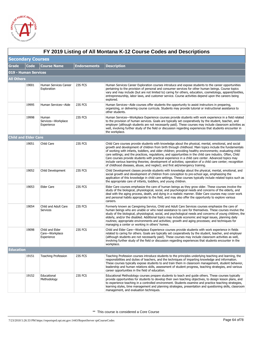

|                             | FY 2019 Listing of All Montana K-12 Course Codes and Descriptions |                                                 |                     |                                                                                                                                                                                                                                                                                                                                                                                                                                                                                                                                                                                                                                                                                                                                             |  |  |  |
|-----------------------------|-------------------------------------------------------------------|-------------------------------------------------|---------------------|---------------------------------------------------------------------------------------------------------------------------------------------------------------------------------------------------------------------------------------------------------------------------------------------------------------------------------------------------------------------------------------------------------------------------------------------------------------------------------------------------------------------------------------------------------------------------------------------------------------------------------------------------------------------------------------------------------------------------------------------|--|--|--|
|                             | <b>Secondary Courses</b>                                          |                                                 |                     |                                                                                                                                                                                                                                                                                                                                                                                                                                                                                                                                                                                                                                                                                                                                             |  |  |  |
| Grade                       | Code                                                              | <b>Course Name</b>                              | <b>Endorsements</b> | <b>Description</b>                                                                                                                                                                                                                                                                                                                                                                                                                                                                                                                                                                                                                                                                                                                          |  |  |  |
| 019 - Human Services        |                                                                   |                                                 |                     |                                                                                                                                                                                                                                                                                                                                                                                                                                                                                                                                                                                                                                                                                                                                             |  |  |  |
| <b>All Others</b>           |                                                                   |                                                 |                     |                                                                                                                                                                                                                                                                                                                                                                                                                                                                                                                                                                                                                                                                                                                                             |  |  |  |
|                             | 19001                                                             | Human Services Career<br>Exploration            | 23S FCS             | Human Services Career Exploration courses introduce and expose students to the career opportunities<br>pertaining to the provision of personal and consumer services for other human beings. Course topics<br>vary and may include (but are not limited to) caring for others, education, cosmetology, apparel/textiles,<br>entrepreneurship, labor laws, and customer service. Course activities depend upon the careers being<br>explored.                                                                                                                                                                                                                                                                                                |  |  |  |
|                             | 19995                                                             | Human Services-Aide                             | 23S FCS             | Human Services—Aide courses offer students the opportunity to assist instructors in preparing,<br>organizing, or delivering course curricula. Students may provide tutorial or instructional assistance to<br>other students.                                                                                                                                                                                                                                                                                                                                                                                                                                                                                                               |  |  |  |
|                             | 19998                                                             | Human<br>Services-Workplace<br>Experience       | 23S FCS             | Human Services—Workplace Experience courses provide students with work experience in a field related<br>to the provision of human services. Goals are typically set cooperatively by the student, teacher, and<br>employer (although students are not necessarily paid). These courses may include classroom activities as<br>well, involving further study of the field or discussion regarding experiences that students encounter in<br>the workplace.                                                                                                                                                                                                                                                                                   |  |  |  |
| <b>Child and Elder Care</b> |                                                                   |                                                 |                     |                                                                                                                                                                                                                                                                                                                                                                                                                                                                                                                                                                                                                                                                                                                                             |  |  |  |
|                             | 19051                                                             | Child Care                                      | 23S FCS             | Child Care courses provide students with knowledge about the physical, mental, emotional, and social<br>growth and development of children from birth through childhood. Main topics include the fundamentals<br>of working with infants, toddlers, and older children; providing healthy environments; evaluating child<br>care settings; and the practices, regulations, and opportunities in the child care industry. Often, Child<br>Care courses provide students with practical experience in a child care center. Advanced topics may<br>include various learning theories; development of activities; operation of a child care center; recognition<br>of childhood diseases, abuse, and neglect; and first aid/emergency training. |  |  |  |
|                             | 19052                                                             | Child Development                               | 23S FCS             | Child Development classes provide students with knowledge about the physical, mental, emotional, and<br>social growth and development of children from conception to pre-school age, emphasizing the<br>application of this knowledge in child care settings. These courses typically include related topics such as<br>the appropriate care of infants, toddlers, and young children.                                                                                                                                                                                                                                                                                                                                                      |  |  |  |
|                             | 19053                                                             | <b>Elder Care</b>                               | 23S FCS             | Elder Care courses emphasize the care of human beings as they grow older. These courses involve the<br>study of the biological, physiological, social, and psychological needs and concerns of the elderly, and<br>deal with the aging process, death, and dying in a realistic manner. Elder Care courses may cover work<br>and personal habits appropriate to the field, and may also offer the opportunity to explore various<br>careers.                                                                                                                                                                                                                                                                                                |  |  |  |
|                             | 19054                                                             | Child and Adult Care<br>Services                | 23S FCS             | Formerly known as Caregiving Service, Child and Adult Care Services courses emphasize the care of<br>human beings who are unable or who need assistance to care for themselves. These courses involve the<br>study of the biological, physiological, social, and psychological needs and concerns of young children, the<br>elderly, and/or the disabled. Additional topics may include economic and legal issues, planning daily<br>routines; appropriate environments and activities; growth and aging processes; and techniques for<br>managing a center or working in others' homes.                                                                                                                                                    |  |  |  |
|                             | 19098                                                             | Child and Elder<br>Care-Workplace<br>Experience | 23S FCS             | Child and Elder Care—Workplace Experience courses provide students with work experience in fields<br>related to caring for others. Goals are typically set cooperatively by the student, teacher, and employer<br>(although students are not necessarily paid). These courses may include classroom activities as well,<br>involving further study of the field or discussion regarding experiences that students encounter in the<br>workplace.                                                                                                                                                                                                                                                                                            |  |  |  |
| <b>Education</b>            |                                                                   |                                                 |                     |                                                                                                                                                                                                                                                                                                                                                                                                                                                                                                                                                                                                                                                                                                                                             |  |  |  |
|                             | 19151                                                             | <b>Teaching Profession</b>                      | 23S FCS             | Teaching Profession courses introduce students to the principles underlying teaching and learning, the<br>responsibilities and duties of teachers, and the techniques of imparting knowledge and information.<br>These courses typically expose students to and train them in classroom management, student behavior,<br>leadership and human relations skills, assessment of student progress, teaching strategies, and various<br>career opportunities in the field of education.                                                                                                                                                                                                                                                         |  |  |  |
|                             | 19152                                                             | Educational<br>Methodology                      | 23S FCS             | Educational Methodology courses prepare students to teach and guide others. These courses typically<br>provide opportunities for students to develop their own teaching objectives, to design lesson plans, and<br>to experience teaching in a controlled environment. Students examine and practice teaching strategies,<br>learning styles, time management and planning strategies, presentation and questioning skills, classroom<br>management, and evaluation techniques.                                                                                                                                                                                                                                                             |  |  |  |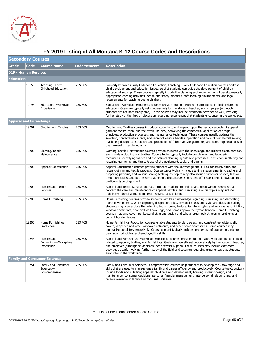

|           | FY 2019 Listing of All Montana K-12 Course Codes and Descriptions |                                                    |                     |                                                                                                                                                                                                                                                                                                                                                                                                                                                                                                                                                                     |  |  |  |
|-----------|-------------------------------------------------------------------|----------------------------------------------------|---------------------|---------------------------------------------------------------------------------------------------------------------------------------------------------------------------------------------------------------------------------------------------------------------------------------------------------------------------------------------------------------------------------------------------------------------------------------------------------------------------------------------------------------------------------------------------------------------|--|--|--|
|           | <b>Secondary Courses</b>                                          |                                                    |                     |                                                                                                                                                                                                                                                                                                                                                                                                                                                                                                                                                                     |  |  |  |
| Grade     | <b>Code</b>                                                       | <b>Course Name</b>                                 | <b>Endorsements</b> | <b>Description</b>                                                                                                                                                                                                                                                                                                                                                                                                                                                                                                                                                  |  |  |  |
|           | 019 - Human Services                                              |                                                    |                     |                                                                                                                                                                                                                                                                                                                                                                                                                                                                                                                                                                     |  |  |  |
| Education |                                                                   |                                                    |                     |                                                                                                                                                                                                                                                                                                                                                                                                                                                                                                                                                                     |  |  |  |
|           | 19153                                                             | Teaching-Early<br>Childhood Education              | 23S FCS             | Formerly known as Early Childhood Education, Teaching—Early Childhood Education courses address<br>child development and education issues, so that students can guide the development of children in<br>educational settings. These courses typically include the planning and implementing of developmentally<br>appropriate learning activities, health and safety practices, safe learning environments, and legal<br>requirements for teaching young children.                                                                                                  |  |  |  |
|           | 19198                                                             | Education-Workplace<br>Experience                  | 23S FCS             | Education—Workplace Experience courses provide students with work experience in fields related to<br>education. Goals are typically set cooperatively by the student, teacher, and employer (although<br>students are not necessarily paid). These courses may include classroom activities as well, involving<br>further study of the field or discussion regarding experiences that students encounter in the workplace.                                                                                                                                          |  |  |  |
|           | <b>Apparel and Furnishings</b>                                    |                                                    |                     |                                                                                                                                                                                                                                                                                                                                                                                                                                                                                                                                                                     |  |  |  |
|           | 19201                                                             | Clothing and Textiles                              | 23S FCS             | Clothing and Textiles courses introduce students to and expand upon the various aspects of apparel,<br>garment construction, and the textile industry, conveying the commercial application of design<br>principles, production processes, and maintenance techniques. These courses usually address the<br>selection, characteristics, care, and repair of various textiles; operation and care of commercial sewing<br>machines; design, construction, and production of fabrics and/or garments; and career opportunities in<br>the garment or textile industry. |  |  |  |
|           | 19202                                                             | Clothing/Textile<br>Maintenance                    | 23S FCS             | Clothing/Textile Maintenance courses provide students with the knowledge and skills to clean, care for,<br>and maintain clothing and textiles. Course topics typically include dry cleaning and laundering<br>techniques, identifying fabrics and the optimal cleaning agents and processes, instruction in altering and<br>repairing garments, and the safe use of the equipment, tools, and agents.                                                                                                                                                               |  |  |  |
|           | 19203                                                             | <b>Apparel Construction</b>                        | 23S FCS             | Apparel Construction courses provide students with the knowledge and skill to construct, alter, and<br>repair clothing and textile products. Course topics typically include taking measurements, creating and<br>preparing patterns, and various sewing techniques; topics may also include customer service, fashion<br>design principles, and business management. These courses may also offer specialized knowledge in a<br>particular type of garment.                                                                                                        |  |  |  |
|           | 19204                                                             | Apparel and Textile<br><b>Services</b>             | 23S FCS             | Apparel and Textile Services courses introduce students to and expand upon various services that<br>concern the care and maintenance of apparel, textiles, and furnishing. Course topics may include<br>upholstery, dry cleaning, commercial sewing, and tailoring.                                                                                                                                                                                                                                                                                                 |  |  |  |
|           | 19205                                                             | Home Furnishing                                    | 23S FCS             | Home Furnishing courses provide students with basic knowledge regarding furnishing and decorating<br>home environments. While exploring design principles, personal needs and style, and decision-making,<br>students may also explore the following topics: color, texture, furniture styles and arrangement, lighting,<br>window treatments, floor and wall coverings, and home improvement/modification. Home Furnishing<br>courses may also cover architectural style and design and take a larger look at housing problems or<br>current housing issues.       |  |  |  |
|           | 19206                                                             | Home Furnishings<br>Production                     | 23S FCS             | Home Furnishings Production courses enable students to plan, select, and construct upholstery, slip<br>covers, draperies and other window treatments, and other home accessories. Some courses may<br>emphasize upholstery exclusively. Course content typically includes proper use of equipment, interior<br>decorating principles, and employability skills.                                                                                                                                                                                                     |  |  |  |
|           | 19248                                                             | Apparel and<br>Furnishings-Workplace<br>Experience | 23S FCS             | Apparel and Furnishings—Workplace Experience courses provide students with work experience in fields<br>related to apparel, textiles, and furnishings. Goals are typically set cooperatively by the student, teacher,<br>and employer (although students are not necessarily paid). These courses may include classroom<br>activities as well, involving further study of the field or discussion regarding experiences that students<br>encounter in the workplace.                                                                                                |  |  |  |
|           |                                                                   | <b>Family and Consumer Sciences</b>                |                     |                                                                                                                                                                                                                                                                                                                                                                                                                                                                                                                                                                     |  |  |  |
|           | 19251                                                             | Family and Consumer<br>Sciences-<br>Comprehensive  | 23S FCS             | Family and Consumer Sciences—Comprehensive courses help students to develop the knowledge and<br>skills that are used to manage one's family and career efficiently and productively. Course topics typically<br>include foods and nutrition; apparel; child care and development; housing, interior design, and<br>maintenance; consumer decisions; personal financial management; interpersonal relationships; and<br>careers available in family and consumer sciences.                                                                                          |  |  |  |

# **FY 2019 Listing of All Montana K-12 Course Codes and Descriptions**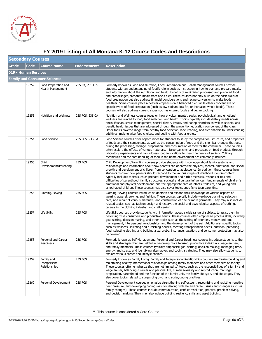

|              | FY 2019 Listing of All Montana K-12 Course Codes and Descriptions |                                              |                     |                                                                                                                                                                                                                                                                                                                                                                                                                                                                                                                                                                                                                                                                                                                                                                                                                                  |  |  |  |
|--------------|-------------------------------------------------------------------|----------------------------------------------|---------------------|----------------------------------------------------------------------------------------------------------------------------------------------------------------------------------------------------------------------------------------------------------------------------------------------------------------------------------------------------------------------------------------------------------------------------------------------------------------------------------------------------------------------------------------------------------------------------------------------------------------------------------------------------------------------------------------------------------------------------------------------------------------------------------------------------------------------------------|--|--|--|
|              | <b>Secondary Courses</b>                                          |                                              |                     |                                                                                                                                                                                                                                                                                                                                                                                                                                                                                                                                                                                                                                                                                                                                                                                                                                  |  |  |  |
| <b>Grade</b> | Code                                                              | <b>Course Name</b>                           | <b>Endorsements</b> | <b>Description</b>                                                                                                                                                                                                                                                                                                                                                                                                                                                                                                                                                                                                                                                                                                                                                                                                               |  |  |  |
|              | 019 - Human Services                                              |                                              |                     |                                                                                                                                                                                                                                                                                                                                                                                                                                                                                                                                                                                                                                                                                                                                                                                                                                  |  |  |  |
|              |                                                                   | <b>Family and Consumer Sciences</b>          |                     |                                                                                                                                                                                                                                                                                                                                                                                                                                                                                                                                                                                                                                                                                                                                                                                                                                  |  |  |  |
|              | 19252                                                             | Food Preparation and<br>Health Management    | 23S CA, 23S FCS     | Formerly known as Food and Nutrition, Food Preparation and Health Management courses provide<br>students with an understanding of food's role in society, instruction in how to plan and prepare meals,<br>and information about the nutritional and health benefits of minimizing processed and prepared food<br>and prepackaged/prepared meals from one's diet. These courses not only build on the basic skills of<br>food preparation but also address financial considerations and recipe conversion to make foods<br>healthier. Some courses place a heavier emphasis on a balanced diet, while others concentrate on<br>specific types of food preparation (such as low sodium, low fat, or increased whole foods). These<br>courses will also address current issues such as organic foods and vegan cooking.            |  |  |  |
|              | 19253                                                             | Nutrition and Wellness                       | 23S FCS, 23S CA     | Nutrition and Wellness courses focus on how physical, mental, social, psychological, and emotional<br>wellness are related to food, food selection, and health. Topics typically include dietary needs across<br>one's lifespan, stress management, special dietary issues, and eating disorders as well as societal and<br>genetic health issues that are addressed through the prevention education component of the class.<br>Other topics covered range from healthy food selection, label reading, and diet analysis to understanding<br>additives, making wise food choices, and dealing with food allergies.                                                                                                                                                                                                              |  |  |  |
|              | 19254                                                             | Food Science                                 | 23S FCS, 23S CA     | Food Science courses offer opportunities for students to study the composition, structure, and properties<br>of foods and their components as well as the consumption of food and the chemical changes that occur<br>during the processing, storage, preparation, and consumption of food for the consumer. These courses<br>often explore the effects of various materials, microorganisms, and processes on food products through<br>laboratory experiments and can address food innovations to meet the needs of society. Culinary<br>techniques and the safe handling of food in the home environment are commonly included.                                                                                                                                                                                                 |  |  |  |
|              | 19255                                                             | Child<br>Development/Parenting               | 23S FCS             | Child Development/Parenting courses provide students with knowledge about family systems and<br>relationships and information about how parents can address the physical, mental, emotional, and social<br>growth and development of children from conception to adolescence. In addition, these courses help<br>students discover how parents should respond to the various stages of childhood. Course content<br>typically includes topics such as prenatal development and birth processes, responsibilities and<br>difficulties of parenthood, family structures, societal and cultural influences, fundamentals of children's<br>emotional and physical development, and the appropriate care of infants, toddlers, and young and<br>school-aged children. These courses may also cover topics specific to teen parenting. |  |  |  |
|              | 19256                                                             | Clothing/Sewing                              | 23S FCS             | Clothing/Sewing courses introduce students to and expand their knowledge of various aspects of<br>wearing apparel, sewing, and fashion. These courses typically include wardrobe planning; selection,<br>care, and repair of various materials; and construction of one or more garments. They may also include<br>related topics, such as fashion design and history, the social and psychological aspects of clothing,<br>careers in the clothing industry, and craft sewing.                                                                                                                                                                                                                                                                                                                                                  |  |  |  |
|              | 19257                                                             | Life Skills                                  | 23S FCS             | Life Skills courses provide students with information about a wide range of subjects to assist them in<br>becoming wise consumers and productive adults. These courses often emphasize process skills, including<br>goal-setting, decision making, and other topics such as the setting of priorities, money and time<br>management, interpersonal relationships, and the development of the self. Additionally, specific topics<br>such as wellness, selecting and furnishing houses, meeting transportation needs, nutrition, preparing<br>food, selecting clothing and building a wardrobe, insurance, taxation, and consumer protection may also<br>be covered.                                                                                                                                                              |  |  |  |
|              | 19258                                                             | Personal and Career<br>Readiness             | 23S FCS             | Formerly known as Self-Management, Personal and Career Readiness courses introduce students to the<br>skills and strategies that are helpful in becoming more focused, productive individuals, wage earners,<br>and family members. These courses typically emphasize goal-setting; decision making; managing time,<br>energy, and stress; and identifying alternatives and coping strategies. They may also allow students to<br>explore various career and lifestyle choices.                                                                                                                                                                                                                                                                                                                                                  |  |  |  |
|              | 19259                                                             | Family and<br>Interpersonal<br>Relationships | 23S FCS             | Formerly known as Family Living, Family and Interpersonal Relationships courses emphasize building and<br>maintaining healthy interpersonal relationships among family members and other members of society.<br>These courses often emphasize (but are not limited to) topics such as the responsibilities of a family and<br>wage earner, balancing a career and personal life, human sexuality and reproduction, marriage<br>preparation, parenthood and the function of the family unit, the family life cycle, and life stages. They<br>also cover topics related to stages of growth and social/dating practices.                                                                                                                                                                                                           |  |  |  |
|              | 19260                                                             | Personal Development                         | 23S FCS             | Personal Development courses emphasize strengthening self-esteem, recognizing and resisting negative<br>peer pressure, and developing coping skills for dealing with life and career issues and changes (such as<br>family changes). These courses include communication, conflict resolution, practical problem-solving,<br>and decision making. They may also include building resiliency skills and asset building.                                                                                                                                                                                                                                                                                                                                                                                                           |  |  |  |

## **FY 2019 Listing of All Montana K-12 Course Codes and Descriptions**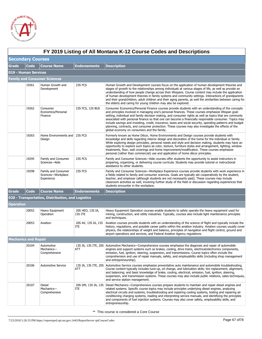

|                             | FY 2019 Listing of All Montana K-12 Course Codes and Descriptions |                                                         |                             |                                                                                                                                                                                                                                                                                                                                                                                                                                                                                                                                                                                                                                                                                                   |  |  |
|-----------------------------|-------------------------------------------------------------------|---------------------------------------------------------|-----------------------------|---------------------------------------------------------------------------------------------------------------------------------------------------------------------------------------------------------------------------------------------------------------------------------------------------------------------------------------------------------------------------------------------------------------------------------------------------------------------------------------------------------------------------------------------------------------------------------------------------------------------------------------------------------------------------------------------------|--|--|
| <b>Secondary Courses</b>    |                                                                   |                                                         |                             |                                                                                                                                                                                                                                                                                                                                                                                                                                                                                                                                                                                                                                                                                                   |  |  |
| <b>Grade</b>                | <b>Code</b>                                                       | <b>Course Name</b>                                      | <b>Endorsements</b>         | <b>Description</b>                                                                                                                                                                                                                                                                                                                                                                                                                                                                                                                                                                                                                                                                                |  |  |
| 019 - Human Services        |                                                                   |                                                         |                             |                                                                                                                                                                                                                                                                                                                                                                                                                                                                                                                                                                                                                                                                                                   |  |  |
|                             |                                                                   | <b>Family and Consumer Sciences</b>                     |                             |                                                                                                                                                                                                                                                                                                                                                                                                                                                                                                                                                                                                                                                                                                   |  |  |
|                             | 19261                                                             | Human Growth and<br>Development                         | 23S FCS                     | Human Growth and Development courses focus on the application of human development theories and<br>stages of growth to the relationships among individuals at various stages of life, as well as provide an<br>understanding of how people change across their lifespans. Course content may include the application<br>of human development theories in family systems and community settings. Interactions of grandparents<br>and their grandchildren, adult children and their aging parents, as well the similarities between caring for<br>the elderly and caring for young children may also be explored.                                                                                   |  |  |
|                             | 19262                                                             | Consumer<br>Economics/Personal<br>Finance               | 23S FCS, 12S BUS            | Consumer Economics/Personal Finance courses provide students with an understanding of the concepts<br>and principles involved in managing one's personal finances. These courses emphasize lifespan goal-<br>setting, individual and family decision making, and consumer rights as well as topics that are commonly<br>associated with personal finance so that one can become a financially responsible consumer. Topics may<br>include savings and investing, credit, insurance, taxes and social security, spending patterns and budget<br>planning, contracts, and consumer protection. These courses may also investigate the effects of the<br>global economy on consumers and the family. |  |  |
|                             | 19263                                                             | Home Environments and   23S FCS<br>Design               |                             | Formerly known as Home Décor, Home Environments and Design courses provide students with<br>knowledge and skills regarding interior design and decoration of the home for the individual or family.<br>While exploring design principles, personal needs and style and decision making, students may have an<br>opportunity to explore such topics as color, texture, furniture styles and arrangement, lighting, window<br>treatments, floor, wall coverings and home improvement/modification. These courses emphasize<br>personal (rather than commercial) use and application of home décor principles.                                                                                       |  |  |
|                             | 19295                                                             | Family and Consumer<br>Sciences-Aide                    | 23S FCS                     | Family and Consumer Sciences—Aide courses offer students the opportunity to assist instructors in<br>preparing, organizing, or delivering course curricula. Students may provide tutorial or instructional<br>assistance to other students.                                                                                                                                                                                                                                                                                                                                                                                                                                                       |  |  |
|                             | 19298                                                             | Family and Consumer<br>Sciences-Workplace<br>Experience | 23S FCS                     | Family and Consumer Sciences-Workplace Experience courses provide students with work experience in<br>a fields related to family and consumer sciences. Goals are typically set cooperatively by the student,<br>teacher, and employer (although students are not necessarily paid). These courses may include<br>classroom activities as well, involving further study of the field or discussion regarding experiences that<br>students encounter in the workplace.                                                                                                                                                                                                                             |  |  |
| Grade                       | Code                                                              | <b>Course Name</b>                                      | <b>Endorsements</b>         | <b>Description</b>                                                                                                                                                                                                                                                                                                                                                                                                                                                                                                                                                                                                                                                                                |  |  |
|                             |                                                                   | 020 - Transportation, Distribution, and Logistics       |                             |                                                                                                                                                                                                                                                                                                                                                                                                                                                                                                                                                                                                                                                                                                   |  |  |
| Operation                   |                                                                   |                                                         |                             |                                                                                                                                                                                                                                                                                                                                                                                                                                                                                                                                                                                                                                                                                                   |  |  |
|                             | 20052                                                             | Heavy Equipment<br>Operation                            | 20S HEO, 13S IA,<br>13S ITE | Heavy Equipment Operation courses enable students to safely operate the heavy equipment used for<br>mining, construction, and utility industries. Typically, courses also include light maintenance principles<br>and techniques.                                                                                                                                                                                                                                                                                                                                                                                                                                                                 |  |  |
|                             | 20053                                                             | Aviation                                                | 20S AV, 13S IA, 13S<br>ITE  | Aviation courses provide students with an understanding of the science of flight and typically include the<br>history, regulations, and possible career paths within the aviation industry. Aviation courses usually cover<br>physics, the relationships of weight and balance, principles of navigation and flight control, ground and<br>airport operations and services, and Federal Aviation Agency regulations.                                                                                                                                                                                                                                                                              |  |  |
| <b>Mechanics and Repair</b> |                                                                   |                                                         |                             |                                                                                                                                                                                                                                                                                                                                                                                                                                                                                                                                                                                                                                                                                                   |  |  |
|                             | 20104                                                             | Automotive<br>Mechanics-<br>Comprehensive               | ATT                         | 13S IA, 13S ITE, 20S Automotive Mechanics—Comprehensive courses emphasize the diagnosis and repair of automobile<br>engines and support systems such as brakes, cooling, drive trains, electrical/electronics components,<br>emission, fuel, ignition, steering, suspension, and transmissions. Course topics often include the<br>comprehension and use of repair manuals, safety, and employability skills (including shop management<br>and entrepreneurship).                                                                                                                                                                                                                                 |  |  |
|                             | 20106                                                             | <b>Automotive Service</b>                               | ATT                         | 13S IA, 13S ITE, 20S Automotive Service courses emphasize preventative auto maintenance and automobile troubleshooting.<br>Course content typically includes tune-up, oil change, and lubrication skills; tire replacement, alignment,<br>and balancing; and basic knowledge of brake, cooling, electrical, emission, fuel, ignition, steering,<br>suspension, and transmission systems. These courses may also include public relations, sales techniques,<br>and service station management.                                                                                                                                                                                                    |  |  |
|                             | 20107                                                             | Diesel<br>Mechanics-<br>Comprehensive                   | ITE                         | 20S DM, 13S IA, 13S Diesel Mechanics—Comprehensive courses prepare students to maintain and repair diesel engines and<br>related systems. Specific course topics may include principles underlying diesel engines, analyzing<br>electrical circuits and systems, troubleshooting and repairing cooling systems, testing and repairing air<br>conditioning charging systems, reading and interpreting service manuals, and identifying the principles<br>and components of fuel injection systems. Courses may also cover safety, employability skills, and<br>entrepreneurship.                                                                                                                   |  |  |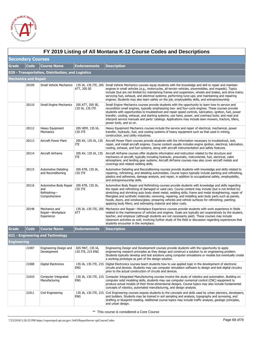

|                             | FY 2019 Listing of All Montana K-12 Course Codes and Descriptions |                                                                |                                      |                                                                                                                                                                                                                                                                                                                                                                                                                                                                                                                                                                                                                |  |  |  |
|-----------------------------|-------------------------------------------------------------------|----------------------------------------------------------------|--------------------------------------|----------------------------------------------------------------------------------------------------------------------------------------------------------------------------------------------------------------------------------------------------------------------------------------------------------------------------------------------------------------------------------------------------------------------------------------------------------------------------------------------------------------------------------------------------------------------------------------------------------------|--|--|--|
|                             | <b>Secondary Courses</b>                                          |                                                                |                                      |                                                                                                                                                                                                                                                                                                                                                                                                                                                                                                                                                                                                                |  |  |  |
| <b>Grade</b>                | <b>Code</b>                                                       | <b>Course Name</b>                                             | <b>Endorsements</b>                  | <b>Description</b>                                                                                                                                                                                                                                                                                                                                                                                                                                                                                                                                                                                             |  |  |  |
|                             |                                                                   | 020 - Transportation, Distribution, and Logistics              |                                      |                                                                                                                                                                                                                                                                                                                                                                                                                                                                                                                                                                                                                |  |  |  |
| <b>Mechanics and Repair</b> |                                                                   |                                                                |                                      |                                                                                                                                                                                                                                                                                                                                                                                                                                                                                                                                                                                                                |  |  |  |
|                             | 20109                                                             | Small Vehicle Mechanics                                        | ATT, 20S SE                          | 13S IA, 13S ITE, 20S Small Vehicle Mechanics courses equip students with the knowledge and skill to repair and maintain<br>engines in small vehicles (e.g., motorcycles, all-terrain vehicles, snowmobiles, and mopeds). Topics<br>include (but are not limited to) maintaining frames and suspension, wheels and brakes, and drive trains;<br>servicing fuel, exhaust, and electrical systems; performing tune-ups; and maintaining and repairing<br>engines. Students may also learn safety on the job, employability skills, and entrepreneurship.                                                          |  |  |  |
|                             | 20110                                                             | <b>Small Engine Mechanics</b>                                  | 20S ATT, 20S SE,<br>13S IA, 13S ITE  | Small Engine Mechanics courses provide students with the opportunity to learn how to service and<br>recondition small engines, typically emphasizing two- and four-cycle engines. These courses provide<br>students with opportunities to troubleshoot and repair speed controls, lubrication, ignition, fuel, power<br>transfer, cooling, exhaust, and starting systems; use hand, power, and overhaul tools; and read and<br>interpret service manuals and parts' catalogs. Applications may include lawn mowers, tractors, tillers,<br>power tools, and so on.                                              |  |  |  |
|                             | 20112                                                             | Heavy Equipment<br><b>Mechanics</b>                            | 20S HEM, 13S IA,<br>13S ITE          | Heavy Equipment Mechanics courses include the service and repair of electrical, mechanical, power<br>transfer, hydraulic, fuel, and cooling systems of heavy equipment such as that used in mining,<br>construction, and utility industries.                                                                                                                                                                                                                                                                                                                                                                   |  |  |  |
|                             | 20113                                                             | Aircraft Power Plant                                           | 20S AV, 13S IA, 13S<br>ITE           | Aircraft Power Plant courses provide students with the information necessary to troubleshoot, test,<br>repair, and install aircraft engines. Course content usually includes engine ignition, electrical, lubrication,<br>cooling, exhaust, and fuel systems, along with aircraft instrumentation and safety features.                                                                                                                                                                                                                                                                                         |  |  |  |
|                             | 20114                                                             | Aircraft Airframe                                              | 20S AV, 13S IA, 13S<br>ITE           | Aircraft Airframe courses offer students information and instruction related to the structure and<br>mechanics of aircraft, typically including hydraulic, pneumatic, instrumental, fuel, electrical, cabin<br>atmosphere, and landing gear systems. Aircraft Airframe courses may also cover aircraft metals and<br>coverings and related welding skills.                                                                                                                                                                                                                                                     |  |  |  |
|                             | 20115                                                             | <b>Automotive Detailing</b><br>and Reconditioning              | 20S ATB, 13S IA,<br>13S ITE          | Automotive Detailing and Reconditioning courses provide students with knowledge and skills related to<br>repairing, refinishing, and detailing automobiles. Course topics typically include painting and refinishing,<br>plastics and adhesives, damage analysis, and repair, in addition to occupational safety, employability,<br>and entrepreneurship skills.                                                                                                                                                                                                                                               |  |  |  |
|                             | 20116                                                             | Automotive Body Repair<br>and<br>Refinishing-<br>Comprehensive | 20S ATB, 13S IA,<br>13S ITE          | Automotive Body Repair and Refinishing courses provide students with knowledge and skills regarding<br>the repair and refinishing of damaged or used cars. Course content may include (but is not limited to)<br>stretching and shrinking auto body sheet metal; welding skills; frame and metal straightening; repair of<br>fiberglass and synthetic materials; removing, repairing, and installing auto body parts such as panels,<br>hoods, doors, and windows/glass; preparing vehicles and vehicle surfaces for refinishing; painting;<br>applying body fillers; and estimating material and labor costs. |  |  |  |
|                             | 20148                                                             | Mechanics and<br>Repair-Workplace<br>Experience                | ATT                                  | 13S IA, 13S ITE, 20S Mechanics and Repair—Workplace Experience courses provide students with work experience in fields<br>related to the maintenance of vehicles and engines. Goals are typically set cooperatively by the student,<br>teacher, and employer (although students are not necessarily paid). These courses may include<br>classroom activities as well, involving further study of the field or discussion regarding experiences that<br>students encounter in the workplace.                                                                                                                    |  |  |  |
| <b>Grade</b>                | <b>Code</b>                                                       | <b>Course Name</b>                                             | <b>Endorsements</b>                  | <b>Description</b>                                                                                                                                                                                                                                                                                                                                                                                                                                                                                                                                                                                             |  |  |  |
|                             |                                                                   | 021 - Engineering and Technology                               |                                      |                                                                                                                                                                                                                                                                                                                                                                                                                                                                                                                                                                                                                |  |  |  |
| Engineering                 |                                                                   |                                                                |                                      |                                                                                                                                                                                                                                                                                                                                                                                                                                                                                                                                                                                                                |  |  |  |
|                             | 21007                                                             | Engineering Design and<br>Development                          | 02S MAT, 13S IA,<br>13S ITE, 21S ENG | Engineering Design and Development courses provide students with the opportunity to apply<br>engineering research principles as they design and construct a solution to an engineering problem.<br>Students typically develop and test solutions using computer simulations or models but eventually create<br>a working prototype as part of the design solution.                                                                                                                                                                                                                                             |  |  |  |
|                             | 21008                                                             | Digital Electronics                                            | ENG                                  | 13S IA, 13S ITE, 21S Digital Electronics courses teach students how to use applied logic in the development of electronic<br>circuits and devices. Students may use computer simulation software to design and test digital circuitry<br>prior to the actual construction of circuits and devices.                                                                                                                                                                                                                                                                                                             |  |  |  |
|                             | 21010                                                             | Computer Integrated<br>Manufacturing                           | ENG                                  | 13S IA, 13S ITE, 21S Computer Integrated Manufacturing courses involve the study of robotics and automation. Building on<br>computer solid modeling skills, students may use computer numerical control (CNC) equipment to<br>produce actual models of their three-dimensional designs. Course topics may also include fundamental<br>concepts of robotics, automated manufacturing, and design analysis.                                                                                                                                                                                                      |  |  |  |
|                             | 21011                                                             | Civil Engineering                                              | <b>ENG</b>                           | 13S IA, 13S ITE, 21S Civil Engineering courses expose students to the concepts and skills used by urban planners, developers,<br>and builders. Students may be trained in soil sampling and analysis, topography and surveying, and<br>drafting or blueprint-reading. Additional course topics may include traffic analysis, geologic principles,<br>and urban design.                                                                                                                                                                                                                                         |  |  |  |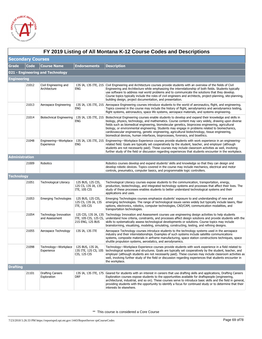

|                          | FY 2019 Listing of All Montana K-12 Course Codes and Descriptions |                                         |                                                          |                                                                                                                                                                                                                                                                                                                                                                                                                                                                                                                                                                                                                                |  |  |
|--------------------------|-------------------------------------------------------------------|-----------------------------------------|----------------------------------------------------------|--------------------------------------------------------------------------------------------------------------------------------------------------------------------------------------------------------------------------------------------------------------------------------------------------------------------------------------------------------------------------------------------------------------------------------------------------------------------------------------------------------------------------------------------------------------------------------------------------------------------------------|--|--|
| <b>Secondary Courses</b> |                                                                   |                                         |                                                          |                                                                                                                                                                                                                                                                                                                                                                                                                                                                                                                                                                                                                                |  |  |
| <b>Grade</b>             | <b>Code</b>                                                       | <b>Course Name</b>                      | <b>Endorsements</b>                                      | <b>Description</b>                                                                                                                                                                                                                                                                                                                                                                                                                                                                                                                                                                                                             |  |  |
|                          |                                                                   | 021 - Engineering and Technology        |                                                          |                                                                                                                                                                                                                                                                                                                                                                                                                                                                                                                                                                                                                                |  |  |
| <b>Engineering</b>       |                                                                   |                                         |                                                          |                                                                                                                                                                                                                                                                                                                                                                                                                                                                                                                                                                                                                                |  |  |
|                          | 21012                                                             | Civil Engineering and<br>Architecture   | ENG                                                      | 13S IA, 13S ITE, 21S Civil Engineering and Architecture courses provide students with an overview of the fields of Civil<br>Engineering and Architecture while emphasizing the interrelationship of both fields. Students typically<br>use software to address real world problems and to communicate the solutions that they develop.<br>Course topics typically include the roles of civil engineers and architects, project-planning, site-planning,<br>building design, project documentation, and presentation.                                                                                                           |  |  |
|                          | 21013                                                             | Aerospace Engineering                   | ENG                                                      | 13S IA, 13S ITE, 21S Aerospace Engineering courses introduce students to the world of aeronautics, flight, and engineering.<br>Topics covered in the course may include the history of flight, aerodynamics and aerodynamics testing,<br>flight systems, astronautics, space life systems, aerospace materials, and systems engineering.                                                                                                                                                                                                                                                                                       |  |  |
|                          | 21014                                                             | Biotechnical Engineering                | ENG                                                      | 13S IA, 13S ITE, 21S Biotechnical Engineering courses enable students to develop and expand their knowledge and skills in<br>biology, physics, technology, and mathematics. Course content may vary widely, drawing upon diverse<br>fields such as biomedical engineering, biomolecular genetics, bioprocess engineering, agricultural<br>biology, or environmental engineering. Students may engage in problems related to biomechanics,<br>cardiovascular engineering, genetic engineering, agricultural biotechnology, tissue engineering,<br>biomedical devices, human interfaces, bioprocesses, forensics, and bioethics. |  |  |
|                          | 21048                                                             | Engineering-Workplace<br>Experience     | ENG                                                      | 13S IA, 13S ITE, 21S Engineering—Workplace Experience courses provide students with work experience in an engineering-<br>related field. Goals are typically set cooperatively by the student, teacher, and employer (although<br>students are not necessarily paid). These courses may include classroom activities as well, involving<br>further study of the field or discussion regarding experiences that students encounter in the workplace.                                                                                                                                                                            |  |  |
| <b>Administration</b>    |                                                                   |                                         |                                                          |                                                                                                                                                                                                                                                                                                                                                                                                                                                                                                                                                                                                                                |  |  |
|                          | 21009                                                             | Robotics                                |                                                          | Robotics courses develop and expand students' skills and knowledge so that they can design and<br>develop robotic devices. Topics covered in the course may include mechanics, electrical and motor<br>controls, pneumatics, computer basics, and programmable logic controllers.                                                                                                                                                                                                                                                                                                                                              |  |  |
| <b>Technology</b>        |                                                                   |                                         |                                                          |                                                                                                                                                                                                                                                                                                                                                                                                                                                                                                                                                                                                                                |  |  |
|                          | 21051                                                             | Technological Literacy                  | 12S BUS, 12S CIS,<br>12S CS, 13S IA, 13S<br>ITE, 10S CIS | Technological Literacy courses expose students to the communication, transportation, energy,<br>production, biotechnology, and integrated technology systems and processes that affect their lives. The<br>study of these processes enables students to better understand technological systems and their<br>applications and uses.                                                                                                                                                                                                                                                                                            |  |  |
|                          | 21053                                                             | <b>Emerging Technologies</b>            | 12S BUS, 12S CIS,<br>12S CS, 13S IA, 13S<br>ITE, 10S CIS | Emerging Technologies courses emphasize students' exposure to and understanding of new and<br>emerging technologies. The range of technological issues varies widely but typically include lasers, fiber<br>options, electronics, robotics, computer technologies, CAD/CAM, communication modalities, and<br>transportation technologies.                                                                                                                                                                                                                                                                                      |  |  |
|                          | 21054                                                             | Technology Innovation<br>and Assessment | ITE, 10S CIS, 12S CS,<br>21S ENG, 12S BUS                | 12S CIS, 13S IA, 13S Technology Innovation and Assessment courses use engineering design activities to help students<br>understand how criteria, constraints, and processes affect design solutions and provide students with the<br>skills to systematically assess technological developments or solutions. Course topics may include<br>brainstorming, visualizing, modeling, simulating, constructing, testing, and refining designs.                                                                                                                                                                                      |  |  |
|                          | 21055                                                             | Aerospace Technology                    | 13S IA, 13S ITE                                          | Aerospace Technology courses introduce students to the technology systems used in the aerospace<br>industry and their interrelationships. Examples of such systems include satellite communications<br>systems, composite materials in airframe manufacturing, space station constructions techniques, space<br>shuttle propulsion systems, aerostatics, and aerodynamics.                                                                                                                                                                                                                                                     |  |  |
|                          | 21098                                                             | Technology-Workplace<br>Experience      | 12S BUS, 13S IA,<br>13S ITE, 12S CS, 10S<br>CIS, 12S CIS | Technology—Workplace Experience courses provide students with work experience in a field related to<br>technological systems and structures. Goals are typically set cooperatively by the student, teacher, and<br>employer (although students are not necessarily paid). These courses may include classroom activities as<br>well, involving further study of the field or discussion regarding experiences that students encounter in<br>the workplace.                                                                                                                                                                     |  |  |
| <b>Drafting</b>          |                                                                   |                                         |                                                          |                                                                                                                                                                                                                                                                                                                                                                                                                                                                                                                                                                                                                                |  |  |
|                          | 21101                                                             | <b>Drafting Careers</b><br>Exploration  | drf                                                      | 13S IA, 13S ITE, 17S Geared for students with an interest in careers that use drafting skills and applications, Drafting Careers<br>Exploration courses expose students to the opportunities available for draftspeople (engineering,<br>architectural, industrial, and so on). These courses serve to introduce basic skills and the field in general,<br>providing students with the opportunity to identify a focus for continued study or to determine that their<br>interests lie elsewhere.                                                                                                                              |  |  |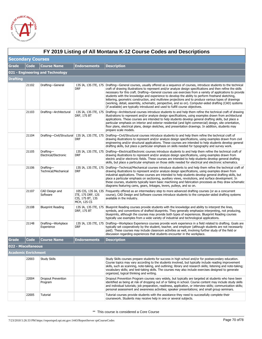

|                          | FY 2019 Listing of All Montana K-12 Course Codes and Descriptions |                                      |                                                      |                                                                                                                                                                                                                                                                                                                                                                                                                                                                                                                                                                                                                                                                                                                                                                   |  |  |
|--------------------------|-------------------------------------------------------------------|--------------------------------------|------------------------------------------------------|-------------------------------------------------------------------------------------------------------------------------------------------------------------------------------------------------------------------------------------------------------------------------------------------------------------------------------------------------------------------------------------------------------------------------------------------------------------------------------------------------------------------------------------------------------------------------------------------------------------------------------------------------------------------------------------------------------------------------------------------------------------------|--|--|
| <b>Secondary Courses</b> |                                                                   |                                      |                                                      |                                                                                                                                                                                                                                                                                                                                                                                                                                                                                                                                                                                                                                                                                                                                                                   |  |  |
| <b>Grade</b>             | <b>Code</b>                                                       | <b>Course Name</b>                   | <b>Endorsements</b>                                  | <b>Description</b>                                                                                                                                                                                                                                                                                                                                                                                                                                                                                                                                                                                                                                                                                                                                                |  |  |
|                          |                                                                   | 021 - Engineering and Technology     |                                                      |                                                                                                                                                                                                                                                                                                                                                                                                                                                                                                                                                                                                                                                                                                                                                                   |  |  |
| <b>Drafting</b>          |                                                                   |                                      |                                                      |                                                                                                                                                                                                                                                                                                                                                                                                                                                                                                                                                                                                                                                                                                                                                                   |  |  |
|                          | 21102                                                             | Drafting-General                     | <b>DRF</b>                                           | 13S IA, 13S ITE, 17S Drafting—General courses, usually offered as a sequence of courses, introduce students to the technical<br>craft of drawing illustrations to represent and/or analyze design specifications and then refine the skills<br>necessary for this craft. Drafting—General courses use exercises from a variety of applications to provide<br>students with the knowledge and experience to develop the ability to perform freehand sketching,<br>lettering, geometric construction, and multiview projections and to produce various types of drawings<br>(working, detail, assembly, schematic, perspective, and so on). Computer-aided drafting (CAD) systems<br>(if available) are typically introduced and used to fulfill course objectives. |  |  |
|                          | 21103                                                             | Drafting-Architectural               | DRF, 17S BT                                          | 13S IA, 13S ITE, 17S Drafting—Architectural courses introduce students to and help them refine the technical craft of drawing<br>illustrations to represent and/or analyze design specifications, using examples drawn from architectural<br>applications. These courses are intended to help students develop general drafting skills, but place a<br>particular emphasis on interior and exterior residential (and light commercial) design, site orientation,<br>floor plans, electrical plans, design sketches, and presentation drawings. In addition, students may<br>prepare scale models.                                                                                                                                                                 |  |  |
|                          | 21104                                                             |                                      | DRF                                                  | Drafting—Civil/Structural 13S IA, 13S ITE, 17S Drafting—Civil/Structural courses introduce students to and help them refine the technical craft of<br>drawing illustrations to represent and/or analyze design specifications, using examples drawn from civil<br>engineering and/or structural applications. These courses are intended to help students develop general<br>drafting skills, but place a particular emphasis on skills needed for typography and survey work.                                                                                                                                                                                                                                                                                    |  |  |
|                          | 21105                                                             | Drafting-<br>Electrical/Electronic   | DRF                                                  | 13S IA, 13S ITE, 17S Drafting—Electrical/Electronic courses introduce students to and help them refine the technical craft of<br>drawing illustrations to represent and/or analyze design specifications, using examples drawn from<br>electric and/or electronic fields. These courses are intended to help students develop general drafting<br>skills, but place a particular emphasis on those skills needed for electrical and electronic schematics.                                                                                                                                                                                                                                                                                                        |  |  |
|                          | 21106                                                             | Drafting-<br>Technical/Mechanical    | DRF                                                  | 13S IA, 13S ITE, 17S Drafting—Technical/Mechanical courses introduce students to and help them refine the technical craft of<br>drawing illustrations to represent and/or analyze design specifications, using examples drawn from<br>industrial applications. These courses are intended to help students develop general drafting skills, but<br>place a particular emphasis on sectioning, auxiliary views, revolutions, and surface development. In<br>these courses, students typically learn basic machining and fabrication processes as they draw schematic<br>diagrams featuring cams, gears, linkages, levers, pulleys, and so on.                                                                                                                      |  |  |
|                          | 21107                                                             | CAD Design and<br>Software           | ITE, 17S DRF, 12S<br>CIS, 17S BT, 13S<br>MCH, 12S CS | 10S CIS, 13S IA, 13S Frequently offered as an intermediary step to more advanced drafting courses (or as a concurrent<br>course), CAD Design and Software courses introduce students to the computer-aided drafting systems<br>available in the industry.                                                                                                                                                                                                                                                                                                                                                                                                                                                                                                         |  |  |
|                          | 21108                                                             | <b>Blueprint Reading</b>             | 13S IA, 13S ITE, 17S<br><b>DRF, 17S BT</b>           | Blueprint Reading courses provide students with the knowledge and ability to interpret the lines,<br>symbols, and conventions of drafted blueprints. They generally emphasize interpreting, not producing,<br>blueprints, although the courses may provide both types of experiences. Blueprint Reading courses<br>typically use examples from a wide variety of industrial and technological applications.                                                                                                                                                                                                                                                                                                                                                       |  |  |
|                          | 21148                                                             | Drafting-Workplace<br>Experience     | DRF                                                  | 13S IA, 13S ITE, 17S Drafting—Workplace Experience courses provide work experience in a field related to drafting. Goals are<br>typically set cooperatively by the student, teacher, and employer (although students are not necessarily<br>paid). These courses may include classroom activities as well, involving further study of the field or<br>discussion regarding experiences that students encounter in the workplace.                                                                                                                                                                                                                                                                                                                                  |  |  |
| Grade                    | Code                                                              | <b>Course Name</b>                   | <b>Endorsements</b>                                  | <b>Description</b>                                                                                                                                                                                                                                                                                                                                                                                                                                                                                                                                                                                                                                                                                                                                                |  |  |
| 022 - Miscellaneous      |                                                                   |                                      |                                                      |                                                                                                                                                                                                                                                                                                                                                                                                                                                                                                                                                                                                                                                                                                                                                                   |  |  |
| Academic Enrichment      |                                                                   |                                      |                                                      |                                                                                                                                                                                                                                                                                                                                                                                                                                                                                                                                                                                                                                                                                                                                                                   |  |  |
|                          | 22003                                                             | Study Skills                         |                                                      | Study Skills courses prepare students for success in high school and/or for postsecondary education.<br>Course topics may vary according to the students involved, but typically include reading improvement<br>skills, such as scanning, note-taking, and outlining; library and research skills; listening and note-taking;<br>vocabulary skills; and test-taking skills. The courses may also include exercises designed to generate<br>organized, logical thinking and writing.                                                                                                                                                                                                                                                                               |  |  |
|                          | 22004                                                             | <b>Dropout Prevention</b><br>Program |                                                      | Dropout Prevention Program courses vary widely, but typically are targeted at students who have been<br>identified as being at risk of dropping out of or failing in school. Course content may include study skills<br>and individual tutorials; job preparation, readiness, application, or interview skills; communication skills;<br>personal assessment and awareness activities; speaker presentations; and small group seminars.                                                                                                                                                                                                                                                                                                                           |  |  |
|                          | 22005                                                             | Tutorial                             |                                                      | Tutorial courses provide students with the assistance they need to successfully complete their<br>coursework. Students may receive help in one or several subjects.                                                                                                                                                                                                                                                                                                                                                                                                                                                                                                                                                                                               |  |  |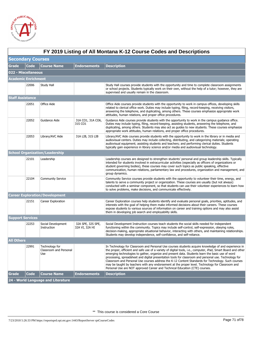

|                          | FY 2019 Listing of All Montana K-12 Course Codes and Descriptions |                                                 |                                     |                                                                                                                                                                                                                                                                                                                                                                                                                                                                                                                                                                                                                                                                                                                             |  |  |
|--------------------------|-------------------------------------------------------------------|-------------------------------------------------|-------------------------------------|-----------------------------------------------------------------------------------------------------------------------------------------------------------------------------------------------------------------------------------------------------------------------------------------------------------------------------------------------------------------------------------------------------------------------------------------------------------------------------------------------------------------------------------------------------------------------------------------------------------------------------------------------------------------------------------------------------------------------------|--|--|
| <b>Secondary Courses</b> |                                                                   |                                                 |                                     |                                                                                                                                                                                                                                                                                                                                                                                                                                                                                                                                                                                                                                                                                                                             |  |  |
| <b>Grade</b>             | Code                                                              | <b>Course Name</b>                              | <b>Endorsements</b>                 | <b>Description</b>                                                                                                                                                                                                                                                                                                                                                                                                                                                                                                                                                                                                                                                                                                          |  |  |
| 022 - Miscellaneous      |                                                                   |                                                 |                                     |                                                                                                                                                                                                                                                                                                                                                                                                                                                                                                                                                                                                                                                                                                                             |  |  |
| Academic Enrichment      |                                                                   |                                                 |                                     |                                                                                                                                                                                                                                                                                                                                                                                                                                                                                                                                                                                                                                                                                                                             |  |  |
|                          | 22006                                                             | Study Hall                                      |                                     | Study Hall courses provide students with the opportunity and time to complete classroom assignments<br>or school projects. Students typically work on their own, without the help of a tutor; however, they are<br>supervised and usually remain in the classroom.                                                                                                                                                                                                                                                                                                                                                                                                                                                          |  |  |
| <b>Staff Assistance</b>  |                                                                   |                                                 |                                     |                                                                                                                                                                                                                                                                                                                                                                                                                                                                                                                                                                                                                                                                                                                             |  |  |
|                          | 22051                                                             | Office Aide                                     |                                     | Office Aide courses provide students with the opportunity to work in campus offices, developing skills<br>related to clerical office work. Duties may include typing, filing, record-keeping, receiving visitors,<br>answering the telephone, and duplicating, among others. These courses emphasize appropriate work<br>attitudes, human relations, and proper office procedures.                                                                                                                                                                                                                                                                                                                                          |  |  |
|                          | 22052                                                             | Guidance Aide                                   | 31A CO1, 31A CO6,<br>31S CO1        | Guidance Aide courses provide students with the opportunity to work in the campus guidance office.<br>Duties may include typing, filing, record-keeping, assisting students, answering the telephone, and<br>duplicating, among others. Students may also act as guides to new students. These courses emphasize<br>appropriate work attitudes, human relations, and proper office procedures.                                                                                                                                                                                                                                                                                                                              |  |  |
|                          | 22053                                                             | Library/AVC Aide                                | 31A LIB, 31S LIB                    | Library/AVC Aide courses provide students with the opportunity to work in the library or in media and<br>audiovisual centers. Duties may include collecting, distributing, and categorizing materials; operating<br>audiovisual equipment; assisting students and teachers; and performing clerical duties. Students<br>typically gain experience in library science and/or media and audiovisual technology.                                                                                                                                                                                                                                                                                                               |  |  |
|                          |                                                                   | <b>School Organization/Leadership</b>           |                                     |                                                                                                                                                                                                                                                                                                                                                                                                                                                                                                                                                                                                                                                                                                                             |  |  |
|                          | 22101                                                             | Leadership                                      |                                     | Leadership courses are designed to strengthen students' personal and group leadership skills. Typically<br>intended for students involved in extracurricular activities (especially as officers of organizations or<br>student governing bodies), these courses may cover such topics as public speaking, effective<br>communication, human relations, parliamentary law and procedures, organization and management, and<br>group dynamics.                                                                                                                                                                                                                                                                                |  |  |
|                          | 22104                                                             | <b>Community Service</b>                        |                                     | Community Service courses provide students with the opportunity to volunteer their time, energy, and<br>talents to serve a community project or organization. These courses are usually (but not always)<br>conducted with a seminar component, so that students can use their volunteer experiences to learn how<br>to solve problems, make decisions, and communicate effectively.                                                                                                                                                                                                                                                                                                                                        |  |  |
|                          |                                                                   | <b>Career Exploration/Development</b>           |                                     |                                                                                                                                                                                                                                                                                                                                                                                                                                                                                                                                                                                                                                                                                                                             |  |  |
|                          | 22151                                                             | Career Exploration                              |                                     | Career Exploration courses help students identify and evaluate personal goals, priorities, aptitudes, and<br>interests with the goal of helping them make informed decisions about their careers. These courses<br>expose students to various sources of information on career and training options and may also assist<br>them in developing job search and employability skills.                                                                                                                                                                                                                                                                                                                                          |  |  |
| <b>Support Services</b>  |                                                                   |                                                 |                                     |                                                                                                                                                                                                                                                                                                                                                                                                                                                                                                                                                                                                                                                                                                                             |  |  |
|                          | 22253                                                             | Social Development<br>Instruction               | 32A SPE, 32S SPE,<br>32A VI, 32A HI | Social Development Instruction courses teach students the social skills needed for independent<br>functioning within the community. Topics may include self-control, self-expression, obeying rules,<br>decision-making, appropriate situational behavior, interacting with others, and maintaining relationships.<br>Students may develop independence, self-confidence, and self-reliance.                                                                                                                                                                                                                                                                                                                                |  |  |
| <b>All Others</b>        |                                                                   |                                                 |                                     |                                                                                                                                                                                                                                                                                                                                                                                                                                                                                                                                                                                                                                                                                                                             |  |  |
|                          | 22991                                                             | Technology for<br>Classroom and Personal<br>Use |                                     | In Technology for Classroom and Personal Use courses students acquire knowledge of and experience in<br>the proper, efficient and safe use of a variety of digital tools, i.e., computer, iPad, Smart Board and other<br>emerging technologies to gather, organize and present data. Students learn the basic use of word<br>processing, spreadsheet and digital presentation tools for classroom and personal use. Technology for<br>Classroom and Personal Use courses address the K-12 Content Standards for Technology. Such courses<br>may be taught by teachers with any endorsement at the proper level. Technology for Classroom and<br>Personal Use are NOT approved Career and Technical Education (CTE) courses. |  |  |
| <b>Grade</b>             | Code                                                              | <b>Course Name</b>                              | <b>Endorsements</b>                 | <b>Description</b>                                                                                                                                                                                                                                                                                                                                                                                                                                                                                                                                                                                                                                                                                                          |  |  |
|                          |                                                                   | 24 - World Language and Literature              |                                     |                                                                                                                                                                                                                                                                                                                                                                                                                                                                                                                                                                                                                                                                                                                             |  |  |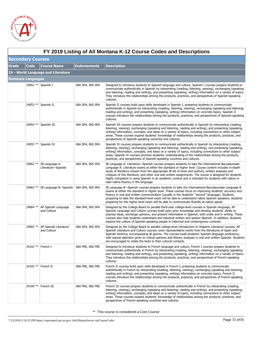

|              | FY 2019 Listing of All Montana K-12 Course Codes and Descriptions |                                                 |                     |                                                                                                                                                                                                                                                                                                                                                                                                                                                                                                                                                                                |  |  |  |
|--------------|-------------------------------------------------------------------|-------------------------------------------------|---------------------|--------------------------------------------------------------------------------------------------------------------------------------------------------------------------------------------------------------------------------------------------------------------------------------------------------------------------------------------------------------------------------------------------------------------------------------------------------------------------------------------------------------------------------------------------------------------------------|--|--|--|
|              | <b>Secondary Courses</b>                                          |                                                 |                     |                                                                                                                                                                                                                                                                                                                                                                                                                                                                                                                                                                                |  |  |  |
| <b>Grade</b> | <b>Code</b>                                                       | <b>Course Name</b>                              | <b>Endorsements</b> | <b>Description</b>                                                                                                                                                                                                                                                                                                                                                                                                                                                                                                                                                             |  |  |  |
|              |                                                                   | 24 - World Language and Literature              |                     |                                                                                                                                                                                                                                                                                                                                                                                                                                                                                                                                                                                |  |  |  |
|              | Romance Languages                                                 |                                                 |                     |                                                                                                                                                                                                                                                                                                                                                                                                                                                                                                                                                                                |  |  |  |
|              |                                                                   | 24052 ** Spanish I                              | 06A SPA, 06S SPA    | Designed to introduce students to Spanish language and culture, Spanish I courses prepare students to<br>communicate authentically in Spanish by interpreting (reading, listening, viewing), exchanging (speaking<br>and listening; reading and writing), and presenting (speaking, writing) information on a variety of topics.<br>They introduce the relationships among the products, practices, and perspectives of Spanish-speaking<br>cultures.                                                                                                                          |  |  |  |
|              |                                                                   | 24053 ** Spanish II                             | 06A SPA, 06S SPA    | Spanish II courses build upon skills developed in Spanish I, preparing students to communicate<br>authentically in Spanish by interpreting (reading, listening, viewing), exchanging (speaking and listening;<br>reading and writing), and presenting (speaking, writing) information on concrete topics. Spanish II<br>courses introduce the relationships among the products, practices, and perspectives of Spanish-speaking<br>cultures.                                                                                                                                   |  |  |  |
|              |                                                                   | 24054 ** Spanish III                            | 06A SPA, 06S SPA    | Spanish III courses prepare students to communicate authentically in Spanish by interpreting (reading,<br>listening, viewing), exchanging (speaking and listening; reading and writing), and presenting (speaking,<br>writing) information, concepts, and ideas on a variety of topics, including connections to other subject<br>areas. These courses expand students' knowledge of relationships among the products, practices, and<br>perspectives of Spanish-speaking countries and cultures.                                                                              |  |  |  |
|              |                                                                   | 24055 ** Spanish IV                             | 06A SPA, 06S SPA    | Spanish IV courses prepare students to communicate authentically in Spanish by interpreting (reading,<br>listening, viewing), exchanging (speaking and listening; reading and writing), and presenting (speaking,<br>writing) information, concepts, and ideas on a variety of topics, including connections to other subject<br>areas. Spanish IV courses promote students' understanding of the relationships among the products,<br>practices, and perspectives of Spanish-speaking countries and cultures.                                                                 |  |  |  |
|              | 24062 **                                                          | IB Language A:<br>Literature-Spanish            | 06A SPA, 06S SPA    | IB Language A: Literature—Spanish courses prepare students to take the International Baccalaureate<br>Language A: Literature exams at either the standard or higher level. Course content includes in-depth<br>study of literature chosen from the appropriate IB list of texts and authors, written analyses and<br>critiques of this literature, and other oral and written assignments. The course is designed for students<br>highly competent in using Spanish in an academic context and is intended for students with native or<br>near-native fluency in the language. |  |  |  |
|              |                                                                   | 24063 ** IB Language B-Spanish 06A SPA, 06S SPA |                     | IB Language B—Spanish courses prepare students to take the International Baccalaureate Language B<br>exams at either the standard or higher level. These courses focus on improving students' accuracy and<br>fluency in oral and written communication (usually in the students' "second" language). Students<br>preparing to take the standard-level exam will be able to understand native Spanish speakers; students<br>preparing for the higher-level exam will be able to communicate fluently at native speed.                                                          |  |  |  |
|              | 24064 **                                                          | AP Spanish Language<br>and Culture              | 06A SPA, 06S SPA    | Designed by the College Board to parallel third-year college-level courses in Spanish language, AP<br>Spanish Language and Culture courses build upon prior knowledge and develop students' ability to<br>express ideas, exchange opinions, and present information in Spanish, both orally and in writing. These<br>courses also help students understand and interpret written and spoken Spanish. In addition, students<br>explore the culture of Spanish-speaking people in historical and contemporary contexts.                                                          |  |  |  |
|              |                                                                   | 24065 ** AP Spanish Literature<br>and Culture   | 06A SPA, 06S SPA    | Designed by the College Board to parallel college-level Introduction to Hispanic Literature courses, AP<br>Spanish Literature and Culture courses cover representative works from the literatures of Spain and<br>Spanish America, encompassing all genres. The courses build students' Spanish language proficiency,<br>with special attention given to critical opinions and literary analyses in oral and written Spanish. Students<br>are encouraged to relate the texts to their cultural contexts.                                                                       |  |  |  |
|              |                                                                   | 24102 **   French I                             | 06A FRE, 06S FRE    | Designed to introduce students to French language and culture, French I courses prepare students to<br>communicate authentically in French by interpreting (reading, listening, viewing), exchanging (speaking<br>and listening; reading and writing), and presenting (speaking, writing) information on a variety of topics.<br>They introduce the relationships among the products, practices, and perspectives of French-speaking<br>cultures.                                                                                                                              |  |  |  |
|              |                                                                   | 24103 ** French II                              | 06A FRE, 06S FRE    | French II courses build upon skills developed in French I, preparing students to communicate<br>authentically in French by interpreting (reading, listening, viewing), exchanging (speaking and listening;<br>reading and writing), and presenting (speaking, writing) information on concrete topics. French II<br>courses introduce the relationships among the products, practices, and perspectives of French-speaking<br>cultures.                                                                                                                                        |  |  |  |
|              |                                                                   | 24104 ** French III                             | 06A FRE, 06S FRE    | French III courses prepare students to communicate authentically in French by interpreting (reading,<br>listening, viewing), exchanging (speaking and listening; reading and writing), and presenting (speaking,<br>writing) information, concepts, and ideas on a variety of topics, including connections to other subject<br>areas. These courses expand students' knowledge of relationships among the products, practices, and<br>perspectives of French-speaking countries and cultures.                                                                                 |  |  |  |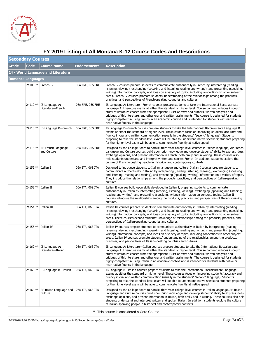

|              | FY 2019 Listing of All Montana K-12 Course Codes and Descriptions |                                                       |                     |                                                                                                                                                                                                                                                                                                                                                                                                                                                                                                                                                                                |  |  |
|--------------|-------------------------------------------------------------------|-------------------------------------------------------|---------------------|--------------------------------------------------------------------------------------------------------------------------------------------------------------------------------------------------------------------------------------------------------------------------------------------------------------------------------------------------------------------------------------------------------------------------------------------------------------------------------------------------------------------------------------------------------------------------------|--|--|
|              | <b>Secondary Courses</b>                                          |                                                       |                     |                                                                                                                                                                                                                                                                                                                                                                                                                                                                                                                                                                                |  |  |
| <b>Grade</b> | <b>Code</b>                                                       | <b>Course Name</b>                                    | <b>Endorsements</b> | <b>Description</b>                                                                                                                                                                                                                                                                                                                                                                                                                                                                                                                                                             |  |  |
|              |                                                                   | 24 - World Language and Literature                    |                     |                                                                                                                                                                                                                                                                                                                                                                                                                                                                                                                                                                                |  |  |
|              | <b>Romance Languages</b>                                          |                                                       |                     |                                                                                                                                                                                                                                                                                                                                                                                                                                                                                                                                                                                |  |  |
|              |                                                                   | 24105 ** French IV                                    | 06A FRE, 06S FRE    | French IV courses prepare students to communicate authentically in French by interpreting (reading,<br>listening, viewing), exchanging (speaking and listening; reading and writing), and presenting (speaking,<br>writing) information, concepts, and ideas on a variety of topics, including connections to other subject<br>areas. French IV courses promote students' understanding of the relationships among the products,<br>practices, and perspectives of French-speaking countries and cultures.                                                                     |  |  |
|              | 24112 **                                                          | IB Language A:<br>Literature-French                   | 06A FRE, 06S FRE    | IB Language A: Literature—French courses prepare students to take the International Baccalaureate<br>Language A: Literature exams at either the standard or higher level. Course content includes in-depth<br>study of literature chosen from the appropriate IB list of texts and authors, written analyses and<br>critiques of this literature, and other oral and written assignments. The course is designed for students<br>highly competent in using French in an academic context and is intended for students with native or<br>near-native fluency in the language.   |  |  |
|              |                                                                   | 24113 ** IB Language B-French                         | 06A FRE, 06S FRE    | IB Language B—French courses prepare students to take the International Baccalaureate Language B<br>exams at either the standard or higher level. These courses focus on improving students' accuracy and<br>fluency in oral and written communication (usually in the students' "second" language). Students<br>preparing to take the standard-level exam will be able to understand native speakers; students preparing<br>for the higher-level exam will be able to communicate fluently at native speed.                                                                   |  |  |
|              | 24114 **                                                          | AP French Language<br>and Culture                     | 06A FRE, 06S FRE    | Designed by the College Board to parallel third-year college-level courses in French language, AP French<br>Language and Culture courses build upon prior knowledge and develop students' ability to express ideas,<br>exchange opinions, and present information in French, both orally and in writing. These courses also<br>help students understand and interpret written and spoken French. In addition, students explore the<br>culture of French-speaking people in historical and contemporary contexts.                                                               |  |  |
|              | 24152 ** Italian I                                                |                                                       | 06A ITA, 06S ITA    | Designed to introduce students to Italian language and culture, Italian I courses prepare students to<br>communicate authentically in Italian by interpreting (reading, listening, viewing), exchanging (speaking<br>and listening; reading and writing), and presenting (speaking, writing) information on a variety of topics.<br>They introduce the relationships among the products, practices, and perspectives of Italian-speaking<br>cultures.                                                                                                                          |  |  |
|              |                                                                   | 24153 ** Italian II                                   | 06A ITA, 06S ITA    | Italian II courses build upon skills developed in Italian I, preparing students to communicate<br>authentically in Italian by interpreting (reading, listening, viewing), exchanging (speaking and listening;<br>reading and writing), and presenting (speaking, writing) information on concrete topics. Italian II<br>courses introduce the relationships among the products, practices, and perspectives of Italian-speaking<br>cultures.                                                                                                                                   |  |  |
|              |                                                                   | 24154 ** Italian III                                  | 06A ITA, 06S ITA    | Italian III courses prepare students to communicate authentically in Italian by interpreting (reading,<br>listening, viewing), exchanging (speaking and listening; reading and writing), and presenting (speaking,<br>writing) information, concepts, and ideas on a variety of topics, including connections to other subject<br>areas. These courses expand students' knowledge of relationships among the products, practices, and<br>perspectives of Italian-speaking countries and cultures.                                                                              |  |  |
|              |                                                                   | 24155 ** Italian IV                                   | 06A ITA, 06S ITA    | Italian IV courses prepare students to communicate authentically in Italian by interpreting (reading,<br>listening, viewing), exchanging (speaking and listening; reading and writing), and presenting (speaking,<br>writing) information, concepts, and ideas on a variety of topics, including connections to other subject<br>areas. Italian IV courses promote students' understanding of the relationships among the products,<br>practices, and perspectives of Italian-speaking countries and cultures.                                                                 |  |  |
|              | 24162 **                                                          | IB Language A:<br>Literature-Italian                  | 06A ITA, 06S ITA    | IB Language A: Literature—Italian courses prepare students to take the International Baccalaureate<br>Language A: Literature exams at either the standard or higher level. Course content includes in-depth<br>study of literature chosen from the appropriate IB list of texts and authors, written analyses and<br>critiques of this literature, and other oral and written assignments. The course is designed for students<br>highly competent in using Italian in an academic context and is intended for students with native or<br>near-native fluency in the language. |  |  |
|              | 24163 **                                                          | IB Language B-Italian                                 | 06A ITA, 06S ITA    | IB Language B—Italian courses prepare students to take the International Baccalaureate Language B<br>exams at either the standard or higher level. These courses focus on improving students' accuracy and<br>fluency in oral and written communication (usually in the students' "second" language). Students<br>preparing to take the standard-level exam will be able to understand native speakers; students preparing<br>for the higher-level exam will be able to communicate fluently at native speed.                                                                  |  |  |
|              | 24164 **                                                          | AP Italian Language and   06A ITA, 06S ITA<br>Culture |                     | Designed by the College Board to parallel third-year college-level courses in Italian language, AP Italian<br>Language and Culture courses build upon prior knowledge and develop students' ability to express ideas,<br>exchange opinions, and present information in Italian, both orally and in writing. These courses also help<br>students understand and interpret written and spoken Italian. In addition, students explore the culture<br>of Italian-speaking people in historical and contemporary contexts.                                                          |  |  |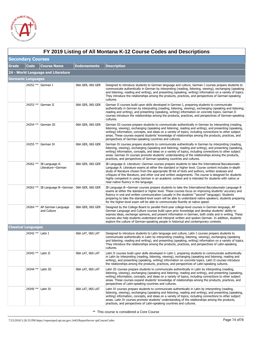

|              | FY 2019 Listing of All Montana K-12 Course Codes and Descriptions |                                                |                     |                                                                                                                                                                                                                                                                                                                                                                                                                                                                                                                                                                              |  |  |
|--------------|-------------------------------------------------------------------|------------------------------------------------|---------------------|------------------------------------------------------------------------------------------------------------------------------------------------------------------------------------------------------------------------------------------------------------------------------------------------------------------------------------------------------------------------------------------------------------------------------------------------------------------------------------------------------------------------------------------------------------------------------|--|--|
|              | <b>Secondary Courses</b>                                          |                                                |                     |                                                                                                                                                                                                                                                                                                                                                                                                                                                                                                                                                                              |  |  |
| <b>Grade</b> | <b>Code</b>                                                       | <b>Course Name</b>                             | <b>Endorsements</b> | <b>Description</b>                                                                                                                                                                                                                                                                                                                                                                                                                                                                                                                                                           |  |  |
|              |                                                                   | 24 - World Language and Literature             |                     |                                                                                                                                                                                                                                                                                                                                                                                                                                                                                                                                                                              |  |  |
|              | <b>Germanic Languages</b>                                         |                                                |                     |                                                                                                                                                                                                                                                                                                                                                                                                                                                                                                                                                                              |  |  |
|              |                                                                   | 24252 ** German I                              | 06A GER, 06S GER    | Designed to introduce students to German language and culture, German I courses prepare students to<br>communicate authentically in German by interpreting (reading, listening, viewing), exchanging (speaking<br>and listening; reading and writing), and presenting (speaking, writing) information on a variety of topics.<br>They introduce the relationships among the products, practices, and perspectives of German-speaking<br>cultures.                                                                                                                            |  |  |
|              |                                                                   | 24253 ** German II                             | 06A GER, 06S GER    | German II courses build upon skills developed in German I, preparing students to communicate<br>authentically in German by interpreting (reading, listening, viewing), exchanging (speaking and listening;<br>reading and writing), and presenting (speaking, writing) information on concrete topics. German II<br>courses introduce the relationships among the products, practices, and perspectives of German-speaking<br>cultures.                                                                                                                                      |  |  |
|              |                                                                   | 24254 ** German III                            | 06A GER, 06S GER    | German III courses prepare students to communicate authentically in German by interpreting (reading,<br>listening, viewing), exchanging (speaking and listening; reading and writing), and presenting (speaking,<br>writing) information, concepts, and ideas on a variety of topics, including connections to other subject<br>areas. These courses expand students' knowledge of relationships among the products, practices, and<br>perspectives of German-speaking countries and cultures.                                                                               |  |  |
|              |                                                                   | 24255 ** German IV                             | 06A GER, 06S GER    | German IV courses prepare students to communicate authentically in German by interpreting (reading,<br>listening, viewing), exchanging (speaking and listening; reading and writing), and presenting (speaking,<br>writing) information, concepts, and ideas on a variety of topics, including connections to other subject<br>areas. German IV courses promote students' understanding of the relationships among the products,<br>practices, and perspectives of German-speaking countries and cultures.                                                                   |  |  |
|              | 24262 **                                                          | IB Language A:<br>Literature-German            | 06A GER, 06S GER    | IB Language A: Literature—German courses prepare students to take the International Baccalaureate<br>Language A: Literature exams at either the standard or higher level. Course content includes in-depth<br>study of literature chosen from the appropriate IB list of texts and authors, written analyses and<br>critiques of this literature, and other oral and written assignments. The course is designed for students<br>highly competent in using German in an academic context and is intended for students with native or<br>near-native fluency in the language. |  |  |
|              |                                                                   | 24263 ** IB Language B-German 06A GER, 06S GER |                     | IB Language B-German courses prepare students to take the International Baccalaureate Language B<br>exams at either the standard or higher level. These courses focus on improving students' accuracy and<br>fluency in oral and written communication (usually in the students' "second" language). Students<br>preparing to take the standard-level exam will be able to understand native speakers; students preparing<br>for the higher-level exam will be able to communicate fluently at native speed.                                                                 |  |  |
|              | 24264 **                                                          | AP German Language<br>and Culture              | 06A GER, 06S GER    | Designed by the College Board to parallel third-year college-level courses in German language, AP<br>German Language and Culture courses build upon prior knowledge and develop students' ability to<br>express ideas, exchange opinions, and present information in German, both orally and in writing. These<br>courses also help students understand and interpret written and spoken German. In addition, students<br>explore the culture of German-speaking people in historical and contemporary contexts.                                                             |  |  |
|              | <b>Classical Languages</b>                                        |                                                |                     |                                                                                                                                                                                                                                                                                                                                                                                                                                                                                                                                                                              |  |  |
|              | 24342 ** Latin I                                                  |                                                | 06A LAT, 06S LAT    | Designed to introduce students to Latin language and culture, Latin I courses prepare students to<br>communicate authentically in Latin by interpreting (reading, listening, viewing), exchanging (speaking<br>and listening; reading and writing), and presenting (speaking, writing) information on a variety of topics.<br>They introduce the relationships among the products, practices, and perspectives of Latin-speaking<br>cultures.                                                                                                                                |  |  |
|              | 24343 **   Latin II                                               |                                                | 06A LAT, 06S LAT    | Latin II courses build upon skills developed in Latin I, preparing students to communicate authentically<br>in Latin by interpreting (reading, listening, viewing), exchanging (speaking and listening; reading and<br>writing), and presenting (speaking, writing) information on concrete topics. Latin II courses introduce<br>the relationships among the products, practices, and perspectives of Latin-speaking cultures.                                                                                                                                              |  |  |
|              | 24344 ** Latin III                                                |                                                | 06A LAT, 06S LAT    | Latin III courses prepare students to communicate authentically in Latin by interpreting (reading,<br>listening, viewing), exchanging (speaking and listening; reading and writing), and presenting (speaking,<br>writing) information, concepts, and ideas on a variety of topics, including connections to other subject<br>areas. These courses expand students' knowledge of relationships among the products, practices, and<br>perspectives of Latin-speaking countries and cultures.                                                                                  |  |  |
|              | 24345 ** Latin IV                                                 |                                                | 06A LAT, 06S LAT    | Latin IV courses prepare students to communicate authentically in Latin by interpreting (reading,<br>listening, viewing), exchanging (speaking and listening; reading and writing), and presenting (speaking,<br>writing) information, concepts, and ideas on a variety of topics, including connections to other subject<br>areas. Latin IV courses promote students' understanding of the relationships among the products,<br>practices, and perspectives of Latin-speaking countries and cultures.                                                                       |  |  |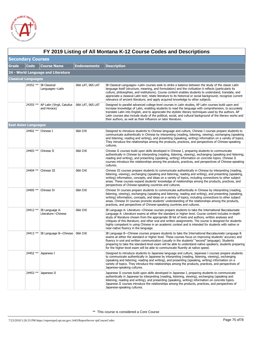

|       | FY 2019 Listing of All Montana K-12 Course Codes and Descriptions |                                                      |                     |                                                                                                                                                                                                                                                                                                                                                                                                                                                                                                                                                                                |  |  |  |
|-------|-------------------------------------------------------------------|------------------------------------------------------|---------------------|--------------------------------------------------------------------------------------------------------------------------------------------------------------------------------------------------------------------------------------------------------------------------------------------------------------------------------------------------------------------------------------------------------------------------------------------------------------------------------------------------------------------------------------------------------------------------------|--|--|--|
|       | <b>Secondary Courses</b>                                          |                                                      |                     |                                                                                                                                                                                                                                                                                                                                                                                                                                                                                                                                                                                |  |  |  |
| Grade | Code                                                              | <b>Course Name</b>                                   | <b>Endorsements</b> | <b>Description</b>                                                                                                                                                                                                                                                                                                                                                                                                                                                                                                                                                             |  |  |  |
|       |                                                                   | 24 - World Language and Literature                   |                     |                                                                                                                                                                                                                                                                                                                                                                                                                                                                                                                                                                                |  |  |  |
|       | Classical Languages                                               |                                                      |                     |                                                                                                                                                                                                                                                                                                                                                                                                                                                                                                                                                                                |  |  |  |
|       |                                                                   | 24352 ** IB Classical<br>Languages-Latin             | 06A LAT, 06S LAT    | IB Classical Languages—Latin courses seek to strike a balance between the study of the classic Latin<br>language itself (structure, meaning, and formulation) and the civilization it reflects (particularly its<br>culture, philosophies, and institutions). Course content enables students to understand, translate, and<br>appreciate a classical Latin text; relate literature to its historical or social background; recognize current<br>relevance of ancient literature; and apply acquired knowledge to other subjects.                                              |  |  |  |
|       |                                                                   | 24355 **   AP Latin (Virgil, Catullus<br>and Horace) | 06A LAT, 06S LAT    | Designed to parallel advanced college-level courses in Latin studies, AP Latin courses build upon and<br>increase knowledge of Latin, enabling students to read the language with comprehension, to accurately<br>translate Latin into English, and to appreciate the stylistic literary techniques used by the authors. AP<br>Latin courses also include study of the political, social, and cultural background of the literary works and<br>their authors, as well as their influence on later literature.                                                                  |  |  |  |
|       | <b>East Asian Languages</b>                                       |                                                      |                     |                                                                                                                                                                                                                                                                                                                                                                                                                                                                                                                                                                                |  |  |  |
|       |                                                                   | 24402 ** Chinese I                                   | 06A CHI             | Designed to introduce students to Chinese language and culture, Chinese I courses prepare students to<br>communicate authentically in Chinese by interpreting (reading, listening, viewing), exchanging (speaking<br>and listening; reading and writing), and presenting (speaking, writing) information on a variety of topics.<br>They introduce the relationships among the products, practices, and perspectives of Chinese-speaking<br>cultures.                                                                                                                          |  |  |  |
|       |                                                                   | 24403 ** Chinese II                                  | 06A CHI             | Chinese II courses build upon skills developed in Chinese I, preparing students to communicate<br>authentically in Chinese by interpreting (reading, listening, viewing), exchanging (speaking and listening;<br>reading and writing), and presenting (speaking, writing) information on concrete topics. Chinese II<br>courses introduce the relationships among the products, practices, and perspectives of Chinese-speaking<br>cultures.                                                                                                                                   |  |  |  |
|       |                                                                   | 24404 ** Chinese III                                 | 06A CHI             | Chinese III courses prepare students to communicate authentically in Chinese by interpreting (reading,<br>listening, viewing), exchanging (speaking and listening; reading and writing), and presenting (speaking,<br>writing) information, concepts, and ideas on a variety of topics, including connections to other subject<br>areas. These courses expand students' knowledge of relationships among the products, practices, and<br>perspectives of Chinese-speaking countries and cultures.                                                                              |  |  |  |
|       |                                                                   | 24405 ** Chinese IV                                  | 06A CHI             | Chinese IV courses prepare students to communicate authentically in Chinese by interpreting (reading,<br>listening, viewing), exchanging (speaking and listening; reading and writing), and presenting (speaking,<br>writing) information, concepts, and ideas on a variety of topics, including connections to other subject<br>areas. Chinese IV courses promote students' understanding of the relationships among the products,<br>practices, and perspectives of Chinese-speaking countries and cultures.                                                                 |  |  |  |
|       |                                                                   | 24412 **   IB Language A:<br>Literature-Chinese      | 06A CHI             | IB Language A: Literature—Chinese courses prepare students to take the International Baccalaureate<br>Language A: Literature exams at either the standard or higher level. Course content includes in-depth<br>study of literature chosen from the appropriate IB list of texts and authors, written analyses and<br>critiques of this literature, and other oral and written assignments. The course is designed for students<br>highly competent in using Chinese in an academic context and is intended for students with native or<br>near-native fluency in the language. |  |  |  |
|       |                                                                   | 24413 ** IB Language B-Chinese   06A CHI             |                     | IB Language B—Chinese courses prepare students to take the International Baccalaureate Language B<br>exams at either the standard or higher level. These courses focus on improving students' accuracy and<br>fluency in oral and written communication (usually in the students' "second" language). Students<br>preparing to take the standard-level exam will be able to understand native speakers; students preparing<br>for the higher-level exam will be able to communicate fluently at native speed.                                                                  |  |  |  |
|       |                                                                   | 24452 $**$ Japanese I                                |                     | Designed to introduce students to Japanese language and culture, Japanese I courses prepare students<br>to communicate authentically in Japanese by interpreting (reading, listening, viewing), exchanging<br>(speaking and listening; reading and writing), and presenting (speaking, writing) information on a<br>variety of topics. They introduce the relationships among the products, practices, and perspectives of<br>Japanese-speaking cultures.                                                                                                                      |  |  |  |
|       |                                                                   | 24453 ** Japanese II                                 |                     | Japanese II courses build upon skills developed in Japanese I, preparing students to communicate<br>authentically in Japanese by interpreting (reading, listening, viewing), exchanging (speaking and<br>listening; reading and writing), and presenting (speaking, writing) information on concrete topics.<br>Japanese II courses introduce the relationships among the products, practices, and perspectives of<br>Japanese-speaking cultures.                                                                                                                              |  |  |  |

### **FY 2019 Listing of All Montana K-12 Course Codes and Descriptions**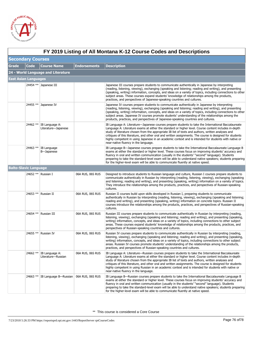

|              | FY 2019 Listing of All Montana K-12 Course Codes and Descriptions |                                       |                     |                                                                                                                                                                                                                                                                                                                                                                                                                                                                                                                                                                                  |  |  |  |
|--------------|-------------------------------------------------------------------|---------------------------------------|---------------------|----------------------------------------------------------------------------------------------------------------------------------------------------------------------------------------------------------------------------------------------------------------------------------------------------------------------------------------------------------------------------------------------------------------------------------------------------------------------------------------------------------------------------------------------------------------------------------|--|--|--|
|              | <b>Secondary Courses</b>                                          |                                       |                     |                                                                                                                                                                                                                                                                                                                                                                                                                                                                                                                                                                                  |  |  |  |
| <b>Grade</b> | <b>Code</b>                                                       | <b>Course Name</b>                    | <b>Endorsements</b> | <b>Description</b>                                                                                                                                                                                                                                                                                                                                                                                                                                                                                                                                                               |  |  |  |
|              |                                                                   | 24 - World Language and Literature    |                     |                                                                                                                                                                                                                                                                                                                                                                                                                                                                                                                                                                                  |  |  |  |
|              | <b>East Asian Languages</b>                                       |                                       |                     |                                                                                                                                                                                                                                                                                                                                                                                                                                                                                                                                                                                  |  |  |  |
|              |                                                                   | 24454 ** Japanese III                 |                     | Japanese III courses prepare students to communicate authentically in Japanese by interpreting<br>(reading, listening, viewing), exchanging (speaking and listening; reading and writing), and presenting<br>(speaking, writing) information, concepts, and ideas on a variety of topics, including connections to other<br>subject areas. These courses expand students' knowledge of relationships among the products,<br>practices, and perspectives of Japanese-speaking countries and cultures.                                                                             |  |  |  |
|              |                                                                   | 24455 ** Japanese IV                  |                     | Japanese IV courses prepare students to communicate authentically in Japanese by interpreting<br>(reading, listening, viewing), exchanging (speaking and listening; reading and writing), and presenting<br>(speaking, writing) information, concepts, and ideas on a variety of topics, including connections to other<br>subject areas. Japanese IV courses promote students' understanding of the relationships among the<br>products, practices, and perspectives of Japanese-speaking countries and cultures.                                                               |  |  |  |
|              | 24462 **                                                          | IB Language A:<br>Literature-Japanese |                     | IB Language A: Literature—Japanese courses prepare students to take the International Baccalaureate<br>Language A: Literature exams at either the standard or higher level. Course content includes in-depth<br>study of literature chosen from the appropriate IB list of texts and authors, written analyses and<br>critiques of this literature, and other oral and written assignments. The course is designed for students<br>highly competent in using Japanese in an academic context and is intended for students with native or<br>near-native fluency in the language. |  |  |  |
|              | 24463 **                                                          | IB Language<br>B-Japanese             |                     | IB Language B—Japanese courses prepare students to take the International Baccalaureate Language B<br>exams at either the standard or higher level. These courses focus on improving students' accuracy and<br>fluency in oral and written communication (usually in the students' "second" language). Students<br>preparing to take the standard-level exam will be able to understand native speakers; students preparing<br>for the higher-level exam will be able to communicate fluently at native speed.                                                                   |  |  |  |
|              | <b>Balto-Slavic Language</b>                                      |                                       |                     |                                                                                                                                                                                                                                                                                                                                                                                                                                                                                                                                                                                  |  |  |  |
|              |                                                                   | 24652 ** Russian I                    | 06A RUS, 06S RUS    | Designed to introduce students to Russian language and culture, Russian I courses prepare students to<br>communicate authentically in Russian by interpreting (reading, listening, viewing), exchanging (speaking<br>and listening; reading and writing), and presenting (speaking, writing) information on a variety of topics.<br>They introduce the relationships among the products, practices, and perspectives of Russian-speaking<br>cultures.                                                                                                                            |  |  |  |
|              |                                                                   | 24653 ** Russian II                   | 06A RUS, 06S RUS    | Russian II courses build upon skills developed in Russian I, preparing students to communicate<br>authentically in Russian by interpreting (reading, listening, viewing), exchanging (speaking and listening;<br>reading and writing), and presenting (speaking, writing) information on concrete topics. Russian II<br>courses introduce the relationships among the products, practices, and perspectives of Russian-speaking<br>cultures.                                                                                                                                     |  |  |  |
|              | 24654 **                                                          | Russian III                           | 06A RUS, 06S RUS    | Russian III courses prepare students to communicate authentically in Russian by interpreting (reading,<br>listening, viewing), exchanging (speaking and listening; reading and writing), and presenting (speaking,<br>writing) information, concepts, and ideas on a variety of topics, including connections to other subject<br>areas. These courses expand students' knowledge of relationships among the products, practices, and<br>perspectives of Russian-speaking countries and cultures.                                                                                |  |  |  |
|              |                                                                   | 24655 ** Russian IV                   | 06A RUS, 06S RUS    | Russian IV courses prepare students to communicate authentically in Russian by interpreting (reading,<br>listening, viewing), exchanging (speaking and listening; reading and writing), and presenting (speaking,<br>writing) information, concepts, and ideas on a variety of topics, including connections to other subject<br>areas. Russian IV courses promote students' understanding of the relationships among the products,<br>practices, and perspectives of Russian-speaking countries and cultures.                                                                   |  |  |  |
|              | 24662 **                                                          | IB Language A:<br>Literature-Russian  | 06A RUS, 06S RUS    | IB Language A: Literature—Russian courses prepare students to take the International Baccalaureate<br>Language A: Literature exams at either the standard or higher level. Course content includes in-depth<br>study of literature chosen from the appropriate IB list of texts and authors, written analyses and<br>critiques of this literature, and other oral and written assignments. The course is designed for students<br>highly competent in using Russian in an academic context and is intended for students with native or<br>near-native fluency in the language.   |  |  |  |
|              | 24663 **                                                          | IB Language B-Russian                 | 06A RUS, 06S RUS    | IB Language B—Russian courses prepare students to take the International Baccalaureate Language B<br>exams at either the standard or higher level. These courses focus on improving students' accuracy and<br>fluency in oral and written communication (usually in the students' "second" language). Students<br>preparing to take the standard-level exam will be able to understand native speakers; students preparing<br>for the higher-level exam will be able to communicate fluently at native speed.                                                                    |  |  |  |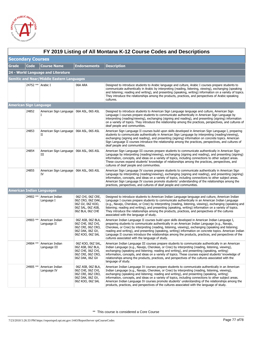

| FY 2019 Listing of All Montana K-12 Course Codes and Descriptions |                        |                                                  |                                                                                                     |                                                                                                                                                                                                                                                                                                                                                                                                                                                                                                                                                                                                                      |  |  |  |
|-------------------------------------------------------------------|------------------------|--------------------------------------------------|-----------------------------------------------------------------------------------------------------|----------------------------------------------------------------------------------------------------------------------------------------------------------------------------------------------------------------------------------------------------------------------------------------------------------------------------------------------------------------------------------------------------------------------------------------------------------------------------------------------------------------------------------------------------------------------------------------------------------------------|--|--|--|
| <b>Secondary Courses</b>                                          |                        |                                                  |                                                                                                     |                                                                                                                                                                                                                                                                                                                                                                                                                                                                                                                                                                                                                      |  |  |  |
| Grade                                                             | Code                   | <b>Course Name</b>                               | <b>Endorsements</b>                                                                                 | <b>Description</b>                                                                                                                                                                                                                                                                                                                                                                                                                                                                                                                                                                                                   |  |  |  |
|                                                                   |                        | 24 - World Language and Literature               |                                                                                                     |                                                                                                                                                                                                                                                                                                                                                                                                                                                                                                                                                                                                                      |  |  |  |
|                                                                   |                        | <b>Semitic and Near/Middle Eastern Languages</b> |                                                                                                     |                                                                                                                                                                                                                                                                                                                                                                                                                                                                                                                                                                                                                      |  |  |  |
|                                                                   | 24752 ** Arabic I      |                                                  | 06A ARA                                                                                             | Designed to introduce students to Arabic language and culture, Arabic I courses prepare students to<br>communicate authentically in Arabic by interpreting (reading, listening, viewing), exchanging (speaking<br>and listening; reading and writing), and presenting (speaking, writing) information on a variety of topics.<br>They introduce the relationships among the products, practices, and perspectives of Arabic-speaking<br>cultures.                                                                                                                                                                    |  |  |  |
|                                                                   | American Sign Language |                                                  |                                                                                                     |                                                                                                                                                                                                                                                                                                                                                                                                                                                                                                                                                                                                                      |  |  |  |
|                                                                   | 24852                  | American Sign Language 06A ASL, 06S ASL<br>Ι.    |                                                                                                     | Designed to introduce students to American Sign Language language and culture, American Sign<br>Language I courses prepare students to communicate authentically in American Sign Language by<br>interpreting (reading/viewing), exchanging (signing and reading), and presenting (signing) information<br>on a variety of topics. They introduce the relationship among the practices, perspectives, and cultures of<br>deaf people and communities.                                                                                                                                                                |  |  |  |
|                                                                   | 24853                  | American Sign Language 06A ASL, 06S ASL<br>П     |                                                                                                     | American Sign Language II courses build upon skills developed in American Sign Language I, preparing<br>students to communicate authentically in American Sign Language by interpreting (reading/viewing),<br>exchanging (signing and reading), and presenting (signing) information on concrete topics. American<br>Sign Language II courses introduce the relationship among the practices, perspectives, and cultures of<br>deaf people and communities.                                                                                                                                                          |  |  |  |
|                                                                   | 24854                  | American Sign Language 06A ASL, 06S ASL<br>Ш     |                                                                                                     | American Sign Language III courses prepare students to communicate authentically in American Sign<br>Language by interpreting (reading/viewing), exchanging (signing and reading), and presenting (signing)<br>information, concepts, and ideas on a variety of topics, including connections to other subject areas.<br>These courses expand students' knowledge of relationships among the practices, perspectives, and<br>cultures of deaf people and communities.                                                                                                                                                |  |  |  |
|                                                                   | 24855                  | American Sign Language 06A ASL, 06S ASL<br>IV    |                                                                                                     | American Sign Language IV courses prepare students to communicate authentically in American Sign<br>Language by interpreting (reading/viewing), exchanging (signing and reading), and presenting (signing)<br>information, concepts, and ideas on a variety of topics, including connections to other subject areas.<br>American Sign Language IV courses promote students' understanding of the relationships among the<br>practices, perspectives, and cultures of deaf people and communities.                                                                                                                    |  |  |  |
|                                                                   |                        | American Indian Languages                        |                                                                                                     |                                                                                                                                                                                                                                                                                                                                                                                                                                                                                                                                                                                                                      |  |  |  |
|                                                                   | 24902 **               | American Indian<br>Language I                    | 06Z CHI, 06Z CRE,<br>06Z CRO, 06Z DAK,<br>06Z GV, 06Z KOO,<br>06Z SAL, 06Z ASB,<br>06Z BLA, 06Z CHE | Designed to introduce students to American Indian Language language and culture, American Indian<br>Language I courses prepare students to communicate authentically in an American Indian Language<br>(e.g., Navajo, Cherokee, or Cree) by interpreting (reading, listening, viewing), exchanging (speaking and<br>listening; reading and writing), and presenting (speaking, writing) information on a variety of topics.<br>They introduce the relationships among the products, practices, and perspectives of the cultures<br>associated with the language of study.                                            |  |  |  |
|                                                                   | 24903 **               | American Indian<br>Language II                   | 06Z ASB, 06Z BLA,<br>06Z CHE, 06Z CHI,<br>06Z CRE, 06Z CRO,<br>06Z DAK, 06Z GV,<br>06Z KOO, 06Z SAL | American Indian Language II courses build upon skills developed in American Indian Language I,<br>preparing students to communicate authentically in an American Indian Language (e.g., Navajo,<br>Cherokee, or Cree) by interpreting (reading, listening, viewing), exchanging (speaking and listening;<br>reading and writing), and presenting (speaking, writing) information on concrete topics. American Indian<br>Language II courses introduce the relationships among the products, practices, and perspectives of the<br>cultures associated with the language of study.                                    |  |  |  |
|                                                                   |                        | 24904 ** American Indian<br>Language III         | 06Z KOO, 06Z SAL,<br>06Z ASB, 06Z BLA,<br>06Z CHE, 06Z CHI,<br>06Z CRE, 06Z CRO,<br>06Z DAK, 06Z GV | American Indian Language III courses prepare students to communicate authentically in an American<br>Indian Language (e.g., Navajo, Cherokee, or Cree) by interpreting (reading, listening, viewing),<br>exchanging (speaking and listening; reading and writing), and presenting (speaking, writing)<br>information, concepts, and ideas on a variety of topics. These courses expand students' knowledge of<br>relationships among the products, practices, and perspectives of the cultures associated with the<br>language of study.                                                                             |  |  |  |
|                                                                   | 24905 **               | American Indian<br>Language IV                   | 06Z ASB, 06Z BLA,<br>06Z CHE, 06Z CHI,<br>06Z CRE, 06Z CRO,<br>06Z DAK, 06Z GV,<br>06Z KOO, 06Z SAL | American Indian Language IV courses prepare students to communicate authentically in an American<br>Indian Language (e.g., Navajo, Cherokee, or Cree) by interpreting (reading, listening, viewing),<br>exchanging (speaking and listening; reading and writing), and presenting (speaking, writing)<br>information, concepts, and ideas on a variety of topics, including connections to other subject areas.<br>American Indian Language IV courses promote students' understanding of the relationships among the<br>products, practices, and perspectives of the cultures associated with the language of study. |  |  |  |